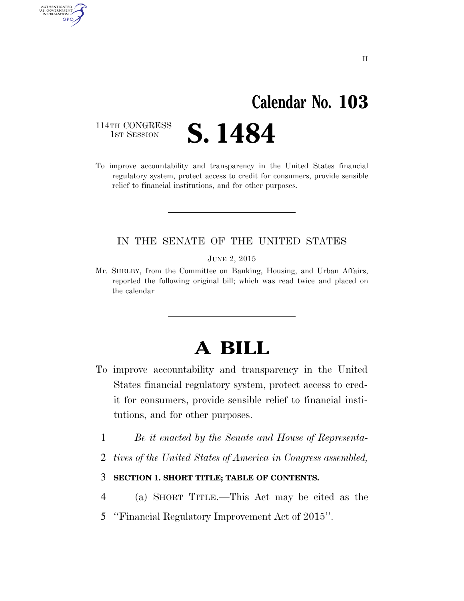# **Calendar No. 103**

114TH CONGRESS<br>1st Session

AUTHENTICATED U.S. GOVERNMENT GPO

**S. 1484** 

To improve accountability and transparency in the United States financial regulatory system, protect access to credit for consumers, provide sensible relief to financial institutions, and for other purposes.

# IN THE SENATE OF THE UNITED STATES

JUNE 2, 2015

Mr. SHELBY, from the Committee on Banking, Housing, and Urban Affairs, reported the following original bill; which was read twice and placed on the calendar

# **A BILL**

- To improve accountability and transparency in the United States financial regulatory system, protect access to credit for consumers, provide sensible relief to financial institutions, and for other purposes.
	- 1 *Be it enacted by the Senate and House of Representa-*
	- 2 *tives of the United States of America in Congress assembled,*
	- 3 **SECTION 1. SHORT TITLE; TABLE OF CONTENTS.**
- 4 (a) SHORT TITLE.—This Act may be cited as the
- 5 ''Financial Regulatory Improvement Act of 2015''.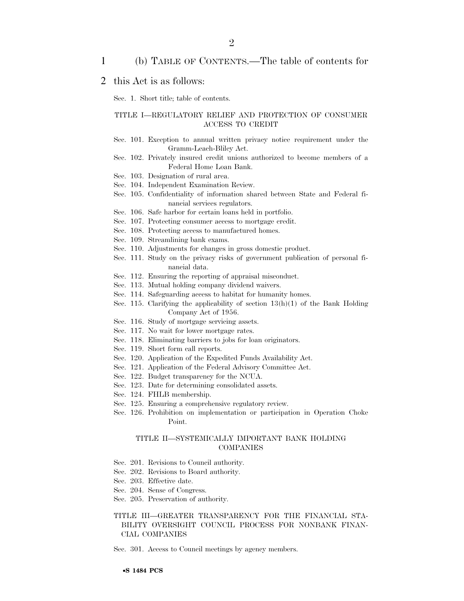### 1 (b) TABLE OF CONTENTS.—The table of contents for

### 2 this Act is as follows:

Sec. 1. Short title; table of contents.

#### TITLE I—REGULATORY RELIEF AND PROTECTION OF CONSUMER ACCESS TO CREDIT

- Sec. 101. Exception to annual written privacy notice requirement under the Gramm-Leach-Bliley Act.
- Sec. 102. Privately insured credit unions authorized to become members of a Federal Home Loan Bank.
- Sec. 103. Designation of rural area.
- Sec. 104. Independent Examination Review.
- Sec. 105. Confidentiality of information shared between State and Federal financial services regulators.
- Sec. 106. Safe harbor for certain loans held in portfolio.
- Sec. 107. Protecting consumer access to mortgage credit.
- Sec. 108. Protecting access to manufactured homes.
- Sec. 109. Streamlining bank exams.
- Sec. 110. Adjustments for changes in gross domestic product.
- Sec. 111. Study on the privacy risks of government publication of personal financial data.
- Sec. 112. Ensuring the reporting of appraisal misconduct.
- Sec. 113. Mutual holding company dividend waivers.
- Sec. 114. Safeguarding access to habitat for humanity homes.
- Sec. 115. Clarifying the applicability of section 13(h)(1) of the Bank Holding Company Act of 1956.
- Sec. 116. Study of mortgage servicing assets.
- Sec. 117. No wait for lower mortgage rates.
- Sec. 118. Eliminating barriers to jobs for loan originators.
- Sec. 119. Short form call reports.
- Sec. 120. Application of the Expedited Funds Availability Act.
- Sec. 121. Application of the Federal Advisory Committee Act.
- Sec. 122. Budget transparency for the NCUA.
- Sec. 123. Date for determining consolidated assets.
- Sec. 124. FHLB membership.
- Sec. 125. Ensuring a comprehensive regulatory review.
- Sec. 126. Prohibition on implementation or participation in Operation Choke Point.

#### TITLE II—SYSTEMICALLY IMPORTANT BANK HOLDING COMPANIES

- Sec. 201. Revisions to Council authority.
- Sec. 202. Revisions to Board authority.
- Sec. 203. Effective date.
- Sec. 204. Sense of Congress.
- Sec. 205. Preservation of authority.

#### TITLE III—GREATER TRANSPARENCY FOR THE FINANCIAL STA-BILITY OVERSIGHT COUNCIL PROCESS FOR NONBANK FINAN-CIAL COMPANIES

Sec. 301. Access to Council meetings by agency members.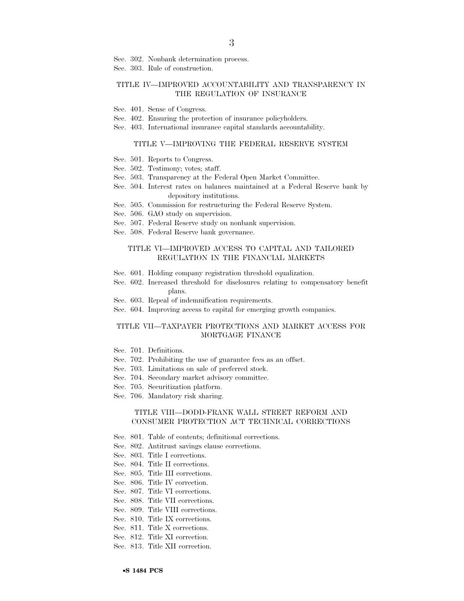Sec. 302. Nonbank determination process.

Sec. 303. Rule of construction.

#### TITLE IV—IMPROVED ACCOUNTABILITY AND TRANSPARENCY IN THE REGULATION OF INSURANCE

- Sec. 401. Sense of Congress.
- Sec. 402. Ensuring the protection of insurance policyholders.
- Sec. 403. International insurance capital standards accountability.

#### TITLE V—IMPROVING THE FEDERAL RESERVE SYSTEM

- Sec. 501. Reports to Congress.
- Sec. 502. Testimony; votes; staff.
- Sec. 503. Transparency at the Federal Open Market Committee.
- Sec. 504. Interest rates on balances maintained at a Federal Reserve bank by depository institutions.
- Sec. 505. Commission for restructuring the Federal Reserve System.
- Sec. 506. GAO study on supervision.
- Sec. 507. Federal Reserve study on nonbank supervision.
- Sec. 508. Federal Reserve bank governance.

#### TITLE VI—IMPROVED ACCESS TO CAPITAL AND TAILORED REGULATION IN THE FINANCIAL MARKETS

- Sec. 601. Holding company registration threshold equalization.
- Sec. 602. Increased threshold for disclosures relating to compensatory benefit plans.
- Sec. 603. Repeal of indemnification requirements.
- Sec. 604. Improving access to capital for emerging growth companies.

#### TITLE VII—TAXPAYER PROTECTIONS AND MARKET ACCESS FOR MORTGAGE FINANCE

- Sec. 701. Definitions.
- Sec. 702. Prohibiting the use of guarantee fees as an offset.
- Sec. 703. Limitations on sale of preferred stock.
- Sec. 704. Secondary market advisory committee.
- Sec. 705. Securitization platform.
- Sec. 706. Mandatory risk sharing.

#### TITLE VIII—DODD-FRANK WALL STREET REFORM AND CONSUMER PROTECTION ACT TECHNICAL CORRECTIONS

- Sec. 801. Table of contents; definitional corrections.
- Sec. 802. Antitrust savings clause corrections.
- Sec. 803. Title I corrections.
- Sec. 804. Title II corrections.
- Sec. 805. Title III corrections.
- Sec. 806. Title IV correction.
- Sec. 807. Title VI corrections.
- Sec. 808. Title VII corrections.
- Sec. 809. Title VIII corrections.
- Sec. 810. Title IX corrections.
- Sec. 811. Title X corrections.
- Sec. 812. Title XI correction.
- Sec. 813. Title XII correction.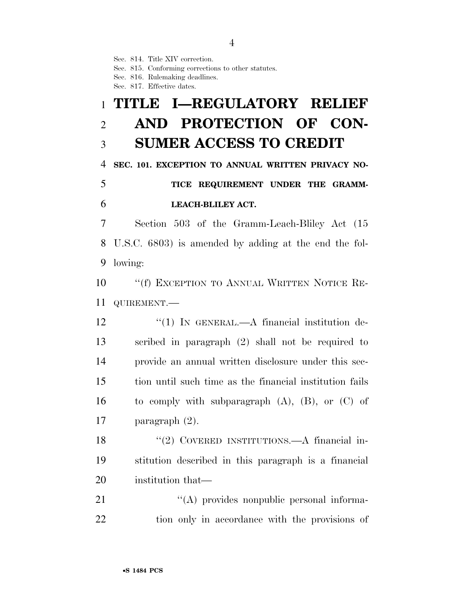Sec. 814. Title XIV correction.

Sec. 815. Conforming corrections to other statutes.

Sec. 816. Rulemaking deadlines.

Sec. 817. Effective dates.

# **TITLE I—REGULATORY RELIEF AND PROTECTION OF CON-SUMER ACCESS TO CREDIT**

**SEC. 101. EXCEPTION TO ANNUAL WRITTEN PRIVACY NO-**

# **TICE REQUIREMENT UNDER THE GRAMM-LEACH-BLILEY ACT.**

 Section 503 of the Gramm-Leach-Bliley Act (15 U.S.C. 6803) is amended by adding at the end the fol-lowing:

10 ""(f) EXCEPTION TO ANNUAL WRITTEN NOTICE RE-QUIREMENT.—

12 "(1) IN GENERAL.—A financial institution de- scribed in paragraph (2) shall not be required to provide an annual written disclosure under this sec- tion until such time as the financial institution fails 16 to comply with subparagraph  $(A)$ ,  $(B)$ , or  $(C)$  of paragraph (2).

18 "(2) COVERED INSTITUTIONS.—A financial in- stitution described in this paragraph is a financial institution that—

21 ''(A) provides nonpublic personal informa-tion only in accordance with the provisions of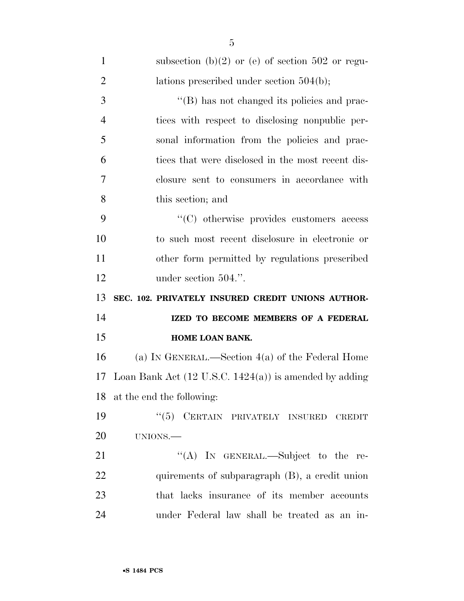| $\mathbf{1}$   | subsection (b) $(2)$ or (e) of section 502 or regu-               |
|----------------|-------------------------------------------------------------------|
| $\overline{2}$ | lations prescribed under section $504(b)$ ;                       |
| 3              | "(B) has not changed its policies and prac-                       |
| $\overline{4}$ | tices with respect to disclosing nonpublic per-                   |
| 5              | sonal information from the policies and prac-                     |
| 6              | tices that were disclosed in the most recent dis-                 |
| $\overline{7}$ | closure sent to consumers in accordance with                      |
| 8              | this section; and                                                 |
| 9              | "(C) otherwise provides customers access                          |
| 10             | to such most recent disclosure in electronic or                   |
| 11             | other form permitted by regulations prescribed                    |
| 12             | under section 504.".                                              |
| 13             | SEC. 102. PRIVATELY INSURED CREDIT UNIONS AUTHOR-                 |
|                |                                                                   |
| 14             | IZED TO BECOME MEMBERS OF A FEDERAL                               |
| 15             | HOME LOAN BANK.                                                   |
| 16             | (a) IN GENERAL.—Section $4(a)$ of the Federal Home                |
| 17             | Loan Bank Act $(12 \text{ U.S.C. } 1424(a))$ is amended by adding |
|                | 18 at the end the following:                                      |
| 19             | "(5) CERTAIN PRIVATELY INSURED CREDIT                             |
| 20             | UNIONS.                                                           |
| 21             | "(A) IN GENERAL.—Subject to the re-                               |
| 22             | quirements of subparagraph (B), a credit union                    |
| 23             | that lacks insurance of its member accounts                       |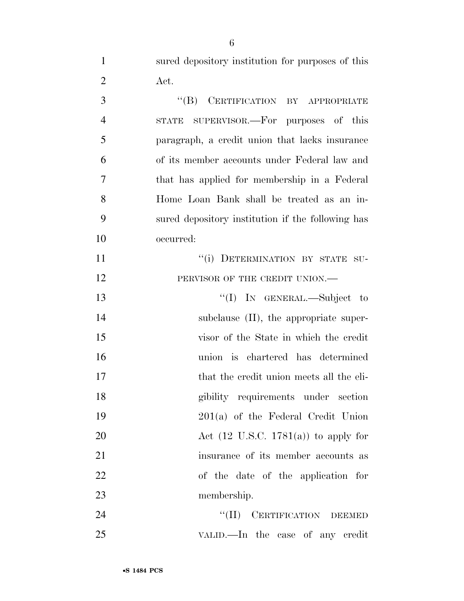sured depository institution for purposes of this Act.

3 "(B) CERTIFICATION BY APPROPRIATE STATE SUPERVISOR.—For purposes of this paragraph, a credit union that lacks insurance of its member accounts under Federal law and that has applied for membership in a Federal Home Loan Bank shall be treated as an in- sured depository institution if the following has occurred:  $``(i)$  DETERMINATION BY STATE SU-12 PERVISOR OF THE CREDIT UNION.— ''(I) IN GENERAL.—Subject to 14 subclause (II), the appropriate super- visor of the State in which the credit union is chartered has determined that the credit union meets all the eli- gibility requirements under section 201(a) of the Federal Credit Union 20 Act (12 U.S.C. 1781(a)) to apply for insurance of its member accounts as of the date of the application for membership. 24 "(II) CERTIFICATION DEEMED

VALID.—In the case of any credit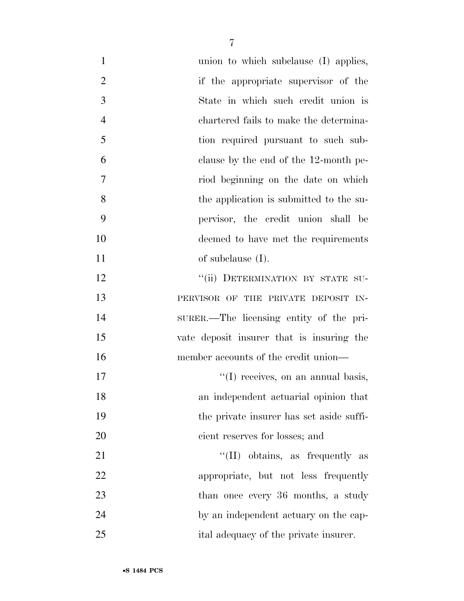| $\mathbf{1}$   | union to which subclause (I) applies,     |
|----------------|-------------------------------------------|
| $\overline{2}$ | if the appropriate supervisor of the      |
| 3              | State in which such credit union is       |
| $\overline{4}$ | chartered fails to make the determina-    |
| 5              | tion required pursuant to such sub-       |
| 6              | clause by the end of the 12-month pe-     |
| 7              | riod beginning on the date on which       |
| 8              | the application is submitted to the su-   |
| 9              | pervisor, the credit union shall be       |
| 10             | deemed to have met the requirements       |
| 11             | of subclause $(I)$ .                      |
| 12             | "(ii) DETERMINATION BY STATE SU-          |
| 13             | PERVISOR OF THE PRIVATE DEPOSIT IN-       |
| 14             | SURER.—The licensing entity of the pri-   |
| 15             | vate deposit insurer that is insuring the |
| 16             | member accounts of the credit union—      |
| 17             | "(I) receives, on an annual basis,        |
| 18             | an independent actuarial opinion that     |
| 19             | the private insurer has set aside suffi-  |
| 20             | cient reserves for losses; and            |
| 21             | $\lq\lq$ (II) obtains, as frequently as   |
| 22             | appropriate, but not less frequently      |
| 23             | than once every 36 months, a study        |
| 24             | by an independent actuary on the cap-     |
| 25             | ital adequacy of the private insurer.     |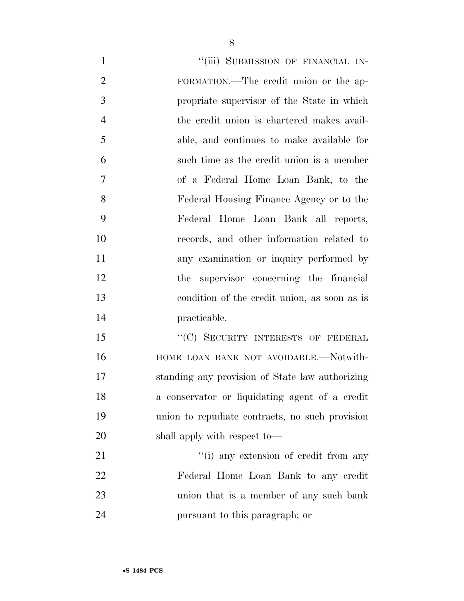| $\mathbf{1}$   | "(iii) SUBMISSION OF FINANCIAL IN-              |
|----------------|-------------------------------------------------|
| $\overline{2}$ | FORMATION.—The credit union or the ap-          |
| 3              | propriate supervisor of the State in which      |
| $\overline{4}$ | the credit union is chartered makes avail-      |
| 5              | able, and continues to make available for       |
| 6              | such time as the credit union is a member       |
| 7              | of a Federal Home Loan Bank, to the             |
| 8              | Federal Housing Finance Agency or to the        |
| 9              | Federal Home Loan Bank all reports,             |
| 10             | records, and other information related to       |
| 11             | any examination or inquiry performed by         |
| 12             | the supervisor concerning the financial         |
| 13             | condition of the credit union, as soon as is    |
| 14             | practicable.                                    |
| 15             | "(C) SECURITY INTERESTS OF FEDERAL              |
| 16             | HOME LOAN BANK NOT AVOIDABLE.-Notwith-          |
| 17             | standing any provision of State law authorizing |
| 18             | a conservator or liquidating agent of a credit  |
| 19             | union to repudiate contracts, no such provision |
| 20             | shall apply with respect to—                    |
| 21             | "(i) any extension of credit from any           |
| 22             | Federal Home Loan Bank to any credit            |
|                |                                                 |

union that is a member of any such bank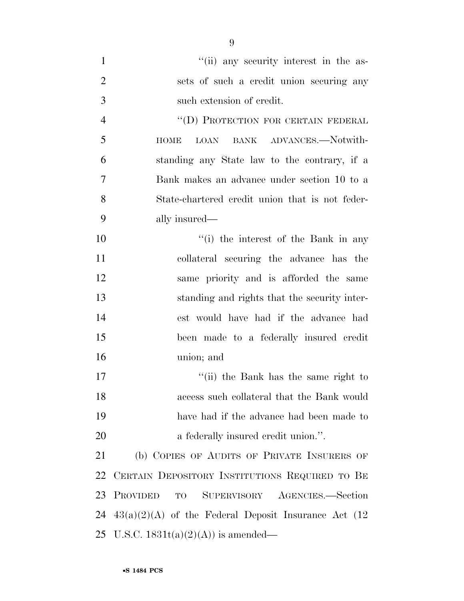| $\mathbf{1}$   | "(ii) any security interest in the as-                  |
|----------------|---------------------------------------------------------|
| $\overline{2}$ | sets of such a credit union securing any                |
| $\mathfrak{Z}$ | such extension of credit.                               |
| $\overline{4}$ | "(D) PROTECTION FOR CERTAIN FEDERAL                     |
| 5              | BANK ADVANCES.-Notwith-<br><b>HOME</b><br>LOAN          |
| 6              | standing any State law to the contrary, if a            |
| 7              | Bank makes an advance under section 10 to a             |
| 8              | State-chartered credit union that is not feder-         |
| 9              | ally insured—                                           |
| 10             | "(i) the interest of the Bank in any                    |
| 11             | collateral securing the advance has the                 |
| 12             | same priority and is afforded the same                  |
| 13             | standing and rights that the security inter-            |
| 14             | est would have had if the advance had                   |
| 15             | been made to a federally insured credit                 |
| 16             | union; and                                              |
| 17             | "(ii) the Bank has the same right to                    |
| 18             | access such collateral that the Bank would              |
| 19             | have had if the advance had been made to                |
| 20             | a federally insured credit union.".                     |
| 21             | (b) COPIES OF AUDITS OF PRIVATE INSURERS OF             |
| 22             | CERTAIN DEPOSITORY INSTITUTIONS REQUIRED TO BE          |
| 23             | <b>PROVIDED</b><br>SUPERVISORY AGENCIES.-Section<br>TO  |
| 24             | $43(a)(2)(A)$ of the Federal Deposit Insurance Act (12) |
| 25             | U.S.C. $1831t(a)(2)(A)$ is amended—                     |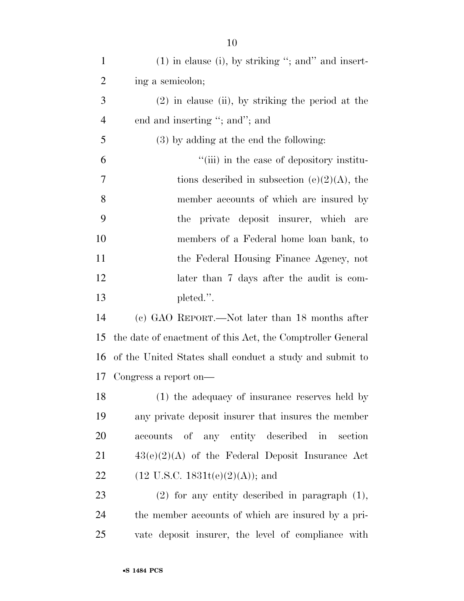| $\mathbf{1}$   | $(1)$ in clause (i), by striking "; and" and insert-       |
|----------------|------------------------------------------------------------|
| $\overline{2}$ | ing a semicolon;                                           |
| 3              | $(2)$ in clause (ii), by striking the period at the        |
| $\overline{4}$ | end and inserting "; and"; and                             |
| 5              | (3) by adding at the end the following:                    |
| 6              | "(iii) in the case of depository institu-                  |
| 7              | tions described in subsection (e) $(2)(A)$ , the           |
| 8              | member accounts of which are insured by                    |
| 9              | the private deposit insurer, which are                     |
| 10             | members of a Federal home loan bank, to                    |
| 11             | the Federal Housing Finance Agency, not                    |
| 12             | later than 7 days after the audit is com-                  |
| 13             | pleted.".                                                  |
| 14             | (c) GAO REPORT.—Not later than 18 months after             |
| 15             | the date of enactment of this Act, the Comptroller General |
| 16             | of the United States shall conduct a study and submit to   |
| 17             | Congress a report on—                                      |
| 18             | (1) the adequacy of insurance reserves held by             |
| 19             | any private deposit insurer that insures the member        |
| 20             | accounts of any entity described in section                |
| 21             | $43(e)(2)(A)$ of the Federal Deposit Insurance Act         |
| 22             | $(12 \text{ U.S.C. } 1831t(e)(2)(A));$ and                 |
| 23             | $(2)$ for any entity described in paragraph $(1)$ ,        |
| 24             | the member accounts of which are insured by a pri-         |
| 25             | vate deposit insurer, the level of compliance with         |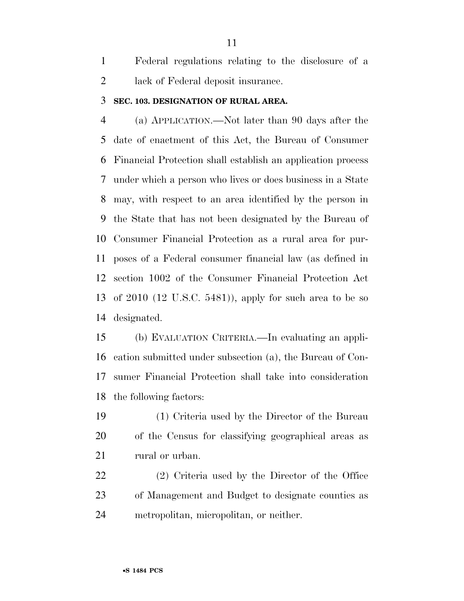Federal regulations relating to the disclosure of a lack of Federal deposit insurance.

### **SEC. 103. DESIGNATION OF RURAL AREA.**

 (a) APPLICATION.—Not later than 90 days after the date of enactment of this Act, the Bureau of Consumer Financial Protection shall establish an application process under which a person who lives or does business in a State may, with respect to an area identified by the person in the State that has not been designated by the Bureau of Consumer Financial Protection as a rural area for pur- poses of a Federal consumer financial law (as defined in section 1002 of the Consumer Financial Protection Act of 2010 (12 U.S.C. 5481)), apply for such area to be so designated.

 (b) EVALUATION CRITERIA.—In evaluating an appli- cation submitted under subsection (a), the Bureau of Con- sumer Financial Protection shall take into consideration the following factors:

 (1) Criteria used by the Director of the Bureau of the Census for classifying geographical areas as 21 rural or urban.

 (2) Criteria used by the Director of the Office of Management and Budget to designate counties as metropolitan, micropolitan, or neither.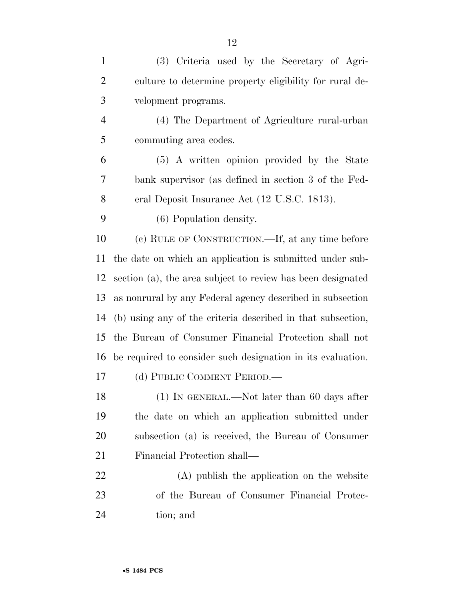| $\mathbf{1}$   | (3) Criteria used by the Secretary of Agri-                 |
|----------------|-------------------------------------------------------------|
| $\overline{2}$ | culture to determine property eligibility for rural de-     |
| 3              | velopment programs.                                         |
| $\overline{4}$ | (4) The Department of Agriculture rural-urban               |
| 5              | commuting area codes.                                       |
| 6              | (5) A written opinion provided by the State                 |
| 7              | bank supervisor (as defined in section 3 of the Fed-        |
| 8              | eral Deposit Insurance Act (12 U.S.C. 1813).                |
| 9              | (6) Population density.                                     |
| 10             | (c) RULE OF CONSTRUCTION.—If, at any time before            |
| 11             | the date on which an application is submitted under sub-    |
| 12             | section (a), the area subject to review has been designated |
| 13             | as nonrural by any Federal agency described in subsection   |
| 14             | (b) using any of the criteria described in that subsection, |
| 15             | the Bureau of Consumer Financial Protection shall not       |
| 16             | be required to consider such designation in its evaluation. |
| 17             | (d) PUBLIC COMMENT PERIOD.                                  |
| 18             | $(1)$ In GENERAL.—Not later than 60 days after              |
| 19             | the date on which an application submitted under            |
| 20             | subsection (a) is received, the Bureau of Consumer          |
| 21             | Financial Protection shall—                                 |
| 22             | (A) publish the application on the website                  |
| 23             | of the Bureau of Consumer Financial Protec-                 |
| 24             | tion; and                                                   |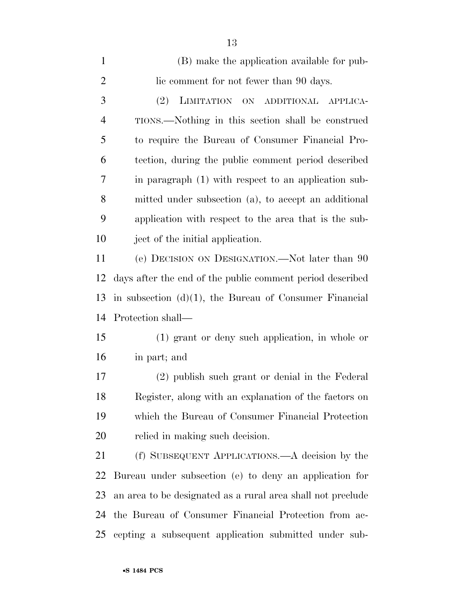| $\mathbf{1}$   | (B) make the application available for pub-                 |
|----------------|-------------------------------------------------------------|
| $\overline{2}$ | lic comment for not fewer than 90 days.                     |
| 3              | LIMITATION ON ADDITIONAL<br>(2)<br>APPLICA-                 |
| $\overline{4}$ | TIONS.—Nothing in this section shall be construed           |
| 5              | to require the Bureau of Consumer Financial Pro-            |
| 6              | tection, during the public comment period described         |
| 7              | in paragraph (1) with respect to an application sub-        |
| 8              | mitted under subsection (a), to accept an additional        |
| 9              | application with respect to the area that is the sub-       |
| 10             | ject of the initial application.                            |
| 11             | (e) DECISION ON DESIGNATION.—Not later than 90              |
| 12             | days after the end of the public comment period described   |
| 13             | in subsection $(d)(1)$ , the Bureau of Consumer Financial   |
| 14             | Protection shall—                                           |
| 15             | $(1)$ grant or deny such application, in whole or           |
| 16             | in part; and                                                |
| 17             | (2) publish such grant or denial in the Federal             |
| 18             | Register, along with an explanation of the factors on       |
| 19             | which the Bureau of Consumer Financial Protection           |
| 20             | relied in making such decision.                             |
| 21             | (f) SUBSEQUENT APPLICATIONS.—A decision by the              |
| 22             | Bureau under subsection (e) to deny an application for      |
| 23             | an area to be designated as a rural area shall not preclude |
| 24             | the Bureau of Consumer Financial Protection from ac-        |
| 25             | cepting a subsequent application submitted under sub-       |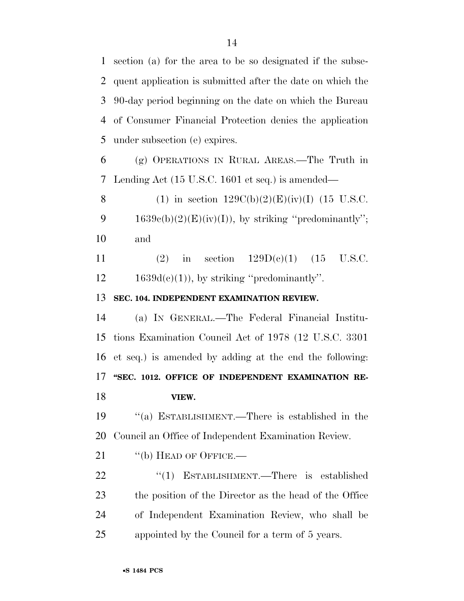section (a) for the area to be so designated if the subse- quent application is submitted after the date on which the 90-day period beginning on the date on which the Bureau of Consumer Financial Protection denies the application under subsection (e) expires.

 (g) OPERATIONS IN RURAL AREAS.—The Truth in Lending Act (15 U.S.C. 1601 et seq.) is amended—

8 (1) in section  $129C(b)(2)(E)(iv)(I)$  (15 U.S.C. 9  $1639e(b)(2)(E)(iv)(I))$ , by striking "predominantly"; and

11 (2) in section  $129D(e)(1)$  (15 U.S.C.  $12 \qquad 1639d(c)(1)$ , by striking "predominantly".

## **SEC. 104. INDEPENDENT EXAMINATION REVIEW.**

 (a) IN GENERAL.—The Federal Financial Institu- tions Examination Council Act of 1978 (12 U.S.C. 3301 et seq.) is amended by adding at the end the following: 17 "SEC. 1012. OFFICE OF INDEPENDENT EXAMINATION RE-**VIEW.** 

 ''(a) ESTABLISHMENT.—There is established in the Council an Office of Independent Examination Review.

21 "(b) HEAD OF OFFICE.—

22 "(1) ESTABLISHMENT.—There is established the position of the Director as the head of the Office of Independent Examination Review, who shall be appointed by the Council for a term of 5 years.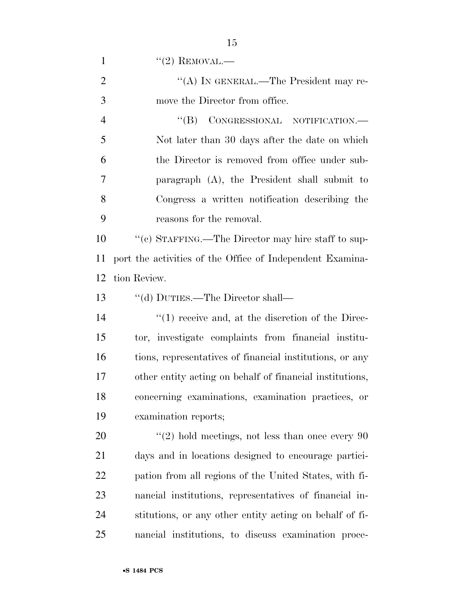$((2)$  REMOVAL.— 2 "(A) IN GENERAL.—The President may re- move the Director from office. 4 "(B) CONGRESSIONAL NOTIFICATION.— Not later than 30 days after the date on which the Director is removed from office under sub- paragraph (A), the President shall submit to Congress a written notification describing the reasons for the removal. ''(c) STAFFING.—The Director may hire staff to sup- port the activities of the Office of Independent Examina- tion Review. ''(d) DUTIES.—The Director shall—  $\frac{1}{2}$  (1) receive and, at the discretion of the Direc- tor, investigate complaints from financial institu- tions, representatives of financial institutions, or any other entity acting on behalf of financial institutions, concerning examinations, examination practices, or examination reports;  $\frac{1}{20}$  ''(2) hold meetings, not less than once every 90 days and in locations designed to encourage partici- pation from all regions of the United States, with fi- nancial institutions, representatives of financial in- stitutions, or any other entity acting on behalf of fi-nancial institutions, to discuss examination proce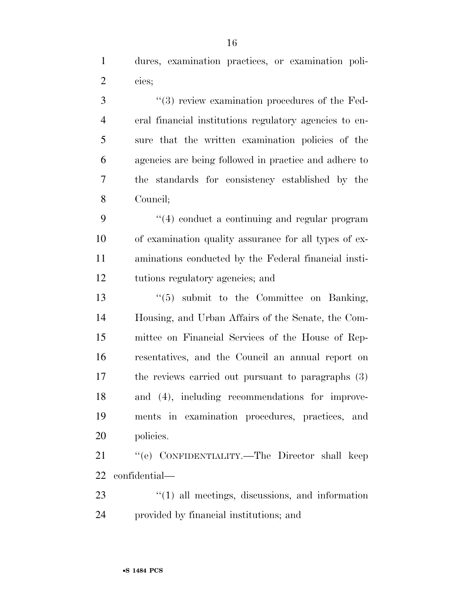dures, examination practices, or examination poli-cies;

 $(3)$  review examination procedures of the Fed- eral financial institutions regulatory agencies to en- sure that the written examination policies of the agencies are being followed in practice and adhere to the standards for consistency established by the Council;

9 "(4) conduct a continuing and regular program of examination quality assurance for all types of ex- aminations conducted by the Federal financial insti-tutions regulatory agencies; and

 ''(5) submit to the Committee on Banking, Housing, and Urban Affairs of the Senate, the Com- mittee on Financial Services of the House of Rep- resentatives, and the Council an annual report on the reviews carried out pursuant to paragraphs (3) and (4), including recommendations for improve- ments in examination procedures, practices, and policies.

 ''(e) CONFIDENTIALITY.—The Director shall keep confidential—

23 ''(1) all meetings, discussions, and information provided by financial institutions; and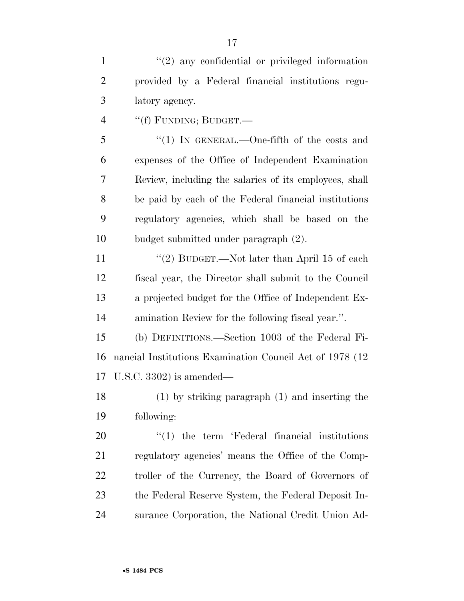1 ''(2) any confidential or privileged information provided by a Federal financial institutions regu-latory agency.

''(f) FUNDING; BUDGET.—

 ''(1) IN GENERAL.—One-fifth of the costs and expenses of the Office of Independent Examination Review, including the salaries of its employees, shall be paid by each of the Federal financial institutions regulatory agencies, which shall be based on the budget submitted under paragraph (2).

11 ''(2) BUDGET.—Not later than April 15 of each fiscal year, the Director shall submit to the Council a projected budget for the Office of Independent Ex-amination Review for the following fiscal year.''.

 (b) DEFINITIONS.—Section 1003 of the Federal Fi- nancial Institutions Examination Council Act of 1978 (12 U.S.C. 3302) is amended—

 (1) by striking paragraph (1) and inserting the following:

 $\frac{1}{20}$  the term 'Federal financial institutions regulatory agencies' means the Office of the Comp- troller of the Currency, the Board of Governors of the Federal Reserve System, the Federal Deposit In-surance Corporation, the National Credit Union Ad-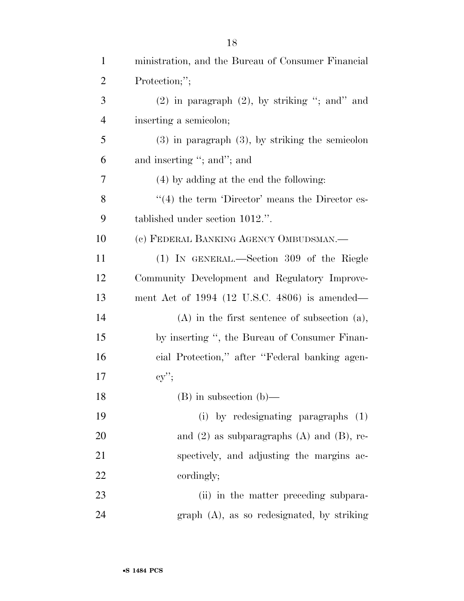| $\mathbf{1}$   | ministration, and the Bureau of Consumer Financial     |
|----------------|--------------------------------------------------------|
| $\overline{2}$ | Protection;";                                          |
| 3              | $(2)$ in paragraph $(2)$ , by striking "; and" and     |
| $\overline{4}$ | inserting a semicolon;                                 |
| 5              | $(3)$ in paragraph $(3)$ , by striking the semicolon   |
| 6              | and inserting "; and"; and                             |
| 7              | (4) by adding at the end the following:                |
| 8              | $\cdot$ (4) the term 'Director' means the Director es- |
| 9              | tablished under section 1012.".                        |
| 10             | (c) FEDERAL BANKING AGENCY OMBUDSMAN.-                 |
| 11             | (1) IN GENERAL.—Section 309 of the Riegle              |
| 12             | Community Development and Regulatory Improve-          |
| 13             | ment Act of 1994 (12 U.S.C. 4806) is amended—          |
| 14             | $(A)$ in the first sentence of subsection $(a)$ ,      |
| 15             | by inserting ", the Bureau of Consumer Finan-          |
| 16             | cial Protection," after "Federal banking agen-         |
| 17             | $cy$ ";                                                |
| 18             | $(B)$ in subsection $(b)$ —                            |
| 19             | (i) by redesignating paragraphs (1)                    |
| 20             | and $(2)$ as subparagraphs $(A)$ and $(B)$ , re-       |
| 21             | spectively, and adjusting the margins ac-              |
| 22             | cordingly;                                             |
| 23             | (ii) in the matter preceding subpara-                  |
| 24             | $graph$ (A), as so redesignated, by striking           |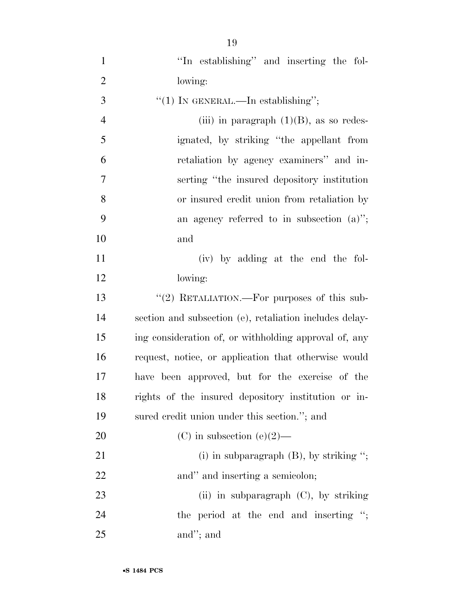| $\mathbf{1}$   | "In establishing" and inserting the fol-                |
|----------------|---------------------------------------------------------|
| $\overline{2}$ | lowing:                                                 |
| 3              | "(1) IN GENERAL.—In establishing";                      |
| $\overline{4}$ | (iii) in paragraph $(1)(B)$ , as so redes-              |
| 5              | ignated, by striking "the appellant from                |
| 6              | retaliation by agency examiners" and in-                |
| $\overline{7}$ | serting "the insured depository institution             |
| 8              | or insured credit union from retaliation by             |
| 9              | an agency referred to in subsection $(a)$ ";            |
| 10             | and                                                     |
| 11             | (iv) by adding at the end the fol-                      |
| 12             | lowing:                                                 |
| 13             | "(2) RETALIATION.—For purposes of this sub-             |
| 14             | section and subsection (e), retaliation includes delay- |
| 15             | ing consideration of, or withholding approval of, any   |
| 16             | request, notice, or application that otherwise would    |
| 17             | have been approved, but for the exercise of the         |
| 18             | rights of the insured depository institution or in-     |
| 19             | sured credit union under this section."; and            |
| 20             | (C) in subsection (e)(2)—                               |
| 21             | (i) in subparagraph $(B)$ , by striking ";              |
| 22             | and" and inserting a semicolon;                         |
| 23             | (ii) in subparagraph $(C)$ , by striking                |
| 24             | the period at the end and inserting ";                  |
| 25             | and"; and                                               |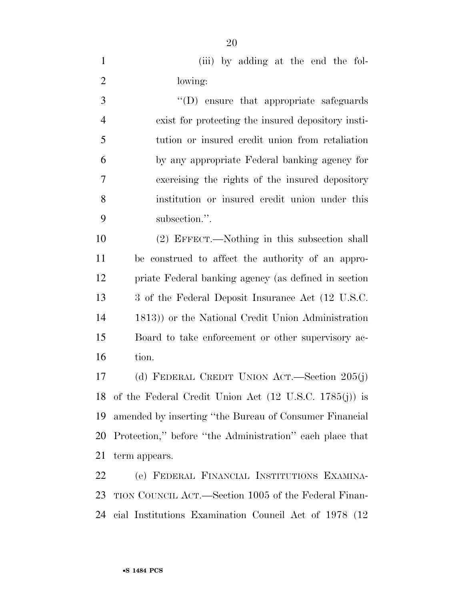(iii) by adding at the end the fol-lowing:

 ''(D) ensure that appropriate safeguards exist for protecting the insured depository insti- tution or insured credit union from retaliation by any appropriate Federal banking agency for exercising the rights of the insured depository institution or insured credit union under this subsection.''.

 (2) EFFECT.—Nothing in this subsection shall be construed to affect the authority of an appro- priate Federal banking agency (as defined in section 3 of the Federal Deposit Insurance Act (12 U.S.C. 1813)) or the National Credit Union Administration Board to take enforcement or other supervisory ac-tion.

 (d) FEDERAL CREDIT UNION ACT.—Section 205(j) of the Federal Credit Union Act (12 U.S.C. 1785(j)) is amended by inserting ''the Bureau of Consumer Financial Protection,'' before ''the Administration'' each place that term appears.

 (e) FEDERAL FINANCIAL INSTITUTIONS EXAMINA- TION COUNCIL ACT.—Section 1005 of the Federal Finan-cial Institutions Examination Council Act of 1978 (12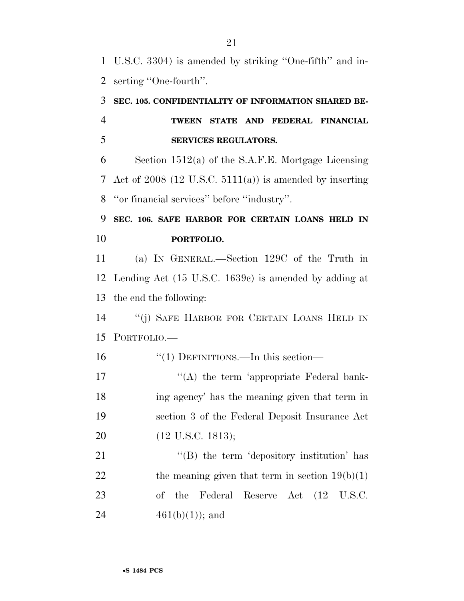U.S.C. 3304) is amended by striking ''One-fifth'' and in-serting ''One-fourth''.

# **SEC. 105. CONFIDENTIALITY OF INFORMATION SHARED BE- TWEEN STATE AND FEDERAL FINANCIAL SERVICES REGULATORS.**

 Section 1512(a) of the S.A.F.E. Mortgage Licensing Act of 2008 (12 U.S.C. 5111(a)) is amended by inserting ''or financial services'' before ''industry''.

# **SEC. 106. SAFE HARBOR FOR CERTAIN LOANS HELD IN PORTFOLIO.**

 (a) IN GENERAL.—Section 129C of the Truth in Lending Act (15 U.S.C. 1639c) is amended by adding at the end the following:

 ''(j) SAFE HARBOR FOR CERTAIN LOANS HELD IN PORTFOLIO.—

16 "(1) DEFINITIONS.—In this section—

17 ''(A) the term 'appropriate Federal bank- ing agency' has the meaning given that term in section 3 of the Federal Deposit Insurance Act (12 U.S.C. 1813);

21 "(B) the term 'depository institution' has 22 the meaning given that term in section  $19(b)(1)$  of the Federal Reserve Act (12 U.S.C. 24  $461(b)(1)$ ; and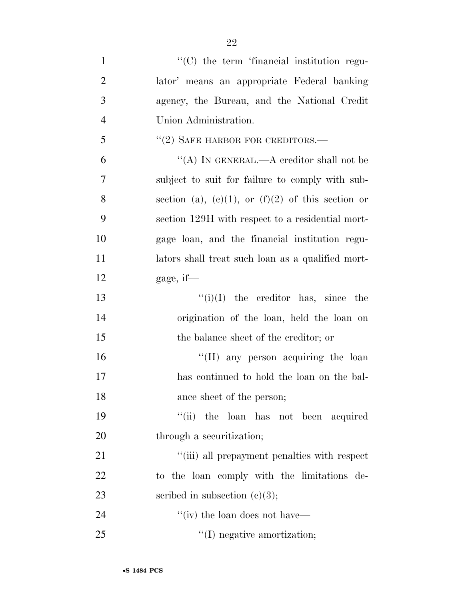| $\mathbf{1}$   | "(C) the term 'financial institution regu-        |
|----------------|---------------------------------------------------|
| $\overline{2}$ | lator' means an appropriate Federal banking       |
| 3              | agency, the Bureau, and the National Credit       |
| $\overline{4}$ | Union Administration.                             |
| 5              | $``(2)$ SAFE HARBOR FOR CREDITORS.—               |
| 6              | "(A) IN GENERAL.—A creditor shall not be          |
| 7              | subject to suit for failure to comply with sub-   |
| 8              | section (a), (c)(1), or (f)(2) of this section or |
| 9              | section 129H with respect to a residential mort-  |
| 10             | gage loan, and the financial institution regu-    |
| 11             | lators shall treat such loan as a qualified mort- |
| 12             | gage, if—                                         |
| 13             | $\lq\lq(i)(I)$ the creditor has, since the        |
| 14             | origination of the loan, held the loan on         |
| 15             | the balance sheet of the creditor; or             |
| 16             | "(II) any person acquiring the loan               |
| 17             | has continued to hold the loan on the bal-        |
| 18             | ance sheet of the person;                         |
| 19             | "(ii) the loan has not been acquired              |
| 20             | through a securitization;                         |
| 21             | "(iii) all prepayment penalties with respect      |
| 22             | to the loan comply with the limitations de-       |
| 23             | scribed in subsection $(c)(3)$ ;                  |
| 24             | "(iv) the loan does not have—                     |
| 25             | $\lq\lq$ (I) negative amortization;               |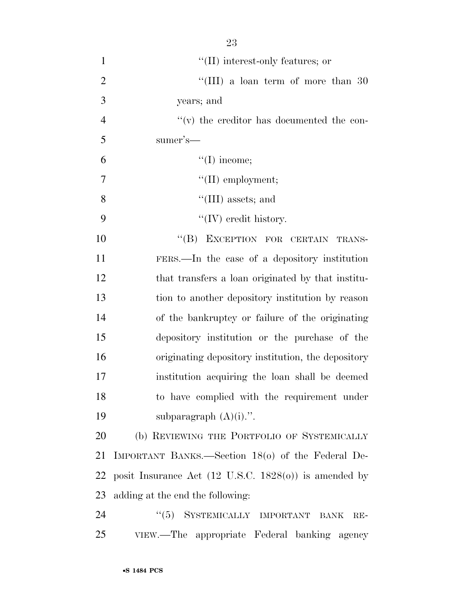| $\mathbf{1}$   | $\lq\lq$ (II) interest-only features; or                         |
|----------------|------------------------------------------------------------------|
| $\overline{2}$ | "(III) a loan term of more than $30$                             |
| 3              | years; and                                                       |
| $\overline{4}$ | $\lq\lq$ (v) the creditor has documented the con-                |
| 5              | sumer's—                                                         |
| 6              | $\lq\lq$ (I) income;                                             |
| 7              | $\lq\lq$ (II) employment;                                        |
| 8              | $\lq\lq$ (III) assets; and                                       |
| 9              | $\lq\lq$ (IV) credit history.                                    |
| 10             | "(B) EXCEPTION FOR CERTAIN TRANS-                                |
| 11             | FERS.—In the case of a depository institution                    |
| 12             | that transfers a loan originated by that institu-                |
| 13             | tion to another depository institution by reason                 |
| 14             | of the bankruptcy or failure of the originating                  |
| 15             | depository institution or the purchase of the                    |
| 16             | originating depository institution, the depository               |
| 17             | institution acquiring the loan shall be deemed                   |
| 18             | to have complied with the requirement under                      |
| 19             | subparagraph $(A)(i)$ .".                                        |
| 20             | (b) REVIEWING THE PORTFOLIO OF SYSTEMICALLY                      |
| 21             | IMPORTANT BANKS.—Section 18(0) of the Federal De-                |
| 22             | posit Insurance Act $(12 \text{ U.S.C. } 1828(0))$ is amended by |
| 23             | adding at the end the following:                                 |
| 24             | SYSTEMICALLY IMPORTANT<br>``(5)<br><b>BANK</b><br>$RE-$          |

VIEW.—The appropriate Federal banking agency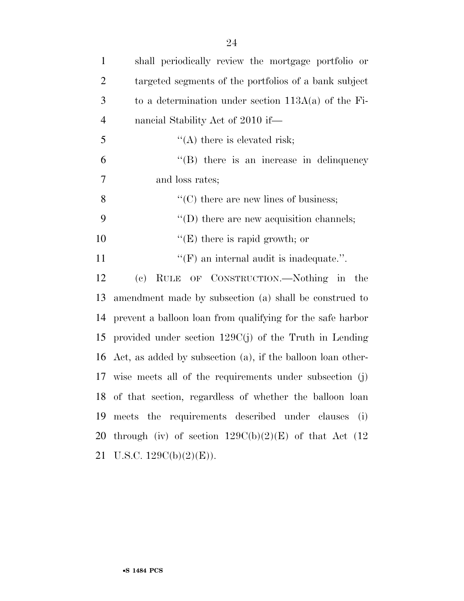| $\mathbf{1}$   | shall periodically review the mortgage portfolio or            |
|----------------|----------------------------------------------------------------|
| 2              | targeted segments of the portfolios of a bank subject          |
| 3              | to a determination under section $113A(a)$ of the Fi-          |
| $\overline{4}$ | nancial Stability Act of 2010 if—                              |
| 5              | $\lq\lq$ there is elevated risk;                               |
| 6              | $\lq\lq$ there is an increase in delinquency                   |
| 7              | and loss rates;                                                |
| 8              | $\lq\lq$ (C) there are new lines of business;                  |
| 9              | $\lq\lq$ there are new acquisition channels;                   |
| 10             | $\lq\lq(E)$ there is rapid growth; or                          |
| 11             | $\lq\lq(F)$ an internal audit is inadequate.".                 |
| 12             | RULE OF CONSTRUCTION.—Nothing in the<br>(e)                    |
| 13             | amendment made by subsection (a) shall be construed to         |
| 14             | prevent a balloon loan from qualifying for the safe harbor     |
|                | 15 provided under section $129C(j)$ of the Truth in Lending    |
|                | 16 Act, as added by subsection (a), if the balloon loan other- |
|                | 17 wise meets all of the requirements under subsection (j)     |
|                | 18 of that section, regardless of whether the balloon loan     |
| 19             | meets the requirements described under clauses<br>(i)          |
| 20             | through (iv) of section $129C(b)(2)(E)$ of that Act (12)       |
| 21             | U.S.C. $129C(b)(2)(E)$ ).                                      |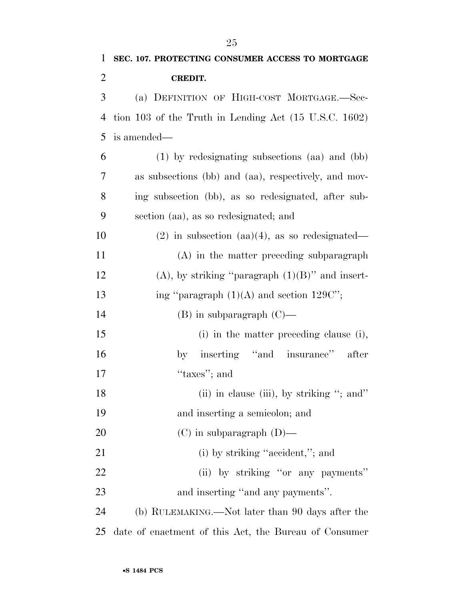| $\mathbf{1}$   | SEC. 107. PROTECTING CONSUMER ACCESS TO MORTGAGE                 |
|----------------|------------------------------------------------------------------|
| $\overline{2}$ | <b>CREDIT.</b>                                                   |
| 3              | (a) DEFINITION OF HIGH-COST MORTGAGE.-Sec-                       |
| $\overline{4}$ | tion 103 of the Truth in Lending Act $(15 \text{ U.S.C. } 1602)$ |
| 5              | is amended—                                                      |
| 6              | (1) by redesignating subsections (aa) and (bb)                   |
| 7              | as subsections (bb) and (aa), respectively, and mov-             |
| 8              | ing subsection (bb), as so redesignated, after sub-              |
| 9              | section (aa), as so redesignated; and                            |
| 10             | $(2)$ in subsection $(aa)(4)$ , as so redesignated—              |
| 11             | (A) in the matter preceding subparagraph                         |
| 12             | $(A)$ , by striking "paragraph $(1)(B)$ " and insert-            |
| 13             | ing "paragraph $(1)(A)$ and section 129C";                       |
| 14             | $(B)$ in subparagraph $(C)$ —                                    |
| 15             | (i) in the matter preceding clause (i),                          |
| 16             | by inserting "and insurance"<br>after                            |
| 17             | "taxes"; and                                                     |
| 18             | (ii) in clause (iii), by striking "; and"                        |
| 19             | and inserting a semicolon; and                                   |
| <b>20</b>      | $(C)$ in subparagraph $(D)$ —                                    |
| 21             | (i) by striking "accident,"; and                                 |
| 22             | (ii) by striking "or any payments"                               |
| 23             | and inserting "and any payments".                                |
| 24             | (b) RULEMAKING.—Not later than 90 days after the                 |
| 25             | date of enactment of this Act, the Bureau of Consumer            |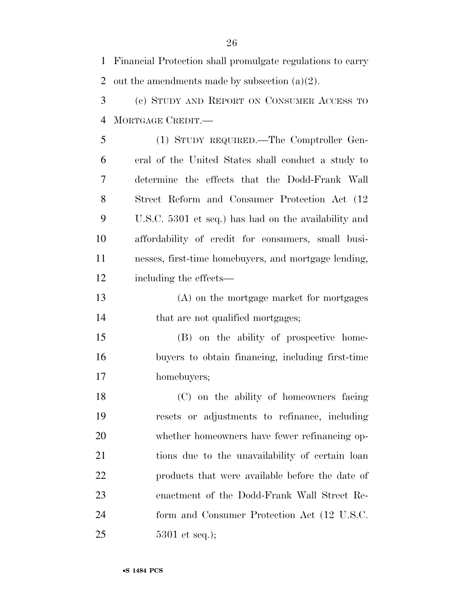Financial Protection shall promulgate regulations to carry 2 out the amendments made by subsection  $(a)(2)$ .

 (c) STUDY AND REPORT ON CONSUMER ACCESS TO MORTGAGE CREDIT.—

 (1) STUDY REQUIRED.—The Comptroller Gen- eral of the United States shall conduct a study to determine the effects that the Dodd-Frank Wall Street Reform and Consumer Protection Act (12 U.S.C. 5301 et seq.) has had on the availability and affordability of credit for consumers, small busi- nesses, first-time homebuyers, and mortgage lending, including the effects—

 (A) on the mortgage market for mortgages 14 that are not qualified mortgages;

 (B) on the ability of prospective home- buyers to obtain financing, including first-time homebuyers;

 (C) on the ability of homeowners facing resets or adjustments to refinance, including whether homeowners have fewer refinancing op- tions due to the unavailability of certain loan products that were available before the date of enactment of the Dodd-Frank Wall Street Re- form and Consumer Protection Act (12 U.S.C. 5301 et seq.);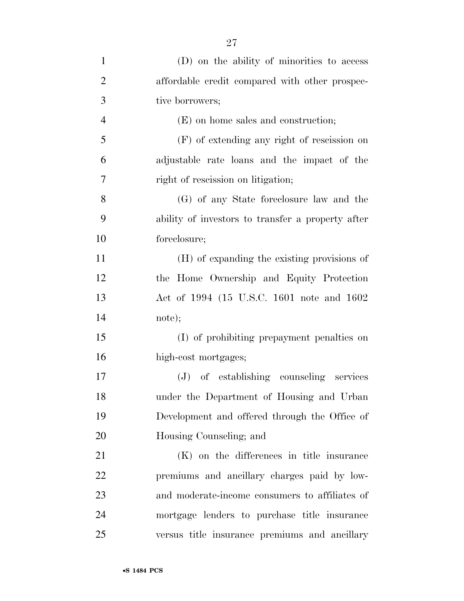| $\mathbf{1}$   | (D) on the ability of minorities to access        |
|----------------|---------------------------------------------------|
| $\overline{2}$ | affordable credit compared with other prospec-    |
| 3              | tive borrowers;                                   |
| $\overline{4}$ | (E) on home sales and construction;               |
| 5              | $(F)$ of extending any right of rescission on     |
| 6              | adjustable rate loans and the impact of the       |
| 7              | right of rescission on litigation;                |
| 8              | (G) of any State foreclosure law and the          |
| 9              | ability of investors to transfer a property after |
| 10             | foreclosure;                                      |
| 11             | (H) of expanding the existing provisions of       |
| 12             | the Home Ownership and Equity Protection          |
| 13             | Act of 1994 (15 U.S.C. 1601 note and 1602         |
| 14             | note);                                            |
| 15             | (I) of prohibiting prepayment penalties on        |
| 16             | high-cost mortgages;                              |
| 17             | (J) of establishing counseling services           |
| 18             | under the Department of Housing and Urban         |
| 19             | Development and offered through the Office of     |
| 20             | Housing Counseling; and                           |
| 21             | (K) on the differences in title insurance         |
| 22             | premiums and ancillary charges paid by low-       |
| 23             | and moderate-income consumers to affiliates of    |
| 24             | mortgage lenders to purchase title insurance      |
| 25             | versus title insurance premiums and ancillary     |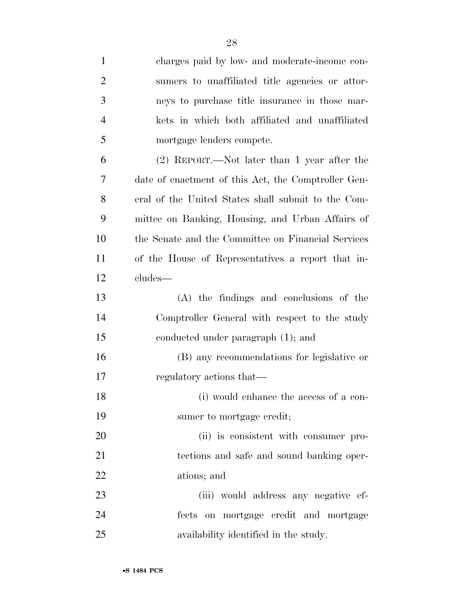| $\mathbf{1}$   | charges paid by low- and moderate-income con-       |
|----------------|-----------------------------------------------------|
| $\overline{2}$ | sumers to unaffiliated title agencies or attor-     |
| 3              | neys to purchase title insurance in those mar-      |
| 4              | kets in which both affiliated and unaffiliated      |
| 5              | mortgage lenders compete.                           |
| 6              | (2) REPORT.—Not later than 1 year after the         |
| 7              | date of enactment of this Act, the Comptroller Gen- |
| 8              | eral of the United States shall submit to the Com-  |
| 9              | mittee on Banking, Housing, and Urban Affairs of    |
| 10             | the Senate and the Committee on Financial Services  |
| 11             | of the House of Representatives a report that in-   |
| 12             | cludes—                                             |
| 13             | (A) the findings and conclusions of the             |
| 14             | Comptroller General with respect to the study       |
| 15             | conducted under paragraph (1); and                  |
| 16             | (B) any recommendations for legislative or          |
| 17             | regulatory actions that—                            |
| 18             | (i) would enhance the access of a con-              |
| 19             | sumer to mortgage credit;                           |
| 20             | (ii) is consistent with consumer pro-               |
| 21             | tections and safe and sound banking oper-           |
| 22             | ations; and                                         |
| 23             | (iii) would address any negative ef-                |
| 24             | fects on mortgage credit and mortgage               |
| 25             | availability identified in the study.               |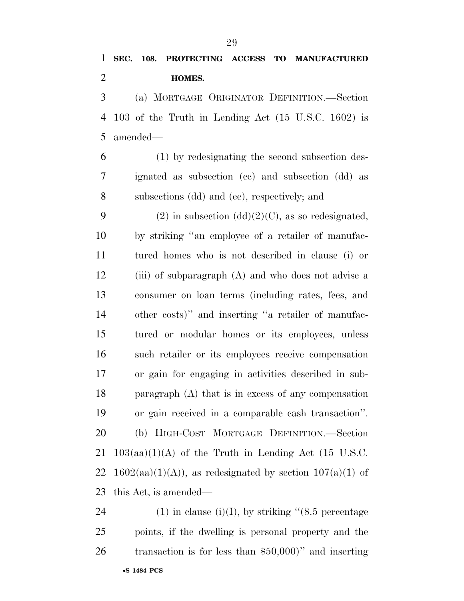# **SEC. 108. PROTECTING ACCESS TO MANUFACTURED HOMES.**

 (a) MORTGAGE ORIGINATOR DEFINITION.—Section 103 of the Truth in Lending Act (15 U.S.C. 1602) is amended—

 (1) by redesignating the second subsection des- ignated as subsection (cc) and subsection (dd) as subsections (dd) and (ee), respectively; and

9 (2) in subsection  $(dd)(2)(C)$ , as so redesignated, by striking ''an employee of a retailer of manufac- tured homes who is not described in clause (i) or (iii) of subparagraph (A) and who does not advise a consumer on loan terms (including rates, fees, and other costs)'' and inserting ''a retailer of manufac- tured or modular homes or its employees, unless such retailer or its employees receive compensation or gain for engaging in activities described in sub- paragraph (A) that is in excess of any compensation or gain received in a comparable cash transaction''. (b) HIGH-COST MORTGAGE DEFINITION.—Section  $103(aa)(1)(A)$  of the Truth in Lending Act (15 U.S.C. 22 1602(aa)(1)(A)), as redesignated by section  $107(a)(1)$  of this Act, is amended—

•**S 1484 PCS** 24 (1) in clause (i)(I), by striking " $(8.5 \text{ percentage})$  points, if the dwelling is personal property and the transaction is for less than \$50,000)'' and inserting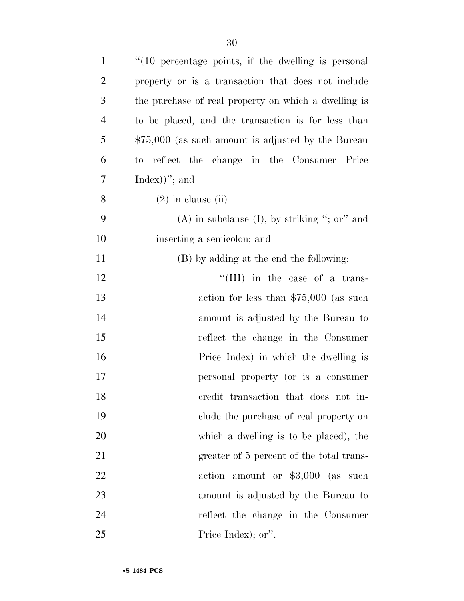| $\mathbf{1}$   | "(10 percentage points, if the dwelling is personal   |
|----------------|-------------------------------------------------------|
| $\overline{2}$ | property or is a transaction that does not include    |
| 3              | the purchase of real property on which a dwelling is  |
| $\overline{4}$ | to be placed, and the transaction is for less than    |
| 5              | $$75,000$ (as such amount is adjusted by the Bureau   |
| 6              | reflect the change in the Consumer Price<br>$\rm{to}$ |
| 7              | $Index)$ "; and                                       |
| 8              | $(2)$ in clause $(ii)$ —                              |
| 9              | $(A)$ in subclause $(I)$ , by striking "; or" and     |
| 10             | inserting a semicolon; and                            |
| 11             | (B) by adding at the end the following:               |
| 12             | "(III) in the case of a trans-                        |
| 13             | action for less than $$75,000$ (as such               |
| 14             | amount is adjusted by the Bureau to                   |
| 15             | reflect the change in the Consumer                    |
| 16             | Price Index) in which the dwelling is                 |
| 17             | personal property (or is a consumer                   |
| 18             | credit transaction that does not in-                  |
| 19             | clude the purchase of real property on                |
| 20             | which a dwelling is to be placed), the                |
| 21             | greater of 5 percent of the total trans-              |
| 22             | action amount or $$3,000$ (as such                    |
| 23             | amount is adjusted by the Bureau to                   |
| 24             | reflect the change in the Consumer                    |
| 25             | Price Index); or".                                    |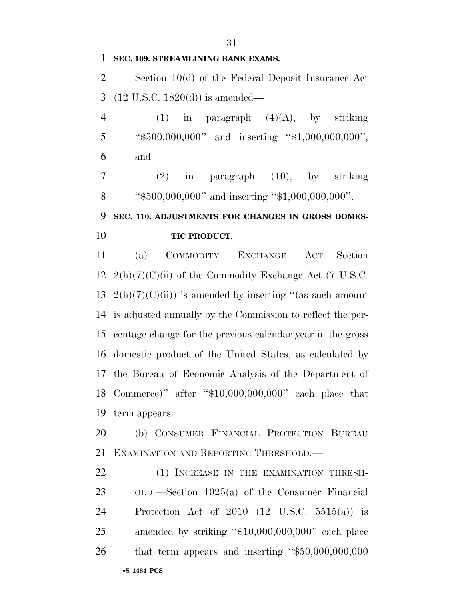## **SEC. 109. STREAMLINING BANK EXAMS.**

 Section 10(d) of the Federal Deposit Insurance Act (12 U.S.C. 1820(d)) is amended—

4 (1) in paragraph  $(4)(A)$ , by striking ''\$500,000,000'' and inserting ''\$1,000,000,000''; and

 (2) in paragraph (10), by striking 8 "\$500,000,000" and inserting "\$1,000,000,000".

# **SEC. 110. ADJUSTMENTS FOR CHANGES IN GROSS DOMES-**

## **TIC PRODUCT.**

 (a) COMMODITY EXCHANGE ACT.—Section  $2(h)(7)(C)(ii)$  of the Commodity Exchange Act (7 U.S.C.  $2(h)(7)(C)(ii)$  is amended by inserting "(as such amount is adjusted annually by the Commission to reflect the per- centage change for the previous calendar year in the gross domestic product of the United States, as calculated by the Bureau of Economic Analysis of the Department of Commerce)'' after ''\$10,000,000,000'' each place that term appears.

 (b) CONSUMER FINANCIAL PROTECTION BUREAU EXAMINATION AND REPORTING THRESHOLD.—

•**S 1484 PCS** 22 (1) INCREASE IN THE EXAMINATION THRESH- OLD.—Section 1025(a) of the Consumer Financial Protection Act of 2010 (12 U.S.C. 5515(a)) is amended by striking ''\$10,000,000,000'' each place that term appears and inserting ''\$50,000,000,000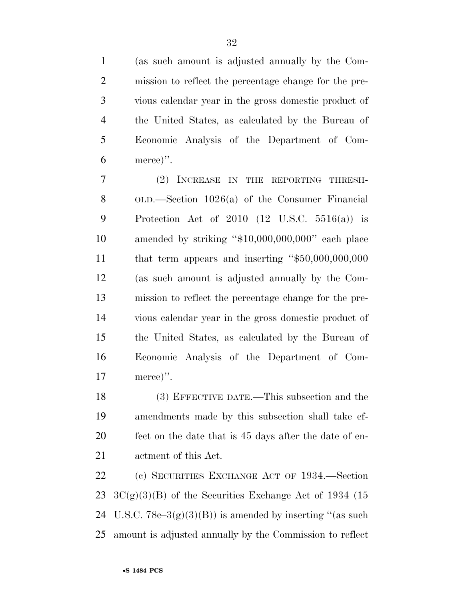(as such amount is adjusted annually by the Com- mission to reflect the percentage change for the pre- vious calendar year in the gross domestic product of the United States, as calculated by the Bureau of Economic Analysis of the Department of Com-merce)''.

 (2) INCREASE IN THE REPORTING THRESH- OLD.—Section 1026(a) of the Consumer Financial Protection Act of 2010 (12 U.S.C. 5516(a)) is amended by striking ''\$10,000,000,000'' each place that term appears and inserting ''\$50,000,000,000 (as such amount is adjusted annually by the Com- mission to reflect the percentage change for the pre- vious calendar year in the gross domestic product of the United States, as calculated by the Bureau of Economic Analysis of the Department of Com-merce)''.

 (3) EFFECTIVE DATE.—This subsection and the amendments made by this subsection shall take ef- fect on the date that is 45 days after the date of en-actment of this Act.

 (c) SECURITIES EXCHANGE ACT OF 1934.—Section  $3C(g)(3)(B)$  of the Securities Exchange Act of 1934 (15 24 U.S.C.  $78c-3(g)(3)(B)$  is amended by inserting "(as such amount is adjusted annually by the Commission to reflect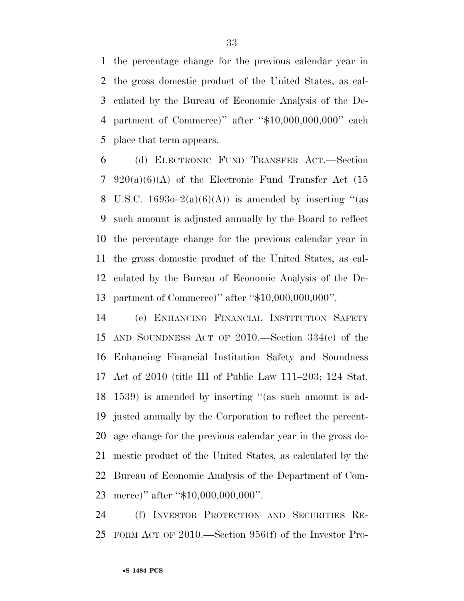the percentage change for the previous calendar year in the gross domestic product of the United States, as cal- culated by the Bureau of Economic Analysis of the De- partment of Commerce)'' after ''\$10,000,000,000'' each place that term appears.

 (d) ELECTRONIC FUND TRANSFER ACT.—Section 7 920(a)(6)(A) of the Electronic Fund Transfer Act  $(15)$ 8 U.S.C. 1693o–2(a)(6)(A)) is amended by inserting "(as such amount is adjusted annually by the Board to reflect the percentage change for the previous calendar year in the gross domestic product of the United States, as cal- culated by the Bureau of Economic Analysis of the De-partment of Commerce)'' after ''\$10,000,000,000''.

 (e) ENHANCING FINANCIAL INSTITUTION SAFETY AND SOUNDNESS ACT OF 2010.—Section 334(e) of the Enhancing Financial Institution Safety and Soundness Act of 2010 (title III of Public Law 111–203; 124 Stat. 1539) is amended by inserting ''(as such amount is ad- justed annually by the Corporation to reflect the percent- age change for the previous calendar year in the gross do- mestic product of the United States, as calculated by the Bureau of Economic Analysis of the Department of Com-23 merce)" after "\$10,000,000,000".

 (f) INVESTOR PROTECTION AND SECURITIES RE-FORM ACT OF 2010.—Section 956(f) of the Investor Pro-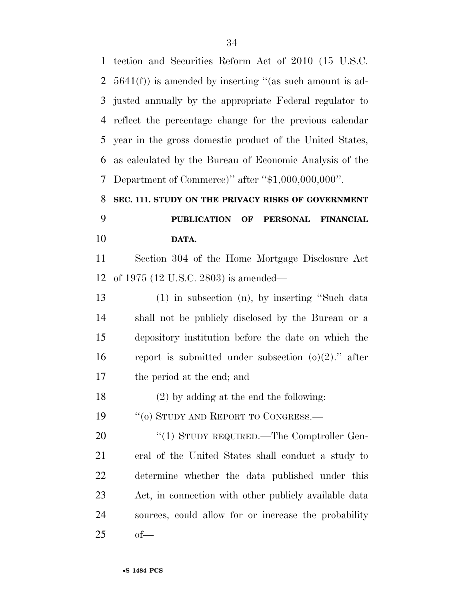| $\mathbf{1}$ | tection and Securities Reform Act of 2010 (15 U.S.C.      |
|--------------|-----------------------------------------------------------|
| 2            | $5641(f)$ is amended by inserting "(as such amount is ad- |
| 3            | justed annually by the appropriate Federal regulator to   |
| 4            | reflect the percentage change for the previous calendar   |
| 5            | year in the gross domestic product of the United States,  |
| 6            | as calculated by the Bureau of Economic Analysis of the   |
| 7            | Department of Commerce)" after " $$1,000,000,000$ ".      |
| 8            | SEC. 111. STUDY ON THE PRIVACY RISKS OF GOVERNMENT        |
| 9            | PUBLICATION OF PERSONAL FINANCIAL                         |
| 10           | DATA.                                                     |
| 11           | Section 304 of the Home Mortgage Disclosure Act           |
| 12           | of 1975 (12 U.S.C. 2803) is amended—                      |
| 13           | $(1)$ in subsection $(n)$ , by inserting "Such data       |
| 14           | shall not be publicly disclosed by the Bureau or a        |
| 15           | depository institution before the date on which the       |
| 16           | report is submitted under subsection $(o)(2)$ ." after    |
| 17           | the period at the end; and                                |
| 18           | $(2)$ by adding at the end the following:                 |
| 19           | "(0) STUDY AND REPORT TO CONGRESS.—                       |
| 20           | "(1) STUDY REQUIRED.—The Comptroller Gen-                 |
| 21           | eral of the United States shall conduct a study to        |
| 22           | determine whether the data published under this           |
| 23           | Act, in connection with other publicly available data     |
| 24           | sources, could allow for or increase the probability      |
| 25           | $of$ —                                                    |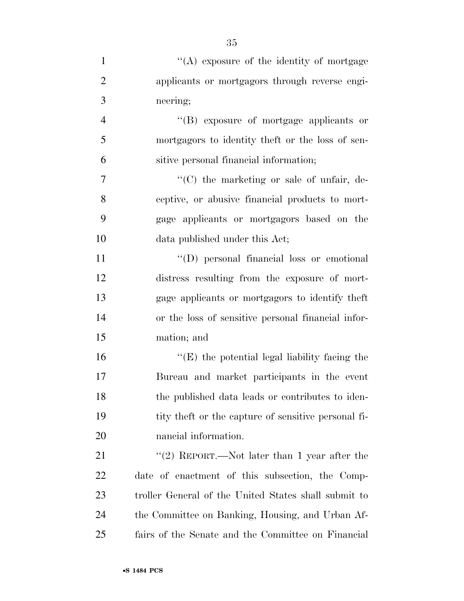| $\mathbf{1}$   | "(A) exposure of the identity of mortgage            |
|----------------|------------------------------------------------------|
| $\overline{2}$ | applicants or mortgagors through reverse engi-       |
| 3              | neering;                                             |
| $\overline{4}$ | "(B) exposure of mortgage applicants or              |
| 5              | mortgagors to identity theft or the loss of sen-     |
| 6              | sitive personal financial information;               |
| 7              | "(C) the marketing or sale of unfair, de-            |
| 8              | ceptive, or abusive financial products to mort-      |
| 9              | gage applicants or mortgagors based on the           |
| 10             | data published under this Act;                       |
| 11             | "(D) personal financial loss or emotional            |
| 12             | distress resulting from the exposure of mort-        |
| 13             | gage applicants or mortgagors to identify theft      |
| 14             | or the loss of sensitive personal financial infor-   |
| 15             | mation; and                                          |
| 16             | " $(E)$ the potential legal liability facing the     |
| 17             | Bureau and market participants in the event          |
| 18             | the published data leads or contributes to iden-     |
| 19             | tity theft or the capture of sensitive personal fi-  |
| <b>20</b>      | nancial information.                                 |
| 21             | "(2) REPORT.—Not later than 1 year after the         |
| 22             | date of enactment of this subsection, the Comp-      |
| 23             | troller General of the United States shall submit to |
| 24             | the Committee on Banking, Housing, and Urban Af-     |
| 25             | fairs of the Senate and the Committee on Financial   |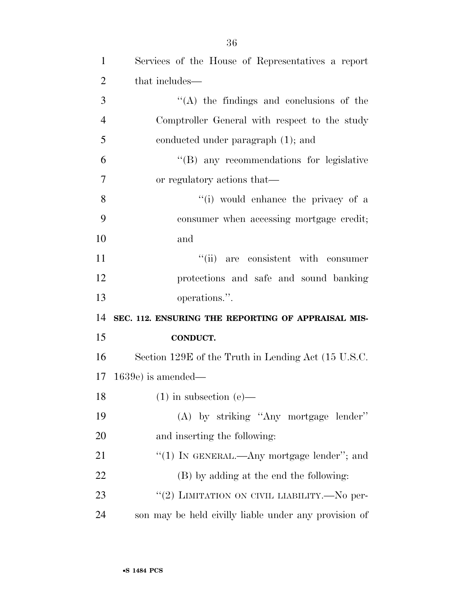| $\mathbf{1}$   | Services of the House of Representatives a report   |
|----------------|-----------------------------------------------------|
| $\overline{2}$ | that includes—                                      |
| 3              | $\lq\lq$ the findings and conclusions of the        |
| $\overline{4}$ | Comptroller General with respect to the study       |
| 5              | conducted under paragraph (1); and                  |
| 6              | "(B) any recommendations for legislative            |
| 7              | or regulatory actions that—                         |
| 8              | "(i) would enhance the privacy of a                 |
| 9              | consumer when accessing mortgage credit;            |
| 10             | and                                                 |
| 11             | "(ii) are consistent with consumer                  |
| 12             | protections and safe and sound banking              |
| 13             | operations.".                                       |
| 14             | SEC. 112. ENSURING THE REPORTING OF APPRAISAL MIS-  |
| 15             | <b>CONDUCT.</b>                                     |
| 16             | Section 129E of the Truth in Lending Act (15 U.S.C. |
| 17             | $1639e$ is amended—                                 |
| 18             | $(1)$ in subsection $(e)$ —                         |
| 19             | (A) by striking "Any mortgage lender"               |
| 20             | and inserting the following:                        |
| 21             | " $(1)$ In GENERAL.—Any mortgage lender"; and       |
|                |                                                     |
| 22             | (B) by adding at the end the following:             |
| 23             | "(2) LIMITATION ON CIVIL LIABILITY.—No per-         |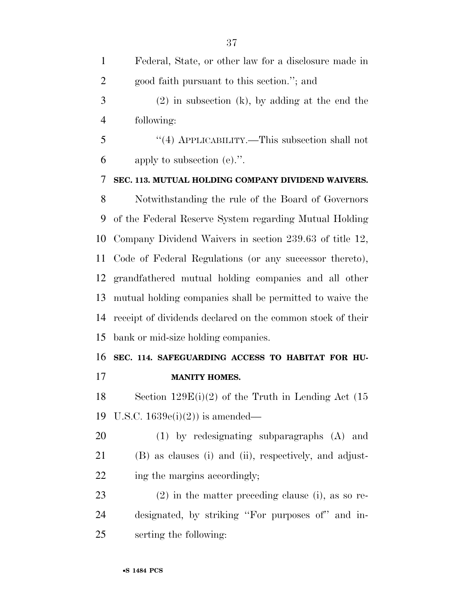| $\mathbf{1}$   | Federal, State, or other law for a disclosure made in      |
|----------------|------------------------------------------------------------|
| $\overline{2}$ | good faith pursuant to this section."; and                 |
| 3              | $(2)$ in subsection (k), by adding at the end the          |
| $\overline{4}$ | following:                                                 |
| 5              | "(4) APPLICABILITY.—This subsection shall not              |
| 6              | apply to subsection $(e)$ .".                              |
| 7              | SEC. 113. MUTUAL HOLDING COMPANY DIVIDEND WAIVERS.         |
| 8              | Notwithstanding the rule of the Board of Governors         |
| 9              | of the Federal Reserve System regarding Mutual Holding     |
| 10             | Company Dividend Waivers in section 239.63 of title 12,    |
| 11             | Code of Federal Regulations (or any successor thereto),    |
| 12             | grandfathered mutual holding companies and all other       |
| 13             | mutual holding companies shall be permitted to waive the   |
| 14             | receipt of dividends declared on the common stock of their |
| 15             | bank or mid-size holding companies.                        |
| 16             | SEC. 114. SAFEGUARDING ACCESS TO HABITAT FOR HU-           |
| 17             | <b>MANITY HOMES.</b>                                       |
| 18             | Section $129E(i)(2)$ of the Truth in Lending Act (15)      |
| 19             | U.S.C. $1639e(i)(2)$ is amended—                           |
| 20             | $(1)$ by redesignating subparagraphs $(A)$ and             |
| 21             | (B) as clauses (i) and (ii), respectively, and adjust-     |
| 22             | ing the margins accordingly;                               |
| 23             | $(2)$ in the matter preceding clause (i), as so re-        |
| 24             | designated, by striking "For purposes of" and in-          |
| 25             | serting the following:                                     |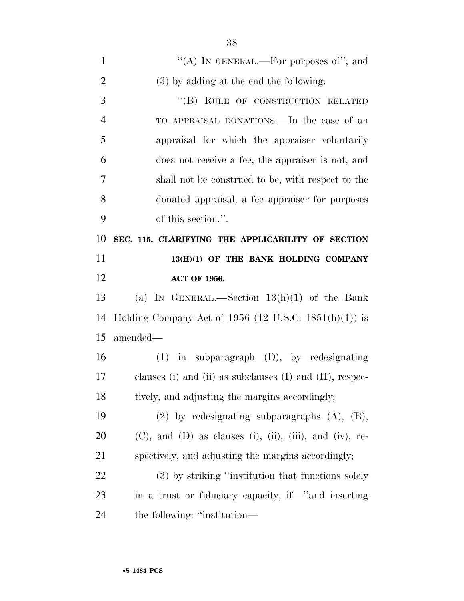| $\mathbf{1}$   | "(A) IN GENERAL.—For purposes of"; and                                   |
|----------------|--------------------------------------------------------------------------|
| $\overline{2}$ | (3) by adding at the end the following:                                  |
| 3              | "(B) RULE OF CONSTRUCTION RELATED                                        |
| $\overline{4}$ | TO APPRAISAL DONATIONS.—In the case of an                                |
| 5              | appraisal for which the appraiser voluntarily                            |
| 6              | does not receive a fee, the appraiser is not, and                        |
| 7              | shall not be construed to be, with respect to the                        |
| 8              | donated appraisal, a fee appraiser for purposes                          |
| 9              | of this section.".                                                       |
| 10             | SEC. 115. CLARIFYING THE APPLICABILITY OF SECTION                        |
| 11             | 13(H)(1) OF THE BANK HOLDING COMPANY                                     |
| 12             | <b>ACT OF 1956.</b>                                                      |
| 13             | (a) IN GENERAL.—Section $13(h)(1)$ of the Bank                           |
| 14             | Holding Company Act of 1956 (12 U.S.C. 1851 $(h)(1)$ ) is                |
| 15             | amended—                                                                 |
| 16             | $(1)$ in subparagraph $(D)$ , by redesignating                           |
| 17             | clauses (i) and (ii) as subclauses (I) and (II), respec-                 |
| 18             | tively, and adjusting the margins accordingly;                           |
| 19             | $(2)$ by redesignating subparagraphs $(A)$ , $(B)$ ,                     |
| 20             | $(C)$ , and $(D)$ as clauses $(i)$ , $(ii)$ , $(iii)$ , and $(iv)$ , re- |
| 21             | spectively, and adjusting the margins accordingly;                       |
| 22             | (3) by striking "institution that functions solely                       |
| 23             | in a trust or fiduciary capacity, if—"and inserting                      |
| 24             | the following: "institution—                                             |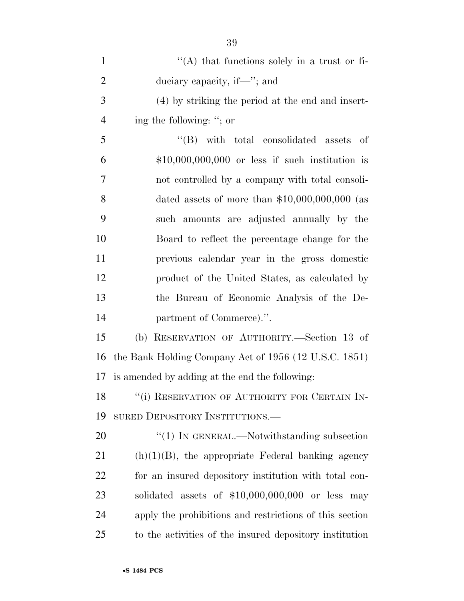| $\mathbf{1}$   | $\lq\lq$ that functions solely in a trust or fi-        |
|----------------|---------------------------------------------------------|
| $\overline{2}$ | duciary capacity, if—"; and                             |
| 3              | (4) by striking the period at the end and insert-       |
| $\overline{4}$ | ing the following: "; or                                |
| 5              | "(B) with total consolidated assets<br>of               |
| 6              | $$10,000,000,000$ or less if such institution is        |
| 7              | not controlled by a company with total consoli-         |
| 8              | dated assets of more than $$10,000,000,000$ (as         |
| 9              | such amounts are adjusted annually by the               |
| 10             | Board to reflect the percentage change for the          |
| 11             | previous calendar year in the gross domestic            |
| 12             | product of the United States, as calculated by          |
| 13             | the Bureau of Economic Analysis of the De-              |
| 14             | partment of Commerce).".                                |
| 15             | (b) RESERVATION OF AUTHORITY.—Section 13 of             |
| 16             | the Bank Holding Company Act of 1956 (12 U.S.C. 1851)   |
| 17             | is amended by adding at the end the following:          |
| 18             | "(i) RESERVATION OF AUTHORITY FOR CERTAIN IN-           |
| 19             | SURED DEPOSITORY INSTITUTIONS.—                         |
| 20             | $\lq(1)$ In GENERAL.—Notwithstanding subsection         |
| 21             | $(h)(1)(B)$ , the appropriate Federal banking agency    |
| 22             | for an insured depository institution with total con-   |
| 23             | solidated assets of \$10,000,000,000 or less may        |
| 24             | apply the prohibitions and restrictions of this section |
| 25             | to the activities of the insured depository institution |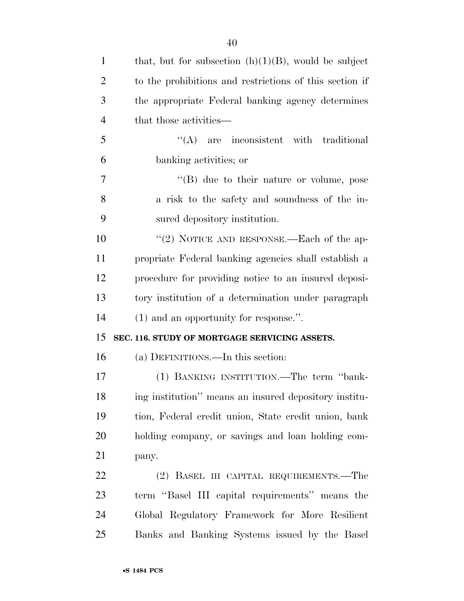| $\mathbf{1}$   | that, but for subsection $(h)(1)(B)$ , would be subject |
|----------------|---------------------------------------------------------|
| $\overline{2}$ | to the prohibitions and restrictions of this section if |
| 3              | the appropriate Federal banking agency determines       |
| $\overline{4}$ | that those activities—                                  |
| 5              | $\lq\lq$ are inconsistent with traditional              |
| 6              | banking activities; or                                  |
| 7              | $\lq\lq (B)$ due to their nature or volume, pose        |
| 8              | a risk to the safety and soundness of the in-           |
| 9              | sured depository institution.                           |
| 10             | "(2) NOTICE AND RESPONSE.—Each of the ap-               |
| 11             | propriate Federal banking agencies shall establish a    |
| 12             | procedure for providing notice to an insured deposi-    |
| 13             | tory institution of a determination under paragraph     |
| 14             | $(1)$ and an opportunity for response.".                |
| 15             | SEC. 116. STUDY OF MORTGAGE SERVICING ASSETS.           |
| 16             | (a) DEFINITIONS.—In this section:                       |
| 17             | (1) BANKING INSTITUTION.—The term "bank-                |
| 18             | ing institution" means an insured depository institu-   |
|                |                                                         |
| 19             | tion, Federal credit union, State credit union, bank    |
| 20             | holding company, or savings and loan holding com-       |
| 21             | pany.                                                   |
| 22             | (2) BASEL III CAPITAL REQUIREMENTS.—The                 |
| 23             | term "Basel III capital requirements" means the         |
| 24             | Global Regulatory Framework for More Resilient          |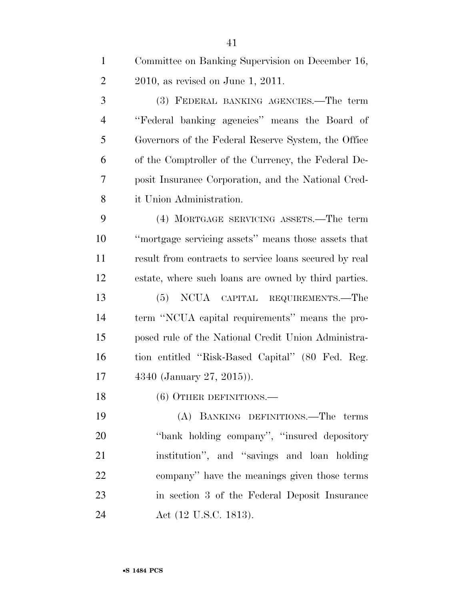| $\mathbf{1}$   | Committee on Banking Supervision on December 16,       |
|----------------|--------------------------------------------------------|
| $\overline{2}$ | $2010$ , as revised on June 1, 2011.                   |
| 3              | (3) FEDERAL BANKING AGENCIES.—The term                 |
| $\overline{4}$ | "Federal banking agencies" means the Board of          |
| 5              | Governors of the Federal Reserve System, the Office    |
| 6              | of the Comptroller of the Currency, the Federal De-    |
| 7              | posit Insurance Corporation, and the National Cred-    |
| 8              | it Union Administration.                               |
| 9              | (4) MORTGAGE SERVICING ASSETS.—The term                |
| 10             | "mortgage servicing assets" means those assets that    |
| 11             | result from contracts to service loans secured by real |
| 12             | estate, where such loans are owned by third parties.   |
| 13             | (5) NCUA CAPITAL REQUIREMENTS.—The                     |
| 14             | term "NCUA capital requirements" means the pro-        |
| 15             | posed rule of the National Credit Union Administra-    |
| 16             | tion entitled "Risk-Based Capital" (80 Fed. Reg.       |
| 17             | 4340 (January 27, 2015)).                              |
| 18             | (6) OTHER DEFINITIONS.—                                |
| 19             | (A) BANKING DEFINITIONS.—The terms                     |

 ''bank holding company'', ''insured depository institution'', and ''savings and loan holding company'' have the meanings given those terms in section 3 of the Federal Deposit Insurance **Act (12 U.S.C. 1813).**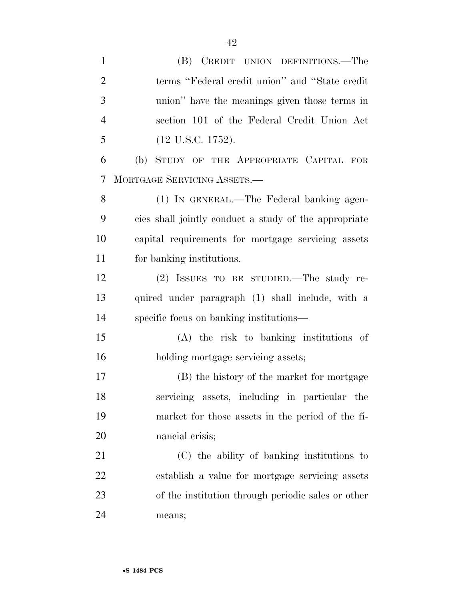| $\mathbf{1}$   | (B) CREDIT UNION DEFINITIONS.—The                     |
|----------------|-------------------------------------------------------|
| $\overline{2}$ | terms "Federal credit union" and "State credit        |
| 3              | union" have the meanings given those terms in         |
| $\overline{4}$ | section 101 of the Federal Credit Union Act           |
| 5              | $(12 \text{ U.S.C. } 1752).$                          |
| 6              | (b) STUDY OF THE APPROPRIATE CAPITAL FOR              |
| 7              | MORTGAGE SERVICING ASSETS.-                           |
| 8              | (1) IN GENERAL.—The Federal banking agen-             |
| 9              | cies shall jointly conduct a study of the appropriate |
| 10             | capital requirements for mortgage servicing assets    |
| 11             | for banking institutions.                             |
| 12             | (2) ISSUES TO BE STUDIED.—The study re-               |
| 13             | quired under paragraph (1) shall include, with a      |
| 14             | specific focus on banking institutions—               |
| 15             | $(A)$ the risk to banking institutions of             |
| 16             | holding mortgage servicing assets;                    |
| 17             | (B) the history of the market for mortgage            |
| 18             | servicing assets, including in particular the         |
| 19             | market for those assets in the period of the fi-      |
| 20             | nancial crisis;                                       |
| 21             | (C) the ability of banking institutions to            |
| <u>22</u>      | establish a value for mortgage servicing assets       |
| 23             | of the institution through periodic sales or other    |
| 24             | means;                                                |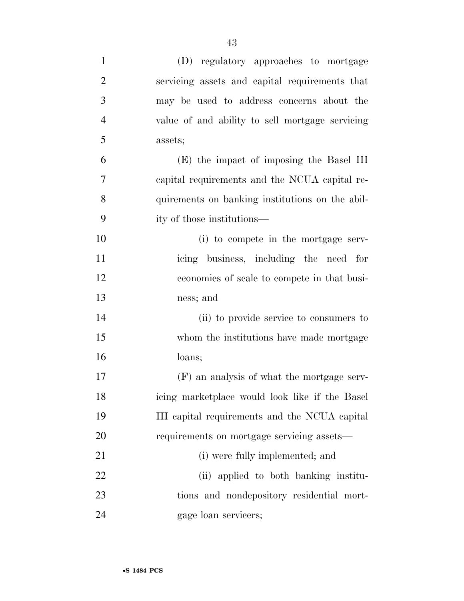| $\mathbf{1}$   | (D) regulatory approaches to mortgage           |
|----------------|-------------------------------------------------|
| $\overline{2}$ | servicing assets and capital requirements that  |
| 3              | may be used to address concerns about the       |
| $\overline{4}$ | value of and ability to sell mortgage servicing |
| 5              | assets;                                         |
| 6              | (E) the impact of imposing the Basel III        |
| $\overline{7}$ | capital requirements and the NCUA capital re-   |
| 8              | quirements on banking institutions on the abil- |
| 9              | ity of those institutions—                      |
| 10             | (i) to compete in the mortgage serv-            |
| 11             | icing business, including the need for          |
| 12             | economies of scale to compete in that busi-     |
| 13             | ness; and                                       |
| 14             | (ii) to provide service to consumers to         |
| 15             | whom the institutions have made mortgage        |
| 16             | loans;                                          |
| 17             | (F) an analysis of what the mortgage serv-      |
| 18             | icing marketplace would look like if the Basel  |
| 19             | III capital requirements and the NCUA capital   |
| 20             | requirements on mortgage servicing assets—      |
| 21             | (i) were fully implemented; and                 |
| 22             | (ii) applied to both banking institu-           |
| 23             | tions and nondepository residential mort-       |
| 24             | gage loan servicers;                            |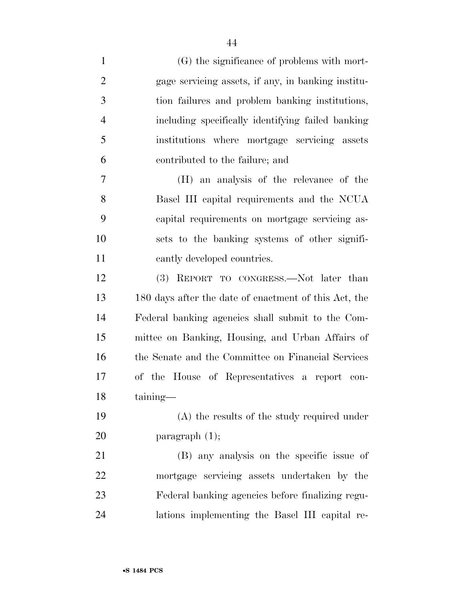| $\mathbf{1}$   | (G) the significance of problems with mort-           |
|----------------|-------------------------------------------------------|
| $\overline{2}$ | gage servicing assets, if any, in banking institu-    |
| 3              | tion failures and problem banking institutions,       |
| $\overline{4}$ | including specifically identifying failed banking     |
| 5              | institutions where mortgage servicing assets          |
| 6              | contributed to the failure; and                       |
| $\overline{7}$ | (H) an analysis of the relevance of the               |
| 8              | Basel III capital requirements and the NCUA           |
| 9              | capital requirements on mortgage servicing as-        |
| 10             | sets to the banking systems of other signifi-         |
| 11             | cantly developed countries.                           |
| 12             | (3) REPORT TO CONGRESS.—Not later than                |
| 13             | 180 days after the date of enactment of this Act, the |
| 14             | Federal banking agencies shall submit to the Com-     |
| 15             | mittee on Banking, Housing, and Urban Affairs of      |
| 16             | the Senate and the Committee on Financial Services    |
| 17             | of the House of Representatives a report con-         |
| 18             | taining-                                              |
| 19             | $(A)$ the results of the study required under         |
| 20             | paragraph $(1)$ ;                                     |
| 21             | (B) any analysis on the specific issue of             |
| 22             | mortgage servicing assets undertaken by the           |
| 23             | Federal banking agencies before finalizing regu-      |
| 24             | lations implementing the Basel III capital re-        |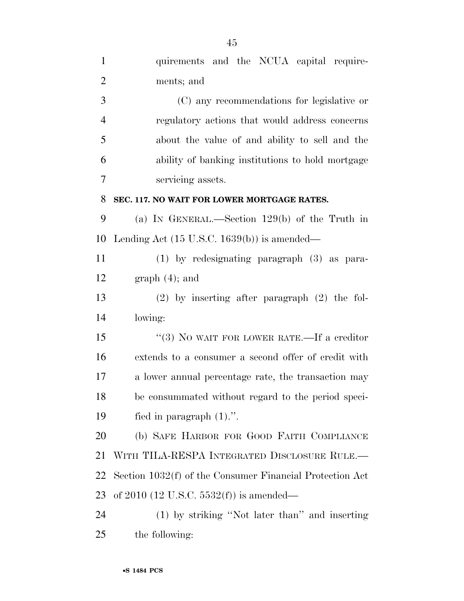| $\mathbf{1}$   | quirements and the NCUA capital require-                 |
|----------------|----------------------------------------------------------|
| $\overline{2}$ | ments; and                                               |
| 3              | (C) any recommendations for legislative or               |
| $\overline{4}$ | regulatory actions that would address concerns           |
| 5              | about the value of and ability to sell and the           |
| 6              | ability of banking institutions to hold mortgage         |
| 7              | servicing assets.                                        |
| 8              | SEC. 117. NO WAIT FOR LOWER MORTGAGE RATES.              |
| 9              | (a) IN GENERAL.—Section $129(b)$ of the Truth in         |
| 10             | Lending Act $(15 \text{ U.S.C. } 1639(b))$ is amended—   |
| 11             | $(1)$ by redesignating paragraph $(3)$ as para-          |
| 12             | $graph(4)$ ; and                                         |
| 13             | $(2)$ by inserting after paragraph $(2)$ the fol-        |
| 14             | lowing:                                                  |
| 15             | "(3) NO WAIT FOR LOWER RATE.—If a creditor               |
| 16             | extends to a consumer a second offer of credit with      |
| 17             | a lower annual percentage rate, the transaction may      |
| 18             | be consummated without regard to the period speci-       |
| 19             | fied in paragraph $(1)$ .".                              |
| 20             | (b) SAFE HARBOR FOR GOOD FAITH COMPLIANCE                |
| 21             | WITH TILA-RESPA INTEGRATED DISCLOSURE RULE.—             |
| 22             | Section 1032(f) of the Consumer Financial Protection Act |
| 23             | of 2010 (12 U.S.C. 5532(f)) is amended—                  |
| 24             | (1) by striking "Not later than" and inserting           |
| 25             | the following:                                           |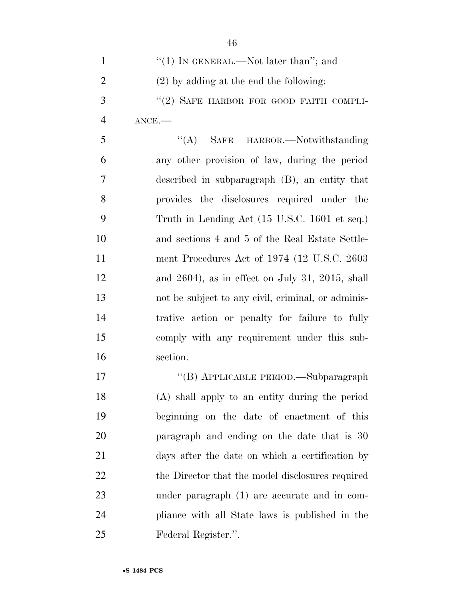- 1  $\frac{((1) \text{ N} \text{ GENERAL.} \text{Not later than''}; \text{ and}}{((1) \text{ N} \text{ GENERAL.} \text{Not later than''}; \text{ and}})$  (2) by adding at the end the following: 3 "(2) SAFE HARBOR FOR GOOD FAITH COMPLI- ANCE.— ''(A) SAFE HARBOR.—Notwithstanding any other provision of law, during the period described in subparagraph (B), an entity that provides the disclosures required under the Truth in Lending Act (15 U.S.C. 1601 et seq.) and sections 4 and 5 of the Real Estate Settle- ment Procedures Act of 1974 (12 U.S.C. 2603 and 2604), as in effect on July 31, 2015, shall not be subject to any civil, criminal, or adminis- trative action or penalty for failure to fully comply with any requirement under this sub- section. 17 "(B) APPLICABLE PERIOD.—Subparagraph (A) shall apply to an entity during the period beginning on the date of enactment of this paragraph and ending on the date that is 30 days after the date on which a certification by 22 the Director that the model disclosures required under paragraph (1) are accurate and in com-pliance with all State laws is published in the
- Federal Register.''.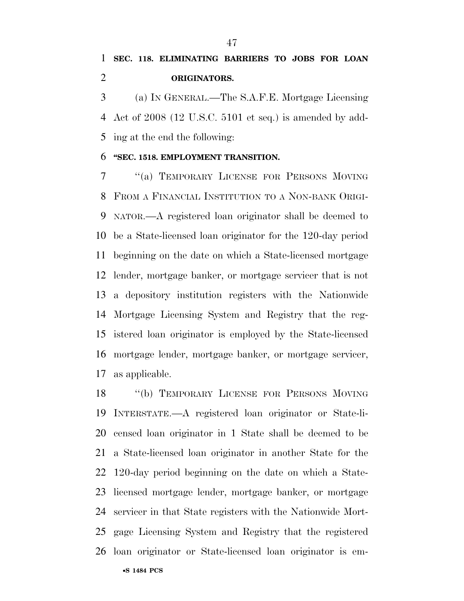(a) IN GENERAL.—The S.A.F.E. Mortgage Licensing Act of 2008 (12 U.S.C. 5101 et seq.) is amended by add-ing at the end the following:

## **''SEC. 1518. EMPLOYMENT TRANSITION.**

 ''(a) TEMPORARY LICENSE FOR PERSONS MOVING FROM A FINANCIAL INSTITUTION TO A NON-BANK ORIGI- NATOR.—A registered loan originator shall be deemed to be a State-licensed loan originator for the 120-day period beginning on the date on which a State-licensed mortgage lender, mortgage banker, or mortgage servicer that is not a depository institution registers with the Nationwide Mortgage Licensing System and Registry that the reg- istered loan originator is employed by the State-licensed mortgage lender, mortgage banker, or mortgage servicer, as applicable.

 ''(b) TEMPORARY LICENSE FOR PERSONS MOVING INTERSTATE.—A registered loan originator or State-li- censed loan originator in 1 State shall be deemed to be a State-licensed loan originator in another State for the 120-day period beginning on the date on which a State- licensed mortgage lender, mortgage banker, or mortgage servicer in that State registers with the Nationwide Mort- gage Licensing System and Registry that the registered loan originator or State-licensed loan originator is em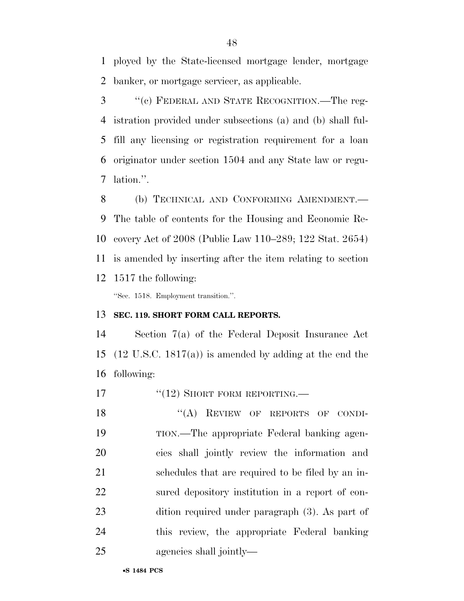ployed by the State-licensed mortgage lender, mortgage banker, or mortgage servicer, as applicable.

 ''(c) FEDERAL AND STATE RECOGNITION.—The reg- istration provided under subsections (a) and (b) shall ful- fill any licensing or registration requirement for a loan originator under section 1504 and any State law or regu-lation.''.

 (b) TECHNICAL AND CONFORMING AMENDMENT.— The table of contents for the Housing and Economic Re- covery Act of 2008 (Public Law 110–289; 122 Stat. 2654) is amended by inserting after the item relating to section 1517 the following:

''Sec. 1518. Employment transition.''.

## **SEC. 119. SHORT FORM CALL REPORTS.**

 Section 7(a) of the Federal Deposit Insurance Act (12 U.S.C. 1817(a)) is amended by adding at the end the following:

17 "(12) SHORT FORM REPORTING.—

18 "(A) REVIEW OF REPORTS OF CONDI- TION.—The appropriate Federal banking agen- cies shall jointly review the information and schedules that are required to be filed by an in- sured depository institution in a report of con- dition required under paragraph (3). As part of this review, the appropriate Federal banking agencies shall jointly—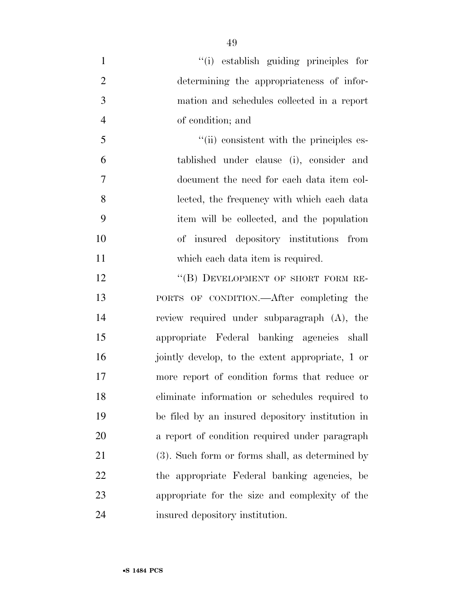- ''(i) establish guiding principles for determining the appropriateness of infor- mation and schedules collected in a report of condition; and 5  $\frac{1}{10}$  consistent with the principles es-tablished under clause (i), consider and
- document the need for each data item col- lected, the frequency with which each data item will be collected, and the population of insured depository institutions from 11 which each data item is required.
- 12 "(B) DEVELOPMENT OF SHORT FORM RE- PORTS OF CONDITION.—After completing the review required under subparagraph (A), the appropriate Federal banking agencies shall jointly develop, to the extent appropriate, 1 or more report of condition forms that reduce or eliminate information or schedules required to be filed by an insured depository institution in a report of condition required under paragraph (3). Such form or forms shall, as determined by the appropriate Federal banking agencies, be appropriate for the size and complexity of the insured depository institution.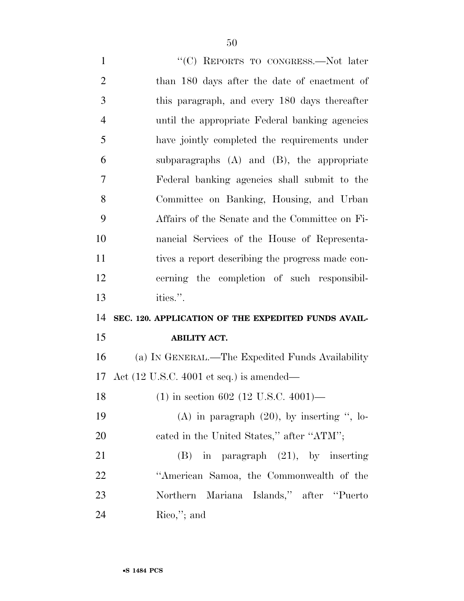1 "'(C) REPORTS TO CONGRESS.—Not later than 180 days after the date of enactment of this paragraph, and every 180 days thereafter until the appropriate Federal banking agencies have jointly completed the requirements under subparagraphs (A) and (B), the appropriate Federal banking agencies shall submit to the Committee on Banking, Housing, and Urban Affairs of the Senate and the Committee on Fi- nancial Services of the House of Representa- tives a report describing the progress made con- cerning the completion of such responsibil- ities.''. **SEC. 120. APPLICATION OF THE EXPEDITED FUNDS AVAIL- ABILITY ACT.**  (a) IN GENERAL.—The Expedited Funds Availability Act (12 U.S.C. 4001 et seq.) is amended— (1) in section 602 (12 U.S.C. 4001)—  $(A)$  in paragraph  $(20)$ , by inserting ", lo-20 cated in the United States," after "ATM"; (B) in paragraph (21), by inserting ''American Samoa, the Commonwealth of the Northern Mariana Islands,'' after ''Puerto Rico,''; and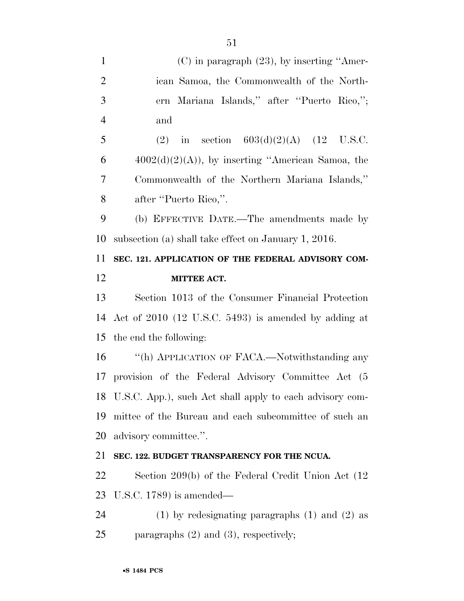| $\mathbf{1}$   | $(C)$ in paragraph $(23)$ , by inserting "Amer-             |
|----------------|-------------------------------------------------------------|
| $\overline{2}$ | ican Samoa, the Commonwealth of the North-                  |
| 3              | Mariana Islands," after "Puerto Rico,";<br>ern              |
| $\overline{4}$ | and                                                         |
| 5              | (2) in section $603(d)(2)(A)$ (12 U.S.C.                    |
| 6              | $4002(d)(2)(A)$ , by inserting "American Samoa, the         |
| 7              | Commonwealth of the Northern Mariana Islands,"              |
| 8              | after "Puerto Rico,".                                       |
| 9              | (b) EFFECTIVE DATE.—The amendments made by                  |
| 10             | subsection (a) shall take effect on January 1, 2016.        |
| 11             | SEC. 121. APPLICATION OF THE FEDERAL ADVISORY COM-          |
| 12             | MITTEE ACT.                                                 |
| 13             | Section 1013 of the Consumer Financial Protection           |
| 14             | Act of 2010 (12 U.S.C. 5493) is amended by adding at        |
| 15             | the end the following:                                      |
| 16             | "(h) APPLICATION OF FACA.—Notwithstanding any               |
| 17             | provision of the Federal Advisory Committee Act (5          |
|                | 18 U.S.C. App.), such Act shall apply to each advisory com- |
| 19             | mittee of the Bureau and each subcommittee of such an       |
| 20             | advisory committee.".                                       |
| 21             | SEC. 122. BUDGET TRANSPARENCY FOR THE NCUA.                 |
| 22             | Section 209(b) of the Federal Credit Union Act $(12)$       |
| 23             | U.S.C. $1789$ ) is amended—                                 |
| 24             | $(1)$ by redesignating paragraphs $(1)$ and $(2)$ as        |
| 25             | paragraphs $(2)$ and $(3)$ , respectively;                  |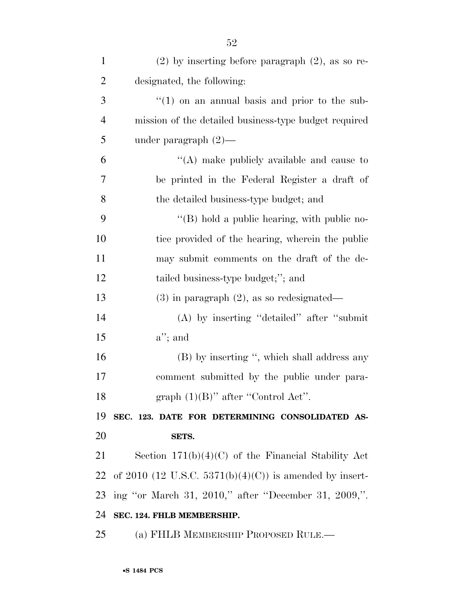| $\mathbf{1}$   | $(2)$ by inserting before paragraph $(2)$ , as so re-   |
|----------------|---------------------------------------------------------|
| $\overline{2}$ | designated, the following:                              |
| 3              | $\lq(1)$ on an annual basis and prior to the sub-       |
| $\overline{4}$ | mission of the detailed business-type budget required   |
| 5              | under paragraph $(2)$ —                                 |
| 6              | $\lq\lq$ make publicly available and cause to           |
| 7              | be printed in the Federal Register a draft of           |
| 8              | the detailed business-type budget; and                  |
| 9              | "(B) hold a public hearing, with public no-             |
| 10             | tice provided of the hearing, wherein the public        |
| 11             | may submit comments on the draft of the de-             |
| 12             | tailed business-type budget;"; and                      |
| 13             | $(3)$ in paragraph $(2)$ , as so redesignated—          |
| 14             | $(A)$ by inserting "detailed" after "submit"            |
| 15             | $a$ "; and                                              |
| 16             | (B) by inserting ", which shall address any             |
| 17             | comment submitted by the public under para-             |
| 18             | graph $(1)(B)$ " after "Control Act".                   |
| 19             | SEC. 123. DATE FOR DETERMINING CONSOLIDATED AS-         |
| 20             | SETS.                                                   |
| 21             | Section $171(b)(4)(C)$ of the Financial Stability Act   |
| 22             | of 2010 (12 U.S.C. 5371(b)(4)(C)) is amended by insert- |
| 23             | ing "or March 31, 2010," after "December 31, 2009,".    |
| 24             | SEC. 124. FHLB MEMBERSHIP.                              |
| 25             | (a) FHLB MEMBERSHIP PROPOSED RULE.—                     |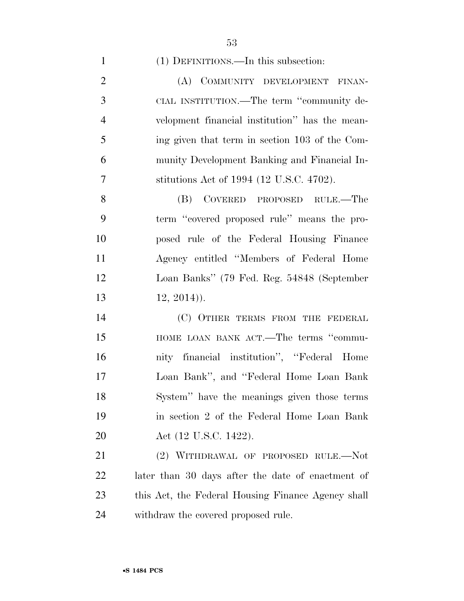(1) DEFINITIONS.—In this subsection:

2 (A) COMMUNITY DEVELOPMENT FINAN- CIAL INSTITUTION.—The term ''community de- velopment financial institution'' has the mean- ing given that term in section 103 of the Com- munity Development Banking and Financial In-stitutions Act of 1994 (12 U.S.C. 4702).

 (B) COVERED PROPOSED RULE.—The term ''covered proposed rule'' means the pro- posed rule of the Federal Housing Finance Agency entitled ''Members of Federal Home Loan Banks'' (79 Fed. Reg. 54848 (September 12, 2014)).

 (C) OTHER TERMS FROM THE FEDERAL **HOME LOAN BANK ACT.—The terms "commu-** nity financial institution'', ''Federal Home Loan Bank'', and ''Federal Home Loan Bank System'' have the meanings given those terms in section 2 of the Federal Home Loan Bank **Act** (12 U.S.C. 1422).

 (2) WITHDRAWAL OF PROPOSED RULE.—Not later than 30 days after the date of enactment of this Act, the Federal Housing Finance Agency shall withdraw the covered proposed rule.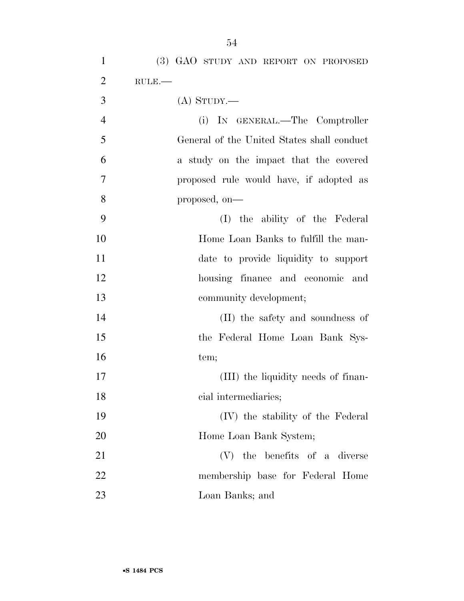| $\mathbf{1}$   | (3) GAO STUDY AND REPORT ON PROPOSED       |
|----------------|--------------------------------------------|
| $\overline{2}$ | $RULE$ .                                   |
| 3              | $(A)$ STUDY.—                              |
| $\overline{4}$ | (i) IN GENERAL.—The Comptroller            |
| 5              | General of the United States shall conduct |
| 6              | a study on the impact that the covered     |
| 7              | proposed rule would have, if adopted as    |
| 8              | proposed, on-                              |
| 9              | (I) the ability of the Federal             |
| 10             | Home Loan Banks to fulfill the man-        |
| 11             | date to provide liquidity to support       |
| 12             | housing finance and economic and           |
| 13             | community development;                     |
| 14             | (II) the safety and soundness of           |
| 15             | the Federal Home Loan Bank Sys-            |
| 16             | tem;                                       |
| 17             | (III) the liquidity needs of finan-        |
| 18             | cial intermediaries;                       |
| 19             | (IV) the stability of the Federal          |
| 20             | Home Loan Bank System;                     |
| 21             | the benefits of a diverse<br>(V)           |
| 22             | membership base for Federal Home           |
| 23             | Loan Banks; and                            |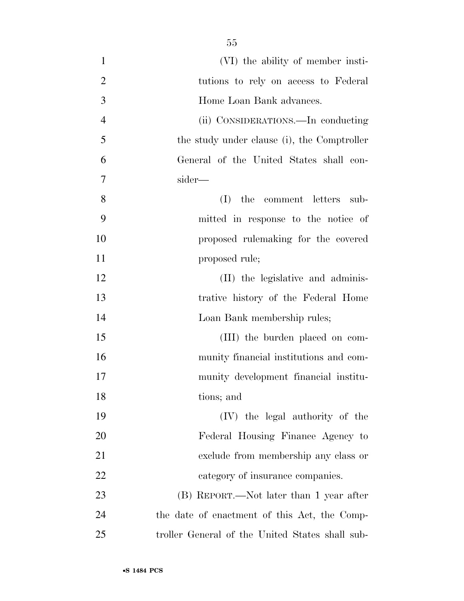| $\mathbf{1}$   | (VI) the ability of member insti-               |
|----------------|-------------------------------------------------|
| $\overline{2}$ | tutions to rely on access to Federal            |
| 3              | Home Loan Bank advances.                        |
| $\overline{4}$ | (ii) CONSIDERATIONS.—In conducting              |
| 5              | the study under clause (i), the Comptroller     |
| 6              | General of the United States shall con-         |
| 7              | sider—                                          |
| 8              | (I)<br>the comment letters<br>sub-              |
| 9              | mitted in response to the notice of             |
| 10             | proposed rulemaking for the covered             |
| 11             | proposed rule;                                  |
| 12             | (II) the legislative and adminis-               |
| 13             | trative history of the Federal Home             |
| 14             | Loan Bank membership rules;                     |
| 15             | (III) the burden placed on com-                 |
| 16             | munity financial institutions and com-          |
| 17             | munity development financial institu-           |
| 18             | tions; and                                      |
| 19             | (IV) the legal authority of the                 |
| 20             | Federal Housing Finance Agency to               |
| 21             | exclude from membership any class or            |
| 22             | category of insurance companies.                |
| 23             | (B) REPORT.—Not later than 1 year after         |
| 24             | the date of enactment of this Act, the Comp-    |
| 25             | troller General of the United States shall sub- |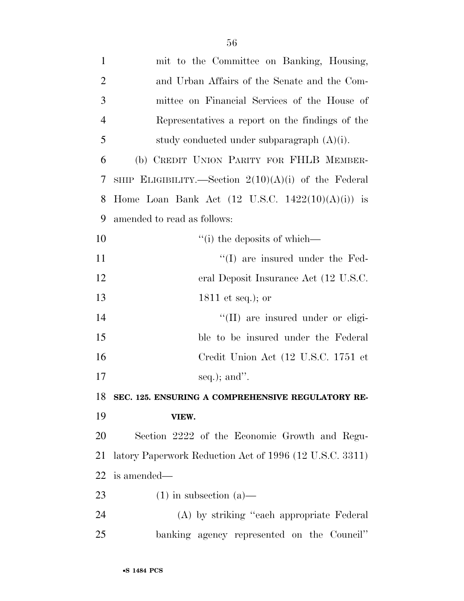| $\mathbf{1}$   | mit to the Committee on Banking, Housing,                   |
|----------------|-------------------------------------------------------------|
| $\overline{2}$ | and Urban Affairs of the Senate and the Com-                |
| 3              | mittee on Financial Services of the House of                |
| $\overline{4}$ | Representatives a report on the findings of the             |
| 5              | study conducted under subparagraph $(A)(i)$ .               |
| 6              | (b) CREDIT UNION PARITY FOR FHLB MEMBER-                    |
| 7              | SHIP ELIGIBILITY.—Section $2(10)(A)(i)$ of the Federal      |
| 8              | Home Loan Bank Act $(12 \text{ U.S.C. } 1422(10)(A)(i))$ is |
| 9              | amended to read as follows:                                 |
| 10             | $\lq$ <sup>"</sup> (i) the deposits of which—               |
| 11             | $\lq\lq$ (I) are insured under the Fed-                     |
| 12             | eral Deposit Insurance Act (12 U.S.C.                       |
| 13             | 1811 et seq.); or                                           |
| 14             | "(II) are insured under or eligi-                           |
| 15             | ble to be insured under the Federal                         |
| 16             | Credit Union Act (12 U.S.C. 1751 et                         |
| 17             | seq.); and".                                                |
| 18             | SEC. 125. ENSURING A COMPREHENSIVE REGULATORY RE-           |
| 19             | VIEW.                                                       |
| 20             | Section 2222 of the Economic Growth and Regu-               |
| 21             | latory Paperwork Reduction Act of 1996 (12 U.S.C. 3311)     |
| 22             | is amended—                                                 |
| 23             | $(1)$ in subsection $(a)$ —                                 |
| 24             | (A) by striking "each appropriate Federal                   |
| 25             | banking agency represented on the Council"                  |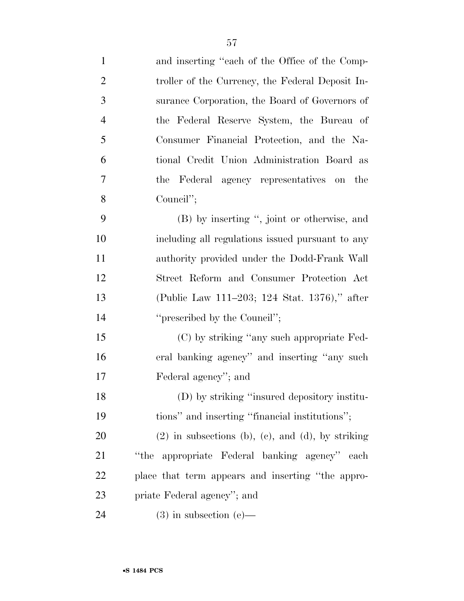| $\mathbf{1}$   | and inserting "each of the Office of the Comp-      |
|----------------|-----------------------------------------------------|
| $\overline{2}$ | troller of the Currency, the Federal Deposit In-    |
| 3              | surance Corporation, the Board of Governors of      |
| $\overline{4}$ | the Federal Reserve System, the Bureau of           |
| 5              | Consumer Financial Protection, and the Na-          |
| 6              | tional Credit Union Administration Board as         |
| 7              | the Federal agency representatives on the           |
| 8              | Council";                                           |
| 9              | (B) by inserting ", joint or otherwise, and         |
| 10             | including all regulations issued pursuant to any    |
| 11             | authority provided under the Dodd-Frank Wall        |
| 12             | Street Reform and Consumer Protection Act           |
| 13             | (Public Law 111–203; 124 Stat. 1376)," after        |
| 14             | "prescribed by the Council";                        |
| 15             | (C) by striking "any such appropriate Fed-          |
| 16             | eral banking agency" and inserting "any such        |
| 17             | Federal agency"; and                                |
| 18             | (D) by striking "insured depository institu-        |
| 19             | tions" and inserting "financial institutions";      |
| 20             | $(2)$ in subsections (b), (c), and (d), by striking |
| 21             | appropriate Federal banking agency" each<br>"the    |
| 22             | place that term appears and inserting "the appro-   |
| 23             | priate Federal agency"; and                         |
| 24             | $(3)$ in subsection $(e)$ —                         |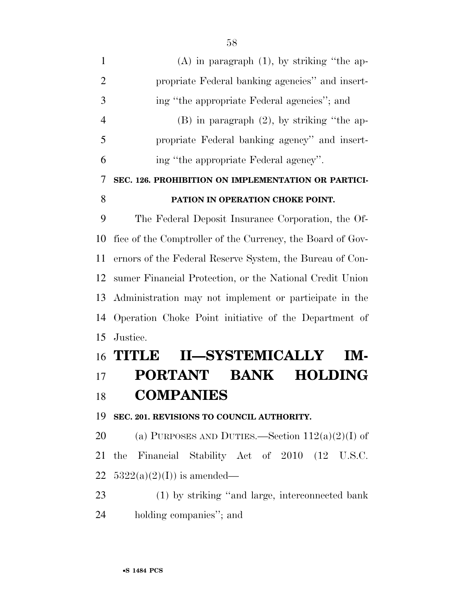| $\mathbf{1}$   | $(A)$ in paragraph $(1)$ , by striking "the ap-            |
|----------------|------------------------------------------------------------|
| $\overline{2}$ | propriate Federal banking agencies" and insert-            |
| 3              | ing "the appropriate Federal agencies"; and                |
| $\overline{4}$ | $(B)$ in paragraph $(2)$ , by striking "the ap-            |
| 5              | propriate Federal banking agency" and insert-              |
| 6              | ing "the appropriate Federal agency".                      |
| 7              | SEC. 126. PROHIBITION ON IMPLEMENTATION OR PARTICI-        |
| 8              | PATION IN OPERATION CHOKE POINT.                           |
| 9              | The Federal Deposit Insurance Corporation, the Of-         |
| 10             | fice of the Comptroller of the Currency, the Board of Gov- |
| 11             | ernors of the Federal Reserve System, the Bureau of Con-   |
| 12             | sumer Financial Protection, or the National Credit Union   |
| 13             | Administration may not implement or participate in the     |
| 14             | Operation Choke Point initiative of the Department of      |
| 15             | Justice.                                                   |
|                | <b>II-SYSTEMICALLY</b><br>16 <b>TITLE</b><br>IM-           |
| 17             | <b>PORTANT</b><br><b>BANK</b><br><b>HOLDING</b>            |
| 18             | <b>COMPANIES</b>                                           |
| 19             | SEC. 201. REVISIONS TO COUNCIL AUTHORITY.                  |
| 20             | (a) PURPOSES AND DUTIES.—Section $112(a)(2)(I)$ of         |
| 21             | Financial Stability Act of 2010 (12 U.S.C.<br>the          |
| 22             | $5322(a)(2)(I)$ is amended—                                |
| 23             | (1) by striking "and large, interconnected bank            |

holding companies''; and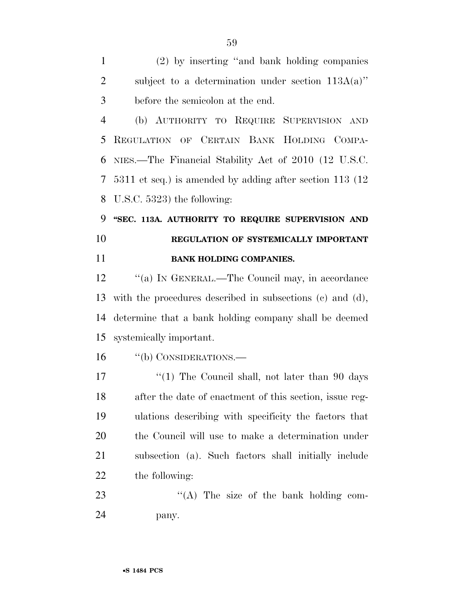(2) by inserting ''and bank holding companies subject to a determination under section 113A(a)'' before the semicolon at the end.

 (b) AUTHORITY TO REQUIRE SUPERVISION AND REGULATION OF CERTAIN BANK HOLDING COMPA- NIES.—The Financial Stability Act of 2010 (12 U.S.C. 5311 et seq.) is amended by adding after section 113 (12 U.S.C. 5323) the following:

 **''SEC. 113A. AUTHORITY TO REQUIRE SUPERVISION AND REGULATION OF SYSTEMICALLY IMPORTANT BANK HOLDING COMPANIES.** 

12 "(a) IN GENERAL.—The Council may, in accordance with the procedures described in subsections (c) and (d), determine that a bank holding company shall be deemed systemically important.

''(b) CONSIDERATIONS.—

17 ''(1) The Council shall, not later than 90 days after the date of enactment of this section, issue reg- ulations describing with specificity the factors that the Council will use to make a determination under subsection (a). Such factors shall initially include the following:

23 "(A) The size of the bank holding com-pany.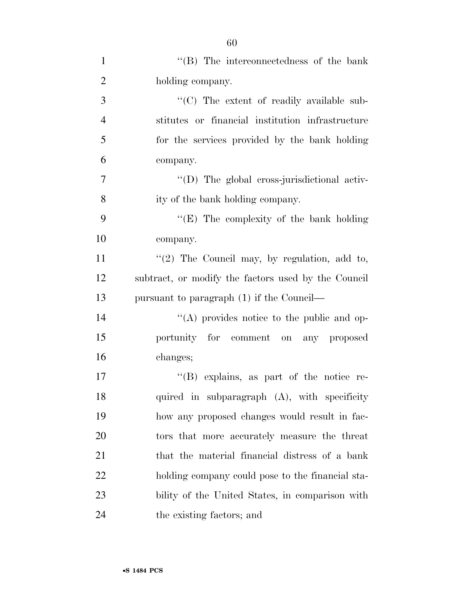| $\mathbf{1}$   | $\lq\lq$ (B) The interconnectedness of the bank     |
|----------------|-----------------------------------------------------|
| $\overline{2}$ | holding company.                                    |
| 3              | "(C) The extent of readily available sub-           |
| $\overline{4}$ | stitutes or financial institution infrastructure    |
| 5              | for the services provided by the bank holding       |
| 6              | company.                                            |
| 7              | "(D) The global cross-jurisdictional activ-         |
| 8              | ity of the bank holding company.                    |
| 9              | "(E) The complexity of the bank holding             |
| 10             | company.                                            |
| 11             | " $(2)$ The Council may, by regulation, add to,     |
| 12             | subtract, or modify the factors used by the Council |
| 13             | pursuant to paragraph $(1)$ if the Council—         |
| 14             | "(A) provides notice to the public and op-          |
| 15             | portunity for comment on any proposed               |
| 16             | changes;                                            |
| 17             | "(B) explains, as part of the notice re-            |
| 18             | quired in subparagraph (A), with specificity        |
| 19             | how any proposed changes would result in fac-       |
| 20             | tors that more accurately measure the threat        |
| 21             | that the material financial distress of a bank      |
| 22             | holding company could pose to the financial sta-    |
| 23             | bility of the United States, in comparison with     |
| 24             | the existing factors; and                           |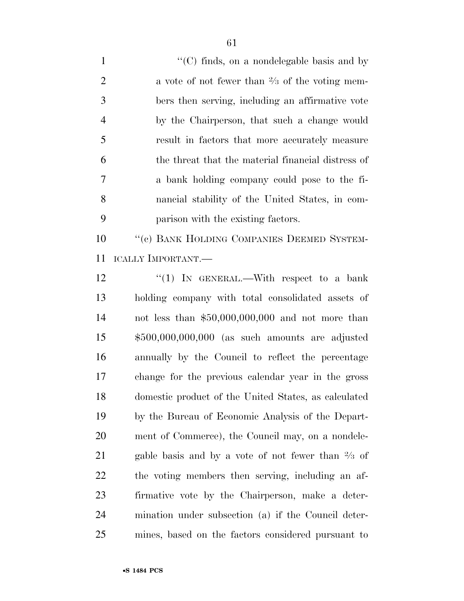1 ''(C) finds, on a nondelegable basis and by 2 a vote of not fewer than  $\frac{2}{3}$  of the voting mem- bers then serving, including an affirmative vote by the Chairperson, that such a change would result in factors that more accurately measure the threat that the material financial distress of a bank holding company could pose to the fi- nancial stability of the United States, in com-parison with the existing factors.

10 <sup>''</sup>(c) BANK HOLDING COMPANIES DEEMED SYSTEM-ICALLY IMPORTANT.—

12 "(1) In GENERAL.—With respect to a bank holding company with total consolidated assets of not less than \$50,000,000,000 and not more than \$500,000,000,000 (as such amounts are adjusted annually by the Council to reflect the percentage change for the previous calendar year in the gross domestic product of the United States, as calculated by the Bureau of Economic Analysis of the Depart- ment of Commerce), the Council may, on a nondele-21 – gable basis and by a vote of not fewer than  $\frac{2}{3}$  of the voting members then serving, including an af- firmative vote by the Chairperson, make a deter- mination under subsection (a) if the Council deter-mines, based on the factors considered pursuant to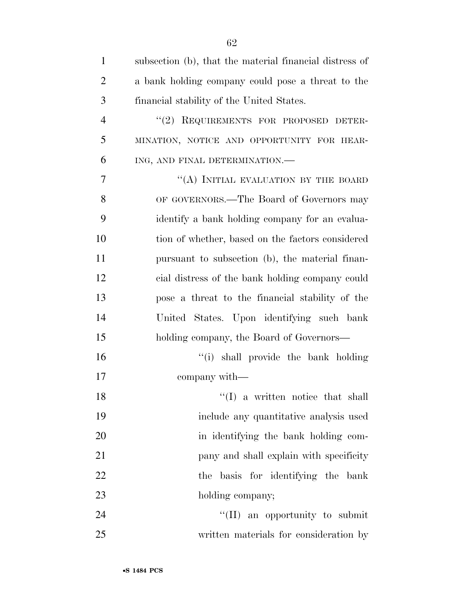| $\mathbf{1}$   | subsection (b), that the material financial distress of |
|----------------|---------------------------------------------------------|
| $\overline{2}$ | a bank holding company could pose a threat to the       |
| 3              | financial stability of the United States.               |
| $\overline{4}$ | "(2) REQUIREMENTS FOR PROPOSED DETER-                   |
| 5              | MINATION, NOTICE AND OPPORTUNITY FOR HEAR-              |
| 6              | ING, AND FINAL DETERMINATION.-                          |
| 7              | "(A) INITIAL EVALUATION BY THE BOARD                    |
| 8              | OF GOVERNORS.—The Board of Governors may                |
| 9              | identify a bank holding company for an evalua-          |
| 10             | tion of whether, based on the factors considered        |
| 11             | pursuant to subsection (b), the material finan-         |
| 12             | cial distress of the bank holding company could         |
| 13             | pose a threat to the financial stability of the         |
| 14             | United States. Upon identifying such bank               |
| 15             | holding company, the Board of Governors—                |
| 16             | "(i) shall provide the bank holding                     |
| 17             | company with—                                           |
| 18             | $\lq(1)$ a written notice that shall                    |
| 19             | include any quantitative analysis used                  |
| 20             | in identifying the bank holding com-                    |
| 21             | pany and shall explain with specificity                 |
| 22             | the basis for identifying the bank                      |
| 23             | holding company;                                        |
| 24             | "(II) an opportunity to submit                          |
| 25             | written materials for consideration by                  |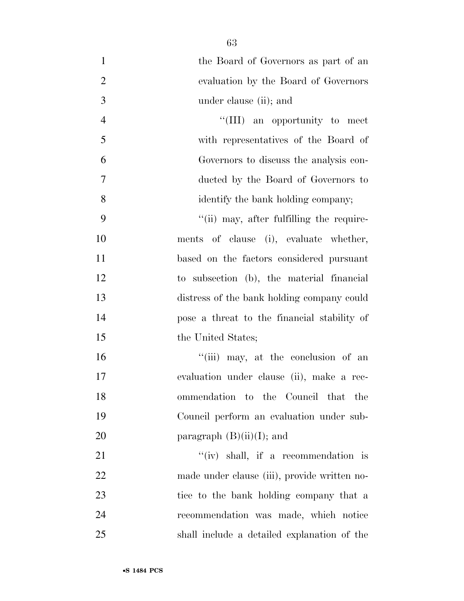| $\mathbf{1}$   | the Board of Governors as part of an         |
|----------------|----------------------------------------------|
| $\mathbf{2}$   | evaluation by the Board of Governors         |
| 3              | under clause (ii); and                       |
| $\overline{4}$ | "(III) an opportunity to meet                |
| 5              | with representatives of the Board of         |
| 6              | Governors to discuss the analysis con-       |
| 7              | ducted by the Board of Governors to          |
| 8              | identify the bank holding company;           |
| 9              | "(ii) may, after fulfilling the require-     |
| 10             | ments of clause (i), evaluate whether,       |
| 11             | based on the factors considered pursuant     |
| 12             | to subsection (b), the material financial    |
| 13             | distress of the bank holding company could   |
| 14             | pose a threat to the financial stability of  |
| 15             | the United States;                           |
| 16             | "(iii) may, at the conclusion of an          |
| 17             | evaluation under clause (ii), make a rec-    |
| 18             | ommendation to the Council that the          |
| 19             | Council perform an evaluation under sub-     |
| 20             | paragraph $(B)(ii)(I)$ ; and                 |
| 21             | "(iv) shall, if a recommendation is          |
| 22             | made under clause (iii), provide written no- |
| 23             | tice to the bank holding company that a      |
| 24             | recommendation was made, which notice        |
| 25             | shall include a detailed explanation of the  |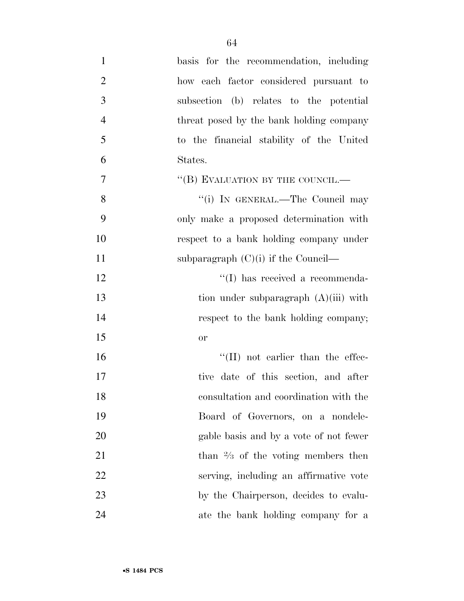| $\mathbf{1}$   | basis for the recommendation, including       |
|----------------|-----------------------------------------------|
| $\overline{2}$ | how each factor considered pursuant to        |
| 3              | subsection (b) relates to the potential       |
| $\overline{4}$ | threat posed by the bank holding company      |
| 5              | to the financial stability of the United      |
| 6              | States.                                       |
| 7              | "(B) EVALUATION BY THE COUNCIL.—              |
| 8              | "(i) IN GENERAL.—The Council may              |
| 9              | only make a proposed determination with       |
| 10             | respect to a bank holding company under       |
| 11             | subparagraph $(C)(i)$ if the Council—         |
| 12             | "(I) has received a recommenda-               |
| 13             | tion under subparagraph $(A)(iii)$ with       |
| 14             | respect to the bank holding company;          |
| 15             | <b>or</b>                                     |
| 16             | $\lq\lq$ (II) not earlier than the effec-     |
| 17             | tive date of this section, and after          |
| 18             | consultation and coordination with the        |
| 19             | Board of Governors, on a nondele-             |
| 20             | gable basis and by a vote of not fewer        |
| 21             | than $\frac{2}{3}$ of the voting members then |
| 22             | serving, including an affirmative vote        |
| 23             | by the Chairperson, decides to evalu-         |
| 24             | ate the bank holding company for a            |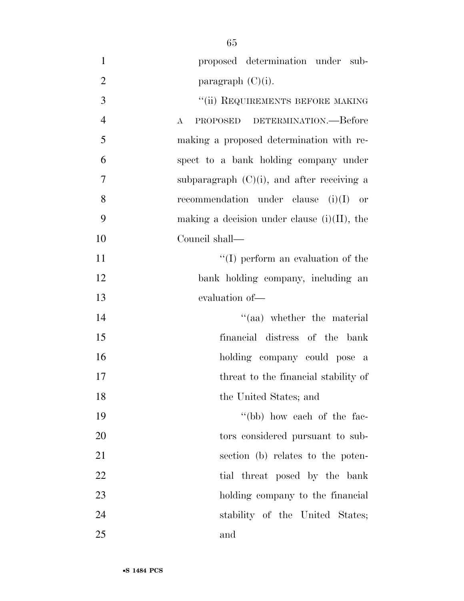| $\mathbf{1}$   | proposed determination under sub-                        |
|----------------|----------------------------------------------------------|
| $\overline{2}$ | paragraph $(C)(i)$ .                                     |
| 3              | "(ii) REQUIREMENTS BEFORE MAKING                         |
| $\overline{4}$ | PROPOSED DETERMINATION.—Before<br>$\boldsymbol{\Lambda}$ |
| 5              | making a proposed determination with re-                 |
| 6              | spect to a bank holding company under                    |
| 7              | subparagraph $(C)(i)$ , and after receiving a            |
| 8              | recommendation under clause $(i)(I)$ or                  |
| 9              | making a decision under clause $(i)(II)$ , the           |
| 10             | Council shall—                                           |
| 11             | $\lq\lq$ (I) perform an evaluation of the                |
| 12             | bank holding company, including an                       |
| 13             | evaluation of-                                           |
| 14             | $\cdot$ (aa) whether the material                        |
| 15             | financial distress of the bank                           |
| 16             | holding company could pose a                             |
| 17             | threat to the financial stability of                     |
| 18             | the United States; and                                   |
| 19             | "(bb) how each of the fac-                               |
| 20             | tors considered pursuant to sub-                         |
| 21             | section (b) relates to the poten-                        |
| 22             | tial threat posed by the bank                            |
| 23             | holding company to the financial                         |
| 24             | stability of the United States;                          |
| 25             | and                                                      |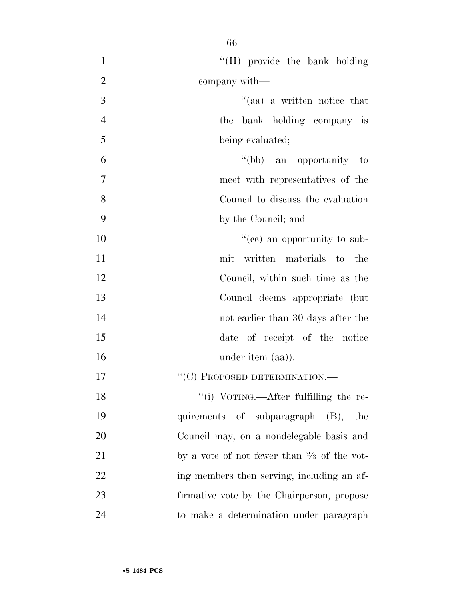| $\mathbf{1}$   | "(II) provide the bank holding                        |
|----------------|-------------------------------------------------------|
| $\overline{2}$ | company with—                                         |
| 3              | "(aa) a written notice that                           |
| $\overline{4}$ | the bank holding company is                           |
| 5              | being evaluated;                                      |
| 6              | "(bb) an opportunity to                               |
| 7              | meet with representatives of the                      |
| 8              | Council to discuss the evaluation                     |
| 9              | by the Council; and                                   |
| 10             | "(cc) an opportunity to sub-                          |
| 11             | mit written materials to the                          |
| 12             | Council, within such time as the                      |
| 13             | Council deems appropriate (but                        |
| 14             | not earlier than 30 days after the                    |
| 15             | date of receipt of the notice                         |
| 16             | under item (aa)).                                     |
| 17             | $``(C)$ PROPOSED DETERMINATION.—                      |
| 18             | "(i) VOTING.—After fulfilling the re-                 |
| 19             | quirements of subparagraph (B), the                   |
| 20             | Council may, on a nondelegable basis and              |
| 21             | by a vote of not fewer than $\frac{2}{3}$ of the vot- |
| 22             | ing members then serving, including an af-            |
| 23             | firmative vote by the Chairperson, propose            |
| 24             | to make a determination under paragraph               |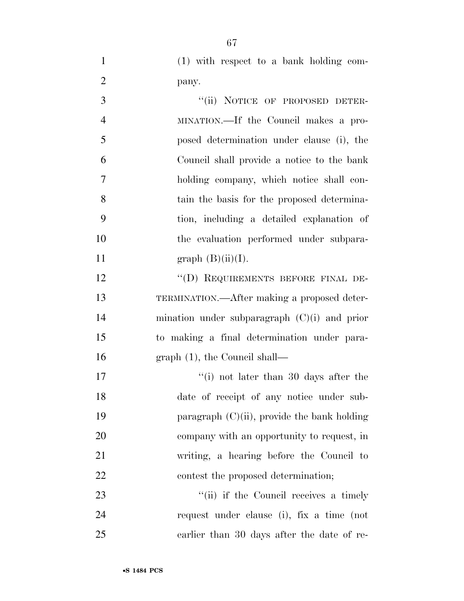(1) with respect to a bank holding com-pany.

| 3              | "(ii) NOTICE OF PROPOSED DETER-                |
|----------------|------------------------------------------------|
| $\overline{4}$ | MINATION.—If the Council makes a pro-          |
| 5              | posed determination under clause (i), the      |
| 6              | Council shall provide a notice to the bank     |
| $\tau$         | holding company, which notice shall con-       |
| 8              | tain the basis for the proposed determina-     |
| 9              | tion, including a detailed explanation of      |
| 10             | the evaluation performed under subpara-        |
| 11             | graph $(B)(ii)(I)$ .                           |
| 12             | "(D) REQUIREMENTS BEFORE FINAL DE-             |
| 13             | TERMINATION.—After making a proposed deter-    |
| 14             | mination under subparagraph $(C)(i)$ and prior |
| 15             | to making a final determination under para-    |
| 16             | $graph(1)$ , the Council shall—                |
| 17             | "(i) not later than 30 days after the          |
| 18             | date of receipt of any notice under sub-       |
| 19             | paragraph $(C)(ii)$ , provide the bank holding |
| 20             | company with an opportunity to request, in     |
| 21             | writing, a hearing before the Council to       |
| 22             | contest the proposed determination;            |
| 23             | "(ii) if the Council receives a timely         |
| 24             | request under clause (i), fix a time (not      |

earlier than 30 days after the date of re-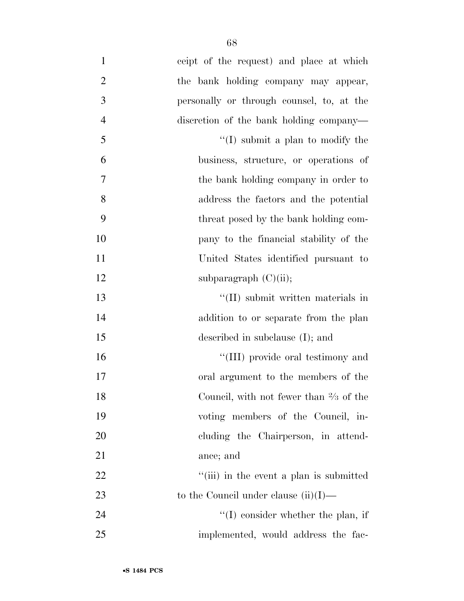| $\mathbf{1}$   | ceipt of the request) and place at which          |
|----------------|---------------------------------------------------|
| $\overline{2}$ | the bank holding company may appear,              |
| 3              | personally or through counsel, to, at the         |
| $\overline{4}$ | discretion of the bank holding company—           |
| 5              | $\lq\lq$ submit a plan to modify the              |
| 6              | business, structure, or operations of             |
| 7              | the bank holding company in order to              |
| 8              | address the factors and the potential             |
| 9              | threat posed by the bank holding com-             |
| 10             | pany to the financial stability of the            |
| 11             | United States identified pursuant to              |
| 12             | subparagraph $(C)(ii)$ ;                          |
| 13             | $\lq\lq$ (II) submit written materials in         |
| 14             | addition to or separate from the plan             |
| 15             | described in subclause $(I)$ ; and                |
| 16             | "(III) provide oral testimony and                 |
| 17             | oral argument to the members of the               |
| 18             | Council, with not fewer than $\frac{2}{3}$ of the |
| 19             | voting members of the Council, in-                |
| 20             | cluding the Chairperson, in attend-               |
| 21             | ance; and                                         |
| 22             | "(iii) in the event a plan is submitted           |
| 23             | to the Council under clause $(ii)(I)$ —           |
| 24             | $\lq\lq$ consider whether the plan, if            |
| 25             | implemented, would address the fac-               |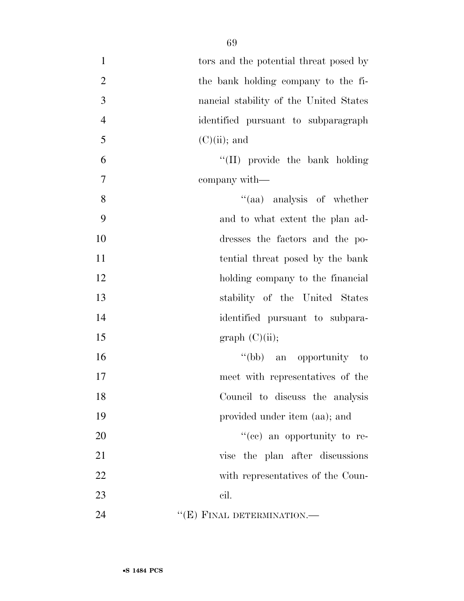| $\mathbf{1}$   | tors and the potential threat posed by |
|----------------|----------------------------------------|
| $\overline{2}$ | the bank holding company to the fi-    |
| 3              | nancial stability of the United States |
| $\overline{4}$ | identified pursuant to subparagraph    |
| 5              | $(C)(ii)$ ; and                        |
| 6              | "(II) provide the bank holding         |
| $\tau$         | company with—                          |
| 8              | "(aa) analysis of whether              |
| 9              | and to what extent the plan ad-        |
| 10             | dresses the factors and the po-        |
| 11             | tential threat posed by the bank       |
| 12             | holding company to the financial       |
| 13             | stability of the United States         |
| 14             | identified pursuant to subpara-        |
| 15             | graph (C)(ii);                         |
| 16             | "(bb) an opportunity to                |
| 17             | meet with representatives of the       |
| 18             | Council to discuss the analysis        |
| 19             | provided under item (aa); and          |
| 20             | "(ce) an opportunity to re-            |
| 21             | vise the plan after discussions        |
| 22             | with representatives of the Coun-      |
| 23             | cil.                                   |
| 24             | $``(E)$ FINAL DETERMINATION.—          |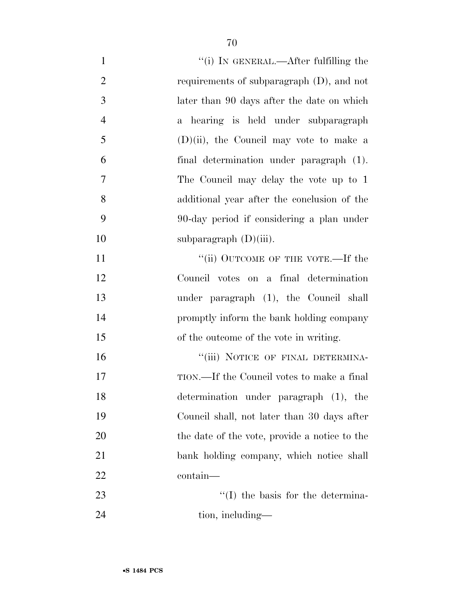| $\mathbf{1}$   | "(i) IN GENERAL.—After fulfilling the         |
|----------------|-----------------------------------------------|
| $\overline{2}$ | requirements of subparagraph $(D)$ , and not  |
| 3              | later than 90 days after the date on which    |
| $\overline{4}$ | a hearing is held under subparagraph          |
| 5              | $(D)(ii)$ , the Council may vote to make a    |
| 6              | final determination under paragraph (1).      |
| $\overline{7}$ | The Council may delay the vote up to 1        |
| 8              | additional year after the conclusion of the   |
| 9              | 90-day period if considering a plan under     |
| 10             | subparagraph $(D)(iii)$ .                     |
| 11             | "(ii) OUTCOME OF THE VOTE.—If the             |
| 12             | Council votes on a final determination        |
| 13             | under paragraph (1), the Council shall        |
| 14             | promptly inform the bank holding company      |
| 15             | of the outcome of the vote in writing.        |
| 16             | "(iii) NOTICE OF FINAL DETERMINA-             |
| 17             | TION.—If the Council votes to make a final    |
| 18             | determination under paragraph (1), the        |
| 19             | Council shall, not later than 30 days after   |
| 20             | the date of the vote, provide a notice to the |
| 21             | bank holding company, which notice shall      |
| 22             | contain-                                      |
| 23             | $\lq\lq$ (I) the basis for the determina-     |
| 24             | tion, including—                              |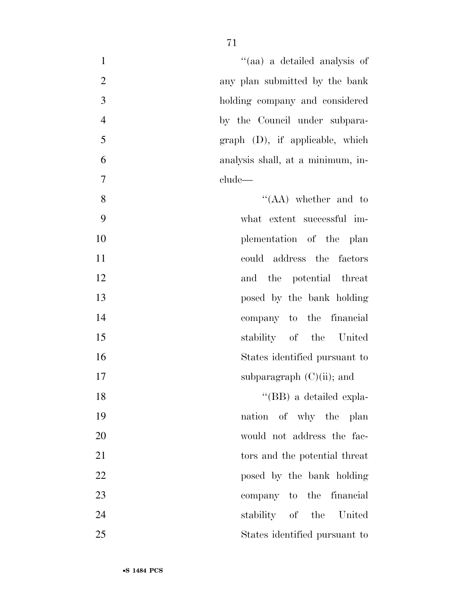| $\mathbf{1}$   | "(aa) a detailed analysis of      |
|----------------|-----------------------------------|
| $\overline{2}$ | any plan submitted by the bank    |
| 3              | holding company and considered    |
| $\overline{4}$ | by the Council under subpara-     |
| 5              | $graph$ (D), if applicable, which |
| 6              | analysis shall, at a minimum, in- |
| 7              | clude—                            |
| 8              | $\lq\lq (AA)$ whether and to      |
| 9              | what extent successful im-        |
| 10             | plementation of the plan          |
| 11             | could address the factors         |
| 12             | and the potential threat          |
| 13             | posed by the bank holding         |
| 14             | company to the financial          |
| 15             | stability of the United           |
| 16             | States identified pursuant to     |
| 17             | subparagraph $(C)(ii)$ ; and      |
| 18             | "(BB) a detailed expla-           |
| 19             | nation of why the plan            |
| 20             | would not address the fac-        |
| 21             | tors and the potential threat     |
| 22             | posed by the bank holding         |
| 23             | company to the financial          |
| 24             | stability of the United           |
| 25             | States identified pursuant to     |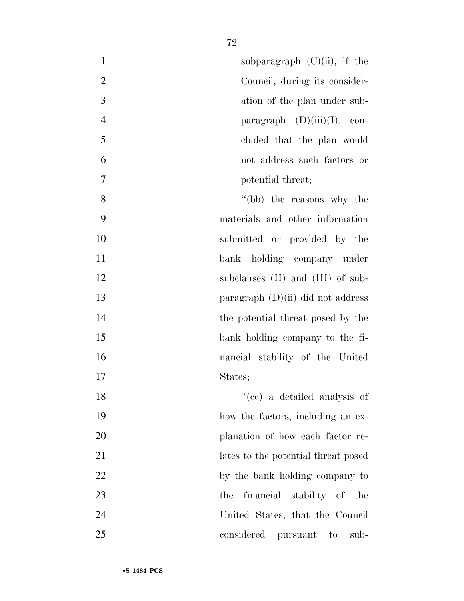| $\mathbf{1}$<br>subparagraph $(C)(ii)$ , if the  |
|--------------------------------------------------|
| $\overline{2}$<br>Council, during its consider-  |
| 3<br>ation of the plan under sub-                |
| $\overline{4}$<br>paragraph $(D)(iii)(I)$ , con- |
| 5<br>cluded that the plan would                  |
| 6<br>not address such factors or                 |
| $\overline{7}$<br>potential threat;              |
| 8<br>"(bb) the reasons why the                   |
| 9<br>materials and other information             |
| 10<br>submitted or provided by the               |
| 11<br>bank holding company under                 |
| 12<br>subclauses (II) and (III) of sub-          |
| 13<br>paragraph $(D)(ii)$ did not address        |
| 14<br>the potential threat posed by the          |
| 15<br>bank holding company to the fi-            |
| 16<br>nancial stability of the United            |
| 17<br>States;                                    |
| "(cc) a detailed analysis of<br>18               |
| 19<br>how the factors, including an ex-          |
| 20<br>planation of how each factor re-           |
| 21<br>lates to the potential threat posed        |
| 22<br>by the bank holding company to             |
| 23<br>financial stability of the<br>the          |
| 24<br>United States, that the Council            |
| 25<br>considered pursuant to<br>sub-             |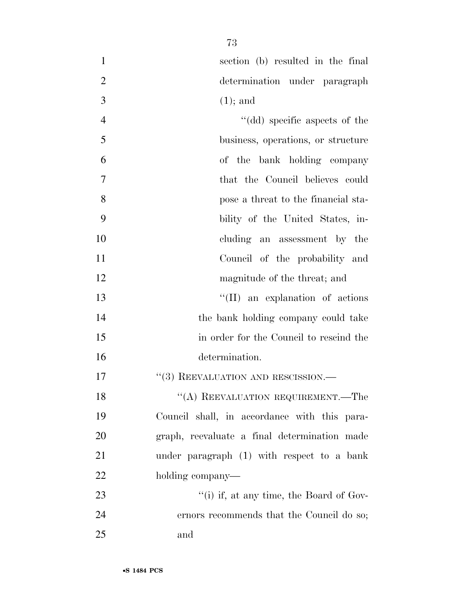| $\mathbf{1}$   | section (b) resulted in the final            |
|----------------|----------------------------------------------|
| $\overline{2}$ | determination under paragraph                |
| 3              | $(1)$ ; and                                  |
| $\overline{4}$ | "(dd) specific aspects of the                |
| 5              | business, operations, or structure           |
| 6              | of the bank holding company                  |
| 7              | that the Council believes could              |
| 8              | pose a threat to the financial sta-          |
| 9              | bility of the United States, in-             |
| 10             | cluding an assessment by the                 |
| 11             | Council of the probability and               |
| 12             | magnitude of the threat; and                 |
| 13             | "(II) an explanation of actions              |
| 14             | the bank holding company could take          |
| 15             | in order for the Council to rescind the      |
| 16             | determination.                               |
| 17             | "(3) REEVALUATION AND RESCISSION.-           |
| 18             | "(A) REEVALUATION REQUIREMENT.—The           |
| 19             | Council shall, in accordance with this para- |
| 20             | graph, reevaluate a final determination made |
| 21             | under paragraph $(1)$ with respect to a bank |
| 22             | holding company—                             |
| 23             | "(i) if, at any time, the Board of Gov-      |
| 24             | ernors recommends that the Council do so;    |
| 25             | and                                          |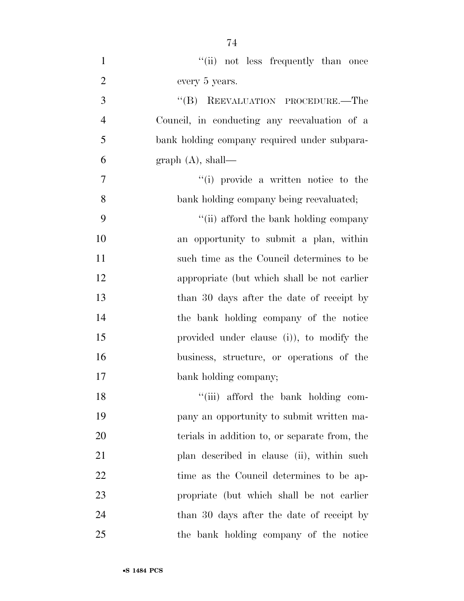1 ''(ii) not less frequently than once every 5 years. 3 "(B) REEVALUATION PROCEDURE.—The Council, in conducting any reevaluation of a bank holding company required under subpara-6 graph  $(A)$ , shall—  $\qquad$  ''(i) provide a written notice to the bank holding company being reevaluated; ''(ii) afford the bank holding company an opportunity to submit a plan, within such time as the Council determines to be appropriate (but which shall be not earlier 13 than 30 days after the date of receipt by the bank holding company of the notice provided under clause (i)), to modify the business, structure, or operations of the bank holding company; 18 ''(iii) afford the bank holding com- pany an opportunity to submit written ma-terials in addition to, or separate from, the

21 plan described in clause (ii), within such

22 time as the Council determines to be ap-

propriate (but which shall be not earlier

than 30 days after the date of receipt by

the bank holding company of the notice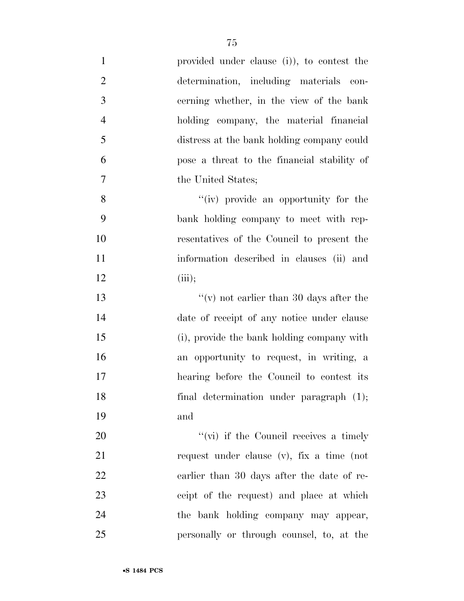| $\mathbf{1}$   | provided under clause (i)), to contest the  |
|----------------|---------------------------------------------|
| $\overline{2}$ | determination, including materials con-     |
| 3              | cerning whether, in the view of the bank    |
| $\overline{4}$ | holding company, the material financial     |
| 5              | distress at the bank holding company could  |
| 6              | pose a threat to the financial stability of |
| $\overline{7}$ | the United States;                          |
| 8              | "(iv) provide an opportunity for the        |
| 9              | bank holding company to meet with rep-      |
| 10             | resentatives of the Council to present the  |
| 11             | information described in clauses (ii) and   |
| 12             | (iii);                                      |
| 13             |                                             |
| 14             | date of receipt of any notice under clause  |
| 15             | (i), provide the bank holding company with  |
| 16             | an opportunity to request, in writing, a    |
| 17             | hearing before the Council to contest its   |
| 18             | final determination under paragraph (1);    |
| 19             | and                                         |
| 20             | $``(vi)$ if the Council receives a timely   |
| 21             | request under clause (v), fix a time (not   |
| 22             | earlier than 30 days after the date of re-  |
| 23             | ceipt of the request) and place at which    |
| 24             | the bank holding company may appear,        |
| 25             | personally or through counsel, to, at the   |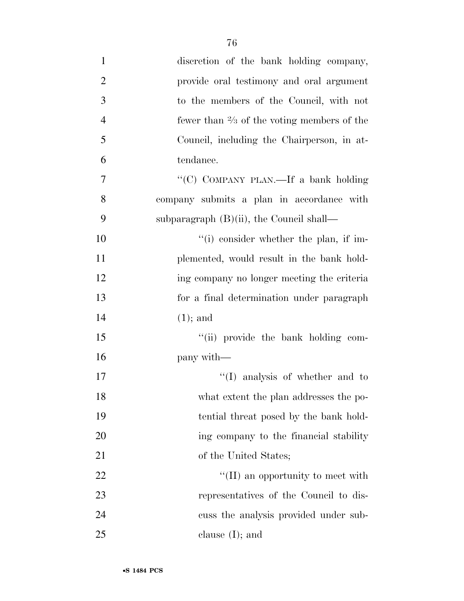| $\mathbf{1}$   | discretion of the bank holding company,               |
|----------------|-------------------------------------------------------|
| $\overline{2}$ | provide oral testimony and oral argument              |
| 3              | to the members of the Council, with not               |
| $\overline{4}$ | fewer than $\frac{2}{3}$ of the voting members of the |
| 5              | Council, including the Chairperson, in at-            |
| 6              | tendance.                                             |
| 7              | "(C) COMPANY PLAN.—If a bank holding                  |
| 8              | company submits a plan in accordance with             |
| 9              | subparagraph $(B)(ii)$ , the Council shall—           |
| 10             | $f'(i)$ consider whether the plan, if im-             |
| 11             | plemented, would result in the bank hold-             |
| 12             | ing company no longer meeting the criteria            |
| 13             | for a final determination under paragraph             |
| 14             | $(1)$ ; and                                           |
| 15             | "(ii) provide the bank holding com-                   |
| 16             | pany with—                                            |
| 17             | $\lq\lq$ (I) analysis of whether and to               |
| 18             | what extent the plan addresses the po-                |
| 19             | tential threat posed by the bank hold-                |
| 20             | ing company to the financial stability                |
| 21             | of the United States;                                 |
| 22             | $\lq\lq$ (II) an opportunity to meet with             |
| 23             | representatives of the Council to dis-                |
| 24             | cuss the analysis provided under sub-                 |
| 25             | clause $(I)$ ; and                                    |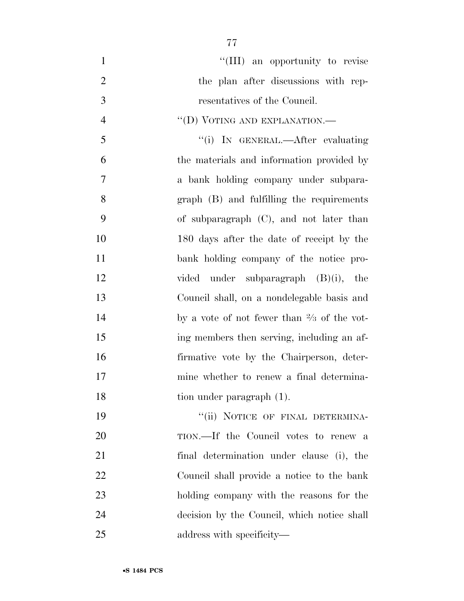| $\mathbf{1}$   | "(III) an opportunity to revise                       |
|----------------|-------------------------------------------------------|
| $\overline{2}$ | the plan after discussions with rep-                  |
| 3              | resentatives of the Council.                          |
| $\overline{4}$ | "(D) VOTING AND EXPLANATION.—                         |
| 5              | "(i) IN GENERAL.—After evaluating                     |
| 6              | the materials and information provided by             |
| $\overline{7}$ | a bank holding company under subpara-                 |
| 8              | graph (B) and fulfilling the requirements             |
| 9              | of subparagraph $(C)$ , and not later than            |
| 10             | 180 days after the date of receipt by the             |
| 11             | bank holding company of the notice pro-               |
| 12             | vided under subparagraph (B)(i), the                  |
| 13             | Council shall, on a nondelegable basis and            |
| 14             | by a vote of not fewer than $\frac{2}{3}$ of the vot- |
| 15             | ing members then serving, including an af-            |
| 16             | firmative vote by the Chairperson, deter-             |
| 17             | mine whether to renew a final determina-              |
| 18             | tion under paragraph (1).                             |
| 19             | "(ii) NOTICE OF FINAL DETERMINA-                      |
| 20             | TION.—If the Council votes to renew a                 |
| 21             | final determination under clause (i), the             |
| 22             | Council shall provide a notice to the bank            |
| 23             | holding company with the reasons for the              |
| 24             | decision by the Council, which notice shall           |
| 25             | address with specificity—                             |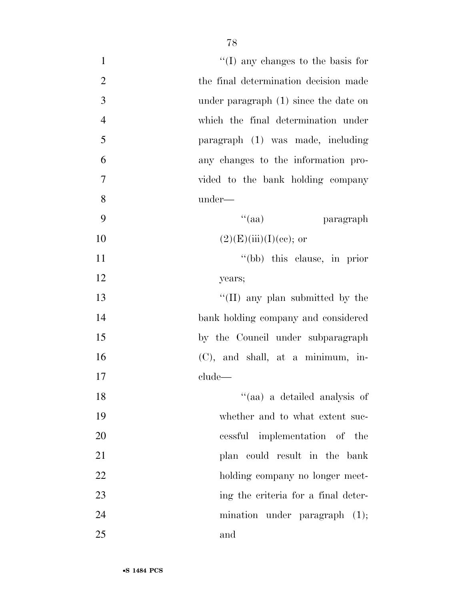| $\mathbf{1}$   | $\lq\lq$ (I) any changes to the basis for |
|----------------|-------------------------------------------|
| $\mathbf{2}$   | the final determination decision made     |
| 3              | under paragraph $(1)$ since the date on   |
| $\overline{4}$ | which the final determination under       |
| 5              | paragraph (1) was made, including         |
| 6              | any changes to the information pro-       |
| $\overline{7}$ | vided to the bank holding company         |
| 8              | under-                                    |
| 9              | $\lq(aa)$<br>paragraph                    |
| 10             | $(2)(E)(iii)(I)(ce);$ or                  |
| 11             | "(bb) this clause, in prior               |
| 12             | years;                                    |
| 13             | "(II) any plan submitted by the           |
| 14             | bank holding company and considered       |
| 15             | by the Council under subparagraph         |
| 16             | (C), and shall, at a minimum, in-         |
| 17             | clude—                                    |
| 18             | $\lq(aa)$ a detailed analysis of          |
| 19             | whether and to what extent suc-           |
| 20             | cessful implementation of the             |
| 21             | plan could result in the bank             |
| 22             | holding company no longer meet-           |
| 23             | ing the criteria for a final deter-       |
| 24             | mination under paragraph $(1)$ ;          |
| 25             | and                                       |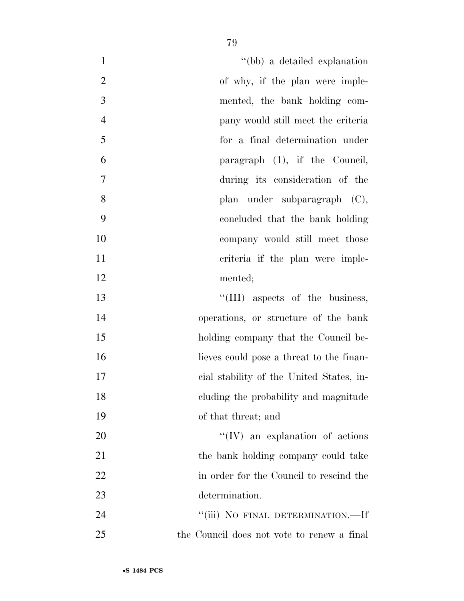| $\mathbf{1}$<br>"(bb) a detailed explanation         |  |
|------------------------------------------------------|--|
| $\overline{2}$<br>of why, if the plan were imple-    |  |
| 3<br>mented, the bank holding com-                   |  |
| $\overline{4}$<br>pany would still meet the criteria |  |
| 5<br>for a final determination under                 |  |
| 6<br>paragraph (1), if the Council,                  |  |
| 7<br>during its consideration of the                 |  |
| 8<br>plan under subparagraph (C),                    |  |
| 9<br>concluded that the bank holding                 |  |
| 10<br>company would still meet those                 |  |
| 11<br>criteria if the plan were imple-               |  |
| 12<br>mented;                                        |  |
| 13<br>"(III) aspects of the business,                |  |
| 14<br>operations, or structure of the bank           |  |
| 15<br>holding company that the Council be-           |  |
| 16<br>lieves could pose a threat to the finan-       |  |
| 17<br>cial stability of the United States, in-       |  |
| 18<br>eluding the probability and magnitude          |  |
| 19<br>of that threat; and                            |  |
| 20<br>$\lq\lq$ (IV) an explanation of actions        |  |
| 21<br>the bank holding company could take            |  |
| 22<br>in order for the Council to rescind the        |  |
| 23<br>determination.                                 |  |
| 24<br>"(iii) NO FINAL DETERMINATION.—If              |  |
| 25<br>the Council does not vote to renew a final     |  |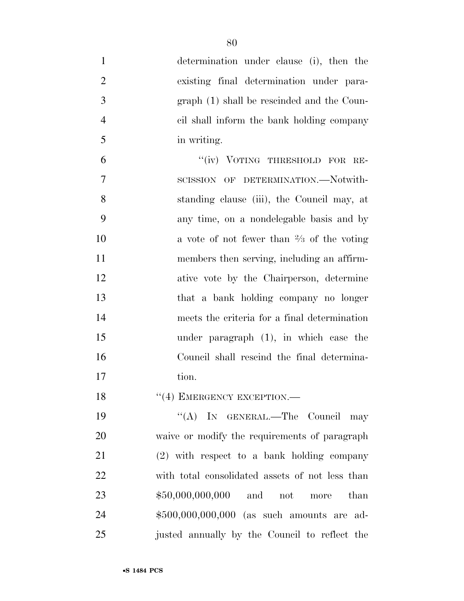| $\mathbf{1}$   | determination under clause (i), then the             |
|----------------|------------------------------------------------------|
| $\overline{2}$ | existing final determination under para-             |
| 3              | graph (1) shall be rescinded and the Coun-           |
| $\overline{4}$ | cil shall inform the bank holding company            |
| 5              | in writing.                                          |
| 6              | "(iv) VOTING THRESHOLD FOR RE-                       |
| 7              | SCISSION OF DETERMINATION.-Notwith-                  |
| 8              | standing clause (iii), the Council may, at           |
| 9              | any time, on a nondelegable basis and by             |
| 10             | a vote of not fewer than $\frac{2}{3}$ of the voting |
| 11             | members then serving, including an affirm-           |
| 12             | ative vote by the Chairperson, determine             |
| 13             | that a bank holding company no longer                |
| 14             | meets the criteria for a final determination         |
| 15             | under paragraph $(1)$ , in which case the            |
| 16             | Council shall rescind the final determina-           |
| 17             | tion.                                                |
| 18             | "(4) EMERGENCY EXCEPTION.-                           |
| 19             | "(A) IN GENERAL.—The Council may                     |
| 20             | waive or modify the requirements of paragraph        |
| 21             | $(2)$ with respect to a bank holding company         |
| 22             | with total consolidated assets of not less than      |
| 23             | $$50,000,000,000$ and not<br>than<br>$_{\rm more}$   |
| 24             | \$500,000,000,000 (as such amounts are ad-           |
| 25             | justed annually by the Council to reflect the        |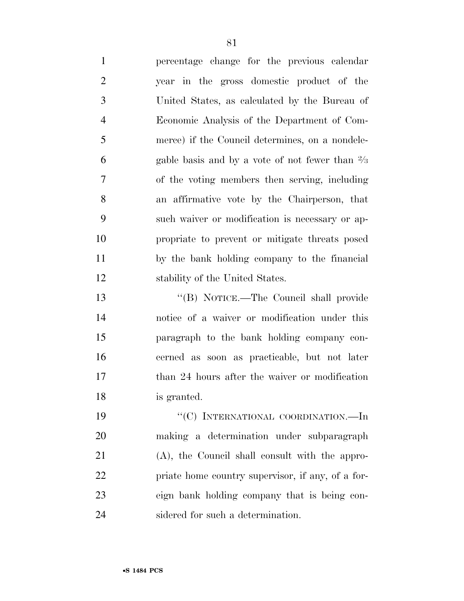percentage change for the previous calendar year in the gross domestic product of the United States, as calculated by the Bureau of Economic Analysis of the Department of Com-

 merce) if the Council determines, on a nondele-6 gable basis and by a vote of not fewer than  $\frac{2}{3}$  of the voting members then serving, including an affirmative vote by the Chairperson, that such waiver or modification is necessary or ap- propriate to prevent or mitigate threats posed by the bank holding company to the financial stability of the United States.

 ''(B) NOTICE.—The Council shall provide notice of a waiver or modification under this paragraph to the bank holding company con- cerned as soon as practicable, but not later 17 than 24 hours after the waiver or modification is granted.

19 "'(C) INTERNATIONAL COORDINATION.—In making a determination under subparagraph (A), the Council shall consult with the appro- priate home country supervisor, if any, of a for- eign bank holding company that is being con-sidered for such a determination.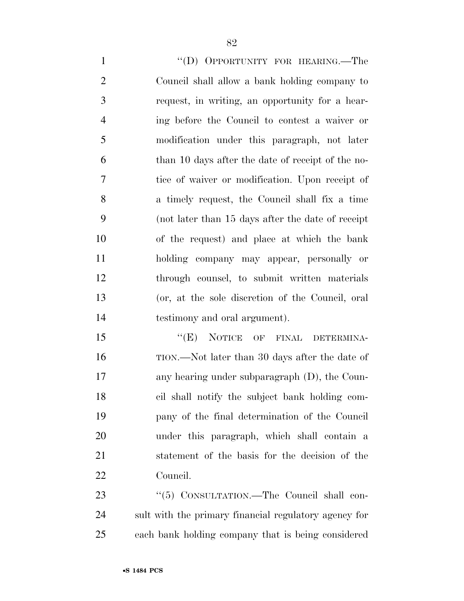1 "'(D) OPPORTUNITY FOR HEARING.—The Council shall allow a bank holding company to request, in writing, an opportunity for a hear- ing before the Council to contest a waiver or modification under this paragraph, not later than 10 days after the date of receipt of the no- tice of waiver or modification. Upon receipt of a timely request, the Council shall fix a time (not later than 15 days after the date of receipt of the request) and place at which the bank holding company may appear, personally or through counsel, to submit written materials (or, at the sole discretion of the Council, oral testimony and oral argument).

15 "(E) NOTICE OF FINAL DETERMINA- TION.—Not later than 30 days after the date of any hearing under subparagraph (D), the Coun- cil shall notify the subject bank holding com- pany of the final determination of the Council under this paragraph, which shall contain a statement of the basis for the decision of the Council.

23 "(5) CONSULTATION.—The Council shall con- sult with the primary financial regulatory agency for each bank holding company that is being considered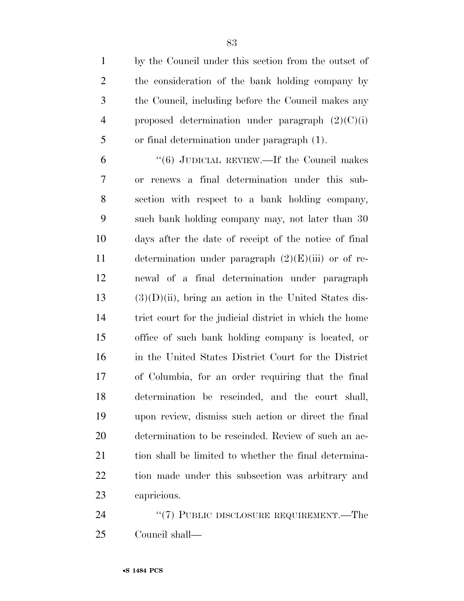by the Council under this section from the outset of the consideration of the bank holding company by the Council, including before the Council makes any 4 proposed determination under paragraph  $(2)(C)(i)$ or final determination under paragraph (1).

 ''(6) JUDICIAL REVIEW.—If the Council makes or renews a final determination under this sub- section with respect to a bank holding company, such bank holding company may, not later than 30 days after the date of receipt of the notice of final 11 determination under paragraph  $(2)(E)(iii)$  or of re- newal of a final determination under paragraph (3)(D)(ii), bring an action in the United States dis- trict court for the judicial district in which the home office of such bank holding company is located, or in the United States District Court for the District of Columbia, for an order requiring that the final determination be rescinded, and the court shall, upon review, dismiss such action or direct the final determination to be rescinded. Review of such an ac-21 tion shall be limited to whether the final determina- tion made under this subsection was arbitrary and capricious.

24 "(7) PUBLIC DISCLOSURE REQUIREMENT.—The Council shall—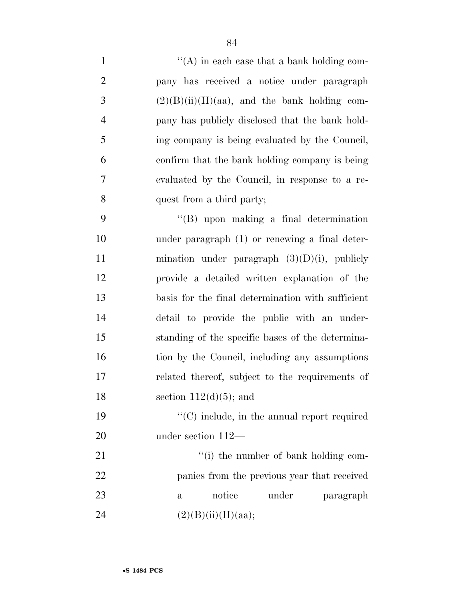| $\mathbf{1}$   | $\lq\lq$ in each case that a bank holding com-    |
|----------------|---------------------------------------------------|
| $\mathfrak{2}$ | pany has received a notice under paragraph        |
| 3              | $(2)(B)(ii)(II)(aa)$ , and the bank holding com-  |
| $\overline{4}$ | pany has publicly disclosed that the bank hold-   |
| 5              | ing company is being evaluated by the Council,    |
| 6              | confirm that the bank holding company is being    |
| $\tau$         | evaluated by the Council, in response to a re-    |
| 8              | quest from a third party;                         |
| 9              | $\lq\lq$ upon making a final determination        |
| 10             | under paragraph (1) or renewing a final deter-    |
| 11             | mination under paragraph $(3)(D)(i)$ , publicly   |
| 12             | provide a detailed written explanation of the     |
| 13             | basis for the final determination with sufficient |
| 14             | detail to provide the public with an under-       |
| 15             | standing of the specific bases of the determina-  |
| 16             | tion by the Council, including any assumptions    |
| 17             | related thereof, subject to the requirements of   |
| 18             | section $112(d)(5)$ ; and                         |
| 19             | "(C) include, in the annual report required       |
| 20             | under section $112-$                              |
| 21             | "(i) the number of bank holding com-              |
| 22             | panies from the previous year that received       |
| 23             | notice<br>under<br>paragraph<br>$\mathbf{a}$      |
| 24             | (2)(B)(ii)(II)(aa);                               |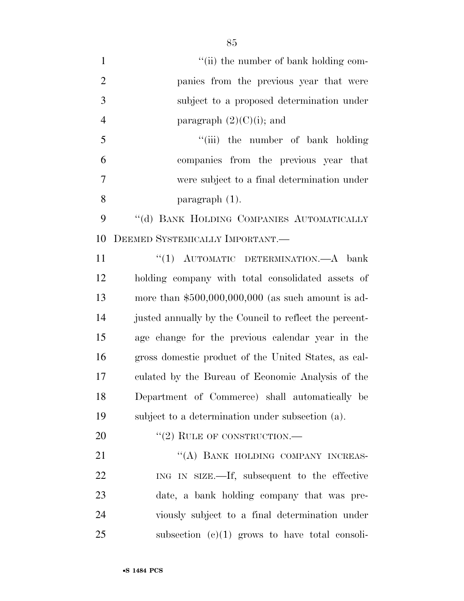- 1 ''(ii) the number of bank holding com- panies from the previous year that were subject to a proposed determination under 4 paragraph  $(2)(C)(i)$ ; and
	- 5 "(iii) the number of bank holding companies from the previous year that were subject to a final determination under paragraph (1).

9 "(d) BANK HOLDING COMPANIES AUTOMATICALLY DEEMED SYSTEMICALLY IMPORTANT.—

11 ''(1) AUTOMATIC DETERMINATION.—A bank holding company with total consolidated assets of more than \$500,000,000,000 (as such amount is ad-14 justed annually by the Council to reflect the percent- age change for the previous calendar year in the gross domestic product of the United States, as cal- culated by the Bureau of Economic Analysis of the Department of Commerce) shall automatically be subject to a determination under subsection (a).

20 "(2) RULE OF CONSTRUCTION.—

21 "(A) BANK HOLDING COMPANY INCREAS- ING IN SIZE.—If, subsequent to the effective date, a bank holding company that was pre- viously subject to a final determination under subsection  $(c)(1)$  grows to have total consoli-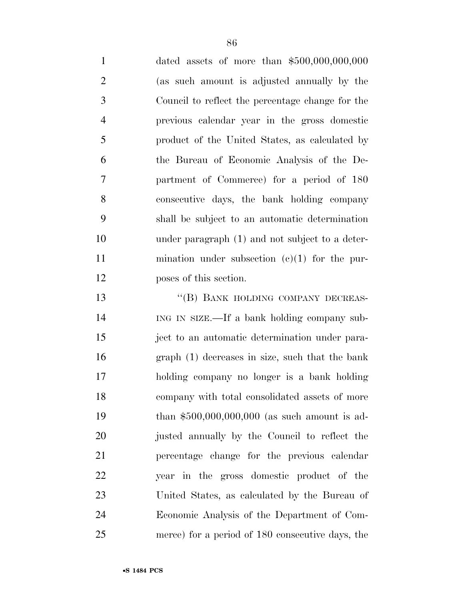| $\mathbf{1}$   | dated assets of more than $$500,000,000,000$     |
|----------------|--------------------------------------------------|
| $\overline{2}$ | (as such amount is adjusted annually by the      |
| 3              | Council to reflect the percentage change for the |
| $\overline{4}$ | previous calendar year in the gross domestic     |
| 5              | product of the United States, as calculated by   |
| 6              | the Bureau of Economic Analysis of the De-       |
| $\overline{7}$ | partment of Commerce) for a period of 180        |
| 8              | consecutive days, the bank holding company       |
| 9              | shall be subject to an automatic determination   |
| 10             | under paragraph (1) and not subject to a deter-  |
| 11             | mination under subsection $(e)(1)$ for the pur-  |
| 12             | poses of this section.                           |
| 13             | "(B) BANK HOLDING COMPANY DECREAS-               |
| 14             | ING IN SIZE.—If a bank holding company sub-      |
| 15             | ject to an automatic determination under para-   |
| 16             | graph (1) decreases in size, such that the bank  |
| 17             | holding company no longer is a bank holding      |
| 18             | company with total consolidated assets of more   |

 company with total consolidated assets of more than \$500,000,000,000 (as such amount is ad- justed annually by the Council to reflect the percentage change for the previous calendar year in the gross domestic product of the United States, as calculated by the Bureau of Economic Analysis of the Department of Com-merce) for a period of 180 consecutive days, the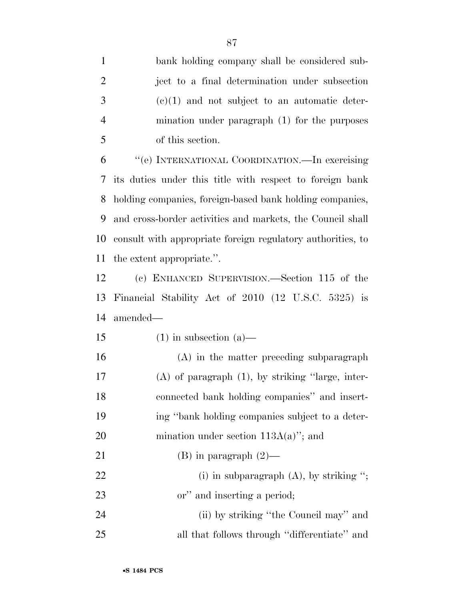bank holding company shall be considered sub-

| $\overline{2}$ | ject to a final determination under subsection              |
|----------------|-------------------------------------------------------------|
| 3              | $(e)(1)$ and not subject to an automatic deter-             |
| $\overline{4}$ | mination under paragraph (1) for the purposes               |
| 5              | of this section.                                            |
| 6              | "(e) INTERNATIONAL COORDINATION.—In exercising              |
| 7              | its duties under this title with respect to foreign bank    |
| 8              | holding companies, foreign-based bank holding companies,    |
| 9              | and cross-border activities and markets, the Council shall  |
| 10             | consult with appropriate foreign regulatory authorities, to |
| 11             | the extent appropriate.".                                   |
| 12             | (c) ENHANCED SUPERVISION.—Section 115 of the                |
| 13             | Financial Stability Act of 2010 (12 U.S.C. 5325) is         |
|                |                                                             |
| 14             | amended—                                                    |
| 15             | $(1)$ in subsection $(a)$ —                                 |
| 16             | (A) in the matter preceding subparagraph                    |
| 17             | $(A)$ of paragraph $(1)$ , by striking "large, inter-       |
| 18             | connected bank holding companies" and insert-               |
| 19             | ing "bank holding companies subject to a deter-             |
| 20             | mination under section $113A(a)$ "; and                     |
| 21             | (B) in paragraph $(2)$ —                                    |
| 22             | (i) in subparagraph $(A)$ , by striking ";                  |
| 23             | or" and inserting a period;                                 |
| 24             | (ii) by striking "the Council may" and                      |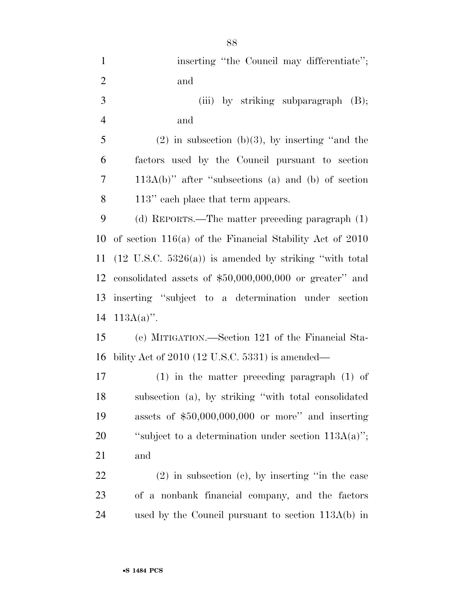| $\mathbf{1}$   | inserting "the Council may differentiate";                        |
|----------------|-------------------------------------------------------------------|
| $\overline{2}$ | and                                                               |
| 3              | (iii) by striking subparagraph $(B)$ ;                            |
| $\overline{4}$ | and                                                               |
| 5              | $(2)$ in subsection (b)(3), by inserting "and the                 |
| 6              | factors used by the Council pursuant to section                   |
| $\tau$         | $113A(b)$ " after "subsections (a) and (b) of section             |
| 8              | 113" each place that term appears.                                |
| 9              | (d) REPORTS.—The matter preceding paragraph (1)                   |
| 10             | of section $116(a)$ of the Financial Stability Act of 2010        |
| 11             | $(12 \text{ U.S.C. } 5326(a))$ is amended by striking "with total |
| 12             | consolidated assets of $$50,000,000,000$ or greater" and          |
| 13             | inserting "subject to a determination under section               |
| 14             | $113A(a)$ ".                                                      |
| 15             | (e) MITIGATION.—Section 121 of the Financial Sta-                 |
| 16             | bility Act of 2010 (12 U.S.C. 5331) is amended—                   |
| $17\,$         | $(1)$ in the matter preceding paragraph $(1)$ of                  |
| 18             | subsection (a), by striking "with total consolidated              |
| 19             | assets of $$50,000,000,000$ or more" and inserting                |
| 20             | "subject to a determination under section $113A(a)$ ";            |
| 21             | and                                                               |
| 22             | $(2)$ in subsection $(e)$ , by inserting "in the case             |
| 23             | of a nonbank financial company, and the factors                   |
| 24             |                                                                   |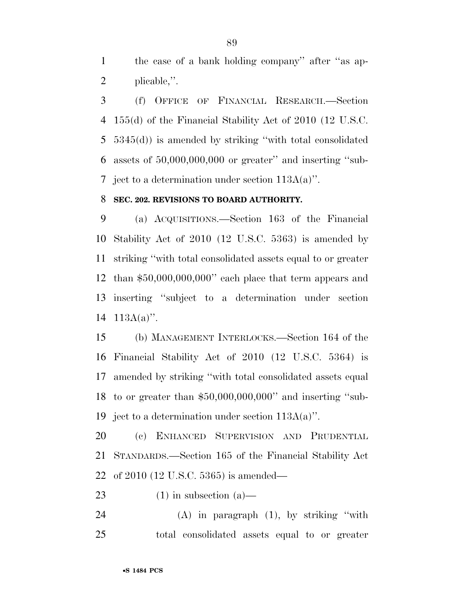the case of a bank holding company'' after ''as ap-plicable,''.

 (f) OFFICE OF FINANCIAL RESEARCH.—Section 155(d) of the Financial Stability Act of 2010 (12 U.S.C. 5345(d)) is amended by striking ''with total consolidated assets of 50,000,000,000 or greater'' and inserting ''sub-7 ject to a determination under section  $113A(a)$ ".

### **SEC. 202. REVISIONS TO BOARD AUTHORITY.**

 (a) ACQUISITIONS.—Section 163 of the Financial Stability Act of 2010 (12 U.S.C. 5363) is amended by striking ''with total consolidated assets equal to or greater than \$50,000,000,000'' each place that term appears and inserting ''subject to a determination under section 113A(a)''.

 (b) MANAGEMENT INTERLOCKS.—Section 164 of the Financial Stability Act of 2010 (12 U.S.C. 5364) is amended by striking ''with total consolidated assets equal to or greater than \$50,000,000,000'' and inserting ''sub-ject to a determination under section 113A(a)''.

 (c) ENHANCED SUPERVISION AND PRUDENTIAL STANDARDS.—Section 165 of the Financial Stability Act of 2010 (12 U.S.C. 5365) is amended—

23 (1) in subsection  $(a)$ —

 (A) in paragraph (1), by striking ''with total consolidated assets equal to or greater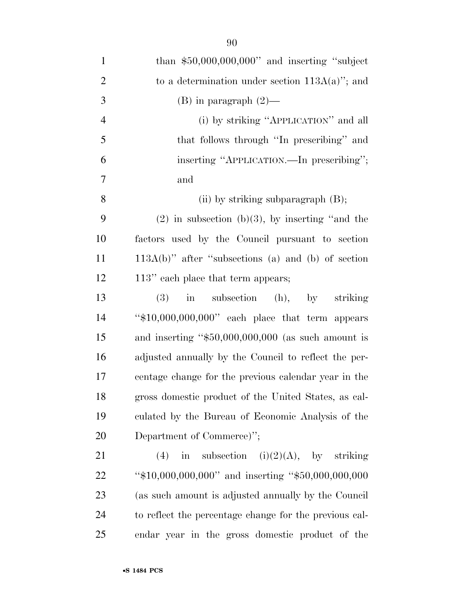| $\mathbf{1}$   | than $$50,000,000,000$ " and inserting "subject         |
|----------------|---------------------------------------------------------|
| $\overline{2}$ | to a determination under section $113A(a)$ "; and       |
| 3              | $(B)$ in paragraph $(2)$ —                              |
| $\overline{4}$ | (i) by striking "APPLICATION" and all                   |
| 5              | that follows through "In prescribing" and               |
| 6              | inserting "APPLICATION.—In prescribing";                |
| 7              | and                                                     |
| 8              | (ii) by striking subparagraph $(B)$ ;                   |
| 9              | $(2)$ in subsection (b)(3), by inserting "and the       |
| 10             | factors used by the Council pursuant to section         |
| 11             | $113A(b)$ " after "subsections (a) and (b) of section   |
| 12             | 113" each place that term appears;                      |
| 13             | in subsection (h), by striking<br>(3)                   |
| 14             | " $$10,000,000,000$ " each place that term appears      |
| 15             | and inserting " $$50,000,000,000$ (as such amount is    |
| 16             | adjusted annually by the Council to reflect the per-    |
| 17             | centage change for the previous calendar year in the    |
| 18             | gross domestic product of the United States, as cal-    |
| 19             | culated by the Bureau of Economic Analysis of the       |
| 20             | Department of Commerce)";                               |
| 21             | in subsection $(i)(2)(A)$ , by striking<br>(4)          |
| 22             | " $$10,000,000,000$ " and inserting " $$50,000,000,000$ |
| 23             | (as such amount is adjusted annually by the Council     |
| 24             | to reflect the percentage change for the previous cal-  |
| 25             | endar year in the gross domestic product of the         |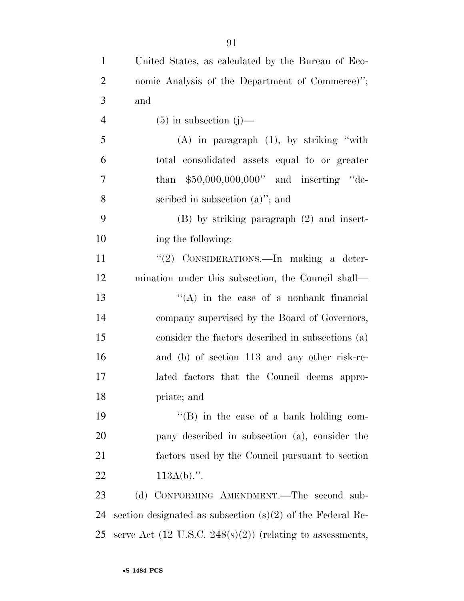| $\mathbf{1}$   | United States, as calculated by the Bureau of Eco-                          |
|----------------|-----------------------------------------------------------------------------|
| $\overline{2}$ | nomic Analysis of the Department of Commerce)";                             |
| 3              | and                                                                         |
| $\overline{4}$ | $(5)$ in subsection $(j)$ —                                                 |
| 5              | $(A)$ in paragraph $(1)$ , by striking "with                                |
| 6              | total consolidated assets equal to or greater                               |
| 7              | than $$50,000,000,000"$ and inserting "de-                                  |
| 8              | scribed in subsection $(a)$ "; and                                          |
| 9              | $(B)$ by striking paragraph $(2)$ and insert-                               |
| 10             | ing the following:                                                          |
| 11             | "(2) CONSIDERATIONS.—In making a deter-                                     |
| 12             | mination under this subsection, the Council shall—                          |
| 13             | $\lq\lq$ in the case of a nonbank financial                                 |
| 14             | company supervised by the Board of Governors,                               |
| 15             | consider the factors described in subsections (a)                           |
| 16             | and (b) of section 113 and any other risk-re-                               |
| 17             | lated factors that the Council deems appro-                                 |
| 18             | priate; and                                                                 |
| 19             | "(B) in the case of a bank holding com-                                     |
| 20             | pany described in subsection (a), consider the                              |
| 21             | factors used by the Council pursuant to section                             |
| 22             | $113A(b)$ .".                                                               |
| 23             | (d) CONFORMING AMENDMENT.—The second sub-                                   |
| 24             | section designated as subsection $(s)(2)$ of the Federal Re-                |
| 25             | serve Act $(12 \text{ U.S.C. } 248(\text{s})(2))$ (relating to assessments, |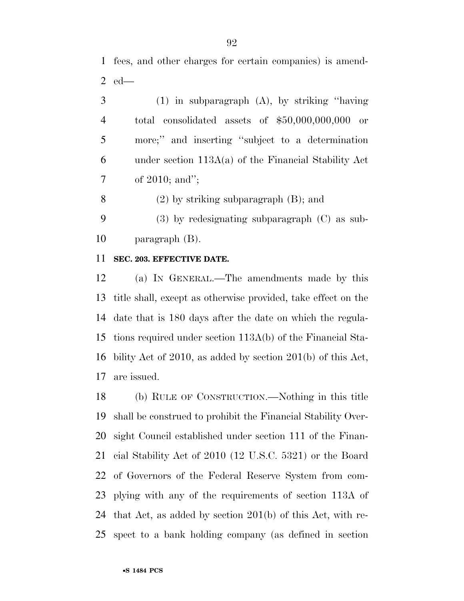fees, and other charges for certain companies) is amend-ed—

 (1) in subparagraph (A), by striking ''having total consolidated assets of \$50,000,000,000 or more;'' and inserting ''subject to a determination under section 113A(a) of the Financial Stability Act of 2010; and'';

(2) by striking subparagraph (B); and

 (3) by redesignating subparagraph (C) as sub-paragraph (B).

#### **SEC. 203. EFFECTIVE DATE.**

 (a) IN GENERAL.—The amendments made by this title shall, except as otherwise provided, take effect on the date that is 180 days after the date on which the regula- tions required under section 113A(b) of the Financial Sta- bility Act of 2010, as added by section 201(b) of this Act, are issued.

 (b) RULE OF CONSTRUCTION.—Nothing in this title shall be construed to prohibit the Financial Stability Over- sight Council established under section 111 of the Finan- cial Stability Act of 2010 (12 U.S.C. 5321) or the Board of Governors of the Federal Reserve System from com- plying with any of the requirements of section 113A of that Act, as added by section 201(b) of this Act, with re-spect to a bank holding company (as defined in section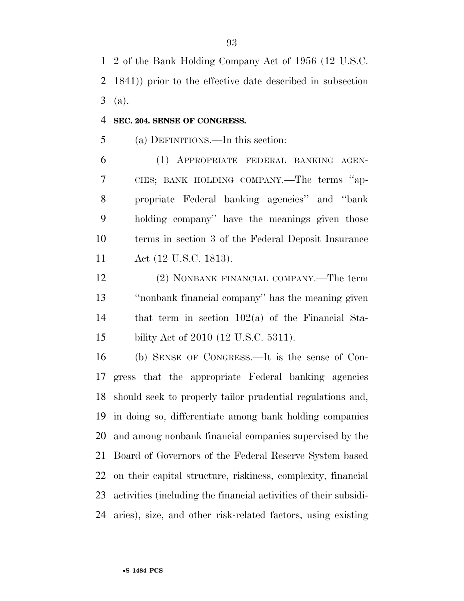2 of the Bank Holding Company Act of 1956 (12 U.S.C. 1841)) prior to the effective date described in subsection (a).

#### **SEC. 204. SENSE OF CONGRESS.**

(a) DEFINITIONS.—In this section:

 (1) APPROPRIATE FEDERAL BANKING AGEN- CIES; BANK HOLDING COMPANY.—The terms ''ap- propriate Federal banking agencies'' and ''bank holding company'' have the meanings given those terms in section 3 of the Federal Deposit Insurance Act (12 U.S.C. 1813).

 (2) NONBANK FINANCIAL COMPANY.—The term ''nonbank financial company'' has the meaning given that term in section 102(a) of the Financial Sta-bility Act of 2010 (12 U.S.C. 5311).

 (b) SENSE OF CONGRESS.—It is the sense of Con- gress that the appropriate Federal banking agencies should seek to properly tailor prudential regulations and, in doing so, differentiate among bank holding companies and among nonbank financial companies supervised by the Board of Governors of the Federal Reserve System based on their capital structure, riskiness, complexity, financial activities (including the financial activities of their subsidi-aries), size, and other risk-related factors, using existing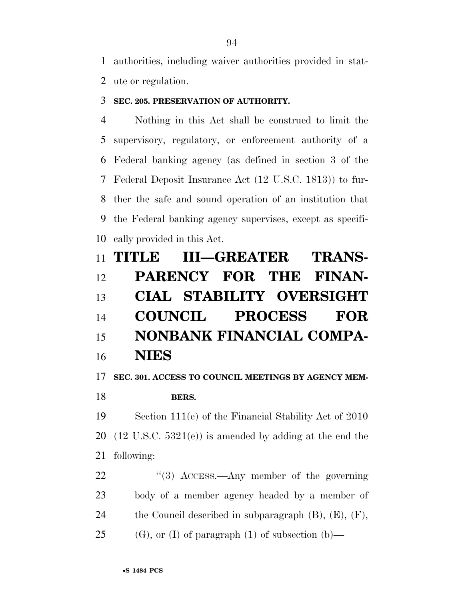authorities, including waiver authorities provided in stat-ute or regulation.

## **SEC. 205. PRESERVATION OF AUTHORITY.**

 Nothing in this Act shall be construed to limit the supervisory, regulatory, or enforcement authority of a Federal banking agency (as defined in section 3 of the Federal Deposit Insurance Act (12 U.S.C. 1813)) to fur- ther the safe and sound operation of an institution that the Federal banking agency supervises, except as specifi-cally provided in this Act.

|    | 11 TITLE III-GREATER TRANS- |                 |                                 |
|----|-----------------------------|-----------------|---------------------------------|
| 12 |                             |                 | PARENCY FOR THE FINAN-          |
| 13 |                             |                 | <b>CIAL STABILITY OVERSIGHT</b> |
| 14 |                             | COUNCIL PROCESS | <b>FOR</b>                      |
| 15 |                             |                 | NONBANK FINANCIAL COMPA-        |
| 16 | <b>NIES</b>                 |                 |                                 |

# **SEC. 301. ACCESS TO COUNCIL MEETINGS BY AGENCY MEM-**

# **BERS.**

 Section 111(e) of the Financial Stability Act of 2010 20  $(12 \text{ U.S.C. } 5321(e))$  is amended by adding at the end the following:

22 ''(3) ACCESS.—Any member of the governing body of a member agency headed by a member of the Council described in subparagraph (B), (E), (F), 25 (G), or (I) of paragraph (1) of subsection  $(b)$ —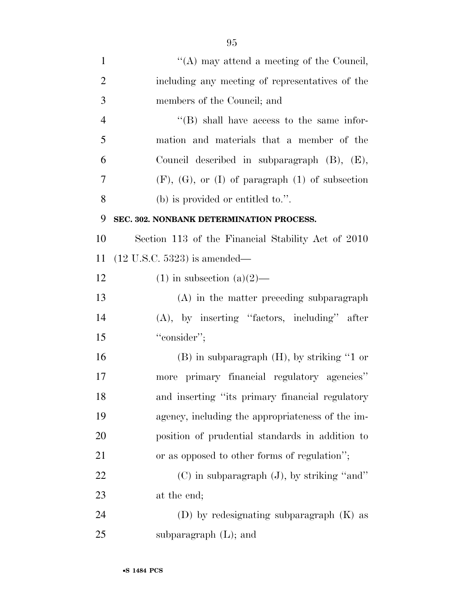| $\mathbf{1}$   | "(A) may attend a meeting of the Council,                 |
|----------------|-----------------------------------------------------------|
| $\overline{2}$ | including any meeting of representatives of the           |
| 3              | members of the Council; and                               |
| $\overline{4}$ | $\lq\lq$ (B) shall have access to the same infor-         |
| 5              | mation and materials that a member of the                 |
| 6              | Council described in subparagraph $(B)$ , $(E)$ ,         |
| 7              | $(F)$ , $(G)$ , or $(I)$ of paragraph $(1)$ of subsection |
| 8              | $(b)$ is provided or entitled to.".                       |
| 9              | SEC. 302. NONBANK DETERMINATION PROCESS.                  |
| 10             | Section 113 of the Financial Stability Act of 2010        |
| 11             | $(12 \text{ U.S.C. } 5323)$ is amended—                   |
| 12             | $(1)$ in subsection $(a)(2)$ —                            |
| 13             | (A) in the matter preceding subparagraph                  |
| 14             | $(A)$ , by inserting "factors, including" after           |
| 15             | "consider";                                               |
| 16             | $(B)$ in subparagraph $(H)$ , by striking "1 or           |
| 17             | more primary financial regulatory agencies"               |
| 18             | and inserting "its primary financial regulatory           |
| 19             | agency, including the appropriateness of the im-          |
| 20             | position of prudential standards in addition to           |
| 21             | or as opposed to other forms of regulation";              |
| 22             | $(C)$ in subparagraph $(J)$ , by striking "and"           |
| 23             | at the end;                                               |
| 24             | (D) by redesignating subparagraph $(K)$ as                |
| 25             | subparagraph $(L)$ ; and                                  |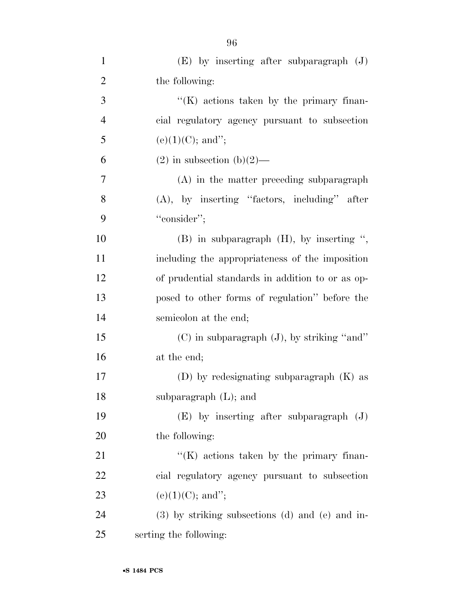| $\mathbf{1}$   | $(E)$ by inserting after subparagraph $(J)$           |
|----------------|-------------------------------------------------------|
| $\overline{2}$ | the following:                                        |
| 3              | $\lq\lq(K)$ actions taken by the primary finan-       |
| $\overline{4}$ | cial regulatory agency pursuant to subsection         |
| 5              | $(e)(1)(C)$ ; and";                                   |
| 6              | $(2)$ in subsection $(b)(2)$ —                        |
| 7              | $(A)$ in the matter preceding subparagraph            |
| 8              | $(A)$ , by inserting "factors, including" after       |
| 9              | "consider";                                           |
| 10             | $(B)$ in subparagraph $(H)$ , by inserting ",         |
| 11             | including the appropriateness of the imposition       |
| 12             | of prudential standards in addition to or as op-      |
| 13             | posed to other forms of regulation" before the        |
| 14             | semicolon at the end;                                 |
| 15             | $(C)$ in subparagraph $(J)$ , by striking "and"       |
| 16             | at the end;                                           |
| 17             | (D) by redesignating subparagraph $(K)$ as            |
| 18             | subparagraph $(L)$ ; and                              |
| 19             | $(E)$ by inserting after subparagraph $(J)$           |
| 20             | the following:                                        |
| 21             | $\lq\lq(K)$ actions taken by the primary finan-       |
| 22             | cial regulatory agency pursuant to subsection         |
| 23             | $(e)(1)(C)$ ; and";                                   |
| 24             | $(3)$ by striking subsections $(d)$ and $(e)$ and in- |
| 25             | serting the following:                                |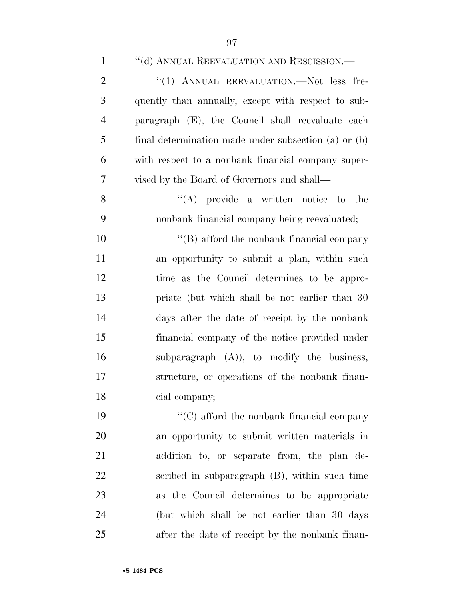| $\mathbf{1}$   | "(d) ANNUAL REEVALUATION AND RESCISSION.—            |
|----------------|------------------------------------------------------|
| $\overline{2}$ | "(1) ANNUAL REEVALUATION.—Not less fre-              |
| 3              | quently than annually, except with respect to sub-   |
| $\overline{4}$ | paragraph (E), the Council shall reevaluate each     |
| 5              | final determination made under subsection (a) or (b) |
| 6              | with respect to a nonbank financial company super-   |
| 7              | vised by the Board of Governors and shall—           |
| 8              | $\lq\lq$ provide a written notice to the             |
| 9              | nonbank financial company being reevaluated;         |
| 10             | $\lq\lq$ afford the nonbank financial company        |
| 11             | an opportunity to submit a plan, within such         |
| 12             | time as the Council determines to be appro-          |
| 13             | priate (but which shall be not earlier than 30)      |
| 14             | days after the date of receipt by the nonbank        |
| 15             | financial company of the notice provided under       |
| 16             | subparagraph $(A)$ , to modify the business,         |
| 17             | structure, or operations of the nonbank finan-       |
| 18             | cial company;                                        |
| 19             | $\cdot$ (C) afford the nonbank financial company     |
| 20             | an opportunity to submit written materials in        |
| 21             | addition to, or separate from, the plan de-          |
| 22             | scribed in subparagraph (B), within such time        |
| 23             | as the Council determines to be appropriate          |
| 24             | (but which shall be not earlier than 30 days         |
| 25             | after the date of receipt by the nonbank finan-      |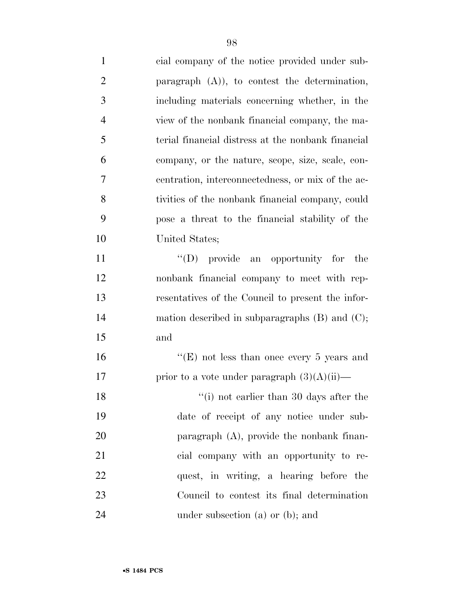| $\mathbf{1}$   | cial company of the notice provided under sub-      |
|----------------|-----------------------------------------------------|
| $\overline{2}$ | paragraph $(A)$ ), to contest the determination,    |
| 3              | including materials concerning whether, in the      |
| $\overline{4}$ | view of the nonbank financial company, the ma-      |
| 5              | terial financial distress at the nonbank financial  |
| 6              | company, or the nature, scope, size, scale, con-    |
| 7              | centration, interconnectedness, or mix of the ac-   |
| 8              | tivities of the nonbank financial company, could    |
| 9              | pose a threat to the financial stability of the     |
| 10             | United States;                                      |
| 11             | $\lq\lq$ (D) provide an opportunity for<br>the      |
| 12             | nonbank financial company to meet with rep-         |
| 13             | resentatives of the Council to present the infor-   |
| 14             | mation described in subparagraphs $(B)$ and $(C)$ ; |
| 15             | and                                                 |
| 16             | "(E) not less than once every 5 years and           |
| 17             | prior to a vote under paragraph $(3)(A)(ii)$ —      |
| 18             | "(i) not earlier than 30 days after the             |
| 19             | date of receipt of any notice under sub-            |
| 20             | paragraph $(A)$ , provide the nonbank finan-        |
| 21             | cial company with an opportunity to re-             |
| 22             | quest, in writing, a hearing before the             |
| 23             | Council to contest its final determination          |
| 24             | under subsection $(a)$ or $(b)$ ; and               |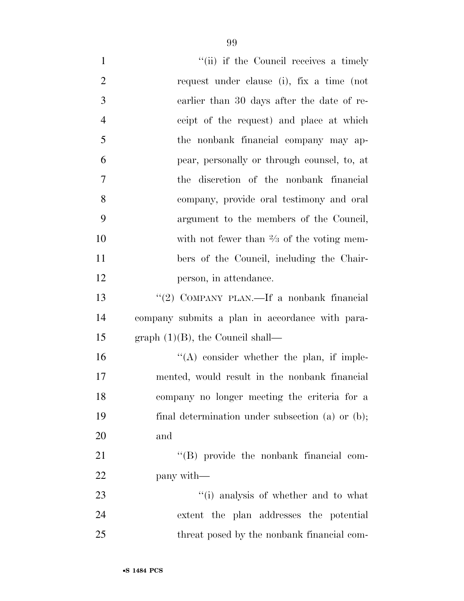| $\mathbf{1}$   | "(ii) if the Council receives a timely               |
|----------------|------------------------------------------------------|
| $\overline{2}$ | request under clause (i), fix a time (not            |
| 3              | earlier than 30 days after the date of re-           |
| $\overline{4}$ | ceipt of the request) and place at which             |
| 5              | the nonbank financial company may ap-                |
| 6              | pear, personally or through counsel, to, at          |
| 7              | the discretion of the nonbank financial              |
| 8              | company, provide oral testimony and oral             |
| 9              | argument to the members of the Council,              |
| 10             | with not fewer than $\frac{2}{3}$ of the voting mem- |
| 11             | bers of the Council, including the Chair-            |
| 12             | person, in attendance.                               |
| 13             | "(2) COMPANY PLAN.—If a nonbank financial            |
| 14             | company submits a plan in accordance with para-      |
| 15             | graph $(1)(B)$ , the Council shall—                  |
| 16             | $\lq\lq$ consider whether the plan, if imple-        |
| 17             | mented, would result in the nonbank financial        |
| 18             | company no longer meeting the criteria for a         |
| 19             | final determination under subsection (a) or (b);     |
| 20             | and                                                  |
| 21             | "(B) provide the nonbank financial com-              |
| 22             | pany with—                                           |
| 23             | "(i) analysis of whether and to what                 |
| 24             | extent the plan addresses the potential              |
| 25             | threat posed by the nonbank financial com-           |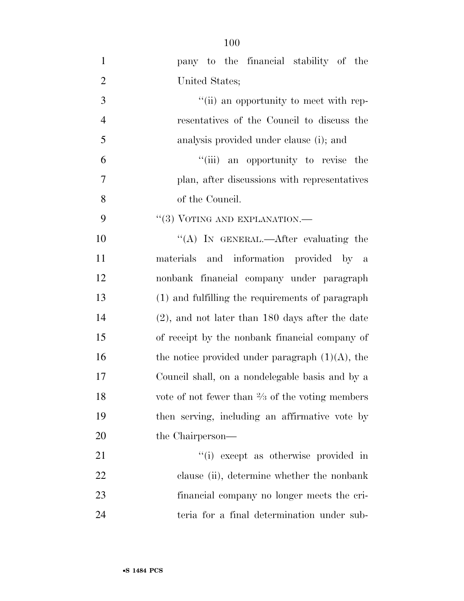| $\mathbf{1}$   | pany to the financial stability of the                     |
|----------------|------------------------------------------------------------|
| $\overline{2}$ | United States;                                             |
| 3              | "(ii) an opportunity to meet with rep-                     |
| $\overline{4}$ | resentatives of the Council to discuss the                 |
| 5              | analysis provided under clause (i); and                    |
| 6              | "(iii) an opportunity to revise the                        |
| 7              | plan, after discussions with representatives               |
| 8              | of the Council.                                            |
| 9              | $``(3)$ VOTING AND EXPLANATION.—                           |
| 10             | "(A) IN GENERAL.—After evaluating the                      |
| 11             | materials and information provided by a                    |
| 12             | nonbank financial company under paragraph                  |
| 13             | (1) and fulfilling the requirements of paragraph           |
| 14             | $(2)$ , and not later than 180 days after the date         |
| 15             | of receipt by the nonbank financial company of             |
| 16             | the notice provided under paragraph $(1)(A)$ , the         |
| 17             | Council shall, on a nondelegable basis and by a            |
| 18             | vote of not fewer than $\frac{2}{3}$ of the voting members |
| 19             | then serving, including an affirmative vote by             |
| 20             | the Chairperson—                                           |
| 21             | "(i) except as otherwise provided in                       |
| 22             | clause (ii), determine whether the nonbank                 |
| 23             | financial company no longer meets the cri-                 |
| 24             | teria for a final determination under sub-                 |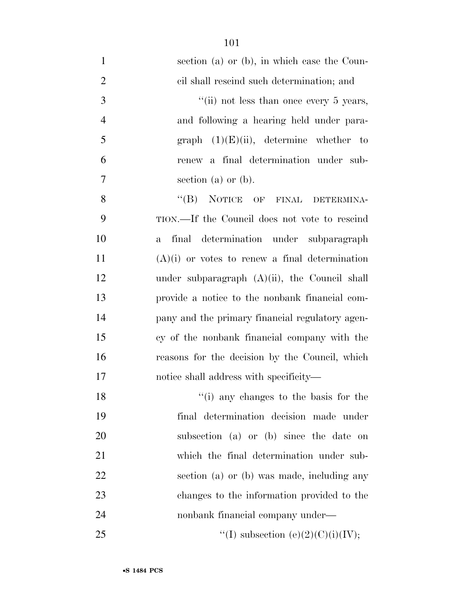| $\mathbf{1}$   | section (a) or (b), in which case the Coun-               |
|----------------|-----------------------------------------------------------|
| $\overline{2}$ | cil shall rescind such determination; and                 |
| 3              | "(ii) not less than once every $5$ years,                 |
| $\overline{4}$ | and following a hearing held under para-                  |
| 5              | graph $(1)(E)(ii)$ , determine whether to                 |
| 6              | renew a final determination under sub-                    |
| $\overline{7}$ | section (a) or $(b)$ .                                    |
| 8              | "(B) NOTICE OF FINAL DETERMINA-                           |
| 9              | TION.—If the Council does not vote to rescind             |
| 10             | determination under subparagraph<br>final<br>$\mathbf{a}$ |
| 11             | $(A)(i)$ or votes to renew a final determination          |
| 12             | under subparagraph $(A)(ii)$ , the Council shall          |
| 13             | provide a notice to the nonbank financial com-            |
| 14             | pany and the primary financial regulatory agen-           |
| 15             | cy of the nonbank financial company with the              |
| 16             | reasons for the decision by the Council, which            |
| 17             | notice shall address with specificity—                    |
| 18             | "(i) any changes to the basis for the                     |
| 19             | final determination decision made under                   |
| 20             | subsection (a) or (b) since the date on                   |
| 21             | which the final determination under sub-                  |
| 22             | section (a) or (b) was made, including any                |
| 23             | changes to the information provided to the                |
| 24             | nonbank financial company under—                          |
| 25             | "(I) subsection (e)(2)(C)(i)(IV);                         |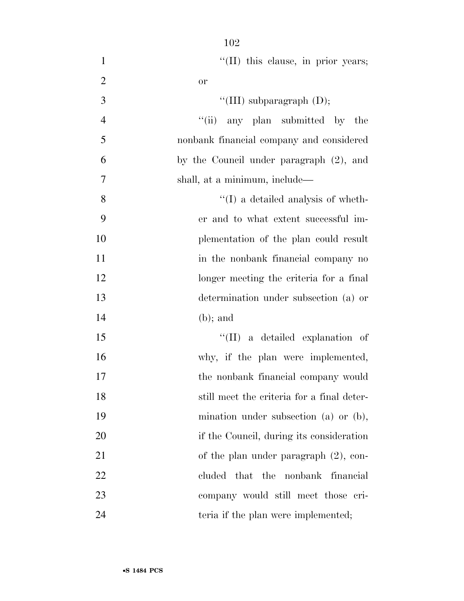| $\mathbf{1}$   | "(II) this clause, in prior years;         |
|----------------|--------------------------------------------|
| $\overline{2}$ | <b>or</b>                                  |
| 3              | "(III) subparagraph $(D)$ ;                |
| $\overline{4}$ | "(ii) any plan submitted by the            |
| 5              | nonbank financial company and considered   |
| 6              | by the Council under paragraph (2), and    |
| 7              | shall, at a minimum, include—              |
| 8              | $\lq\lq$ (I) a detailed analysis of wheth- |
| 9              | er and to what extent successful im-       |
| 10             | plementation of the plan could result      |
| 11             | in the nonbank financial company no        |
| 12             | longer meeting the criteria for a final    |
| 13             | determination under subsection (a) or      |
| 14             | $(b)$ ; and                                |
| 15             | $\lq\lq$ (II) a detailed explanation of    |
| 16             | why, if the plan were implemented,         |
| 17             | the nonbank financial company would        |
| 18             | still meet the criteria for a final deter- |
| 19             | mination under subsection (a) or $(b)$ ,   |
| 20             | if the Council, during its consideration   |
| 21             | of the plan under paragraph $(2)$ , con-   |
| 22             | cluded<br>that the nonbank<br>financial    |
| 23             | company would still meet those cri-        |
| 24             | teria if the plan were implemented;        |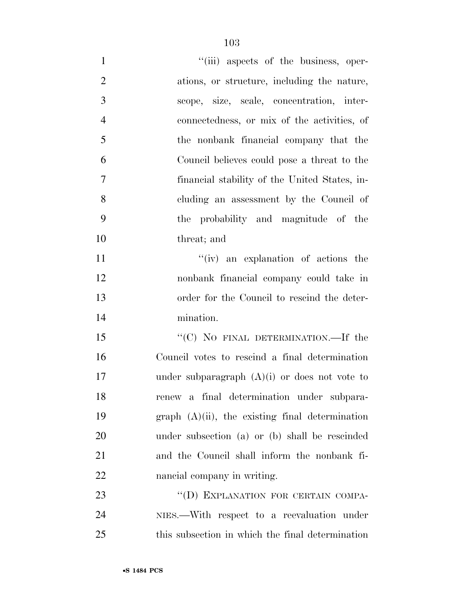| $\mathbf{1}$   | "(iii) aspects of the business, oper-              |
|----------------|----------------------------------------------------|
| $\overline{2}$ | ations, or structure, including the nature,        |
| 3              | scope, size, scale, concentration, inter-          |
| $\overline{4}$ | connectedness, or mix of the activities, of        |
| 5              | the nonbank financial company that the             |
| 6              | Council believes could pose a threat to the        |
| $\overline{7}$ | financial stability of the United States, in-      |
| 8              | cluding an assessment by the Council of            |
| 9              | the probability and magnitude of the               |
| 10             | threat; and                                        |
| 11             | "(iv) an explanation of actions the                |
| 12             | nonbank financial company could take in            |
| 13             | order for the Council to rescind the deter-        |
| 14             | mination.                                          |
| 15             | "(C) NO FINAL DETERMINATION.—If the                |
| 16             | Council votes to rescind a final determination     |
| 17             | under subparagraph $(A)(i)$ or does not vote to    |
| 18             | renew a final determination under subpara-         |
| 19             | graph $(A)(ii)$ , the existing final determination |
| 20             | under subsection (a) or (b) shall be rescinded     |
| 21             | and the Council shall inform the nonbank fi-       |
| 22             | nancial company in writing.                        |
| 23             | "(D) EXPLANATION FOR CERTAIN COMPA-                |
| 24             | NIES.—With respect to a reevaluation under         |
| 25             | this subsection in which the final determination   |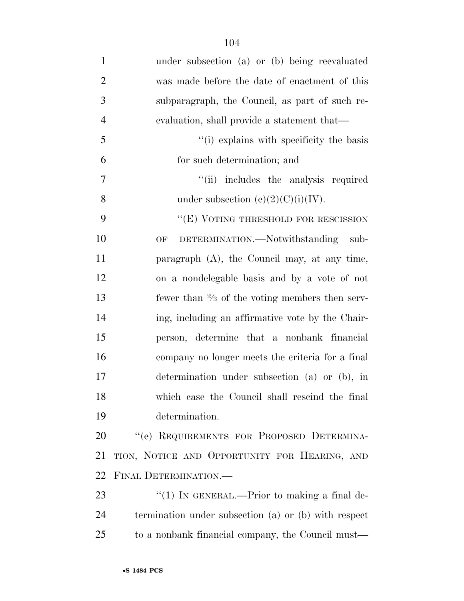| $\mathbf{1}$   | under subsection (a) or (b) being reevaluated             |
|----------------|-----------------------------------------------------------|
| $\overline{2}$ | was made before the date of enactment of this             |
| 3              | subparagraph, the Council, as part of such re-            |
| $\overline{4}$ | evaluation, shall provide a statement that—               |
| 5              | "(i) explains with specificity the basis                  |
| 6              | for such determination; and                               |
| $\overline{7}$ | "(ii) includes the analysis required                      |
| 8              | under subsection (e)(2)(C)(i)(IV).                        |
| 9              | "(E) VOTING THRESHOLD FOR RESCISSION                      |
| 10             | DETERMINATION.—Notwithstanding sub-<br>OF                 |
| 11             | paragraph $(A)$ , the Council may, at any time,           |
| 12             | on a nondelegable basis and by a vote of not              |
| 13             | fewer than $\frac{2}{3}$ of the voting members then serv- |
| 14             | ing, including an affirmative vote by the Chair-          |
| 15             | person, determine that a nonbank financial                |
| 16             | company no longer meets the criteria for a final          |
| 17             | determination under subsection (a) or (b), in             |
| 18             | which case the Council shall rescind the final            |
| 19             | determination.                                            |
| 20             | "(e) REQUIREMENTS FOR PROPOSED DETERMINA-                 |
| 21             | TION, NOTICE AND OPPORTUNITY FOR HEARING, AND             |
| 22             | FINAL DETERMINATION.-                                     |
| 23             | "(1) IN GENERAL.—Prior to making a final de-              |
| 24             | termination under subsection (a) or (b) with respect      |
| 25             | to a nonbank financial company, the Council must—         |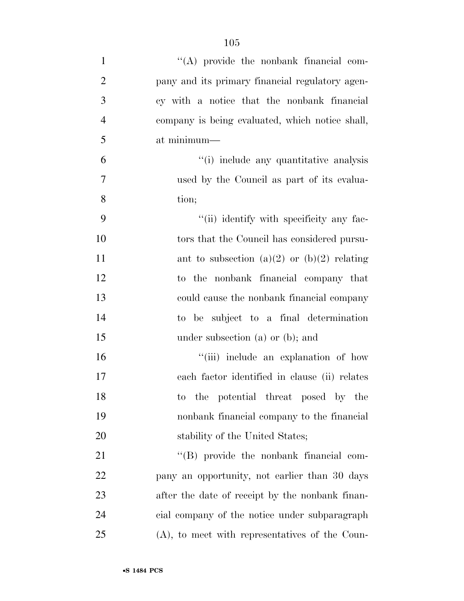| $\mathbf{1}$   | "(A) provide the nonbank financial com-           |
|----------------|---------------------------------------------------|
| $\overline{2}$ | pany and its primary financial regulatory agen-   |
| 3              | cy with a notice that the nonbank financial       |
| $\overline{4}$ | company is being evaluated, which notice shall,   |
| 5              | at minimum—                                       |
| 6              | "(i) include any quantitative analysis            |
| 7              | used by the Council as part of its evalua-        |
| 8              | tion;                                             |
| 9              | "(ii) identify with specificity any fac-          |
| 10             | tors that the Council has considered pursu-       |
| 11             | ant to subsection (a)(2) or (b)(2) relating       |
| 12             | to the nonbank financial company that             |
| 13             | could cause the nonbank financial company         |
| 14             | to be subject to a final determination            |
| 15             | under subsection $(a)$ or $(b)$ ; and             |
| 16             | "(iii) include an explanation of how              |
| 17             | each factor identified in clause (ii) relates     |
| 18             | the potential threat posed by the<br>$\rm{to}$    |
| 19             | nonbank financial company to the financial        |
| 20             | stability of the United States;                   |
| 21             | "(B) provide the nonbank financial com-           |
| 22             | pany an opportunity, not earlier than 30 days     |
| 23             | after the date of receipt by the nonbank finan-   |
| 24             | cial company of the notice under subparagraph     |
| 25             | $(A)$ , to meet with representatives of the Coun- |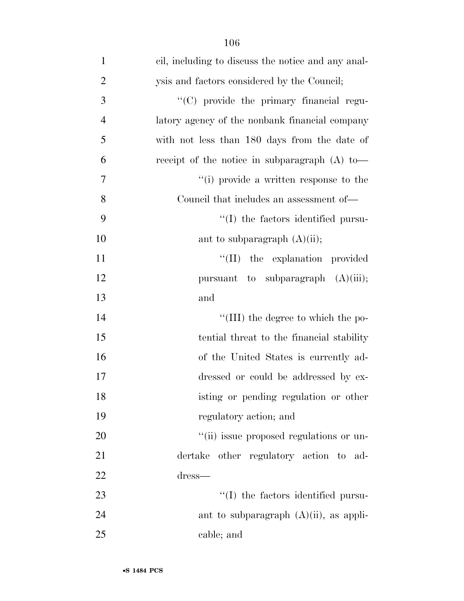| $\mathbf{1}$   | cil, including to discuss the notice and any anal- |
|----------------|----------------------------------------------------|
| $\overline{2}$ | ysis and factors considered by the Council;        |
| 3              | "(C) provide the primary financial regu-           |
| $\overline{4}$ | latory agency of the nonbank financial company     |
| 5              | with not less than 180 days from the date of       |
| 6              | receipt of the notice in subparagraph $(A)$ to —   |
| 7              | "(i) provide a written response to the             |
| 8              | Council that includes an assessment of—            |
| 9              | "(I) the factors identified pursu-                 |
| 10             | ant to subparagraph $(A)(ii)$ ;                    |
| 11             | "(II) the explanation provided                     |
| 12             | pursuant to subparagraph $(A)(iii)$ ;              |
| 13             | and                                                |
| 14             | "(III) the degree to which the po-                 |
| 15             | tential threat to the financial stability          |
| 16             | of the United States is currently ad-              |
| 17             | dressed or could be addressed by ex-               |
| 18             | isting or pending regulation or other              |
| 19             | regulatory action; and                             |
| 20             | "(ii) issue proposed regulations or un-            |
| 21             | dertake other regulatory action to ad-             |
| 22             | dress—                                             |
| 23             | "(I) the factors identified pursu-                 |
| 24             | ant to subparagraph $(A)(ii)$ , as appli-          |
| 25             | cable; and                                         |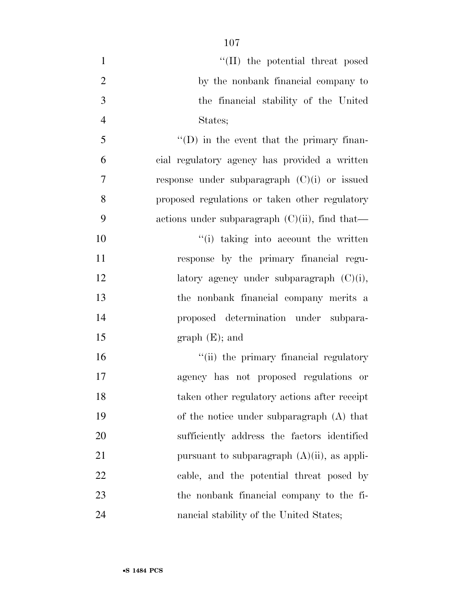| $\mathbf{1}$   | "(II) the potential threat posed                  |
|----------------|---------------------------------------------------|
| 2              | by the nonbank financial company to               |
| 3              | the financial stability of the United             |
| $\overline{4}$ | States;                                           |
| 5              | $\lq\lq$ (D) in the event that the primary finan- |
| 6              | cial regulatory agency has provided a written     |
| $\overline{7}$ | response under subparagraph $(C)(i)$ or issued    |
| 8              | proposed regulations or taken other regulatory    |
| 9              | actions under subparagraph $(C)(ii)$ , find that— |
| 10             | "(i) taking into account the written              |
| 11             | response by the primary financial regu-           |
| 12             | latory agency under subparagraph $(C)(i)$ ,       |
| 13             | the nonbank financial company merits a            |
| 14             | proposed determination under subpara-             |
| 15             | $graph(E);$ and                                   |
| 16             | "(ii) the primary financial regulatory            |
| 17             | agency has not proposed regulations or            |
| 18             | taken other regulatory actions after receipt      |
| 19             | of the notice under subparagraph (A) that         |
| 20             | sufficiently address the factors identified       |
| 21             | pursuant to subparagraph $(A)(ii)$ , as appli-    |
| 22             | cable, and the potential threat posed by          |
| 23             | the nonbank financial company to the fi-          |
| 24             | nancial stability of the United States;           |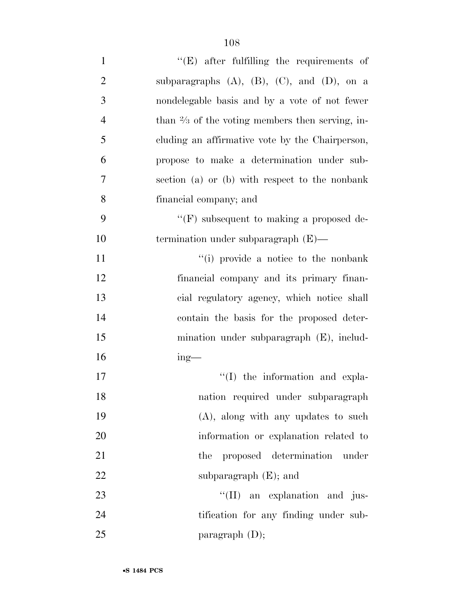| $\mathbf{1}$     | $\lq\lq$ (E) after fulfilling the requirements of          |
|------------------|------------------------------------------------------------|
| $\mathbf{2}$     | subparagraphs $(A)$ , $(B)$ , $(C)$ , and $(D)$ , on a     |
| 3                | nondelegable basis and by a vote of not fewer              |
| $\overline{4}$   | than $\frac{2}{3}$ of the voting members then serving, in- |
| 5                | cluding an affirmative vote by the Chairperson,            |
| 6                | propose to make a determination under sub-                 |
| $\boldsymbol{7}$ | section (a) or (b) with respect to the nonbank             |
| 8                | financial company; and                                     |
| 9                | $\lq\lq(F)$ subsequent to making a proposed de-            |
| 10               | termination under subparagraph $(E)$ —                     |
| 11               | "(i) provide a notice to the nonbank                       |
| 12               | financial company and its primary finan-                   |
| 13               | cial regulatory agency, which notice shall                 |
| 14               | contain the basis for the proposed deter-                  |
| 15               | mination under subparagraph (E), includ-                   |
| 16               | $ing$ —                                                    |
| 17               | $\lq\lq$ the information and expla-                        |
| 18               | nation required under subparagraph                         |
| 19               | $(A)$ , along with any updates to such                     |
| 20               | information or explanation related to                      |
| 21               | proposed determination<br>the<br>under                     |
| 22               | subparagraph $(E)$ ; and                                   |
| 23               | "(II) an explanation and jus-                              |
| 24               | tification for any finding under sub-                      |
| 25               | paragraph $(D)$ ;                                          |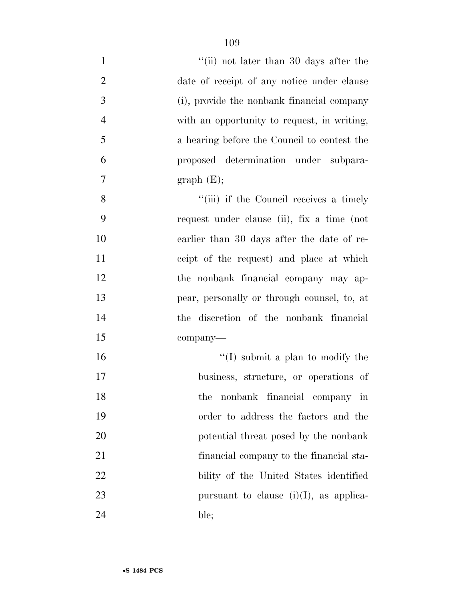| $\mathbf{1}$   | "(ii) not later than 30 days after the      |
|----------------|---------------------------------------------|
| $\overline{2}$ | date of receipt of any notice under clause  |
| 3              | (i), provide the nonbank financial company  |
| $\overline{4}$ | with an opportunity to request, in writing, |
| 5              | a hearing before the Council to contest the |
| 6              | proposed determination under subpara-       |
| $\tau$         | graph(E);                                   |
| 8              | "(iii) if the Council receives a timely     |
| 9              | request under clause (ii), fix a time (not  |
| 10             | earlier than 30 days after the date of re-  |
| 11             | ceipt of the request) and place at which    |
| 12             | the nonbank financial company may ap-       |
| 13             | pear, personally or through counsel, to, at |
| 14             | the discretion of the nonbank financial     |
| 15             | company-                                    |
| 16             | $\lq\lq$ (I) submit a plan to modify the    |
| 17             | business, structure, or operations of       |
| 18             | nonbank financial company in<br>the         |
| 19             | order to address the factors and the        |
| 20             | potential threat posed by the nonbank       |
| 21             | financial company to the financial sta-     |
| 22             | bility of the United States identified      |
| 23             | pursuant to clause $(i)(I)$ , as applica-   |
| 24             | ble;                                        |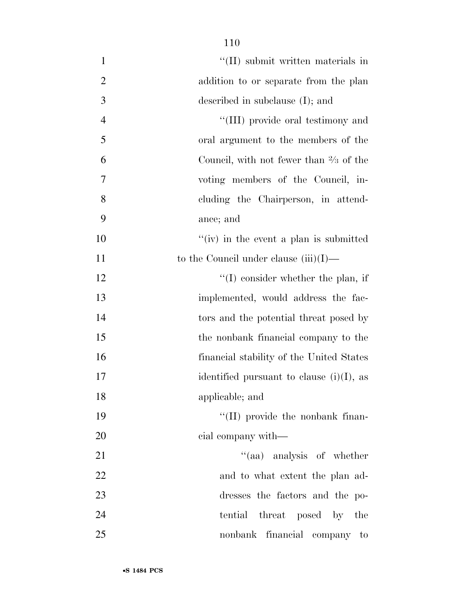| $\mathbf{1}$   | "(II) submit written materials in                 |
|----------------|---------------------------------------------------|
| $\overline{2}$ | addition to or separate from the plan             |
| 3              | described in subclause $(I)$ ; and                |
| $\overline{4}$ | "(III) provide oral testimony and                 |
| 5              | oral argument to the members of the               |
| 6              | Council, with not fewer than $\frac{2}{3}$ of the |
| 7              | voting members of the Council, in-                |
| 8              | cluding the Chairperson, in attend-               |
| 9              | ance; and                                         |
| 10             | "(iv) in the event a plan is submitted            |
| 11             | to the Council under clause $(iii)(I)$ —          |
| 12             | $\lq\lq$ consider whether the plan, if            |
| 13             | implemented, would address the fac-               |
| 14             | tors and the potential threat posed by            |
| 15             | the nonbank financial company to the              |
| 16             | financial stability of the United States          |
| 17             | identified pursuant to clause $(i)(I)$ , as       |
| 18             | applicable; and                                   |
| 19             | "(II) provide the nonbank finan-                  |
| 20             | cial company with—                                |
| 21             | "(aa) analysis of whether                         |
| 22             | and to what extent the plan ad-                   |
| 23             | dresses the factors and the po-                   |
| 24             | tential threat posed by the                       |
| 25             | nonbank financial company to                      |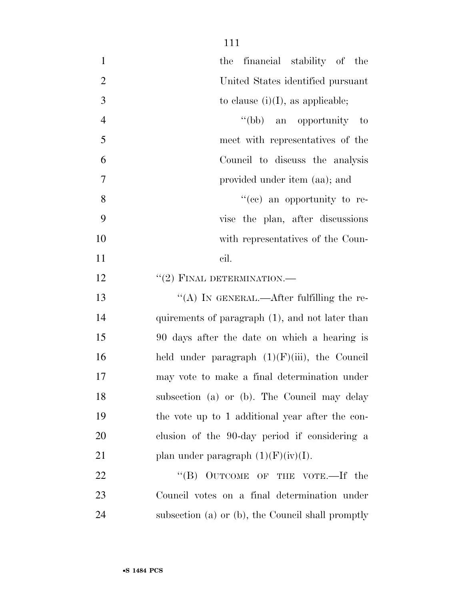| $\mathbf{1}$   | the financial stability of the                    |
|----------------|---------------------------------------------------|
| $\overline{2}$ | United States identified pursuant                 |
| 3              | to clause $(i)(I)$ , as applicable;               |
| $\overline{4}$ | "(bb) an opportunity to                           |
| 5              | meet with representatives of the                  |
| 6              | Council to discuss the analysis                   |
| $\overline{7}$ | provided under item (aa); and                     |
| 8              | "(ce) an opportunity to re-                       |
| 9              | vise the plan, after discussions                  |
| 10             | with representatives of the Coun-                 |
| 11             | cil.                                              |
| 12             | $``(2)$ FINAL DETERMINATION.—                     |
| 13             | "(A) IN GENERAL.—After fulfilling the re-         |
| 14             | quirements of paragraph (1), and not later than   |
| 15             | 90 days after the date on which a hearing is      |
| 16             | held under paragraph $(1)(F)(iii)$ , the Council  |
| 17             | may vote to make a final determination under      |
| 18             | subsection (a) or (b). The Council may delay      |
| 19             | the vote up to 1 additional year after the con-   |
| 20             | clusion of the 90-day period if considering a     |
| 21             | plan under paragraph $(1)(F)(iv)(I)$ .            |
| 22             | "(B) OUTCOME OF THE VOTE.—If the                  |
| 23             | Council votes on a final determination under      |
| 24             | subsection (a) or (b), the Council shall promptly |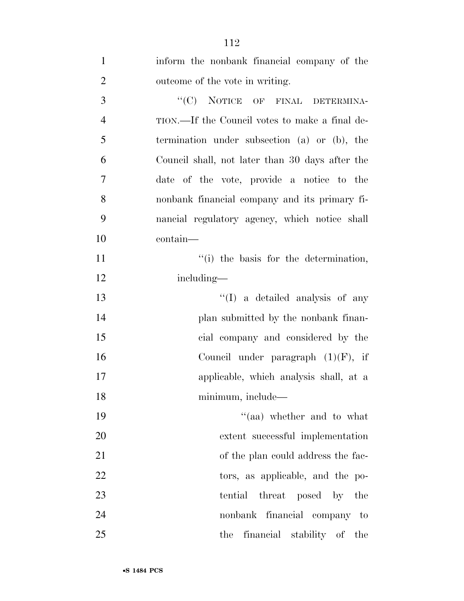| $\mathbf{1}$   | inform the nonbank financial company of the     |
|----------------|-------------------------------------------------|
| $\overline{2}$ | outcome of the vote in writing.                 |
| 3              | "(C) NOTICE OF FINAL DETERMINA-                 |
| $\overline{4}$ | TION.—If the Council votes to make a final de-  |
| 5              | termination under subsection (a) or (b), the    |
| 6              | Council shall, not later than 30 days after the |
| $\tau$         | date of the vote, provide a notice to the       |
| 8              | nonbank financial company and its primary fi-   |
| 9              | nancial regulatory agency, which notice shall   |
| 10             | contain-                                        |
| 11             | "(i) the basis for the determination,           |
| 12             | including—                                      |
| 13             | "(I) a detailed analysis of any                 |
| 14             | plan submitted by the nonbank finan-            |
| 15             | cial company and considered by the              |
| 16             | Council under paragraph $(1)(F)$ , if           |
| 17             | applicable, which analysis shall, at a          |
| 18             | minimum, include—                               |
| 19             | "(aa) whether and to what                       |
| 20             | extent successful implementation                |
| 21             | of the plan could address the fac-              |
| 22             | tors, as applicable, and the po-                |
| 23             | tential threat posed by the                     |
| 24             | nonbank financial company to                    |
| 25             | the financial stability of the                  |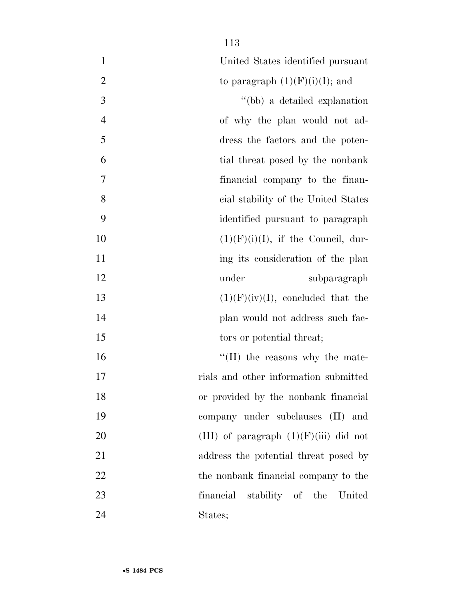| $\mathbf{1}$   | United States identified pursuant        |
|----------------|------------------------------------------|
| $\overline{2}$ | to paragraph $(1)(F)(i)(I)$ ; and        |
| 3              | "(bb) a detailed explanation             |
| $\overline{4}$ | of why the plan would not ad-            |
| 5              | dress the factors and the poten-         |
| 6              | tial threat posed by the nonbank         |
| 7              | financial company to the finan-          |
| 8              | cial stability of the United States      |
| 9              | identified pursuant to paragraph         |
| 10             | $(1)(F)(i)(I)$ , if the Council, dur-    |
| 11             | ing its consideration of the plan        |
| 12             | under<br>subparagraph                    |
| 13             | $(1)(F)(iv)(I)$ , concluded that the     |
| 14             | plan would not address such fac-         |
| 15             | tors or potential threat;                |
| 16             | $\lq\lq$ (II) the reasons why the mate-  |
| 17             | rials and other information submitted    |
| 18             | or provided by the nonbank financial     |
| 19             | company under subclauses (II) and        |
| 20             | (III) of paragraph $(1)(F)(iii)$ did not |
| 21             | address the potential threat posed by    |
| 22             | the nonbank financial company to the     |
| 23             | financial stability of the United        |
| 24             | States;                                  |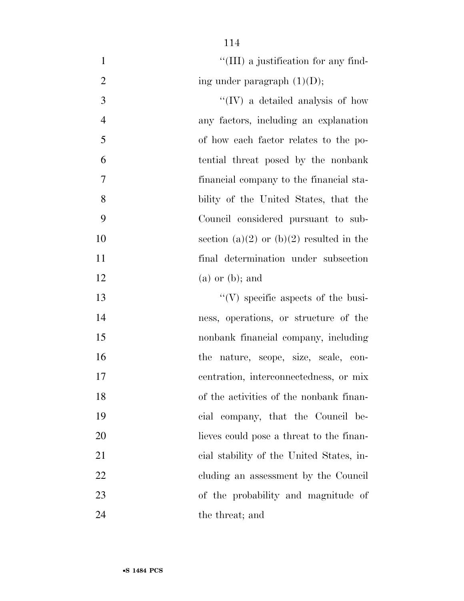| $\mathbf{1}$   | "(III) a justification for any find-       |
|----------------|--------------------------------------------|
| $\overline{2}$ | ing under paragraph $(1)(D)$ ;             |
| 3              | $\lq\lq$ (IV) a detailed analysis of how   |
| $\overline{4}$ | any factors, including an explanation      |
| 5              | of how each factor relates to the po-      |
| 6              | tential threat posed by the nonbank        |
| 7              | financial company to the financial sta-    |
| 8              | bility of the United States, that the      |
| 9              | Council considered pursuant to sub-        |
| 10             | section (a)(2) or (b)(2) resulted in the   |
| 11             | final determination under subsection       |
| 12             | $(a)$ or $(b)$ ; and                       |
| 13             | $\lq\lq$ (V) specific aspects of the busi- |
| 14             | ness, operations, or structure of the      |
| 15             | nonbank financial company, including       |
| 16             | the nature, scope, size, scale, con-       |
| 17             | centration, interconnectedness, or mix     |
| 18             | of the activities of the nonbank finan-    |
| 19             | cial company, that the Council be-         |
| 20             | lieves could pose a threat to the finan-   |
| 21             | cial stability of the United States, in-   |
| 22             | cluding an assessment by the Council       |
| 23             | of the probability and magnitude of        |
| 24             | the threat; and                            |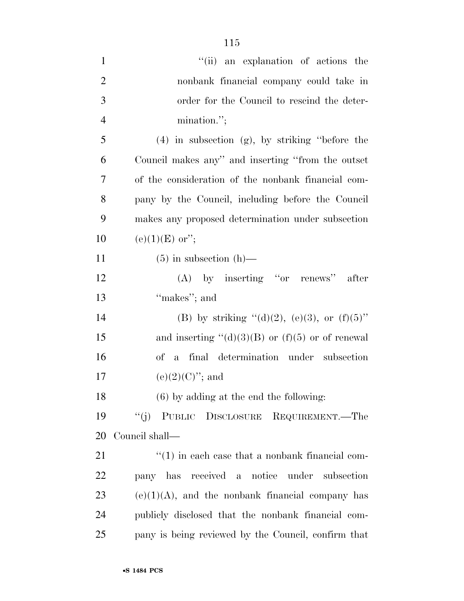| $\mathbf{1}$   | "(ii) an explanation of actions the                   |
|----------------|-------------------------------------------------------|
| $\overline{2}$ | nonbank financial company could take in               |
| 3              | order for the Council to rescind the deter-           |
| $\overline{4}$ | mination.";                                           |
| 5              | $(4)$ in subsection $(g)$ , by striking "before the   |
| 6              | Council makes any" and inserting "from the outset     |
| 7              | of the consideration of the nonbank financial com-    |
| 8              | pany by the Council, including before the Council     |
| 9              | makes any proposed determination under subsection     |
| 10             | $(e)(1)(E)$ or";                                      |
| 11             | $(5)$ in subsection $(h)$ —                           |
| 12             | $(A)$ by inserting "or renews" after                  |
| 13             | "makes"; and                                          |
| 14             | (B) by striking "(d)(2), (e)(3), or (f)(5)"           |
| 15             | and inserting " $(d)(3)(B)$ or $(f)(5)$ or of renewal |
| 16             | of a final determination under subsection             |
| 17             | $(e)(2)(C)$ "; and                                    |
| 18             | $(6)$ by adding at the end the following:             |
| 19             | "(j) PUBLIC DISCLOSURE REQUIREMENT.—The               |
| 20             | Council shall—                                        |
| 21             | $\lq(1)$ in each case that a nonbank financial com-   |
| 22             | pany has received a notice under<br>subsection        |
| 23             | $(e)(1)(A)$ , and the nonbank financial company has   |
| 24             | publicly disclosed that the nonbank financial com-    |
| 25             | pany is being reviewed by the Council, confirm that   |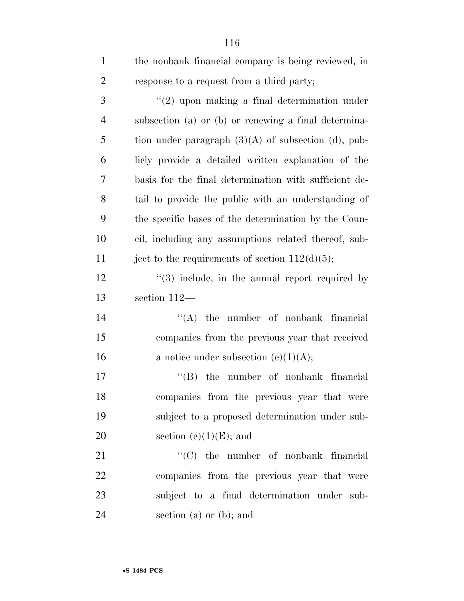| $\mathbf{1}$   | the nonbank financial company is being reviewed, in            |
|----------------|----------------------------------------------------------------|
| $\overline{2}$ | response to a request from a third party;                      |
| 3              | $"(2)$ upon making a final determination under                 |
| $\overline{4}$ | subsection (a) or (b) or renewing a final determina-           |
| 5              | tion under paragraph $(3)(A)$ of subsection (d), pub-          |
| 6              | licly provide a detailed written explanation of the            |
| 7              | basis for the final determination with sufficient de-          |
| 8              | tail to provide the public with an understanding of            |
| 9              | the specific bases of the determination by the Coun-           |
| 10             | cil, including any assumptions related thereof, sub-           |
| 11             | ject to the requirements of section $112(d)(5)$ ;              |
| 12             | $\cdot\cdot\cdot(3)$ include, in the annual report required by |
| 13             | section 112-                                                   |
| 14             | $\lq\lq$ the number of nonbank financial                       |
| 15             | companies from the previous year that received                 |
| 16             | a notice under subsection (e)(1)(A);                           |
| 17             | $\lq\lq$ the number of nonbank financial                       |
| 18             | companies from the previous year that were                     |
| 19             | subject to a proposed determination under sub-                 |
| 20             | section (e) $(1)(E)$ ; and                                     |
| 21             | $\lq\lq$ (C) the number of nonbank financial                   |
| 22             | companies from the previous year that were                     |
| 23             | subject to a final determination under sub-                    |
| 24             | section (a) or (b); and                                        |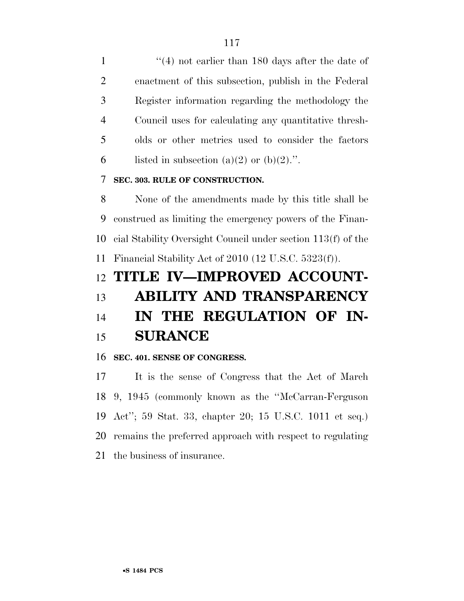1 ''(4) not earlier than 180 days after the date of enactment of this subsection, publish in the Federal Register information regarding the methodology the Council uses for calculating any quantitative thresh- olds or other metrics used to consider the factors 6 listed in subsection (a)(2) or (b)(2).".

#### **SEC. 303. RULE OF CONSTRUCTION.**

 None of the amendments made by this title shall be construed as limiting the emergency powers of the Finan- cial Stability Oversight Council under section 113(f) of the Financial Stability Act of 2010 (12 U.S.C. 5323(f)).

## **TITLE IV—IMPROVED ACCOUNT-ABILITY AND TRANSPARENCY**

## **IN THE REGULATION OF IN-SURANCE**

#### **SEC. 401. SENSE OF CONGRESS.**

 It is the sense of Congress that the Act of March 9, 1945 (commonly known as the ''McCarran-Ferguson Act''; 59 Stat. 33, chapter 20; 15 U.S.C. 1011 et seq.) remains the preferred approach with respect to regulating the business of insurance.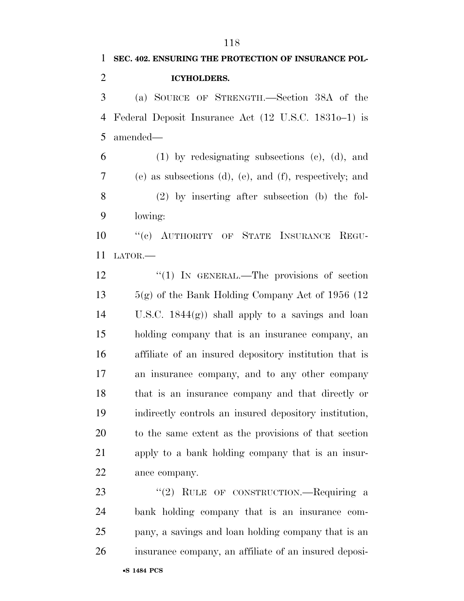# **SEC. 402. ENSURING THE PROTECTION OF INSURANCE POL- ICYHOLDERS.**  (a) SOURCE OF STRENGTH.—Section 38A of the Federal Deposit Insurance Act (12 U.S.C. 1831o–1) is amended— (1) by redesignating subsections (c), (d), and (e) as subsections (d), (e), and (f), respectively; and (2) by inserting after subsection (b) the fol- lowing: ''(c) AUTHORITY OF STATE INSURANCE REGU- LATOR.— 12 "(1) IN GENERAL.—The provisions of section 13  $5(g)$  of the Bank Holding Company Act of 1956 (12) U.S.C. 1844(g)) shall apply to a savings and loan holding company that is an insurance company, an affiliate of an insured depository institution that is an insurance company, and to any other company that is an insurance company and that directly or indirectly controls an insured depository institution, to the same extent as the provisions of that section apply to a bank holding company that is an insur- ance company. 23 "(2) RULE OF CONSTRUCTION.—Requiring a bank holding company that is an insurance com-

 pany, a savings and loan holding company that is an insurance company, an affiliate of an insured deposi-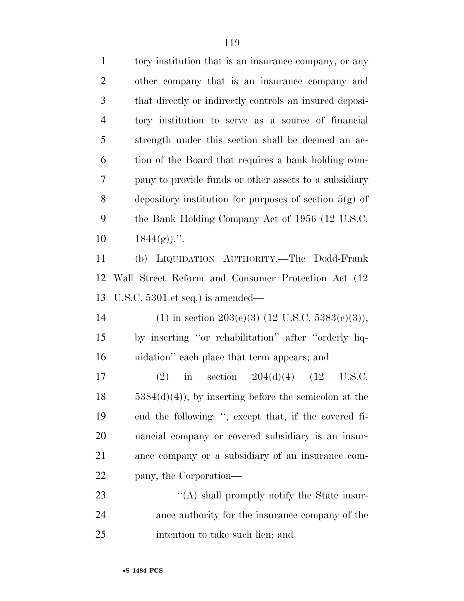| $\mathbf{1}$   | tory institution that is an insurance company, or any           |
|----------------|-----------------------------------------------------------------|
| $\overline{2}$ | other company that is an insurance company and                  |
| 3              | that directly or indirectly controls an insured deposi-         |
| $\overline{4}$ | tory institution to serve as a source of financial              |
| 5              | strength under this section shall be deemed an ac-              |
| 6              | tion of the Board that requires a bank holding com-             |
| 7              | pany to provide funds or other assets to a subsidiary           |
| 8              | depository institution for purposes of section $5(g)$ of        |
| 9              | the Bank Holding Company Act of 1956 (12 U.S.C.                 |
| 10             | $1844(g)$ .".                                                   |
| 11             | LIQUIDATION AUTHORITY.—The Dodd-Frank<br>(b)                    |
| 12             | Wall Street Reform and Consumer Protection Act (12)             |
| 13             | U.S.C. $5301$ et seq.) is amended—                              |
| 14             | (1) in section 203(e)(3) (12 U.S.C. 5383(e)(3)),                |
| 15             | by inserting "or rehabilitation" after "orderly liq-            |
| 16             | uidation" each place that term appears; and                     |
| 17             | section $204(d)(4)$ (12<br>(2)<br>U.S.C.<br>$\operatorname{in}$ |
| 18             | $5384(d)(4)$ , by inserting before the semicolon at the         |
| 19             | end the following: ", except that, if the covered fi-           |
| 20             | nancial company or covered subsidiary is an insur-              |
| 21             | ance company or a subsidiary of an insurance com-               |
| 22             | pany, the Corporation—                                          |
| 23             | $\lq\lq$ shall promptly notify the State insur-                 |
| 24             | ance authority for the insurance company of the                 |
| 25             | intention to take such lien; and                                |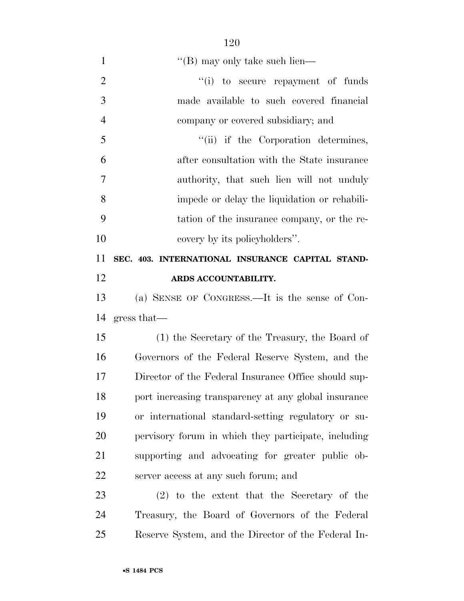| $\mathbf{1}$   | $\lq$ (B) may only take such lien—                   |
|----------------|------------------------------------------------------|
| $\overline{2}$ | "(i) to secure repayment of funds                    |
| 3              | made available to such covered financial             |
| $\overline{4}$ | company or covered subsidiary; and                   |
| 5              | "(ii) if the Corporation determines,                 |
| 6              | after consultation with the State insurance          |
| $\overline{7}$ | authority, that such lien will not unduly            |
| 8              | impede or delay the liquidation or rehabili-         |
| 9              | tation of the insurance company, or the re-          |
| 10             | covery by its policyholders".                        |
| 11             | SEC. 403. INTERNATIONAL INSURANCE CAPITAL STAND-     |
| 12             | ARDS ACCOUNTABILITY.                                 |
| 13             | (a) SENSE OF CONGRESS.—It is the sense of Con-       |
| 14             | gress that                                           |
| 15             | (1) the Secretary of the Treasury, the Board of      |
| 16             | Governors of the Federal Reserve System, and the     |
| 17             | Director of the Federal Insurance Office should sup- |
| 18             | port increasing transparency at any global insurance |
| 19             | or international standard-setting regulatory or su-  |
| 20             | pervisory forum in which they participate, including |
| 21             | supporting and advocating for greater public ob-     |
| 22             | server access at any such forum; and                 |
| 23             | $(2)$ to the extent that the Secretary of the        |
| 24             | Treasury, the Board of Governors of the Federal      |
| 25             | Reserve System, and the Director of the Federal In-  |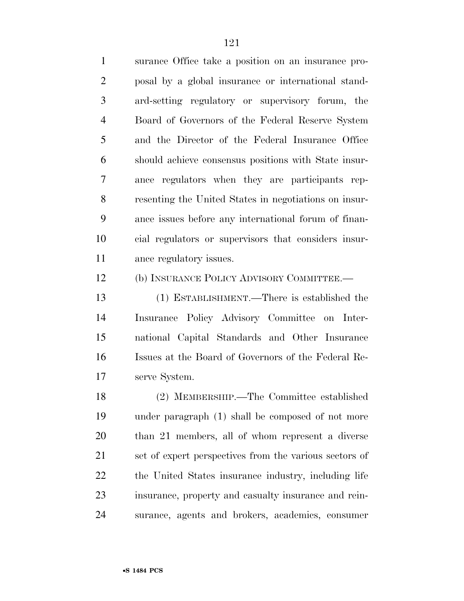surance Office take a position on an insurance pro- posal by a global insurance or international stand- ard-setting regulatory or supervisory forum, the Board of Governors of the Federal Reserve System and the Director of the Federal Insurance Office should achieve consensus positions with State insur- ance regulators when they are participants rep- resenting the United States in negotiations on insur- ance issues before any international forum of finan- cial regulators or supervisors that considers insur-ance regulatory issues.

(b) INSURANCE POLICY ADVISORY COMMITTEE.—

 (1) ESTABLISHMENT.—There is established the Insurance Policy Advisory Committee on Inter- national Capital Standards and Other Insurance Issues at the Board of Governors of the Federal Re-serve System.

 (2) MEMBERSHIP.—The Committee established under paragraph (1) shall be composed of not more than 21 members, all of whom represent a diverse set of expert perspectives from the various sectors of the United States insurance industry, including life insurance, property and casualty insurance and rein-surance, agents and brokers, academics, consumer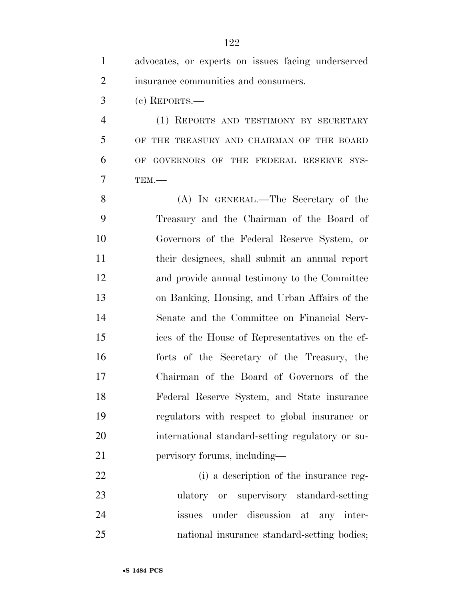|                | advocates, or experts on issues facing underserved |
|----------------|----------------------------------------------------|
| 2              | insurance communities and consumers.               |
| 3              | $(e)$ REPORTS.—                                    |
| $\overline{4}$ | (1) REPORTS AND TESTIMONY BY SECRETARY             |
| 5              | OF THE TREASURY AND CHAIRMAN OF THE BOARD          |

 OF GOVERNORS OF THE FEDERAL RESERVE SYS-TEM.—

 (A) IN GENERAL.—The Secretary of the Treasury and the Chairman of the Board of Governors of the Federal Reserve System, or their designees, shall submit an annual report and provide annual testimony to the Committee on Banking, Housing, and Urban Affairs of the Senate and the Committee on Financial Serv- ices of the House of Representatives on the ef- forts of the Secretary of the Treasury, the Chairman of the Board of Governors of the Federal Reserve System, and State insurance regulators with respect to global insurance or international standard-setting regulatory or su-pervisory forums, including—

 (i) a description of the insurance reg- ulatory or supervisory standard-setting issues under discussion at any inter-national insurance standard-setting bodies;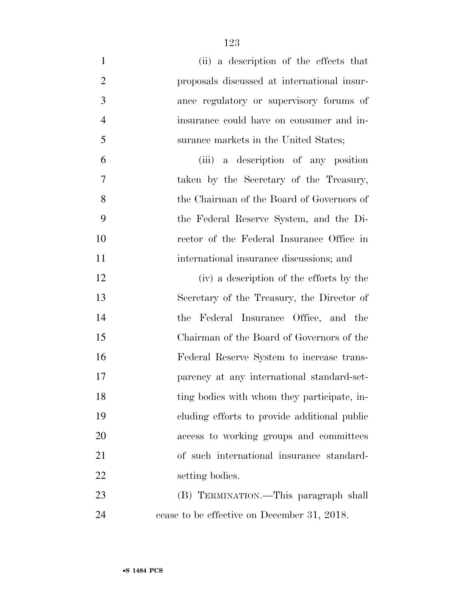| $\mathbf{1}$   | (ii) a description of the effects that       |
|----------------|----------------------------------------------|
| $\overline{2}$ | proposals discussed at international insur-  |
| 3              | ance regulatory or supervisory forums of     |
| $\overline{4}$ | insurance could have on consumer and in-     |
| 5              | surance markets in the United States;        |
| 6              | (iii) a description of any position          |
| 7              | taken by the Secretary of the Treasury,      |
| 8              | the Chairman of the Board of Governors of    |
| 9              | the Federal Reserve System, and the Di-      |
| 10             | rector of the Federal Insurance Office in    |
| 11             | international insurance discussions; and     |
| 12             | (iv) a description of the efforts by the     |
| 13             | Secretary of the Treasury, the Director of   |
| 14             | the Federal Insurance Office, and the        |
| 15             | Chairman of the Board of Governors of the    |
| 16             | Federal Reserve System to increase trans-    |
| 17             | parency at any international standard-set-   |
| 18             | ting bodies with whom they participate, in-  |
| 19             | cluding efforts to provide additional public |
| 20             | access to working groups and committees      |
| 21             | of such international insurance standard-    |
| 22             | setting bodies.                              |
| 23             | (B) TERMINATION.—This paragraph shall        |
| 24             | cease to be effective on December 31, 2018.  |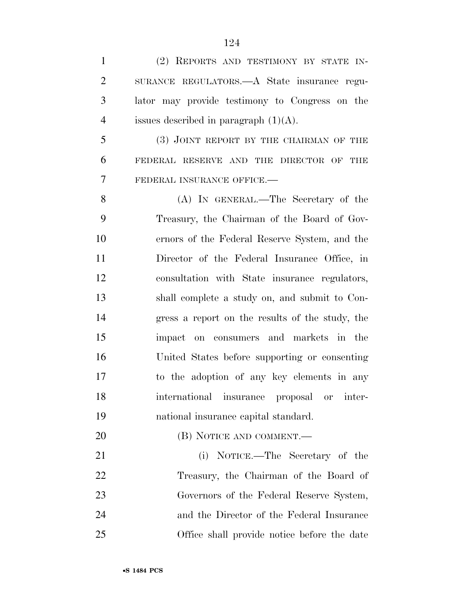| $\mathbf{1}$   | (2) REPORTS AND TESTIMONY BY STATE IN-          |
|----------------|-------------------------------------------------|
| $\overline{2}$ | SURANCE REGULATORS.—A State insurance regu-     |
| 3              | lator may provide testimony to Congress on the  |
| $\overline{4}$ | issues described in paragraph $(1)(A)$ .        |
| 5              | (3) JOINT REPORT BY THE CHAIRMAN OF THE         |
| 6              | FEDERAL RESERVE AND THE DIRECTOR OF THE         |
| 7              | FEDERAL INSURANCE OFFICE.-                      |
| 8              | (A) IN GENERAL.—The Secretary of the            |
| 9              | Treasury, the Chairman of the Board of Gov-     |
| 10             | ernors of the Federal Reserve System, and the   |
| 11             | Director of the Federal Insurance Office, in    |
| 12             | consultation with State insurance regulators,   |
| 13             | shall complete a study on, and submit to Con-   |
| 14             | gress a report on the results of the study, the |
| 15             | on consumers and markets in the<br>impact       |
| 16             | United States before supporting or consenting   |
| 17             | to the adoption of any key elements in any      |
| 18             | international insurance proposal or inter-      |
| 19             | national insurance capital standard.            |
| 20             | (B) NOTICE AND COMMENT.—                        |
| 21             | (i) NOTICE.—The Secretary of the                |
| 22             | Treasury, the Chairman of the Board of          |
| 23             | Governors of the Federal Reserve System,        |
| 24             | and the Director of the Federal Insurance       |
| 25             | Office shall provide notice before the date     |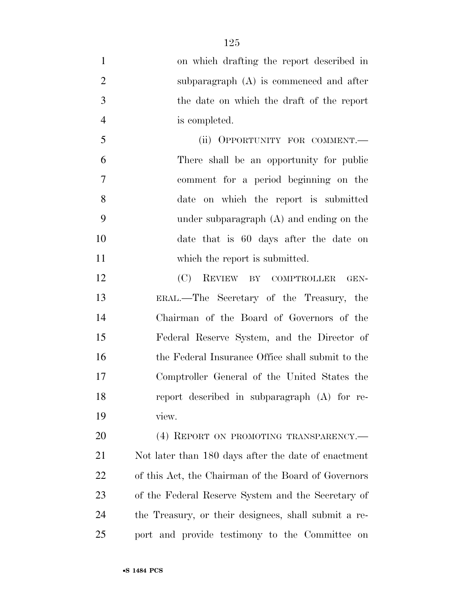- on which drafting the report described in subparagraph (A) is commenced and after the date on which the draft of the report is completed. (ii) OPPORTUNITY FOR COMMENT.— There shall be an opportunity for public comment for a period beginning on the date on which the report is submitted under subparagraph (A) and ending on the date that is 60 days after the date on 11 which the report is submitted. (C) REVIEW BY COMPTROLLER GEN- ERAL.—The Secretary of the Treasury, the Chairman of the Board of Governors of the Federal Reserve System, and the Director of the Federal Insurance Office shall submit to the Comptroller General of the United States the report described in subparagraph (A) for re- view. 20 (4) REPORT ON PROMOTING TRANSPARENCY.— Not later than 180 days after the date of enactment of this Act, the Chairman of the Board of Governors of the Federal Reserve System and the Secretary of
- port and provide testimony to the Committee on

the Treasury, or their designees, shall submit a re-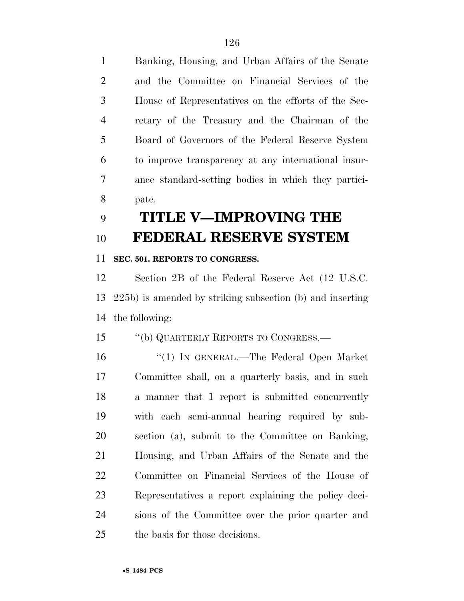Banking, Housing, and Urban Affairs of the Senate and the Committee on Financial Services of the House of Representatives on the efforts of the Sec- retary of the Treasury and the Chairman of the Board of Governors of the Federal Reserve System to improve transparency at any international insur- ance standard-setting bodies in which they partici-pate.

## **TITLE V—IMPROVING THE FEDERAL RESERVE SYSTEM**

#### **SEC. 501. REPORTS TO CONGRESS.**

 Section 2B of the Federal Reserve Act (12 U.S.C. 225b) is amended by striking subsection (b) and inserting the following:

''(b) QUARTERLY REPORTS TO CONGRESS.—

 ''(1) IN GENERAL.—The Federal Open Market Committee shall, on a quarterly basis, and in such a manner that 1 report is submitted concurrently with each semi-annual hearing required by sub- section (a), submit to the Committee on Banking, Housing, and Urban Affairs of the Senate and the Committee on Financial Services of the House of Representatives a report explaining the policy deci- sions of the Committee over the prior quarter and the basis for those decisions.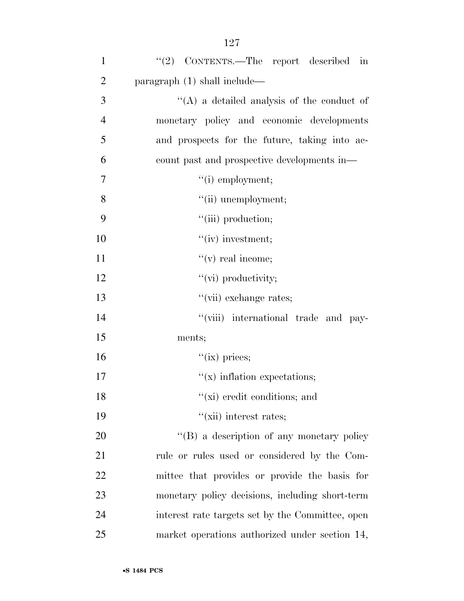| $\mathbf{1}$   | " $(2)$ CONTENTS.—The report described in        |
|----------------|--------------------------------------------------|
| $\overline{2}$ | paragraph (1) shall include—                     |
| 3              | $\lq\lq$ a detailed analysis of the conduct of   |
| $\overline{4}$ | monetary policy and economic developments        |
| 5              | and prospects for the future, taking into ac-    |
| 6              | count past and prospective developments in—      |
| 7              | $"(i)$ employment;                               |
| 8              | "(ii) unemployment;                              |
| 9              | "(iii) production;                               |
| 10             | $``(iv)$ investment;                             |
| 11             | $f'(v)$ real income;                             |
| 12             | $"$ (vi) productivity;                           |
| 13             | "(vii) exchange rates;                           |
| 14             | "(viii) international trade and pay-             |
| 15             | ments;                                           |
| 16             | $``(ix)$ prices;                                 |
| 17             | $f(x)$ inflation expectations;                   |
| 18             | $f(x)$ credit conditions; and                    |
| 19             | $\lq\lq$ (xii) interest rates;                   |
| 20             | "(B) a description of any monetary policy        |
| 21             | rule or rules used or considered by the Com-     |
| 22             | mittee that provides or provide the basis for    |
| 23             | monetary policy decisions, including short-term  |
| 24             | interest rate targets set by the Committee, open |
| 25             | market operations authorized under section 14,   |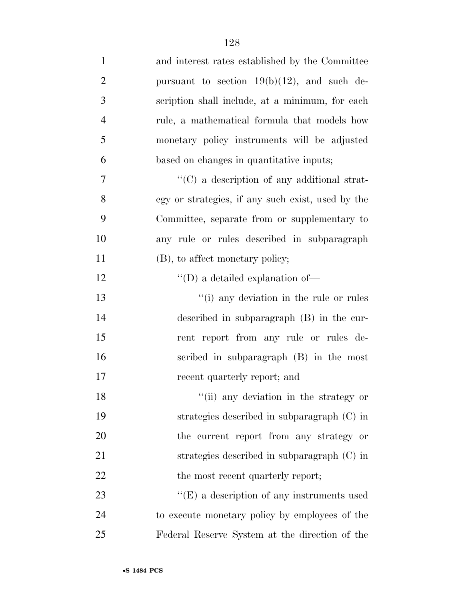| $\mathbf{1}$   | and interest rates established by the Committee   |
|----------------|---------------------------------------------------|
| $\overline{2}$ | pursuant to section $19(b)(12)$ , and such de-    |
| 3              | scription shall include, at a minimum, for each   |
| $\overline{4}$ | rule, a mathematical formula that models how      |
| 5              | monetary policy instruments will be adjusted      |
| 6              | based on changes in quantitative inputs;          |
| 7              | "(C) a description of any additional strat-       |
| 8              | egy or strategies, if any such exist, used by the |
| 9              | Committee, separate from or supplementary to      |
| 10             | any rule or rules described in subparagraph       |
| 11             | (B), to affect monetary policy;                   |
| 12             | $\lq\lq\lq$ (D) a detailed explanation of<br>—    |
| 13             | "(i) any deviation in the rule or rules           |
| 14             | described in subparagraph $(B)$ in the cur-       |
| 15             | rent report from any rule or rules de-            |
| 16             | scribed in subparagraph (B) in the most           |
| 17             | recent quarterly report; and                      |
| 18             | "(ii) any deviation in the strategy or            |
| 19             | strategies described in subparagraph (C) in       |
| 20             | the current report from any strategy or           |
| 21             | strategies described in subparagraph (C) in       |
| 22             | the most recent quarterly report;                 |
| 23             | $\lq\lq(E)$ a description of any instruments used |
| 24             | to execute monetary policy by employees of the    |
| 25             | Federal Reserve System at the direction of the    |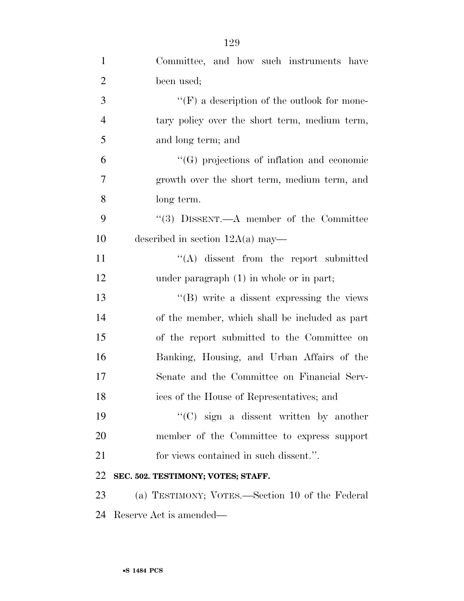| $\mathbf{1}$   | Committee, and how such instruments have           |
|----------------|----------------------------------------------------|
| $\overline{2}$ | been used;                                         |
| 3              | $\lq\lq(F)$ a description of the outlook for mone- |
| $\overline{4}$ | tary policy over the short term, medium term,      |
| 5              | and long term; and                                 |
| 6              | $\lq\lq(G)$ projections of inflation and economic  |
| $\overline{7}$ | growth over the short term, medium term, and       |
| 8              | long term.                                         |
| 9              | "(3) DISSENT.—A member of the Committee            |
| 10             | described in section $12A(a)$ may—                 |
| 11             | $\lq\lq$ dissent from the report submitted         |
| 12             | under paragraph $(1)$ in whole or in part;         |
| 13             | "(B) write a dissent expressing the views          |
| 14             | of the member, which shall be included as part     |
| 15             | of the report submitted to the Committee on        |
| 16             | Banking, Housing, and Urban Affairs of the         |
| 17             | Senate and the Committee on Financial Serv-        |
| 18             | ices of the House of Representatives; and          |
| 19             | $\lq\lq$ (C) sign a dissent written by another     |
| 20             | member of the Committee to express support         |
| 21             | for views contained in such dissent.".             |
| 22             | SEC. 502. TESTIMONY; VOTES; STAFF.                 |
| 23             | (a) TESTIMONY; VOTES.—Section 10 of the Federal    |
| 24             | Reserve Act is amended—                            |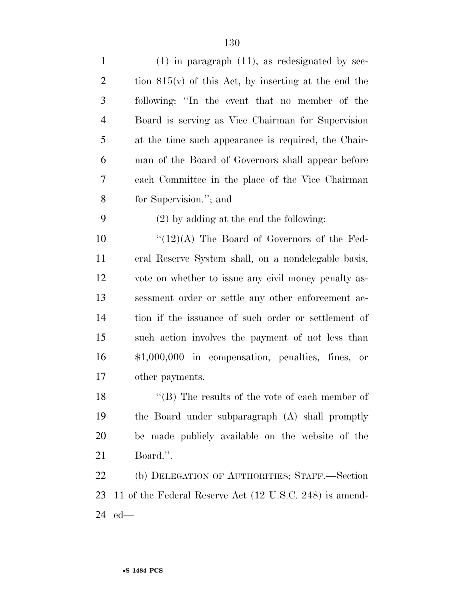| $\mathbf{1}$   | $(1)$ in paragraph $(11)$ , as redesignated by sec-     |
|----------------|---------------------------------------------------------|
| $\overline{2}$ | tion $815(v)$ of this Act, by inserting at the end the  |
| 3              | following: "In the event that no member of the          |
| $\overline{4}$ | Board is serving as Vice Chairman for Supervision       |
| 5              | at the time such appearance is required, the Chair-     |
| 6              | man of the Board of Governors shall appear before       |
| 7              | each Committee in the place of the Vice Chairman        |
| 8              | for Supervision."; and                                  |
| 9              | $(2)$ by adding at the end the following:               |
| 10             | $\lq(12)(A)$ The Board of Governors of the Fed-         |
| 11             | eral Reserve System shall, on a nondelegable basis,     |
| 12             | vote on whether to issue any civil money penalty as-    |
| 13             | sessment order or settle any other enforcement ac-      |
| 14             | tion if the issuance of such order or settlement of     |
| 15             | such action involves the payment of not less than       |
| 16             | $$1,000,000$ in compensation, penalties, fines, or      |
| 17             | other payments.                                         |
| 18             | $\lq$ (B) The results of the vote of each member of     |
| 19             | the Board under subparagraph (A) shall promptly         |
| 20             | be made publicly available on the website of the        |
| 21             | Board.".                                                |
| 22             | (b) DELEGATION OF AUTHORITIES; STAFF.-Section           |
| 23             | 11 of the Federal Reserve Act (12 U.S.C. 248) is amend- |
| 24             | $ed$ —                                                  |
|                |                                                         |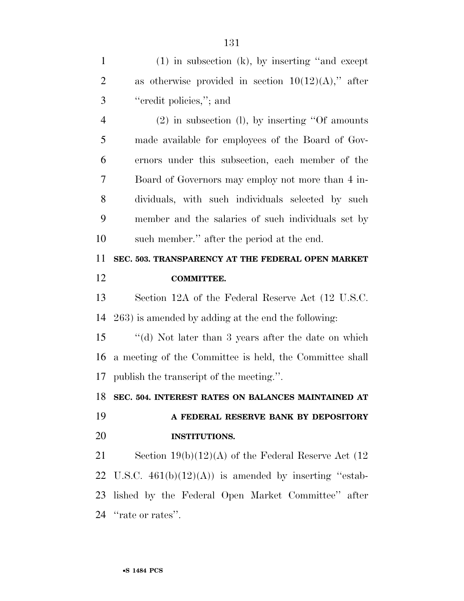| $\mathbf{1}$   | $(1)$ in subsection $(k)$ , by inserting "and except      |
|----------------|-----------------------------------------------------------|
| $\overline{2}$ | as otherwise provided in section $10(12)(A)$ ," after     |
| 3              | "credit policies,"; and                                   |
| $\overline{4}$ | $(2)$ in subsection (1), by inserting "Of amounts"        |
| 5              | made available for employees of the Board of Gov-         |
| 6              | ernors under this subsection, each member of the          |
| 7              | Board of Governors may employ not more than 4 in-         |
| 8              | dividuals, with such individuals selected by such         |
| 9              | member and the salaries of such individuals set by        |
| 10             | such member." after the period at the end.                |
| 11             | SEC. 503. TRANSPARENCY AT THE FEDERAL OPEN MARKET         |
| 12             | <b>COMMITTEE.</b>                                         |
| 13             | Section 12A of the Federal Reserve Act (12 U.S.C.         |
| 14             | 263) is amended by adding at the end the following:       |
| 15             | "(d) Not later than 3 years after the date on which       |
| 16             | a meeting of the Committee is held, the Committee shall   |
| 17             | publish the transcript of the meeting.".                  |
|                | 18 SEC. 504. INTEREST RATES ON BALANCES MAINTAINED AT     |
| 19             | A FEDERAL RESERVE BANK BY DEPOSITORY                      |
| 20             | <b>INSTITUTIONS.</b>                                      |
| 21             | Section $19(b)(12)(A)$ of the Federal Reserve Act (12)    |
|                | 22 U.S.C. $461(b)(12)(A)$ is amended by inserting "estab- |
|                | 23 lished by the Federal Open Market Committee" after     |
|                |                                                           |

24 "rate or rates".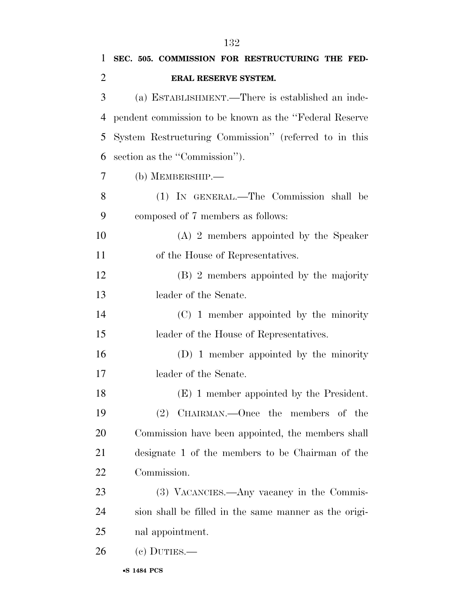| 1              | SEC. 505. COMMISSION FOR RESTRUCTURING THE FED-         |
|----------------|---------------------------------------------------------|
| $\overline{2}$ | ERAL RESERVE SYSTEM.                                    |
| 3              | (a) ESTABLISHMENT.—There is established an inde-        |
| 4              | pendent commission to be known as the "Federal Reserve" |
| 5              | System Restructuring Commission" (referred to in this   |
| 6              | section as the "Commission").                           |
| 7              | (b) MEMBERSHIP.-                                        |
| 8              | (1) IN GENERAL.—The Commission shall be                 |
| 9              | composed of 7 members as follows:                       |
| 10             | $(A)$ 2 members appointed by the Speaker                |
| 11             | of the House of Representatives.                        |
| 12             | (B) 2 members appointed by the majority                 |
| 13             | leader of the Senate.                                   |
| 14             | $(C)$ 1 member appointed by the minority                |
| 15             | leader of the House of Representatives.                 |
| 16             | $(D)$ 1 member appointed by the minority                |
| 17             | leader of the Senate.                                   |
| 18             | (E) 1 member appointed by the President.                |
| 19             | $(2)$ CHAIRMAN.—Once the members of the                 |
| 20             | Commission have been appointed, the members shall       |
| 21             | designate 1 of the members to be Chairman of the        |
| 22             | Commission.                                             |
| 23             | (3) VACANCIES.—Any vacancy in the Commis-               |
| 24             | sion shall be filled in the same manner as the origi-   |
| 25             | nal appointment.                                        |
| 26             | $(e)$ DUTIES.—                                          |
|                |                                                         |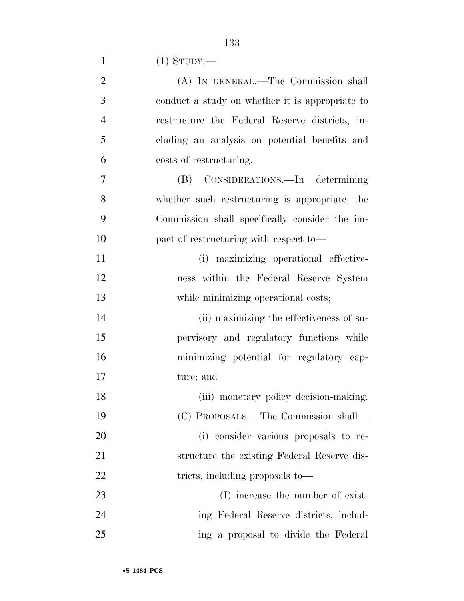|  | $(1)$ STUDY.— |
|--|---------------|
|--|---------------|

| $\overline{2}$ | (A) IN GENERAL.—The Commission shall            |
|----------------|-------------------------------------------------|
| 3              | conduct a study on whether it is appropriate to |
| $\overline{4}$ | restructure the Federal Reserve districts, in-  |
| 5              | cluding an analysis on potential benefits and   |
| 6              | costs of restructuring.                         |
| $\overline{7}$ | (B) CONSIDERATIONS.—In determining              |
| 8              | whether such restructuring is appropriate, the  |
| 9              | Commission shall specifically consider the im-  |
| 10             | pact of restructuring with respect to-          |
| 11             | (i) maximizing operational effective-           |
| 12             | ness within the Federal Reserve System          |
| 13             | while minimizing operational costs;             |
| 14             | (ii) maximizing the effectiveness of su-        |
| 15             | pervisory and regulatory functions while        |
| 16             | minimizing potential for regulatory cap-        |
| 17             | ture; and                                       |
| 18             | (iii) monetary policy decision-making.          |
| 19             | (C) PROPOSALS.—The Commission shall—            |
| 20             | (i) consider various proposals to re-           |
| 21             | structure the existing Federal Reserve dis-     |
| 22             | tricts, including proposals to—                 |
| 23             | (I) increase the number of exist-               |
| 24             | ing Federal Reserve districts, includ-          |
| 25             | ing a proposal to divide the Federal            |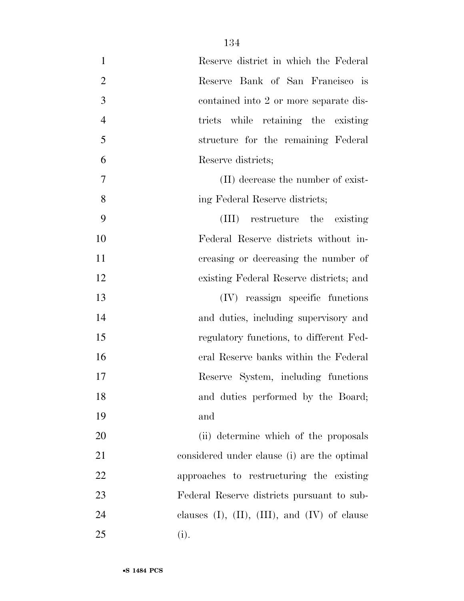| $\mathbf{1}$   | Reserve district in which the Federal                   |
|----------------|---------------------------------------------------------|
| $\overline{2}$ | Reserve Bank of San Francisco is                        |
| 3              | contained into 2 or more separate dis-                  |
| $\overline{4}$ | tricts while retaining the existing                     |
| 5              | structure for the remaining Federal                     |
| 6              | Reserve districts;                                      |
| 7              | (II) decrease the number of exist-                      |
| 8              | ing Federal Reserve districts;                          |
| 9              | (III) restructure the existing                          |
| 10             | Federal Reserve districts without in-                   |
| 11             | creasing or decreasing the number of                    |
| 12             | existing Federal Reserve districts; and                 |
| 13             | (IV) reassign specific functions                        |
| 14             | and duties, including supervisory and                   |
| 15             | regulatory functions, to different Fed-                 |
| 16             | eral Reserve banks within the Federal                   |
| 17             | Reserve System, including functions                     |
| 18             | and duties performed by the Board;                      |
| 19             | and                                                     |
| 20             | (ii) determine which of the proposals                   |
| 21             | considered under clause (i) are the optimal             |
| 22             | approaches to restructuring the existing                |
| 23             | Federal Reserve districts pursuant to sub-              |
| 24             | clauses $(I)$ , $(II)$ , $(III)$ , and $(IV)$ of clause |
| 25             | (i).                                                    |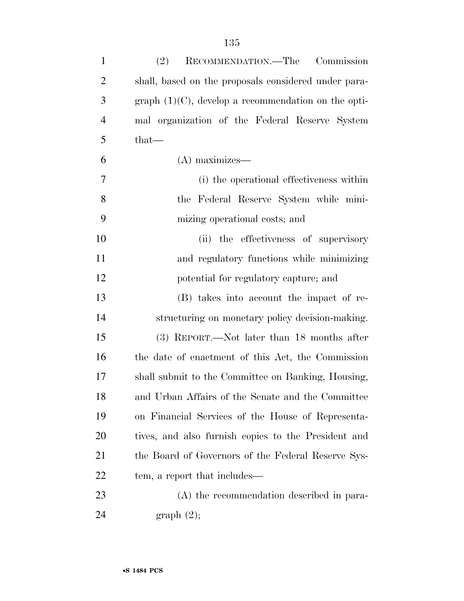| $\mathbf{1}$   | RECOMMENDATION.—The Commission<br>(2)                  |
|----------------|--------------------------------------------------------|
| $\overline{2}$ | shall, based on the proposals considered under para-   |
| 3              | graph $(1)(C)$ , develop a recommendation on the opti- |
| $\overline{4}$ | mal organization of the Federal Reserve System         |
| 5              | $that-$                                                |
| 6              | $(A)$ maximizes—                                       |
| $\overline{7}$ | (i) the operational effectiveness within               |
| 8              | the Federal Reserve System while mini-                 |
| 9              | mizing operational costs; and                          |
| 10             | (ii) the effectiveness of supervisory                  |
| 11             | and regulatory functions while minimizing              |
| 12             | potential for regulatory capture; and                  |
| 13             | (B) takes into account the impact of re-               |
| 14             | structuring on monetary policy decision-making.        |
| 15             | (3) REPORT.—Not later than 18 months after             |
| 16             | the date of enactment of this Act, the Commission      |
| 17             | shall submit to the Committee on Banking, Housing,     |
| 18             | and Urban Affairs of the Senate and the Committee      |
| 19             | on Financial Services of the House of Representa-      |
| 20             | tives, and also furnish copies to the President and    |
| 21             | the Board of Governors of the Federal Reserve Sys-     |
| 22             | tem, a report that includes—                           |
| 23             | (A) the recommendation described in para-              |
| 24             | graph(2);                                              |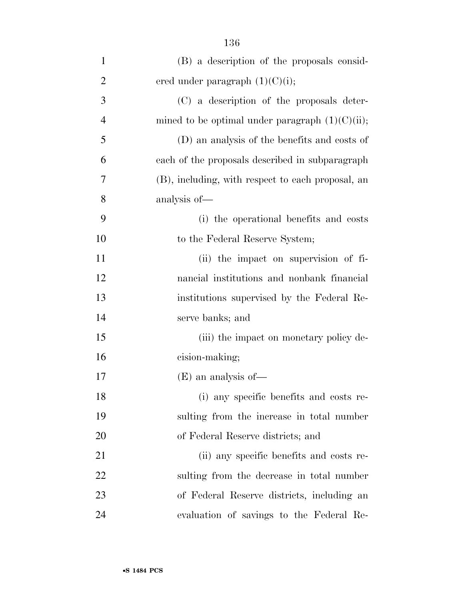| $\mathbf{1}$   | (B) a description of the proposals consid-         |
|----------------|----------------------------------------------------|
| $\overline{2}$ | ered under paragraph $(1)(C)(i)$ ;                 |
| 3              | (C) a description of the proposals deter-          |
| $\overline{4}$ | mined to be optimal under paragraph $(1)(C)(ii)$ ; |
| 5              | (D) an analysis of the benefits and costs of       |
| 6              | each of the proposals described in subparagraph    |
| 7              | (B), including, with respect to each proposal, an  |
| 8              | analysis of-                                       |
| 9              | (i) the operational benefits and costs             |
| 10             | to the Federal Reserve System;                     |
| 11             | (ii) the impact on supervision of fi-              |
| 12             | nancial institutions and nonbank financial         |
| 13             | institutions supervised by the Federal Re-         |
| 14             | serve banks; and                                   |
| 15             | (iii) the impact on monetary policy de-            |
| 16             | cision-making;                                     |
| 17             | $(E)$ an analysis of —                             |
| 18             | (i) any specific benefits and costs re-            |
| 19             | sulting from the increase in total number          |
| 20             | of Federal Reserve districts; and                  |
| 21             | (ii) any specific benefits and costs re-           |
| 22             | sulting from the decrease in total number          |
| 23             | of Federal Reserve districts, including an         |
| 24             | evaluation of savings to the Federal Re-           |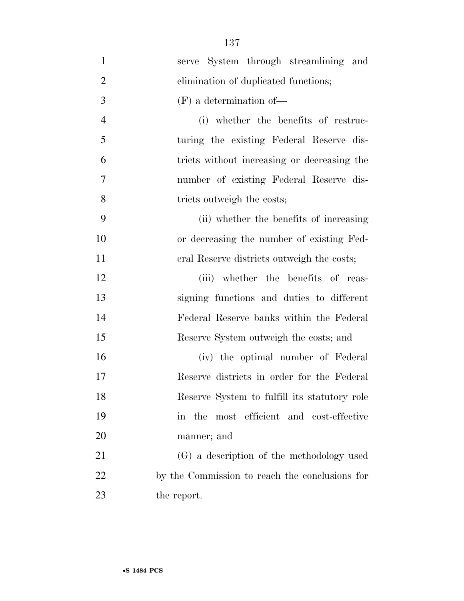| $\mathbf{1}$   | serve System through streamlining and          |
|----------------|------------------------------------------------|
| $\overline{2}$ | elimination of duplicated functions;           |
| 3              | $(F)$ a determination of —                     |
| $\overline{4}$ | (i) whether the benefits of restruc-           |
| 5              | turing the existing Federal Reserve dis-       |
| 6              | tricts without increasing or decreasing the    |
| 7              | number of existing Federal Reserve dis-        |
| 8              | tricts outweigh the costs;                     |
| 9              | (ii) whether the benefits of increasing        |
| 10             | or decreasing the number of existing Fed-      |
| 11             | eral Reserve districts outweigh the costs;     |
| 12             | (iii) whether the benefits of reas-            |
| 13             | signing functions and duties to different      |
| 14             | Federal Reserve banks within the Federal       |
| 15             | Reserve System outweigh the costs; and         |
| 16             | (iv) the optimal number of Federal             |
| 17             | Reserve districts in order for the Federal     |
| 18             | Reserve System to fulfill its statutory role   |
| 19             | most efficient and cost-effective<br>in the    |
| 20             | manner; and                                    |
| 21             | (G) a description of the methodology used      |
| 22             | by the Commission to reach the conclusions for |
| 23             | the report.                                    |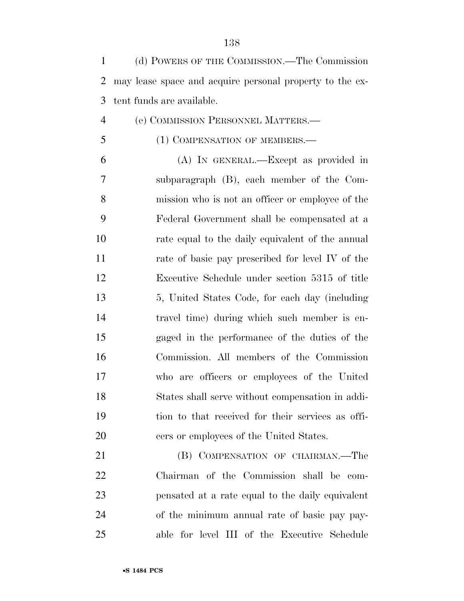| $\mathbf{1}$   | (d) POWERS OF THE COMMISSION.—The Commission             |
|----------------|----------------------------------------------------------|
| 2              | may lease space and acquire personal property to the ex- |
| 3              | tent funds are available.                                |
| $\overline{4}$ | (e) COMMISSION PERSONNEL MATTERS.—                       |
| 5              | (1) COMPENSATION OF MEMBERS.—                            |
| 6              | (A) IN GENERAL.—Except as provided in                    |
| 7              | subparagraph (B), each member of the Com-                |
| 8              | mission who is not an officer or employee of the         |
| 9              | Federal Government shall be compensated at a             |
| 10             | rate equal to the daily equivalent of the annual         |
| 11             | rate of basic pay prescribed for level IV of the         |
| 12             | Executive Schedule under section 5315 of title           |
| 13             | 5, United States Code, for each day (including           |
| 14             | travel time) during which such member is en-             |
| 15             | gaged in the performance of the duties of the            |
| 16             | Commission. All members of the Commission                |
| 17             | who are officers or employees of the United              |
| 18             | States shall serve without compensation in addi-         |
| 19             | tion to that received for their services as offi-        |
| 20             | cers or employees of the United States.                  |
| 21             | (B) COMPENSATION OF CHAIRMAN.—The                        |
| 22             | Chairman of the Commission shall be com-                 |
| 23             | pensated at a rate equal to the daily equivalent         |

 of the minimum annual rate of basic pay pay-able for level III of the Executive Schedule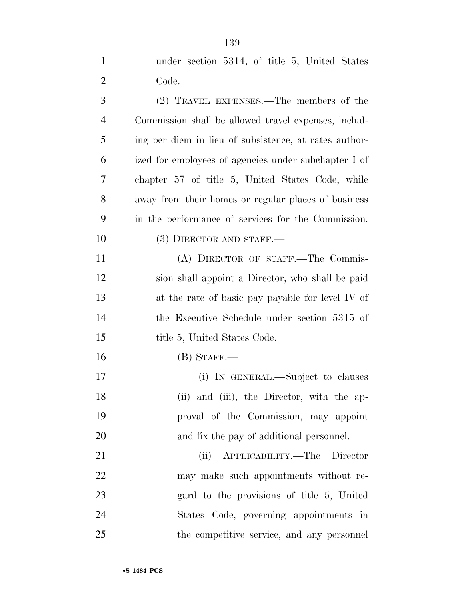| $\mathbf{1}$   | under section 5314, of title 5, United States         |
|----------------|-------------------------------------------------------|
| $\overline{2}$ | Code.                                                 |
| 3              | (2) TRAVEL EXPENSES.—The members of the               |
| 4              | Commission shall be allowed travel expenses, includ-  |
| 5              | ing per diem in lieu of subsistence, at rates author- |
| 6              | ized for employees of agencies under subchapter I of  |
| 7              | chapter 57 of title 5, United States Code, while      |
| 8              | away from their homes or regular places of business   |
| 9              | in the performance of services for the Commission.    |
| 10             | $(3)$ DIRECTOR AND STAFF.—                            |
| 11             | (A) DIRECTOR OF STAFF.—The Commis-                    |
| 12             | sion shall appoint a Director, who shall be paid      |
| 13             | at the rate of basic pay payable for level IV of      |
| 14             | the Executive Schedule under section 5315 of          |
| 15             | title 5, United States Code.                          |
| 16             | $(B)$ STAFF.—                                         |
| 17             | (i) IN GENERAL.—Subject to clauses                    |
| 18             | (ii) and (iii), the Director, with the ap-            |
| 19             | proval of the Commission, may appoint                 |
| 20             | and fix the pay of additional personnel.              |
| 21             | APPLICABILITY.—The<br>(ii)<br>Director                |
| 22             | may make such appointments without re-                |

 gard to the provisions of title 5, United States Code, governing appointments in the competitive service, and any personnel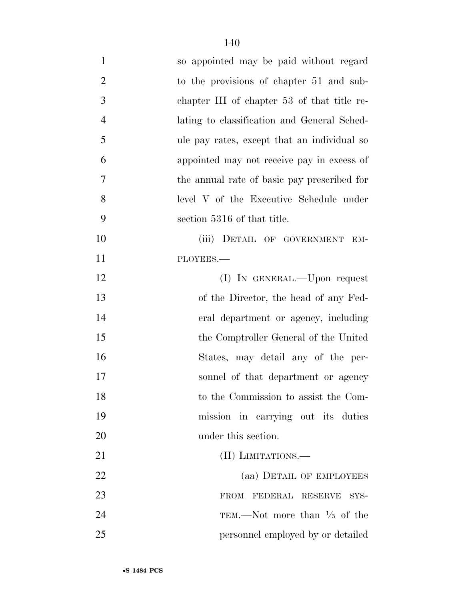| $\mathbf{1}$   | so appointed may be paid without regard     |
|----------------|---------------------------------------------|
| $\overline{2}$ | to the provisions of chapter 51 and sub-    |
| 3              | chapter III of chapter 53 of that title re- |
| $\overline{4}$ | lating to classification and General Sched- |
| 5              | ule pay rates, except that an individual so |
| 6              | appointed may not receive pay in excess of  |
| 7              | the annual rate of basic pay prescribed for |
| 8              | level V of the Executive Schedule under     |
| 9              | section 5316 of that title.                 |
| 10             | (iii) DETAIL OF GOVERNMENT<br>EM-           |
| 11             | PLOYEES.-                                   |
| 12             | (I) IN GENERAL.—Upon request                |
| 13             | of the Director, the head of any Fed-       |
| 14             | eral department or agency, including        |
| 15             | the Comptroller General of the United       |
| 16             | States, may detail any of the per-          |
| 17             | sonnel of that department or agency         |
| 18             | to the Commission to assist the Com-        |
| 19             | mission in carrying out its duties          |
| 20             | under this section.                         |
| 21             | (II) LIMITATIONS.-                          |
| 22             | (aa) DETAIL OF EMPLOYEES                    |
| 23             | <b>FROM</b><br>FEDERAL RESERVE<br>SYS-      |
| 24             | TEM.—Not more than $\frac{1}{5}$ of the     |
| 25             | personnel employed by or detailed           |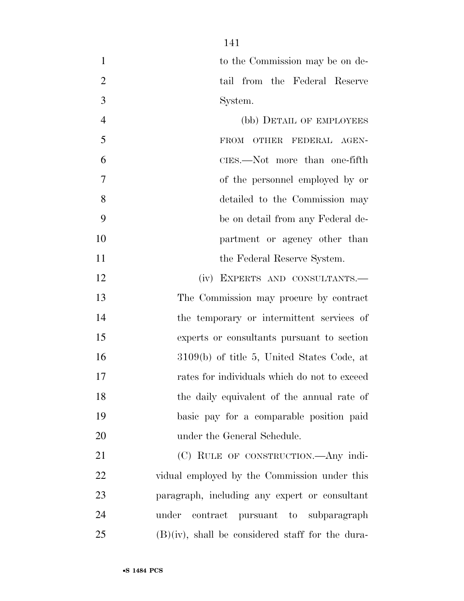1 to the Commission may be on de-2 tail from the Federal Reserve System.

 (bb) DETAIL OF EMPLOYEES 5 FROM OTHER FEDERAL AGEN- CIES.—Not more than one-fifth of the personnel employed by or detailed to the Commission may be on detail from any Federal de- partment or agency other than 11 the Federal Reserve System.

12 (iv) EXPERTS AND CONSULTANTS.— The Commission may procure by contract the temporary or intermittent services of experts or consultants pursuant to section 3109(b) of title 5, United States Code, at rates for individuals which do not to exceed the daily equivalent of the annual rate of basic pay for a comparable position paid 20 under the General Schedule.

21 (C) RULE OF CONSTRUCTION.—Any indi- vidual employed by the Commission under this paragraph, including any expert or consultant under contract pursuant to subparagraph (B)(iv), shall be considered staff for the dura-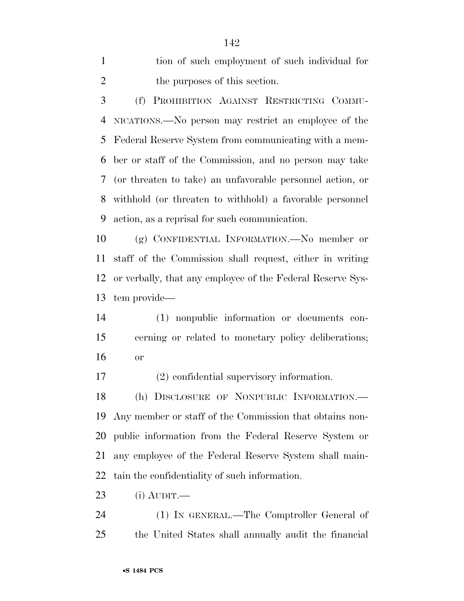| tion of such employment of such individual for |
|------------------------------------------------|
| the purposes of this section.                  |

 (f) PROHIBITION AGAINST RESTRICTING COMMU- NICATIONS.—No person may restrict an employee of the Federal Reserve System from communicating with a mem- ber or staff of the Commission, and no person may take (or threaten to take) an unfavorable personnel action, or withhold (or threaten to withhold) a favorable personnel action, as a reprisal for such communication.

 (g) CONFIDENTIAL INFORMATION.—No member or staff of the Commission shall request, either in writing or verbally, that any employee of the Federal Reserve Sys-tem provide—

 (1) nonpublic information or documents con- cerning or related to monetary policy deliberations; or

(2) confidential supervisory information.

 (h) DISCLOSURE OF NONPUBLIC INFORMATION.— Any member or staff of the Commission that obtains non- public information from the Federal Reserve System or any employee of the Federal Reserve System shall main-tain the confidentiality of such information.

(i) AUDIT.—

 (1) IN GENERAL.—The Comptroller General of the United States shall annually audit the financial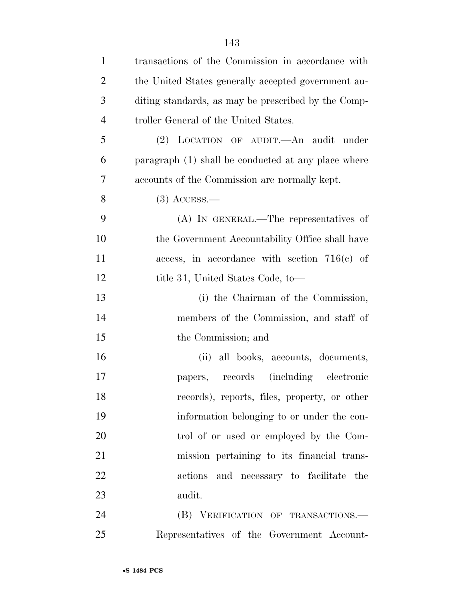| $\mathbf{1}$   | transactions of the Commission in accordance with   |
|----------------|-----------------------------------------------------|
| $\overline{2}$ | the United States generally accepted government au- |
| 3              | diting standards, as may be prescribed by the Comp- |
| $\overline{4}$ | troller General of the United States.               |
| 5              | (2) LOCATION OF AUDIT.—An audit under               |
| 6              | paragraph (1) shall be conducted at any place where |
| 7              | accounts of the Commission are normally kept.       |
| 8              | $(3)$ ACCESS.—                                      |
| 9              | (A) IN GENERAL.—The representatives of              |
| 10             | the Government Accountability Office shall have     |
| 11             | access, in accordance with section $716(c)$ of      |
| 12             | title 31, United States Code, to—                   |
| 13             | (i) the Chairman of the Commission,                 |
| 14             | members of the Commission, and staff of             |
| 15             | the Commission; and                                 |
| 16             | (ii) all books, accounts, documents,                |
| 17             | papers, records (including electronic               |
| 18             | records), reports, files, property, or other        |
| 19             | information belonging to or under the con-          |
| 20             | trol of or used or employed by the Com-             |
| 21             | mission pertaining to its financial trans-          |
| 22             | actions and necessary to facilitate the             |
| 23             | audit.                                              |
| 24             | (B) VERIFICATION OF TRANSACTIONS.-                  |
| $25\,$         | Representatives of the Government Account-          |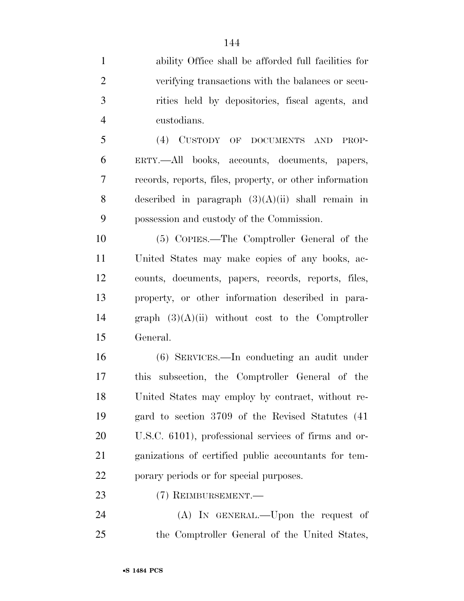ability Office shall be afforded full facilities for verifying transactions with the balances or secu- rities held by depositories, fiscal agents, and custodians.

 (4) CUSTODY OF DOCUMENTS AND PROP- ERTY.—All books, accounts, documents, papers, records, reports, files, property, or other information described in paragraph (3)(A)(ii) shall remain in possession and custody of the Commission.

 (5) COPIES.—The Comptroller General of the United States may make copies of any books, ac- counts, documents, papers, records, reports, files, property, or other information described in para- graph (3)(A)(ii) without cost to the Comptroller General.

 (6) SERVICES.—In conducting an audit under this subsection, the Comptroller General of the United States may employ by contract, without re- gard to section 3709 of the Revised Statutes (41 U.S.C. 6101), professional services of firms and or- ganizations of certified public accountants for tem-porary periods or for special purposes.

(7) REIMBURSEMENT.—

 (A) IN GENERAL.—Upon the request of the Comptroller General of the United States,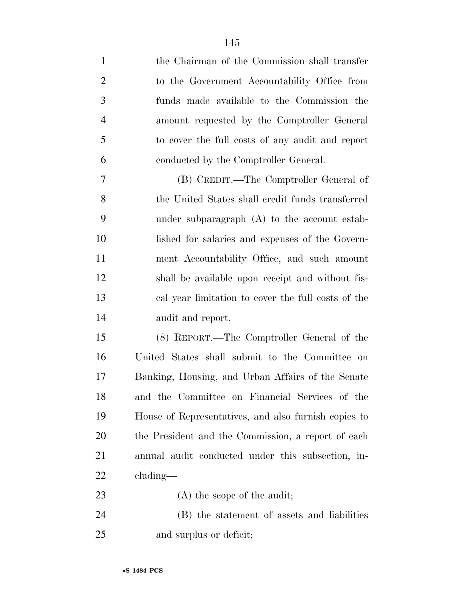the Chairman of the Commission shall transfer to the Government Accountability Office from funds made available to the Commission the amount requested by the Comptroller General to cover the full costs of any audit and report conducted by the Comptroller General. (B) CREDIT.—The Comptroller General of 8 the United States shall credit funds transferred under subparagraph (A) to the account estab- lished for salaries and expenses of the Govern- ment Accountability Office, and such amount shall be available upon receipt and without fis- cal year limitation to cover the full costs of the audit and report. (8) REPORT.—The Comptroller General of the United States shall submit to the Committee on Banking, Housing, and Urban Affairs of the Senate and the Committee on Financial Services of the House of Representatives, and also furnish copies to the President and the Commission, a report of each annual audit conducted under this subsection, in- cluding— 23 (A) the scope of the audit; (B) the statement of assets and liabilities and surplus or deficit;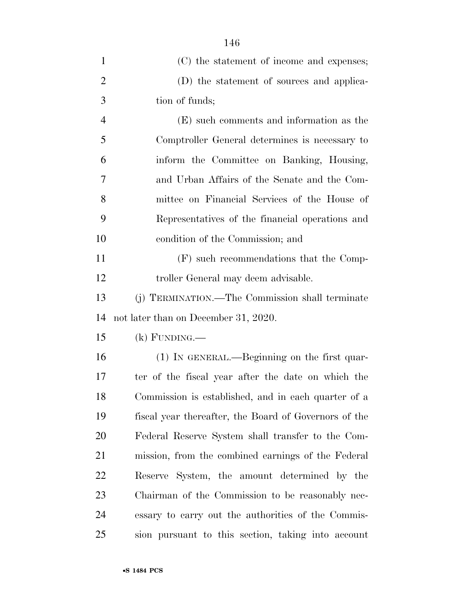| 1              | (C) the statement of income and expenses;             |
|----------------|-------------------------------------------------------|
| $\overline{2}$ | (D) the statement of sources and applica-             |
| 3              | tion of funds;                                        |
| $\overline{4}$ | (E) such comments and information as the              |
| 5              | Comptroller General determines is necessary to        |
| 6              | inform the Committee on Banking, Housing,             |
| 7              | and Urban Affairs of the Senate and the Com-          |
| 8              | mittee on Financial Services of the House of          |
| 9              | Representatives of the financial operations and       |
| 10             | condition of the Commission; and                      |
| 11             | (F) such recommendations that the Comp-               |
| 12             | troller General may deem advisable.                   |
| 13             | (j) TERMINATION.—The Commission shall terminate       |
| 14             | not later than on December 31, 2020.                  |
| 15             | $(k)$ FUNDING.—                                       |
| 16             | (1) IN GENERAL.—Beginning on the first quar-          |
| 17             | ter of the fiscal year after the date on which the    |
| 18             | Commission is established, and in each quarter of a   |
| 19             | fiscal year thereafter, the Board of Governors of the |
| 20             | Federal Reserve System shall transfer to the Com-     |
| 21             | mission, from the combined earnings of the Federal    |
| <u>22</u>      | Reserve System, the amount determined by the          |
| 23             | Chairman of the Commission to be reasonably nec-      |
| 24             | essary to carry out the authorities of the Commis-    |
| 25             | sion pursuant to this section, taking into account    |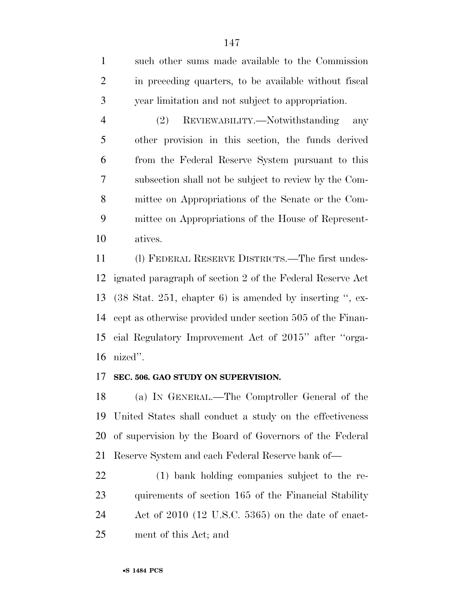such other sums made available to the Commission in preceding quarters, to be available without fiscal year limitation and not subject to appropriation.

 (2) REVIEWABILITY.—Notwithstanding any other provision in this section, the funds derived from the Federal Reserve System pursuant to this subsection shall not be subject to review by the Com- mittee on Appropriations of the Senate or the Com- mittee on Appropriations of the House of Represent-atives.

 (l) FEDERAL RESERVE DISTRICTS.—The first undes- ignated paragraph of section 2 of the Federal Reserve Act (38 Stat. 251, chapter 6) is amended by inserting '', ex- cept as otherwise provided under section 505 of the Finan- cial Regulatory Improvement Act of 2015'' after ''orga-nized''.

#### **SEC. 506. GAO STUDY ON SUPERVISION.**

 (a) IN GENERAL.—The Comptroller General of the United States shall conduct a study on the effectiveness of supervision by the Board of Governors of the Federal Reserve System and each Federal Reserve bank of—

 (1) bank holding companies subject to the re- quirements of section 165 of the Financial Stability Act of 2010 (12 U.S.C. 5365) on the date of enact-ment of this Act; and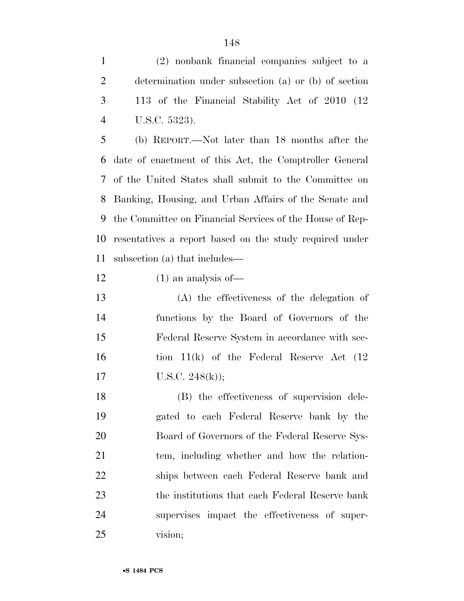(2) nonbank financial companies subject to a determination under subsection (a) or (b) of section 113 of the Financial Stability Act of 2010 (12 U.S.C. 5323).

 (b) REPORT.—Not later than 18 months after the date of enactment of this Act, the Comptroller General of the United States shall submit to the Committee on Banking, Housing, and Urban Affairs of the Senate and the Committee on Financial Services of the House of Rep- resentatives a report based on the study required under subsection (a) that includes—

(1) an analysis of—

 (A) the effectiveness of the delegation of functions by the Board of Governors of the Federal Reserve System in accordance with sec- tion 11(k) of the Federal Reserve Act (12 17 U.S.C.  $248(k)$ ;

 (B) the effectiveness of supervision dele- gated to each Federal Reserve bank by the Board of Governors of the Federal Reserve Sys- tem, including whether and how the relation- ships between each Federal Reserve bank and the institutions that each Federal Reserve bank supervises impact the effectiveness of super-vision;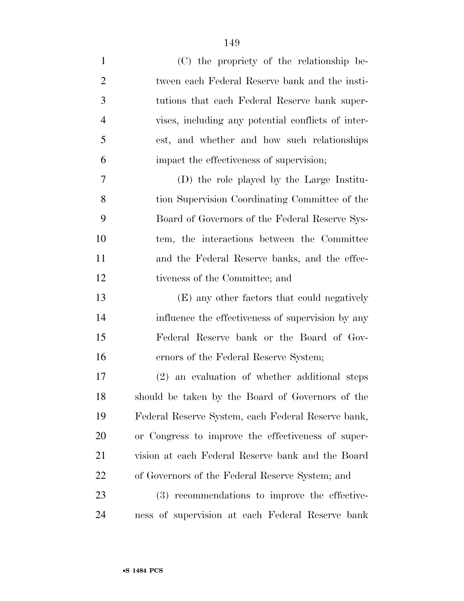| $\mathbf{1}$   | (C) the propriety of the relationship be-          |
|----------------|----------------------------------------------------|
| $\overline{2}$ | tween each Federal Reserve bank and the insti-     |
| 3              | tutions that each Federal Reserve bank super-      |
| $\overline{4}$ | vises, including any potential conflicts of inter- |
| 5              | est, and whether and how such relationships        |
| 6              | impact the effectiveness of supervision;           |
| 7              | (D) the role played by the Large Institu-          |
| 8              | tion Supervision Coordinating Committee of the     |
| 9              | Board of Governors of the Federal Reserve Sys-     |
| 10             | tem, the interactions between the Committee        |
| 11             | and the Federal Reserve banks, and the effec-      |
| 12             | tiveness of the Committee; and                     |
| 13             | (E) any other factors that could negatively        |
| 14             | influence the effectiveness of supervision by any  |
| 15             | Federal Reserve bank or the Board of Gov-          |
| 16             | ernors of the Federal Reserve System;              |
| 17             | (2) an evaluation of whether additional steps      |
| 18             | should be taken by the Board of Governors of the   |
| 19             | Federal Reserve System, each Federal Reserve bank, |
| 20             | or Congress to improve the effectiveness of super- |
| 21             | vision at each Federal Reserve bank and the Board  |
| <u>22</u>      | of Governors of the Federal Reserve System; and    |
| 23             | (3) recommendations to improve the effective-      |
| 24             | ness of supervision at each Federal Reserve bank   |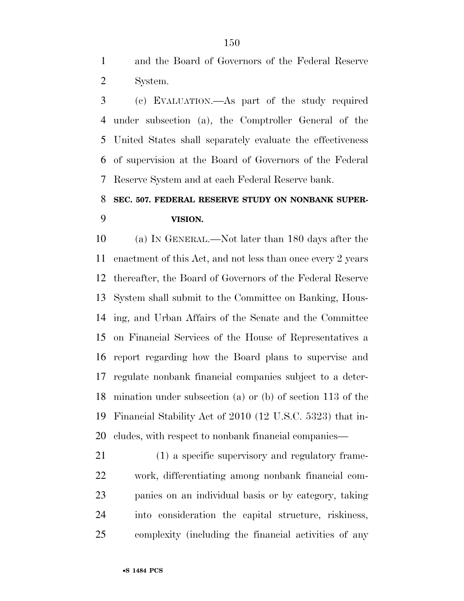and the Board of Governors of the Federal Reserve System.

 (c) EVALUATION.—As part of the study required under subsection (a), the Comptroller General of the United States shall separately evaluate the effectiveness of supervision at the Board of Governors of the Federal Reserve System and at each Federal Reserve bank.

### **SEC. 507. FEDERAL RESERVE STUDY ON NONBANK SUPER-VISION.**

 (a) IN GENERAL.—Not later than 180 days after the enactment of this Act, and not less than once every 2 years thereafter, the Board of Governors of the Federal Reserve System shall submit to the Committee on Banking, Hous- ing, and Urban Affairs of the Senate and the Committee on Financial Services of the House of Representatives a report regarding how the Board plans to supervise and regulate nonbank financial companies subject to a deter- mination under subsection (a) or (b) of section 113 of the Financial Stability Act of 2010 (12 U.S.C. 5323) that in-cludes, with respect to nonbank financial companies—

 (1) a specific supervisory and regulatory frame- work, differentiating among nonbank financial com- panies on an individual basis or by category, taking into consideration the capital structure, riskiness, complexity (including the financial activities of any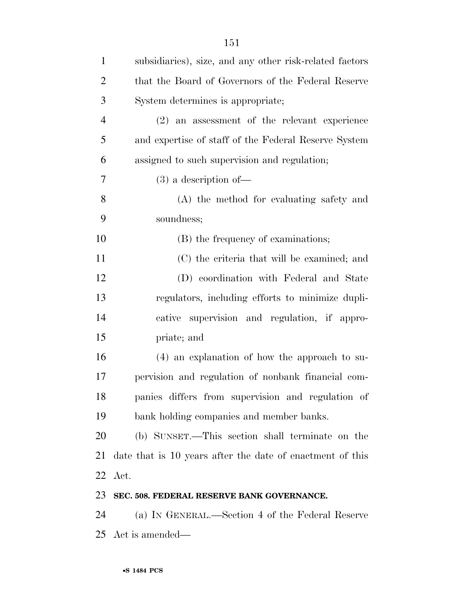| $\mathbf{1}$   | subsidiaries), size, and any other risk-related factors   |
|----------------|-----------------------------------------------------------|
| $\overline{c}$ | that the Board of Governors of the Federal Reserve        |
| 3              | System determines is appropriate;                         |
| $\overline{4}$ | (2) an assessment of the relevant experience              |
| 5              | and expertise of staff of the Federal Reserve System      |
| 6              | assigned to such supervision and regulation;              |
| 7              | $(3)$ a description of —                                  |
| 8              | (A) the method for evaluating safety and                  |
| 9              | soundness;                                                |
| 10             | (B) the frequency of examinations;                        |
| 11             | (C) the criteria that will be examined; and               |
| 12             | (D) coordination with Federal and State                   |
| 13             | regulators, including efforts to minimize dupli-          |
| 14             | cative supervision and regulation, if appro-              |
| 15             | priate; and                                               |
| 16             | $(4)$ an explanation of how the approach to su-           |
| 17             | pervision and regulation of nonbank financial com-        |
| 18             | panies differs from supervision and regulation of         |
| 19             | bank holding companies and member banks.                  |
| 20             | (b) SUNSET.—This section shall terminate on the           |
| 21             | date that is 10 years after the date of enactment of this |
| 22             | Act.                                                      |
| 23             | SEC. 508. FEDERAL RESERVE BANK GOVERNANCE.                |
| 24             | (a) IN GENERAL.—Section 4 of the Federal Reserve          |
| 25             | Act is amended—                                           |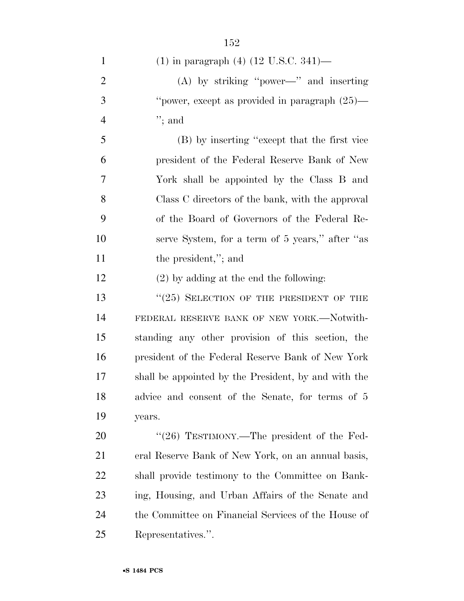| $\mathbf{1}$   | (1) in paragraph (4) (12 U.S.C. 341)—                |
|----------------|------------------------------------------------------|
| $\overline{2}$ | $(A)$ by striking "power—" and inserting             |
| 3              | "power, except as provided in paragraph (25)—        |
| $\overline{4}$ | $";$ and                                             |
| 5              | (B) by inserting "except that the first vice         |
| 6              | president of the Federal Reserve Bank of New         |
| 7              | York shall be appointed by the Class B and           |
| 8              | Class C directors of the bank, with the approval     |
| 9              | of the Board of Governors of the Federal Re-         |
| 10             | serve System, for a term of 5 years," after "as      |
| 11             | the president,"; and                                 |
| 12             | $(2)$ by adding at the end the following:            |
| 13             | $``(25)$ SELECTION OF THE PRESIDENT OF THE           |
| 14             | FEDERAL RESERVE BANK OF NEW YORK.-Notwith-           |
| 15             | standing any other provision of this section, the    |
| 16             | president of the Federal Reserve Bank of New York    |
| 17             | shall be appointed by the President, by and with the |
| 18             | advice and consent of the Senate, for terms of 5     |
| 19             | years.                                               |
| 20             | "(26) TESTIMONY.—The president of the Fed-           |
| 21             | eral Reserve Bank of New York, on an annual basis,   |
| 22             | shall provide testimony to the Committee on Bank-    |
| 23             | ing, Housing, and Urban Affairs of the Senate and    |
| 24             | the Committee on Financial Services of the House of  |
| 25             | Representatives.".                                   |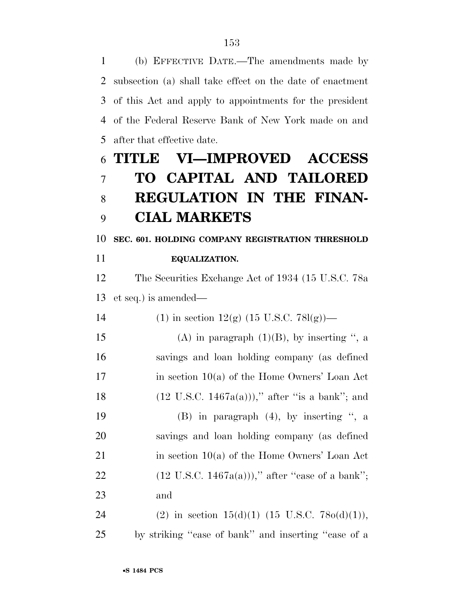(b) EFFECTIVE DATE.—The amendments made by subsection (a) shall take effect on the date of enactment of this Act and apply to appointments for the president of the Federal Reserve Bank of New York made on and after that effective date.

# **TITLE VI—IMPROVED ACCESS TO CAPITAL AND TAILORED REGULATION IN THE FINAN-CIAL MARKETS**

## **SEC. 601. HOLDING COMPANY REGISTRATION THRESHOLD**

**EQUALIZATION.** 

 The Securities Exchange Act of 1934 (15 U.S.C. 78a et seq.) is amended—

| 14 | (1) in section $12(g)$ (15 U.S.C. 78l(g))—                 |
|----|------------------------------------------------------------|
| 15 | (A) in paragraph $(1)(B)$ , by inserting ", a              |
| 16 | savings and loan holding company (as defined               |
| 17 | in section $10(a)$ of the Home Owners' Loan Act            |
| 18 | $(12 \text{ U.S.C. } 1467a(a))),'$ after "is a bank"; and  |
| 19 | $(B)$ in paragraph $(4)$ , by inserting ", a               |
| 20 | savings and loan holding company (as defined               |
| 21 | in section $10(a)$ of the Home Owners' Loan Act            |
| 22 | $(12 \text{ U.S.C. } 1467a(a))$ ," after "case of a bank"; |
| 23 | and                                                        |
|    |                                                            |

24 (2) in section  $15(d)(1)$  (15 U.S.C. 78o(d)(1)), by striking ''case of bank'' and inserting ''case of a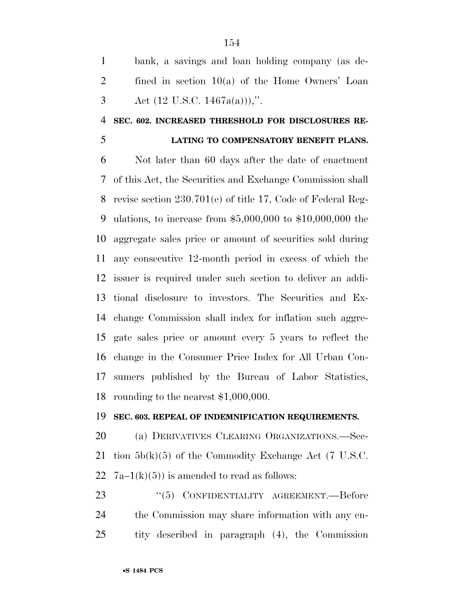bank, a savings and loan holding company (as de- fined in section 10(a) of the Home Owners' Loan 3 Act  $(12 \text{ U.S.C. } 1467a(a))$ ,".

### **SEC. 602. INCREASED THRESHOLD FOR DISCLOSURES RE-**

### **LATING TO COMPENSATORY BENEFIT PLANS.**

 Not later than 60 days after the date of enactment of this Act, the Securities and Exchange Commission shall revise section 230.701(e) of title 17, Code of Federal Reg- ulations, to increase from \$5,000,000 to \$10,000,000 the aggregate sales price or amount of securities sold during any consecutive 12-month period in excess of which the issuer is required under such section to deliver an addi- tional disclosure to investors. The Securities and Ex- change Commission shall index for inflation such aggre- gate sales price or amount every 5 years to reflect the change in the Consumer Price Index for All Urban Con- sumers published by the Bureau of Labor Statistics, rounding to the nearest \$1,000,000.

#### **SEC. 603. REPEAL OF INDEMNIFICATION REQUIREMENTS.**

 (a) DERIVATIVES CLEARING ORGANIZATIONS.—Sec- tion 5b(k)(5) of the Commodity Exchange Act (7 U.S.C. 22  $7a-1(k)(5)$  is amended to read as follows:

23 "(5) CONFIDENTIALITY AGREEMENT.—Before the Commission may share information with any en-tity described in paragraph (4), the Commission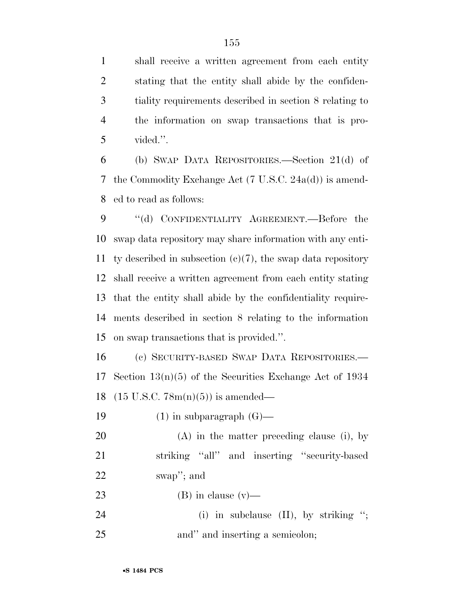shall receive a written agreement from each entity stating that the entity shall abide by the confiden- tiality requirements described in section 8 relating to the information on swap transactions that is pro-vided.''.

 (b) SWAP DATA REPOSITORIES.—Section 21(d) of the Commodity Exchange Act (7 U.S.C. 24a(d)) is amend-ed to read as follows:

9 "(d) CONFIDENTIALITY AGREEMENT.—Before the swap data repository may share information with any enti-11 ty described in subsection  $(c)(7)$ , the swap data repository shall receive a written agreement from each entity stating that the entity shall abide by the confidentiality require- ments described in section 8 relating to the information on swap transactions that is provided.''.

 (c) SECURITY-BASED SWAP DATA REPOSITORIES.— Section 13(n)(5) of the Securities Exchange Act of 1934 (15 U.S.C. 78m(n)(5)) is amended—

19  $(1)$  in subparagraph  $(G)$ —

 (A) in the matter preceding clause (i), by striking ''all'' and inserting ''security-based swap''; and

23 (B) in clause  $(v)$ —

24 (i) in subclause (II), by striking "; 25 and inserting a semicolon;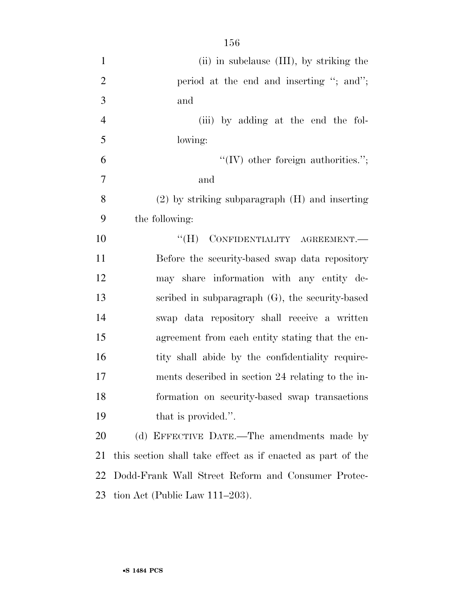| $\mathbf{1}$   | (ii) in subclause (III), by striking the                    |
|----------------|-------------------------------------------------------------|
| $\overline{2}$ | period at the end and inserting "; and";                    |
| 3              | and                                                         |
| $\overline{4}$ | (iii) by adding at the end the fol-                         |
| 5              | lowing:                                                     |
| 6              | $\lq\lq$ (IV) other foreign authorities.";                  |
| $\overline{7}$ | and                                                         |
| 8              | $(2)$ by striking subparagraph $(H)$ and inserting          |
| 9              | the following:                                              |
| 10             | CONFIDENTIALITY AGREEMENT.<br>$\rm``(H)$                    |
| 11             | Before the security-based swap data repository              |
| 12             | may share information with any entity de-                   |
| 13             | scribed in subparagraph $(G)$ , the security-based          |
| 14             | swap data repository shall receive a written                |
| 15             | agreement from each entity stating that the en-             |
| 16             | tity shall abide by the confidentiality require-            |
| 17             | ments described in section 24 relating to the in-           |
| 18             | formation on security-based swap transactions               |
| 19             | that is provided.".                                         |
| 20             | (d) EFFECTIVE DATE.—The amendments made by                  |
| 21             | this section shall take effect as if enacted as part of the |
| 22             | Dodd-Frank Wall Street Reform and Consumer Protec-          |
| 23             | tion Act (Public Law $111-203$ ).                           |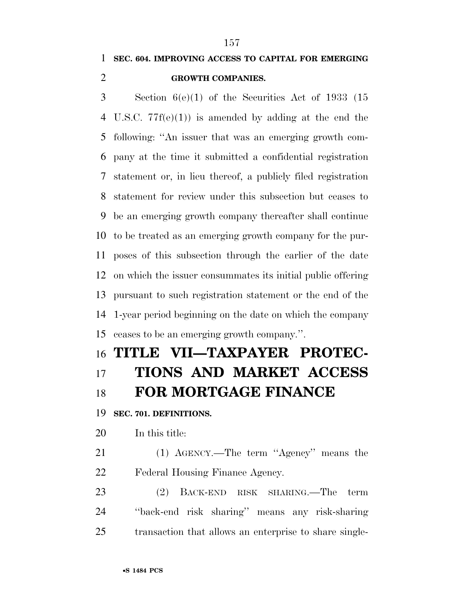### **SEC. 604. IMPROVING ACCESS TO CAPITAL FOR EMERGING GROWTH COMPANIES.**

 Section 6(e)(1) of the Securities Act of 1933 (15 U.S.C. 77f(e)(1)) is amended by adding at the end the following: ''An issuer that was an emerging growth com- pany at the time it submitted a confidential registration statement or, in lieu thereof, a publicly filed registration statement for review under this subsection but ceases to be an emerging growth company thereafter shall continue to be treated as an emerging growth company for the pur- poses of this subsection through the earlier of the date on which the issuer consummates its initial public offering pursuant to such registration statement or the end of the 1-year period beginning on the date on which the company ceases to be an emerging growth company.''.

# **TITLE VII—TAXPAYER PROTEC- TIONS AND MARKET ACCESS FOR MORTGAGE FINANCE**

**SEC. 701. DEFINITIONS.** 

In this title:

 (1) AGENCY.—The term ''Agency'' means the Federal Housing Finance Agency.

 (2) BACK-END RISK SHARING.—The term ''back-end risk sharing'' means any risk-sharing transaction that allows an enterprise to share single-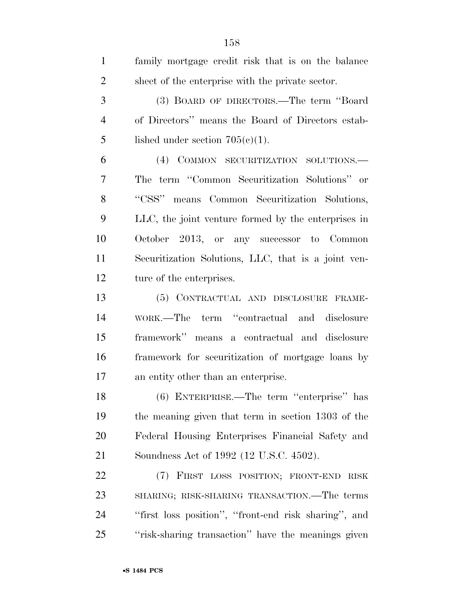| $\mathbf{1}$   | family mortgage credit risk that is on the balance   |
|----------------|------------------------------------------------------|
| $\overline{2}$ | sheet of the enterprise with the private sector.     |
| 3              | (3) BOARD OF DIRECTORS.—The term "Board              |
| $\overline{4}$ | of Directors" means the Board of Directors estab-    |
| 5              | lished under section $705(c)(1)$ .                   |
| 6              | (4) COMMON SECURITIZATION SOLUTIONS.                 |
| 7              | The term "Common Securitization Solutions" or        |
| 8              | "CSS" means Common Securitization Solutions,         |
| 9              | LLC, the joint venture formed by the enterprises in  |
| 10             | October 2013, or any successor to Common             |
| 11             | Securitization Solutions, LLC, that is a joint ven-  |
| 12             | ture of the enterprises.                             |
| 13             | (5) CONTRACTUAL AND DISCLOSURE FRAME-                |
| 14             | WORK.—The term "contractual and disclosure           |
| 15             | framework" means a contractual and disclosure        |
| 16             | framework for securitization of mortgage loans by    |
| 17             | an entity other than an enterprise.                  |
| 18             | (6) ENTERPRISE.—The term "enterprise" has            |
| 19             | the meaning given that term in section 1303 of the   |
| 20             | Federal Housing Enterprises Financial Safety and     |
| 21             | Soundness Act of 1992 (12 U.S.C. 4502).              |
| 22             | (7) FIRST LOSS POSITION; FRONT-END RISK              |
| 23             | SHARING; RISK-SHARING TRANSACTION.—The terms         |
| 24             | "first loss position", "front-end risk sharing", and |
| 25             | "risk-sharing transaction" have the meanings given   |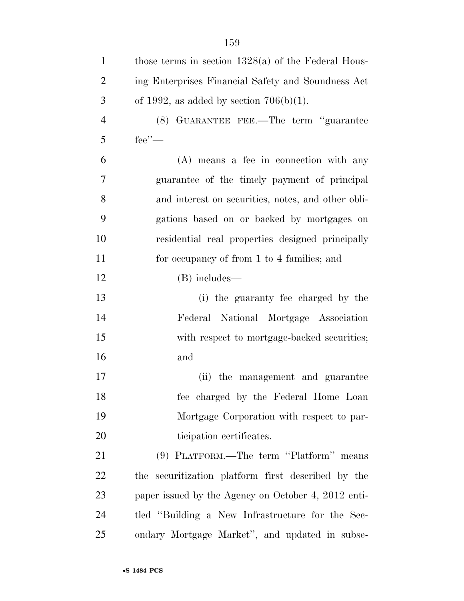| $\mathbf{1}$   | those terms in section $1328(a)$ of the Federal Hous- |
|----------------|-------------------------------------------------------|
| $\overline{2}$ | ing Enterprises Financial Safety and Soundness Act    |
| 3              | of 1992, as added by section $706(b)(1)$ .            |
| $\overline{4}$ | (8) GUARANTEE FEE.—The term "guarantee                |
| 5              | fee'                                                  |
| 6              | (A) means a fee in connection with any                |
| 7              | guarantee of the timely payment of principal          |
| 8              | and interest on securities, notes, and other obli-    |
| 9              | gations based on or backed by mortgages on            |
| 10             | residential real properties designed principally      |
| 11             | for occupancy of from 1 to 4 families; and            |
| 12             | (B) includes—                                         |
| 13             | (i) the guaranty fee charged by the                   |
| 14             | Federal National Mortgage Association                 |
| 15             | with respect to mortgage-backed securities;           |
| 16             | and                                                   |
| 17             | (ii) the management and guarantee                     |
| 18             | fee charged by the Federal Home Loan                  |
| 19             | Mortgage Corporation with respect to par-             |
| 20             | ticipation certificates.                              |
| 21             | (9) PLATFORM.—The term "Platform" means               |
| 22             | the securitization platform first described by the    |
| 23             | paper issued by the Agency on October 4, 2012 enti-   |
| 24             | tled "Building a New Infrastructure for the Sec-      |
| 25             | ondary Mortgage Market", and updated in subse-        |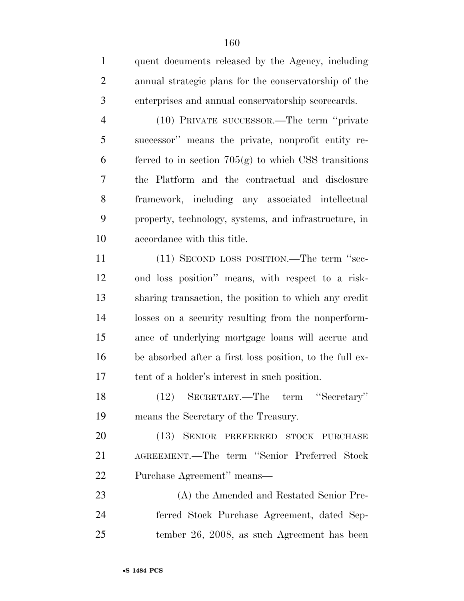| $\mathbf{1}$   | quent documents released by the Agency, including        |
|----------------|----------------------------------------------------------|
| $\overline{2}$ | annual strategic plans for the conservatorship of the    |
| 3              | enterprises and annual conservatorship scorecards.       |
| $\overline{4}$ | (10) PRIVATE SUCCESSOR.—The term "private"               |
| 5              | successor" means the private, nonprofit entity re-       |
| 6              | ferred to in section $705(g)$ to which CSS transitions   |
| 7              | the Platform and the contractual and disclosure          |
| 8              | framework, including any associated intellectual         |
| 9              | property, technology, systems, and infrastructure, in    |
| 10             | accordance with this title.                              |
| 11             | (11) SECOND LOSS POSITION.—The term "sec-                |
| 12             | ond loss position" means, with respect to a risk-        |
| 13             | sharing transaction, the position to which any credit    |
| 14             | losses on a security resulting from the nonperform-      |
| 15             | ance of underlying mortgage loans will accrue and        |
| 16             | be absorbed after a first loss position, to the full ex- |
| 17             | tent of a holder's interest in such position.            |
| 18             | (12) SECRETARY.—The term "Secretary"                     |
| 19             | means the Secretary of the Treasury.                     |
| 20             | (13) SENIOR PREFERRED STOCK PURCHASE                     |
| 21             | AGREEMENT.-The term "Senior Preferred Stock              |
| 22             | Purchase Agreement" means—                               |
| 23             | (A) the Amended and Restated Senior Pre-                 |
| 24             | ferred Stock Purchase Agreement, dated Sep-              |
|                |                                                          |

tember 26, 2008, as such Agreement has been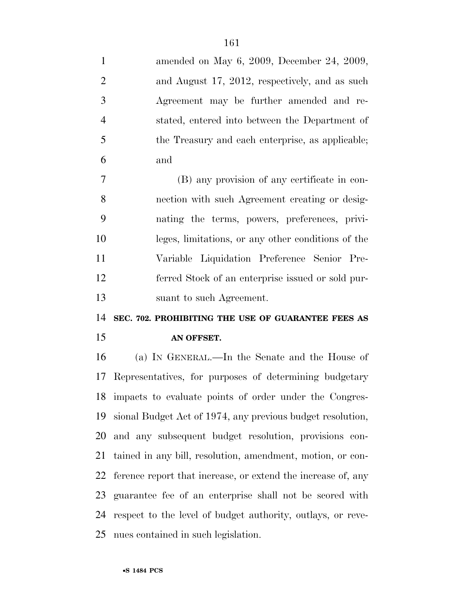| $\mathbf{1}$   | amended on May 6, 2009, December 24, 2009,                   |
|----------------|--------------------------------------------------------------|
| $\overline{2}$ | and August 17, 2012, respectively, and as such               |
| 3              | Agreement may be further amended and re-                     |
| $\overline{4}$ | stated, entered into between the Department of               |
| 5              | the Treasury and each enterprise, as applicable;             |
| 6              | and                                                          |
| $\overline{7}$ | (B) any provision of any certificate in con-                 |
| 8              | nection with such Agreement creating or desig-               |
| 9              | nating the terms, powers, preferences, privi-                |
| 10             | leges, limitations, or any other conditions of the           |
| 11             | Variable Liquidation Preference Senior Pre-                  |
| 12             | ferred Stock of an enterprise issued or sold pur-            |
| 13             | suant to such Agreement.                                     |
| 14             | SEC. 702. PROHIBITING THE USE OF GUARANTEE FEES AS           |
|                |                                                              |
| 15             | AN OFFSET.                                                   |
| 16             | (a) IN GENERAL.—In the Senate and the House of               |
| 17             | Representatives, for purposes of determining budgetary       |
|                | 18 impacts to evaluate points of order under the Congres-    |
| 19             | sional Budget Act of 1974, any previous budget resolution,   |
| 20             | and any subsequent budget resolution, provisions con-        |
| 21             | tained in any bill, resolution, amendment, motion, or con-   |
| 22             | ference report that increase, or extend the increase of, any |
| 23             | guarantee fee of an enterprise shall not be scored with      |
| 24             | respect to the level of budget authority, outlays, or reve-  |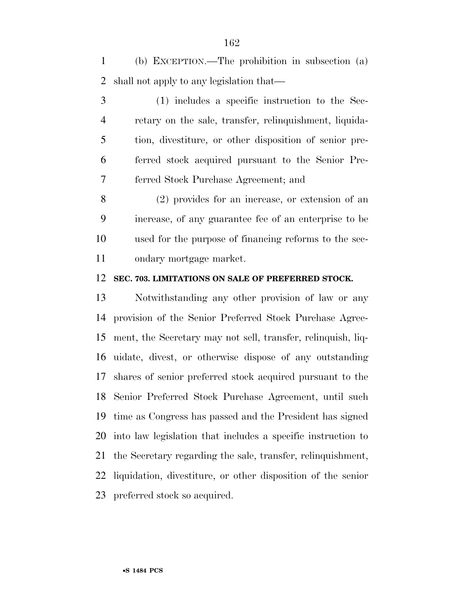(b) EXCEPTION.—The prohibition in subsection (a) shall not apply to any legislation that—

 (1) includes a specific instruction to the Sec- retary on the sale, transfer, relinquishment, liquida- tion, divestiture, or other disposition of senior pre- ferred stock acquired pursuant to the Senior Pre-ferred Stock Purchase Agreement; and

 (2) provides for an increase, or extension of an increase, of any guarantee fee of an enterprise to be used for the purpose of financing reforms to the sec-ondary mortgage market.

### **SEC. 703. LIMITATIONS ON SALE OF PREFERRED STOCK.**

 Notwithstanding any other provision of law or any provision of the Senior Preferred Stock Purchase Agree- ment, the Secretary may not sell, transfer, relinquish, liq- uidate, divest, or otherwise dispose of any outstanding shares of senior preferred stock acquired pursuant to the Senior Preferred Stock Purchase Agreement, until such time as Congress has passed and the President has signed into law legislation that includes a specific instruction to the Secretary regarding the sale, transfer, relinquishment, liquidation, divestiture, or other disposition of the senior preferred stock so acquired.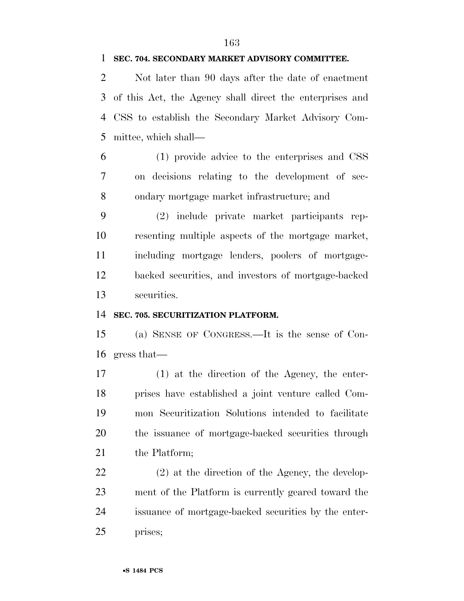#### **SEC. 704. SECONDARY MARKET ADVISORY COMMITTEE.**

 Not later than 90 days after the date of enactment of this Act, the Agency shall direct the enterprises and CSS to establish the Secondary Market Advisory Com-mittee, which shall—

 (1) provide advice to the enterprises and CSS on decisions relating to the development of sec-ondary mortgage market infrastructure; and

 (2) include private market participants rep- resenting multiple aspects of the mortgage market, including mortgage lenders, poolers of mortgage- backed securities, and investors of mortgage-backed securities.

### **SEC. 705. SECURITIZATION PLATFORM.**

 (a) SENSE OF CONGRESS.—It is the sense of Con-gress that—

 (1) at the direction of the Agency, the enter- prises have established a joint venture called Com- mon Securitization Solutions intended to facilitate the issuance of mortgage-backed securities through 21 the Platform;

 (2) at the direction of the Agency, the develop- ment of the Platform is currently geared toward the issuance of mortgage-backed securities by the enter-prises;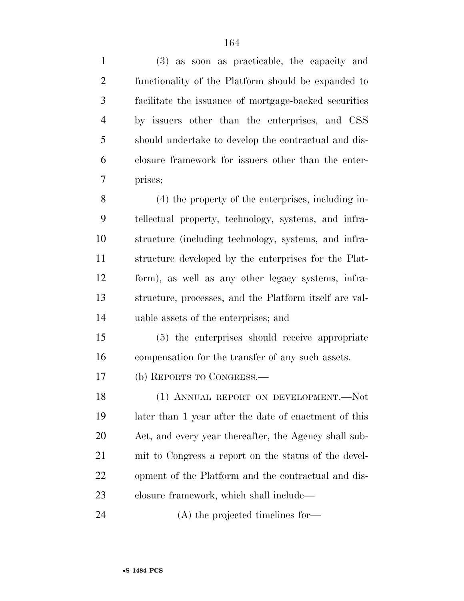(3) as soon as practicable, the capacity and functionality of the Platform should be expanded to facilitate the issuance of mortgage-backed securities by issuers other than the enterprises, and CSS should undertake to develop the contractual and dis- closure framework for issuers other than the enter- prises; (4) the property of the enterprises, including in- tellectual property, technology, systems, and infra- structure (including technology, systems, and infra- structure developed by the enterprises for the Plat- form), as well as any other legacy systems, infra- structure, processes, and the Platform itself are val- uable assets of the enterprises; and (5) the enterprises should receive appropriate compensation for the transfer of any such assets. (b) REPORTS TO CONGRESS.— 18 (1) ANNUAL REPORT ON DEVELOPMENT. Not later than 1 year after the date of enactment of this Act, and every year thereafter, the Agency shall sub- mit to Congress a report on the status of the devel-opment of the Platform and the contractual and dis-

closure framework, which shall include—

(A) the projected timelines for—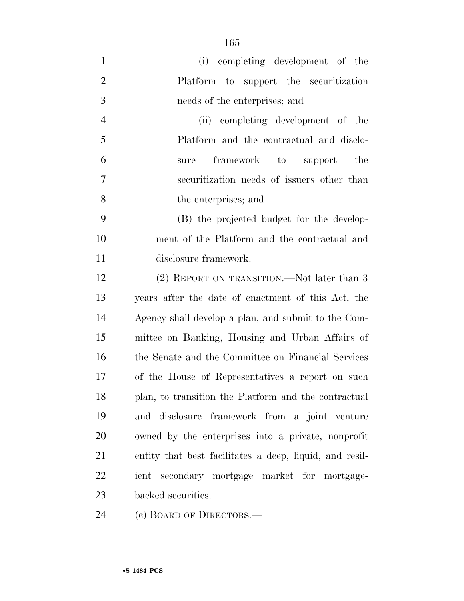| $\mathbf{1}$   | (i) completing development of the                       |
|----------------|---------------------------------------------------------|
| $\overline{2}$ | Platform to support the securitization                  |
| 3              | needs of the enterprises; and                           |
| $\overline{4}$ | (ii) completing development of the                      |
| 5              | Platform and the contractual and disclo-                |
| 6              | the<br>framework<br>to<br>support<br>sure               |
| 7              | securitization needs of issuers other than              |
| 8              | the enterprises; and                                    |
| 9              | (B) the projected budget for the develop-               |
| 10             | ment of the Platform and the contractual and            |
| 11             | disclosure framework.                                   |
| 12             | (2) REPORT ON TRANSITION.—Not later than 3              |
| 13             | years after the date of enactment of this Act, the      |
| 14             | Agency shall develop a plan, and submit to the Com-     |
| 15             | mittee on Banking, Housing and Urban Affairs of         |
| 16             | the Senate and the Committee on Financial Services      |
| 17             | of the House of Representatives a report on such        |
| 18             | plan, to transition the Platform and the contractual    |
| 19             | and disclosure framework from a joint venture           |
| 20             | owned by the enterprises into a private, nonprofit      |
| 21             | entity that best facilitates a deep, liquid, and resil- |
| 22             | ient secondary mortgage market for mortgage-            |
| 23             | backed securities.                                      |

24 (c) BOARD OF DIRECTORS.—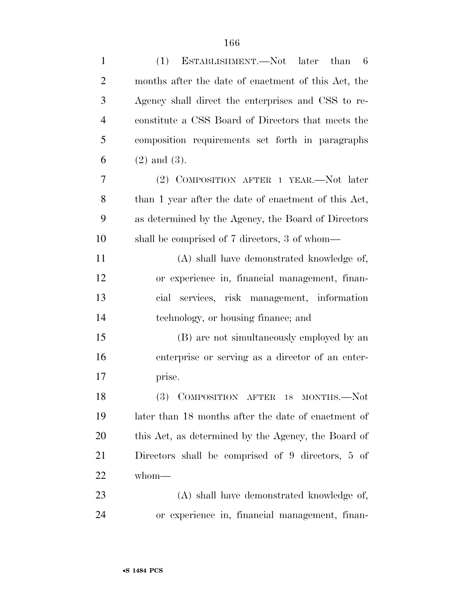| $\mathbf{1}$   | ESTABLISHMENT.—Not later than 6<br>(1)               |
|----------------|------------------------------------------------------|
| $\overline{2}$ | months after the date of enactment of this Act, the  |
| 3              | Agency shall direct the enterprises and CSS to re-   |
| $\overline{4}$ | constitute a CSS Board of Directors that meets the   |
| 5              | composition requirements set forth in paragraphs     |
| 6              | $(2)$ and $(3)$ .                                    |
| 7              | (2) COMPOSITION AFTER 1 YEAR.—Not later              |
| 8              | than 1 year after the date of enactment of this Act, |
| 9              | as determined by the Agency, the Board of Directors  |
| 10             | shall be comprised of 7 directors, 3 of whom—        |
| 11             | (A) shall have demonstrated knowledge of,            |
| 12             | or experience in, financial management, finan-       |
| 13             | services, risk management, information<br>cial       |
| 14             | technology, or housing finance; and                  |
| 15             | (B) are not simultaneously employed by an            |
| 16             | enterprise or serving as a director of an enter-     |
| 17             | prise.                                               |
| 18             | (3) COMPOSITION AFTER 18 MONTHS.-Not                 |
| 19             | later than 18 months after the date of enactment of  |
| 20             | this Act, as determined by the Agency, the Board of  |
| 21             | Directors shall be comprised of 9 directors, 5 of    |
| 22             | whom-                                                |
| 23             | (A) shall have demonstrated knowledge of,            |
| 24             | or experience in, financial management, finan-       |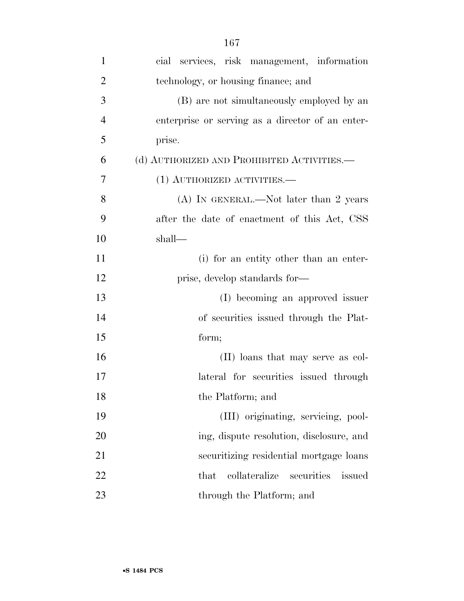| $\mathbf{1}$   | cial services, risk management, information      |
|----------------|--------------------------------------------------|
| $\overline{2}$ | technology, or housing finance; and              |
| 3              | (B) are not simultaneously employed by an        |
| $\overline{4}$ | enterprise or serving as a director of an enter- |
| 5              | prise.                                           |
| 6              | (d) AUTHORIZED AND PROHIBITED ACTIVITIES.—       |
| 7              | $(1)$ AUTHORIZED ACTIVITIES.—                    |
| 8              | $(A)$ In GENERAL.—Not later than 2 years         |
| 9              | after the date of enactment of this Act, CSS     |
| 10             | shall—                                           |
| 11             | (i) for an entity other than an enter-           |
| 12             | prise, develop standards for—                    |
| 13             | (I) becoming an approved issuer                  |
| 14             | of securities issued through the Plat-           |
| 15             | form;                                            |
| 16             | (II) loans that may serve as col-                |
| 17             | lateral for securities issued through            |
| 18             | the Platform; and                                |
| 19             | (III) originating, servicing, pool-              |
| 20             | ing, dispute resolution, disclosure, and         |
| 21             | securitizing residential mortgage loans          |
| 22             | collateralize<br>securities<br>issued<br>that    |
| 23             | through the Platform; and                        |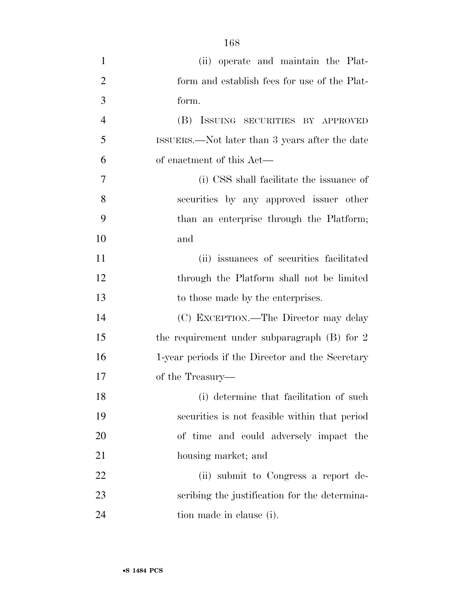| $\mathbf{1}$   | (ii) operate and maintain the Plat-              |
|----------------|--------------------------------------------------|
| $\overline{2}$ | form and establish fees for use of the Plat-     |
| 3              | form.                                            |
| $\overline{4}$ | (B) ISSUING SECURITIES BY APPROVED               |
| 5              | ISSUERS.—Not later than 3 years after the date   |
| 6              | of enactment of this Act—                        |
| 7              | (i) CSS shall facilitate the issuance of         |
| 8              | securities by any approved issuer other          |
| 9              | than an enterprise through the Platform;         |
| 10             | and                                              |
| 11             | (ii) issuances of securities facilitated         |
| 12             | through the Platform shall not be limited        |
| 13             | to those made by the enterprises.                |
| 14             | (C) EXCEPTION.—The Director may delay            |
| 15             | the requirement under subparagraph $(B)$ for 2   |
| 16             | 1-year periods if the Director and the Secretary |
| 17             | of the Treasury—                                 |
| 18             | (i) determine that facilitation of such          |
| 19             | securities is not feasible within that period    |
| 20             | of time and could adversely impact the           |
| 21             | housing market; and                              |
| 22             | (ii) submit to Congress a report de-             |
| 23             | scribing the justification for the determina-    |
| 24             | tion made in clause (i).                         |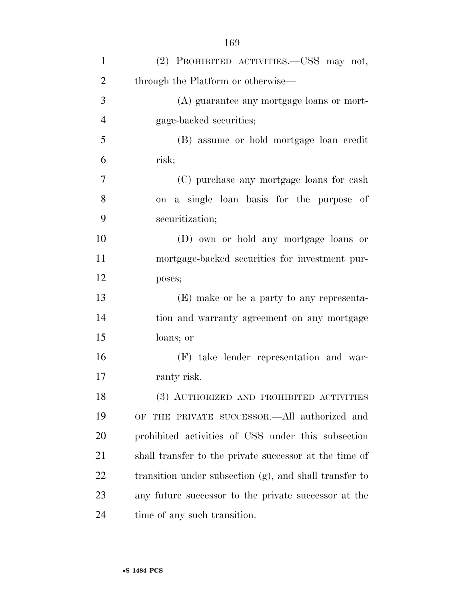| $\mathbf{1}$   | (2) PROHIBITED ACTIVITIES.—CSS may not,                |
|----------------|--------------------------------------------------------|
| $\overline{2}$ | through the Platform or otherwise—                     |
| 3              | (A) guarantee any mortgage loans or mort-              |
| $\overline{4}$ | gage-backed securities;                                |
| 5              | (B) assume or hold mortgage loan credit                |
| 6              | risk;                                                  |
| 7              | (C) purchase any mortgage loans for cash               |
| 8              | on a single loan basis for the purpose of              |
| 9              | securitization;                                        |
| 10             | (D) own or hold any mortgage loans or                  |
| 11             | mortgage-backed securities for investment pur-         |
| 12             | poses;                                                 |
| 13             | (E) make or be a party to any representa-              |
| 14             | tion and warranty agreement on any mortgage            |
| 15             | loans; or                                              |
| 16             | (F) take lender representation and war-                |
| 17             | ranty risk.                                            |
| 18             | (3) AUTHORIZED AND PROHIBITED ACTIVITIES               |
| 19             | OF THE PRIVATE SUCCESSOR.—All authorized and           |
| 20             | prohibited activities of CSS under this subsection     |
| 21             | shall transfer to the private successor at the time of |
| 22             | transition under subsection (g), and shall transfer to |
| 23             | any future successor to the private successor at the   |
| 24             | time of any such transition.                           |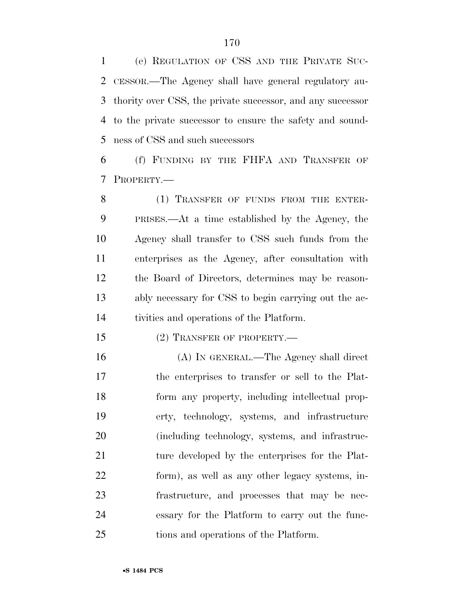(e) REGULATION OF CSS AND THE PRIVATE SUC- CESSOR.—The Agency shall have general regulatory au- thority over CSS, the private successor, and any successor to the private successor to ensure the safety and sound-ness of CSS and such successors

 (f) FUNDING BY THE FHFA AND TRANSFER OF PROPERTY.—

8 (1) TRANSFER OF FUNDS FROM THE ENTER- PRISES.—At a time established by the Agency, the Agency shall transfer to CSS such funds from the enterprises as the Agency, after consultation with the Board of Directors, determines may be reason- ably necessary for CSS to begin carrying out the ac-tivities and operations of the Platform.

15 (2) TRANSFER OF PROPERTY.—

 (A) IN GENERAL.—The Agency shall direct the enterprises to transfer or sell to the Plat- form any property, including intellectual prop- erty, technology, systems, and infrastructure (including technology, systems, and infrastruc- ture developed by the enterprises for the Plat- form), as well as any other legacy systems, in- frastructure, and processes that may be nec- essary for the Platform to carry out the func-tions and operations of the Platform.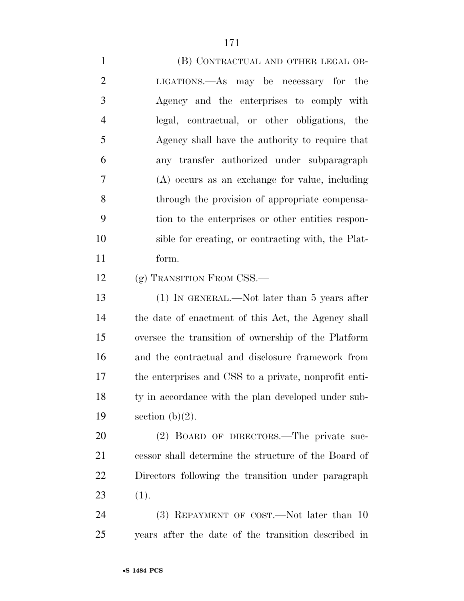1 (B) CONTRACTUAL AND OTHER LEGAL OB- LIGATIONS.—As may be necessary for the Agency and the enterprises to comply with legal, contractual, or other obligations, the Agency shall have the authority to require that any transfer authorized under subparagraph (A) occurs as an exchange for value, including through the provision of appropriate compensa- tion to the enterprises or other entities respon- sible for creating, or contracting with, the Plat- form. 12 (g) TRANSITION FROM CSS.— (1) IN GENERAL.—Not later than 5 years after the date of enactment of this Act, the Agency shall oversee the transition of ownership of the Platform and the contractual and disclosure framework from the enterprises and CSS to a private, nonprofit enti-18 ty in accordance with the plan developed under sub-19 section  $(b)(2)$ . (2) BOARD OF DIRECTORS.—The private suc- cessor shall determine the structure of the Board of Directors following the transition under paragraph (1). 24 (3) REPAYMENT OF COST.—Not later than 10

years after the date of the transition described in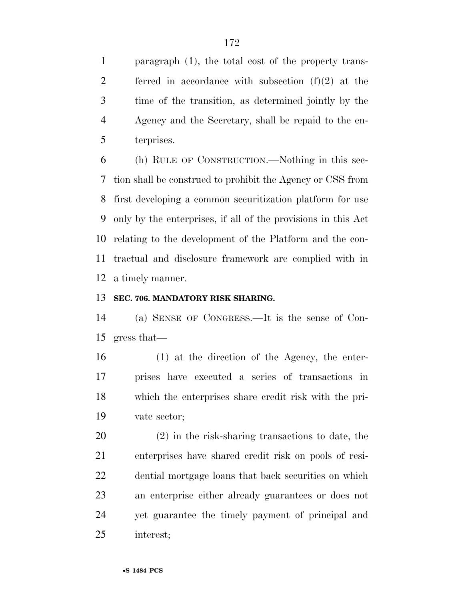paragraph (1), the total cost of the property trans-2 ferred in accordance with subsection  $(f)(2)$  at the time of the transition, as determined jointly by the Agency and the Secretary, shall be repaid to the en-terprises.

 (h) RULE OF CONSTRUCTION.—Nothing in this sec- tion shall be construed to prohibit the Agency or CSS from first developing a common securitization platform for use only by the enterprises, if all of the provisions in this Act relating to the development of the Platform and the con- tractual and disclosure framework are complied with in a timely manner.

### **SEC. 706. MANDATORY RISK SHARING.**

 (a) SENSE OF CONGRESS.—It is the sense of Con-gress that—

 (1) at the direction of the Agency, the enter- prises have executed a series of transactions in which the enterprises share credit risk with the pri-vate sector;

 (2) in the risk-sharing transactions to date, the enterprises have shared credit risk on pools of resi- dential mortgage loans that back securities on which an enterprise either already guarantees or does not yet guarantee the timely payment of principal and interest;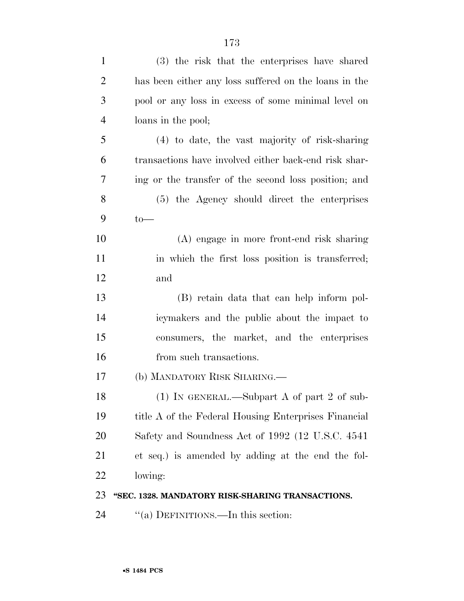| $\mathbf{1}$   | (3) the risk that the enterprises have shared         |
|----------------|-------------------------------------------------------|
| $\overline{2}$ | has been either any loss suffered on the loans in the |
| 3              | pool or any loss in excess of some minimal level on   |
| $\overline{4}$ | loans in the pool;                                    |
| 5              | $(4)$ to date, the vast majority of risk-sharing      |
| 6              | transactions have involved either back-end risk shar- |
| 7              | ing or the transfer of the second loss position; and  |
| 8              | (5) the Agency should direct the enterprises          |
| 9              | $to-$                                                 |
| 10             | (A) engage in more front-end risk sharing             |
| 11             | in which the first loss position is transferred;      |
| 12             | and                                                   |
| 13             | (B) retain data that can help inform pol-             |
| 14             | icymakers and the public about the impact to          |
| 15             | consumers, the market, and the enterprises            |
| 16             | from such transactions.                               |
| 17             | (b) MANDATORY RISK SHARING.—                          |
| 18             | (1) IN GENERAL.—Subpart A of part 2 of sub-           |
| 19             | title A of the Federal Housing Enterprises Financial  |
| <b>20</b>      | Safety and Soundness Act of 1992 (12 U.S.C. 4541)     |
| 21             | et seq.) is amended by adding at the end the fol-     |
| 22             | lowing:                                               |
| 23             | "SEC. 1328. MANDATORY RISK-SHARING TRANSACTIONS.      |
| 24             | "(a) DEFINITIONS.—In this section:                    |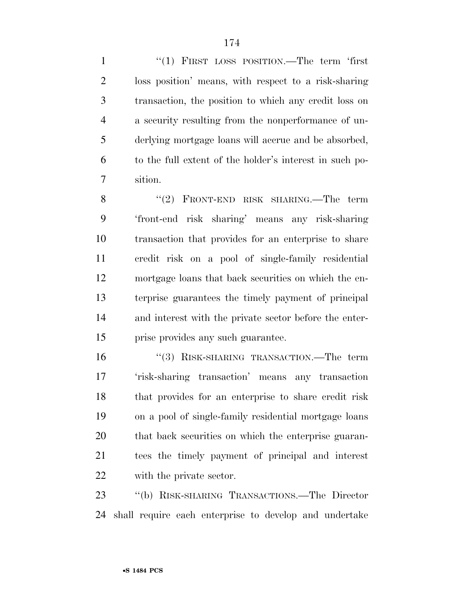1 "(1) FIRST LOSS POSITION.—The term 'first loss position' means, with respect to a risk-sharing transaction, the position to which any credit loss on a security resulting from the nonperformance of un- derlying mortgage loans will accrue and be absorbed, to the full extent of the holder's interest in such po-sition.

8 "(2) FRONT-END RISK SHARING.—The term 'front-end risk sharing' means any risk-sharing transaction that provides for an enterprise to share credit risk on a pool of single-family residential mortgage loans that back securities on which the en- terprise guarantees the timely payment of principal and interest with the private sector before the enter-prise provides any such guarantee.

16 "(3) RISK-SHARING TRANSACTION.—The term 'risk-sharing transaction' means any transaction that provides for an enterprise to share credit risk on a pool of single-family residential mortgage loans that back securities on which the enterprise guaran- tees the timely payment of principal and interest with the private sector.

 ''(b) RISK-SHARING TRANSACTIONS.—The Director shall require each enterprise to develop and undertake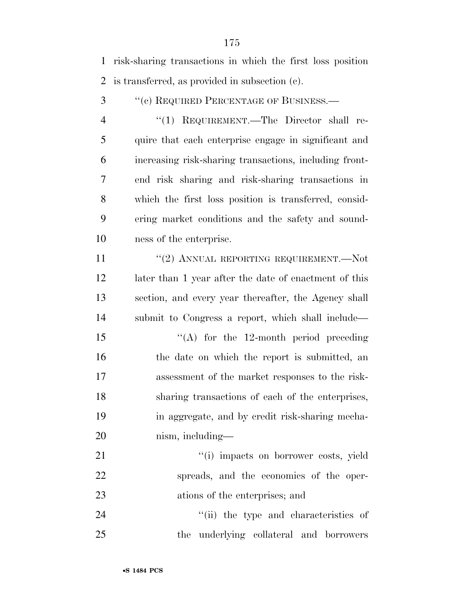risk-sharing transactions in which the first loss position is transferred, as provided in subsection (c).

3 " (c) REQUIRED PERCENTAGE OF BUSINESS.—

4 "(1) REQUIREMENT.—The Director shall re- quire that each enterprise engage in significant and increasing risk-sharing transactions, including front- end risk sharing and risk-sharing transactions in which the first loss position is transferred, consid- ering market conditions and the safety and sound-ness of the enterprise.

11 "(2) ANNUAL REPORTING REQUIREMENT.—Not later than 1 year after the date of enactment of this section, and every year thereafter, the Agency shall submit to Congress a report, which shall include—

 $\langle (A)$  for the 12-month period preceding 16 the date on which the report is submitted, an assessment of the market responses to the risk- sharing transactions of each of the enterprises, in aggregate, and by credit risk-sharing mecha-nism, including—

21  $\frac{1}{1}$  impacts on borrower costs, yield spreads, and the economics of the oper-ations of the enterprises; and

24 ''(ii) the type and characteristics of the underlying collateral and borrowers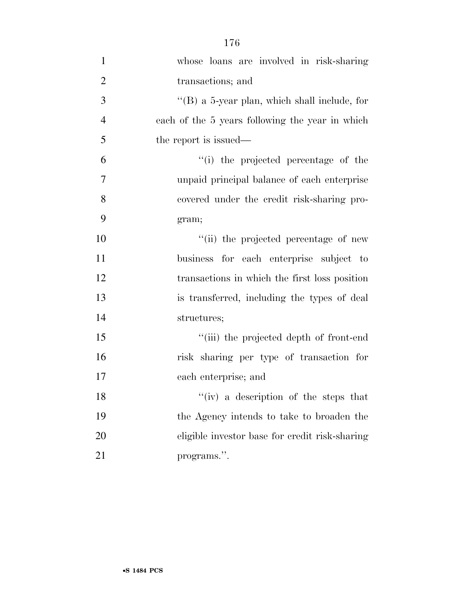| $\mathbf{1}$   | whose loans are involved in risk-sharing        |
|----------------|-------------------------------------------------|
| $\overline{2}$ | transactions; and                               |
| $\mathfrak{Z}$ | "(B) a 5-year plan, which shall include, for    |
| $\overline{4}$ | each of the 5 years following the year in which |
| 5              | the report is issued—                           |
| 6              | "(i) the projected percentage of the            |
| $\tau$         | unpaid principal balance of each enterprise     |
| 8              | covered under the credit risk-sharing pro-      |
| 9              | gram;                                           |
| 10             | "(ii) the projected percentage of new           |
| 11             | business for each enterprise subject to         |
| 12             | transactions in which the first loss position   |
| 13             | is transferred, including the types of deal     |
| 14             | structures;                                     |
| 15             | "(iii) the projected depth of front-end         |
| 16             | risk sharing per type of transaction for        |
| 17             | each enterprise; and                            |
| 18             | "(iv) a description of the steps that           |
| 19             | the Agency intends to take to broaden the       |
| 20             | eligible investor base for credit risk-sharing  |
| 21             | programs.".                                     |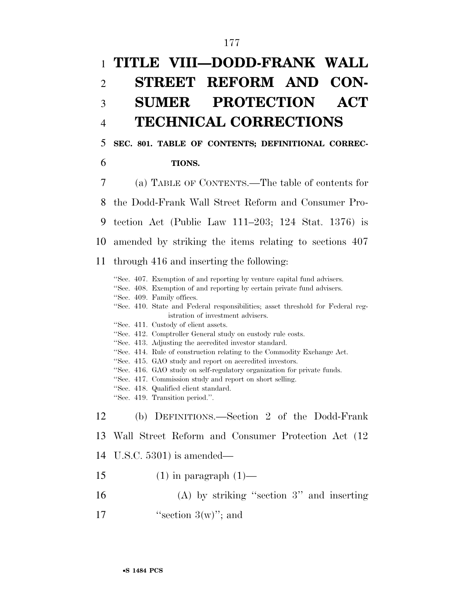# 1 **TITLE VIII—DODD-FRANK WALL**  2 **STREET REFORM AND CON-**3 **SUMER PROTECTION ACT**  4 **TECHNICAL CORRECTIONS**

### 5 **SEC. 801. TABLE OF CONTENTS; DEFINITIONAL CORREC-**

### 6 **TIONS.**

7 (a) TABLE OF CONTENTS.—The table of contents for

8 the Dodd-Frank Wall Street Reform and Consumer Pro-

- 9 tection Act (Public Law 111–203; 124 Stat. 1376) is
- 10 amended by striking the items relating to sections 407

### 11 through 416 and inserting the following:

''Sec. 407. Exemption of and reporting by venture capital fund advisers. ''Sec. 408. Exemption of and reporting by certain private fund advisers. ''Sec. 409. Family offices. ''Sec. 410. State and Federal responsibilities; asset threshold for Federal registration of investment advisers. ''Sec. 411. Custody of client assets. ''Sec. 412. Comptroller General study on custody rule costs. ''Sec. 413. Adjusting the accredited investor standard. ''Sec. 414. Rule of construction relating to the Commodity Exchange Act. ''Sec. 415. GAO study and report on accredited investors. ''Sec. 416. GAO study on self-regulatory organization for private funds. ''Sec. 417. Commission study and report on short selling. ''Sec. 418. Qualified client standard. ''Sec. 419. Transition period.''. 12 (b) DEFINITIONS.—Section 2 of the Dodd-Frank 13 Wall Street Reform and Consumer Protection Act (12 14 U.S.C. 5301) is amended— 15  $(1)$  in paragraph  $(1)$ — 16 (A) by striking ''section 3'' and inserting

17  $"section 3(w)"$ ; and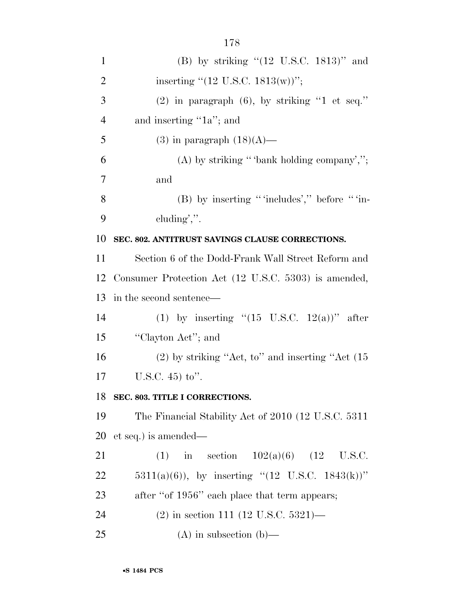| 1              | (B) by striking " $(12 \text{ U.S.C. } 1813)$ " and          |
|----------------|--------------------------------------------------------------|
| $\overline{2}$ | inserting " $(12 \text{ U.S.C. } 1813(\text{w}))$ ";         |
| 3              | $(2)$ in paragraph $(6)$ , by striking "1 et seq."           |
| $\overline{4}$ | and inserting "1a"; and                                      |
| 5              | $(3)$ in paragraph $(18)(A)$ —                               |
| 6              | $(A)$ by striking "bank holding company',";                  |
| 7              | and                                                          |
| 8              | $(B)$ by inserting "includes'," before "in-                  |
| 9              | $cluding$ ".                                                 |
| 10             | SEC. 802. ANTITRUST SAVINGS CLAUSE CORRECTIONS.              |
| 11             | Section 6 of the Dodd-Frank Wall Street Reform and           |
| 12             | Consumer Protection Act (12 U.S.C. 5303) is amended,         |
| 13             | in the second sentence—                                      |
| 14             | (1) by inserting " $(15 \text{ U.S.C. } 12(a))$ " after      |
| 15             | "Clayton Act"; and                                           |
| 16             | $(2)$ by striking "Act, to" and inserting "Act $(15)$        |
| 17             | U.S.C. $45$ ) to".                                           |
| 18             | SEC. 803. TITLE I CORRECTIONS.                               |
| 19             | The Financial Stability Act of 2010 (12 U.S.C. 5311)         |
| 20             | et seq.) is amended—                                         |
| 21             | in section $102(a)(6)$ (12 U.S.C.<br>(1)                     |
| 22             | 5311(a)(6)), by inserting " $(12 \text{ U.S.C. } 1843(k))$ " |
| 23             | after "of 1956" each place that term appears;                |
| 24             | $(2)$ in section 111 (12 U.S.C. 5321)—                       |
| 25             | $(A)$ in subsection $(b)$ —                                  |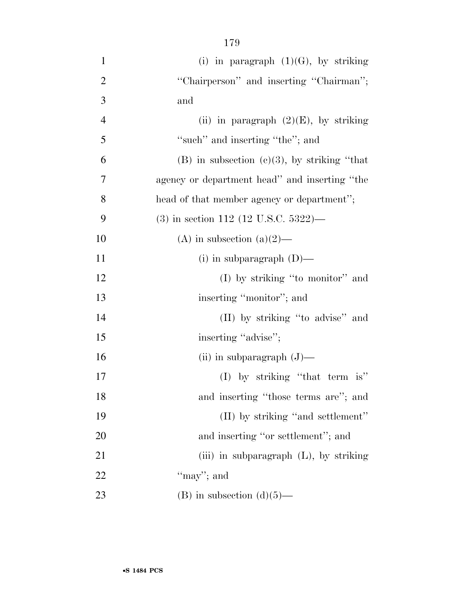| $\mathbf{1}$   | (i) in paragraph $(1)(G)$ , by striking           |
|----------------|---------------------------------------------------|
| $\overline{2}$ | "Chairperson" and inserting "Chairman";           |
| 3              | and                                               |
| $\overline{4}$ | (ii) in paragraph $(2)(E)$ , by striking          |
| 5              | "such" and inserting "the"; and                   |
| 6              | $(B)$ in subsection $(c)(3)$ , by striking "that" |
| 7              | agency or department head" and inserting "the     |
| 8              | head of that member agency or department";        |
| 9              | $(3)$ in section 112 (12 U.S.C. 5322)—            |
| 10             | (A) in subsection (a) $(2)$ —                     |
| 11             | (i) in subparagraph $(D)$ —                       |
| 12             | $(I)$ by striking "to monitor" and                |
| 13             | inserting "monitor"; and                          |
| 14             | (II) by striking "to advise" and                  |
| 15             | inserting "advise";                               |
| 16             | (ii) in subparagraph $(J)$ —                      |
| 17             | (I) by striking "that term is"                    |
| 18             | and inserting "those terms are"; and              |
| 19             | (II) by striking "and settlement"                 |
| 20             | and inserting "or settlement"; and                |
| 21             | (iii) in subparagraph $(L)$ , by striking         |
| 22             | "may"; and                                        |
| 23             | (B) in subsection $(d)(5)$ —                      |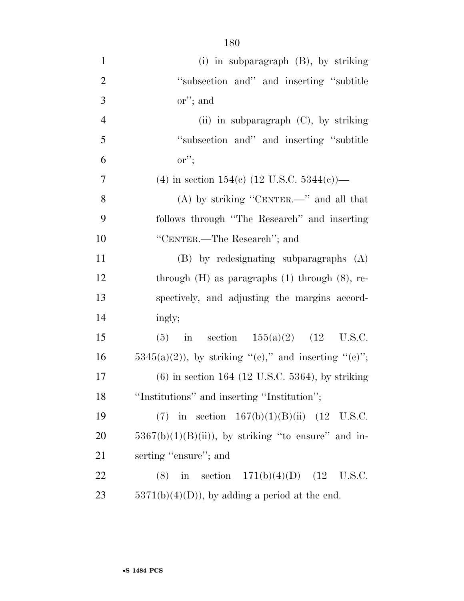| $\mathbf{1}$   | (i) in subparagraph $(B)$ , by striking                |
|----------------|--------------------------------------------------------|
| $\overline{2}$ | "subsection and" and inserting "subtitle"              |
| 3              | $\text{or}$ "; and                                     |
| $\overline{4}$ | (ii) in subparagraph $(C)$ , by striking               |
| 5              | "subsection and" and inserting "subtitle"              |
| 6              | $\mathrm{or}''$ ;                                      |
| $\tau$         | (4) in section 154(c) (12 U.S.C. 5344(c))—             |
| 8              | (A) by striking "CENTER.—" and all that                |
| 9              | follows through "The Research" and inserting           |
| 10             | "CENTER.—The Research"; and                            |
| 11             | $(B)$ by redesignating subparagraphs $(A)$             |
| 12             | through $(H)$ as paragraphs $(1)$ through $(8)$ , re-  |
| 13             | spectively, and adjusting the margins accord-          |
| 14             | ingly;                                                 |
| 15             | in section $155(a)(2)$ $(12 \text{ U.S.C.})$<br>(5)    |
| 16             | $5345(a)(2)$ , by striking "(e)," and inserting "(e)"; |
| 17             | $(6)$ in section 164 (12 U.S.C. 5364), by striking     |
| 18             | "Institutions" and inserting "Institution";            |
| 19             | (7) in section $167(b)(1)(B)(ii)$ (12 U.S.C.           |
| 20             | $5367(b)(1)(B(ii))$ , by striking "to ensure" and in-  |
| 21             | serting "ensure"; and                                  |
| 22             | (8) in section $171(b)(4)(D)$ (12 U.S.C.               |
| 23             | $5371(b)(4)(D)$ , by adding a period at the end.       |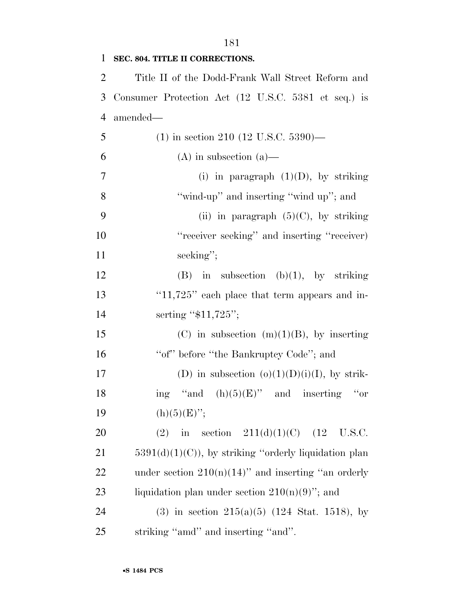| $\mathbf{1}$   | SEC. 804. TITLE II CORRECTIONS.                         |
|----------------|---------------------------------------------------------|
| $\overline{2}$ | Title II of the Dodd-Frank Wall Street Reform and       |
| 3              | Consumer Protection Act (12 U.S.C. 5381 et seq.) is     |
| $\overline{4}$ | amended—                                                |
| 5              | $(1)$ in section 210 (12 U.S.C. 5390)—                  |
| 6              | $(A)$ in subsection $(a)$ —                             |
| $\tau$         | (i) in paragraph $(1)(D)$ , by striking                 |
| 8              | "wind-up" and inserting "wind up"; and                  |
| 9              | (ii) in paragraph $(5)(C)$ , by striking                |
| 10             | "receiver seeking" and inserting "receiver)             |
| 11             | seeking";                                               |
| 12             | $(B)$ in subsection $(b)(1)$ , by striking              |
| 13             | " $11,725$ " each place that term appears and in-       |
| 14             | serting " $$11,725$ ";                                  |
| 15             | (C) in subsection $(m)(1)(B)$ , by inserting            |
| 16             | "of" before "the Bankruptcy Code"; and                  |
| 17             | (D) in subsection $(o)(1)(D)(i)(I)$ , by strik-         |
| 18             | ing "and $(h)(5)(E)$ " and inserting "or                |
| 19             | $(h)(5)(E)$ ";                                          |
| 20             | in section $211(d)(1)(C)$ (12<br>U.S.C.<br>(2)          |
| 21             | $5391(d)(1)(C)$ , by striking "orderly liquidation plan |
| 22             | under section $210(n)(14)$ " and inserting "an orderly  |
| 23             | liquidation plan under section $210(n)(9)$ "; and       |
| 24             | (3) in section $215(a)(5)$ (124 Stat. 1518), by         |
| 25             | striking "amd" and inserting "and".                     |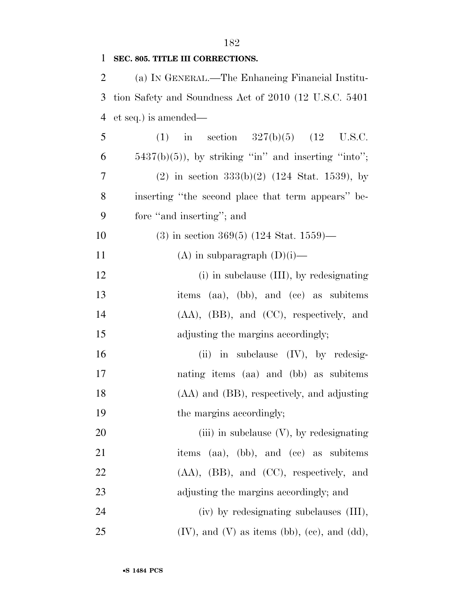### **SEC. 805. TITLE III CORRECTIONS.**

| 2 | (a) IN GENERAL.—The Enhancing Financial Institu-         |
|---|----------------------------------------------------------|
|   | 3 tion Safety and Soundness Act of 2010 (12 U.S.C. 5401) |
|   | 4 et seq.) is amended—                                   |

| 5  | (1) in section $327(b)(5)$ (12 U.S.C.                 |
|----|-------------------------------------------------------|
| 6  | $5437(b)(5)$ , by striking "in" and inserting "into"; |
| 7  | $(2)$ in section 333(b)(2) (124 Stat. 1539), by       |
| 8  | inserting "the second place that term appears" be-    |
| 9  | fore "and inserting"; and                             |
| 10 | $(3)$ in section 369(5) (124 Stat. 1559)—             |
| 11 | (A) in subparagraph $(D)(i)$ —                        |
| 12 | (i) in subclause (III), by redesignating              |
| 13 | items (aa), (bb), and (cc) as subitems                |
| 14 | $(AA)$ , $(BB)$ , and $(CC)$ , respectively, and      |
| 15 | adjusting the margins accordingly;                    |

16 (ii) in subclause (IV), by redesig- nating items (aa) and (bb) as subitems (AA) and (BB), respectively, and adjusting 19 the margins accordingly;

20 (iii) in subclause (V), by redesignating 21 items (aa), (bb), and (cc) as subitems (AA), (BB), and (CC), respectively, and adjusting the margins accordingly; and (iv) by redesignating subclauses (III),

(IV), and (V) as items (bb), (cc), and (dd),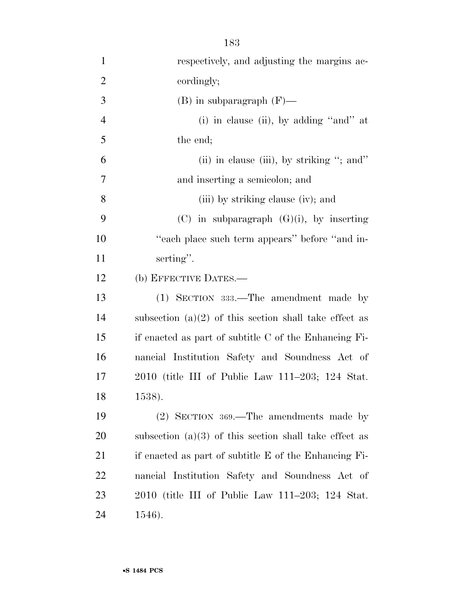| $\mathbf{1}$   | respectively, and adjusting the margins ac-              |
|----------------|----------------------------------------------------------|
| $\overline{2}$ | cordingly;                                               |
| 3              | $(B)$ in subparagraph $(F)$ —                            |
| $\overline{4}$ | (i) in clause (ii), by adding "and" at                   |
| 5              | the end;                                                 |
| 6              | (ii) in clause (iii), by striking "; and"                |
| 7              | and inserting a semicolon; and                           |
| 8              | (iii) by striking clause (iv); and                       |
| 9              | $(C)$ in subparagraph $(G)(i)$ , by inserting            |
| 10             | "each place such term appears" before "and in-           |
| 11             | serting".                                                |
| 12             | (b) EFFECTIVE DATES.—                                    |
| 13             | (1) SECTION 333.—The amendment made by                   |
| 14             | subsection $(a)(2)$ of this section shall take effect as |
| 15             | if enacted as part of subtitle C of the Enhancing Fi-    |
| 16             | nancial Institution Safety and Soundness Act of          |
| 17             | 2010 (title III of Public Law 111–203; 124 Stat.         |
| 18             | 1538).                                                   |
| 19             | $(2)$ SECTION 369.—The amendments made by                |
| 20             | subsection $(a)(3)$ of this section shall take effect as |
| 21             | if enacted as part of subtitle E of the Enhancing Fi-    |
| 22             | nancial Institution Safety and Soundness Act of          |
| 23             | 2010 (title III of Public Law 111–203; 124 Stat.         |
| 24             | 1546).                                                   |

•**S 1484 PCS**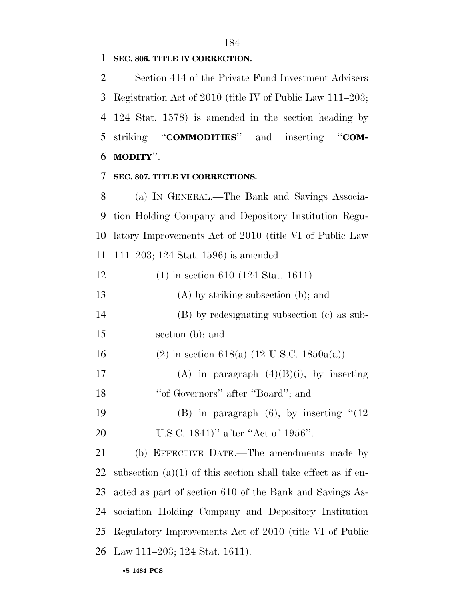**SEC. 806. TITLE IV CORRECTION.** 

 Section 414 of the Private Fund Investment Advisers Registration Act of 2010 (title IV of Public Law 111–203; 124 Stat. 1578) is amended in the section heading by striking ''**COMMODITIES**'' and inserting ''**COM-MODITY**''.

# **SEC. 807. TITLE VI CORRECTIONS.**

 (a) IN GENERAL.—The Bank and Savings Associa- tion Holding Company and Depository Institution Regu- latory Improvements Act of 2010 (title VI of Public Law 111–203; 124 Stat. 1596) is amended—

| 12 | $(1)$ in section 610 (124 Stat. 1611)—                          |
|----|-----------------------------------------------------------------|
| 13 | $(A)$ by striking subsection (b); and                           |
| 14 | (B) by redesignating subsection (c) as sub-                     |
| 15 | section (b); and                                                |
| 16 | (2) in section 618(a) (12 U.S.C. 1850a(a))—                     |
| 17 | (A) in paragraph $(4)(B)(i)$ , by inserting                     |
| 18 | "of Governors" after "Board"; and                               |
| 19 | (B) in paragraph $(6)$ , by inserting $\cdot (12)$              |
| 20 | U.S.C. $1841$ )" after "Act of $1956$ ".                        |
| 21 | (b) EFFECTIVE DATE.—The amendments made by                      |
| 22 | subsection $(a)(1)$ of this section shall take effect as if en- |
| 23 | acted as part of section 610 of the Bank and Savings As-        |
| 24 | sociation Holding Company and Depository Institution            |
|    | 25 Regulatory Improvements Act of 2010 (title VI of Public      |

Law 111–203; 124 Stat. 1611).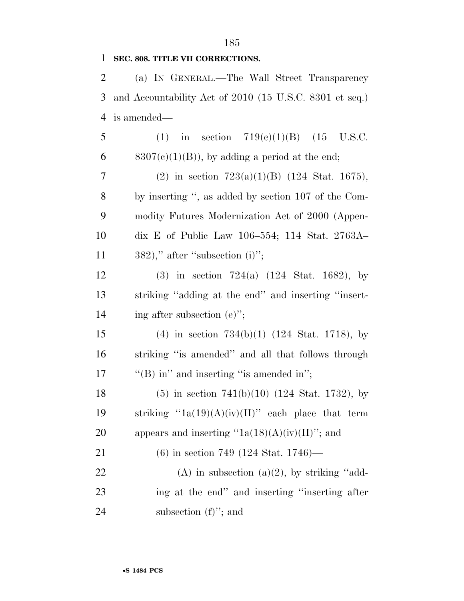### **SEC. 808. TITLE VII CORRECTIONS.**

 (a) IN GENERAL.—The Wall Street Transparency and Accountability Act of 2010 (15 U.S.C. 8301 et seq.) is amended—

5 (1) in section 719(c)(1)(B) (15 U.S.C. 6 8307(c)(1)(B)), by adding a period at the end; 7 (2) in section  $723(a)(1)(B)$  (124 Stat. 1675), by inserting '', as added by section 107 of the Com- modity Futures Modernization Act of 2000 (Appen- dix E of Public Law 106–554; 114 Stat. 2763A– 11 ," after "subsection (i)"; (3) in section 724(a) (124 Stat. 1682), by striking ''adding at the end'' and inserting ''insert-14 ing after subsection (e)"; (4) in section 734(b)(1) (124 Stat. 1718), by striking ''is amended'' and all that follows through 17  $\langle$  "(B) in" and inserting "is amended in"; (5) in section 741(b)(10) (124 Stat. 1732), by 19 striking " $1a(19)(A)(iv)(II)$ " each place that term 20 appears and inserting " $1a(18)(A)(iv)(II)$ "; and (6) in section 749 (124 Stat. 1746)— 22 (A) in subsection  $(a)(2)$ , by striking "add- ing at the end'' and inserting ''inserting after 24 subsection (f)"; and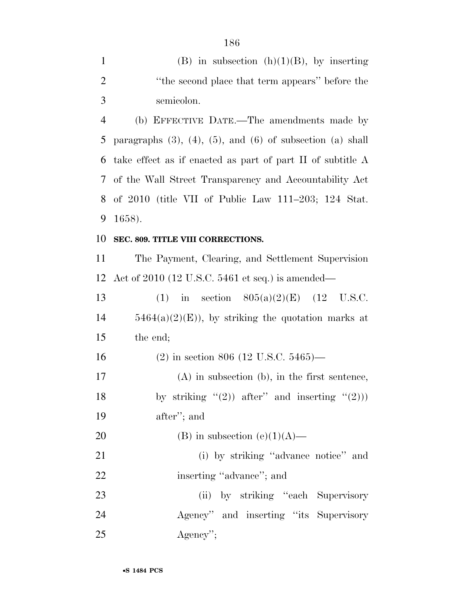| $\mathbf{1}$   | (B) in subsection $(h)(1)(B)$ , by inserting                           |
|----------------|------------------------------------------------------------------------|
| $\overline{2}$ | "the second place that term appears" before the                        |
| 3              | semicolon.                                                             |
| $\overline{4}$ | (b) EFFECTIVE DATE.—The amendments made by                             |
| 5              | paragraphs $(3)$ , $(4)$ , $(5)$ , and $(6)$ of subsection $(a)$ shall |
| 6              | take effect as if enacted as part of part II of subtitle A             |
| 7              | of the Wall Street Transparency and Accountability Act                 |
| 8              | of $2010$ (title VII of Public Law $111-203$ ; $124$ Stat.             |
| 9              | 1658).                                                                 |
| 10             | SEC. 809. TITLE VIII CORRECTIONS.                                      |
| 11             | The Payment, Clearing, and Settlement Supervision                      |
| 12             | Act of 2010 (12 U.S.C. 5461 et seq.) is amended—                       |
| 13             | in section $805(a)(2)(E)$ (12 U.S.C.<br>(1)                            |
| 14             | $5464(a)(2)(E)$ , by striking the quotation marks at                   |
| 15             | the end;                                                               |
| 16             | $(2)$ in section 806 (12 U.S.C. 5465)—                                 |
| 17             | $(A)$ in subsection $(b)$ , in the first sentence,                     |
| 18             | by striking $"(2)$ ) after" and inserting $"(2)$ )                     |
| 19             | after"; and                                                            |
| 20             | (B) in subsection (e)(1)(A)—                                           |
| 21             | (i) by striking "advance notice" and                                   |
| 22             | inserting "advance"; and                                               |
| 23             | (ii) by striking "each Supervisory                                     |
| 24             | Agency" and inserting "its Supervisory                                 |
| 25             | $Agency$ ";                                                            |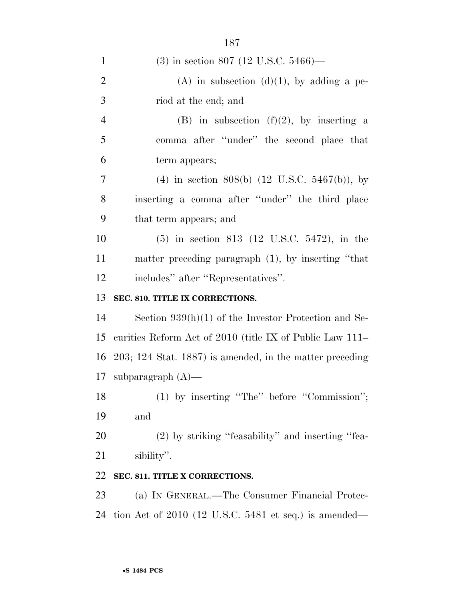| $\mathbf{1}$   | $(3)$ in section 807 (12 U.S.C. 5466)—                     |
|----------------|------------------------------------------------------------|
| $\overline{2}$ | $(A)$ in subsection $(d)(1)$ , by adding a pe-             |
| 3              | riod at the end; and                                       |
| 4              | (B) in subsection $(f)(2)$ , by inserting a                |
| 5              | comma after "under" the second place that                  |
| 6              | term appears;                                              |
| 7              | (4) in section 808(b) $(12 \text{ U.S.C. } 5467(b))$ , by  |
| 8              | inserting a comma after "under" the third place            |
| 9              | that term appears; and                                     |
| 10             | $(5)$ in section 813 (12 U.S.C. 5472), in the              |
| 11             | matter preceding paragraph $(1)$ , by inserting "that      |
| 12             | includes" after "Representatives".                         |
| 13             | SEC. 810. TITLE IX CORRECTIONS.                            |
| 14             | Section $939(h)(1)$ of the Investor Protection and Se-     |
| 15             | curities Reform Act of 2010 (title IX of Public Law 111–   |
| 16             | $203; 124$ Stat. 1887) is amended, in the matter preceding |
| 17             | subparagraph $(A)$ —                                       |
|                |                                                            |
|                | (1) by inserting "The" before "Commission";                |
| 18<br>19       | and                                                        |
| 20             | (2) by striking "feasability" and inserting "fea-          |
| 21             | sibility".                                                 |
| 22             | SEC. 811. TITLE X CORRECTIONS.                             |
| 23             | (a) IN GENERAL.—The Consumer Financial Protec-             |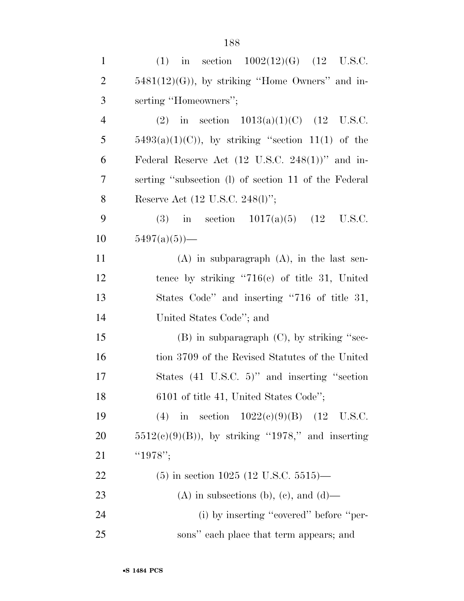| $\mathbf{1}$   | (1) in section $1002(12)(G)$ (12 U.S.C.                     |
|----------------|-------------------------------------------------------------|
| $\overline{2}$ | $5481(12)(G)$ , by striking "Home Owners" and in-           |
| 3              | serting "Homeowners";                                       |
| $\overline{4}$ | (2) in section $1013(a)(1)(C)$ (12 U.S.C.                   |
| 5              | $5493(a)(1)(C)$ , by striking "section 11(1) of the         |
| 6              | Federal Reserve Act $(12 \text{ U.S.C. } 248(1))$ " and in- |
| 7              | serting "subsection (1) of section 11 of the Federal        |
| 8              | Reserve Act (12 U.S.C. 248(l)";                             |
| 9              | in section $1017(a)(5)$ (12 U.S.C.<br>(3)                   |
| 10             | $5497(a)(5)$ —                                              |
| 11             | $(A)$ in subparagraph $(A)$ , in the last sen-              |
| 12             | tence by striking " $716(e)$ of title 31, United            |
| 13             | States Code" and inserting "716 of title 31,                |
| 14             | United States Code"; and                                    |
| 15             | $(B)$ in subparagraph $(C)$ , by striking "sec-             |
| 16             | tion 3709 of the Revised Statutes of the United             |
| 17             | States $(41 \t{U.S.C.} 5)$ " and inserting "section         |
| 18             | 6101 of title 41, United States Code";                      |
| 19             | (4) in section $1022(e)(9)(B)$ (12 U.S.C.                   |
| 20             | $5512(c)(9)(B)$ , by striking "1978," and inserting         |
| 21             | " $1978$ ";                                                 |
| 22             | $(5)$ in section 1025 (12 U.S.C. 5515)—                     |
| 23             | (A) in subsections (b), (c), and (d)—                       |
| 24             | (i) by inserting "covered" before "per-                     |
| 25             | sons" each place that term appears; and                     |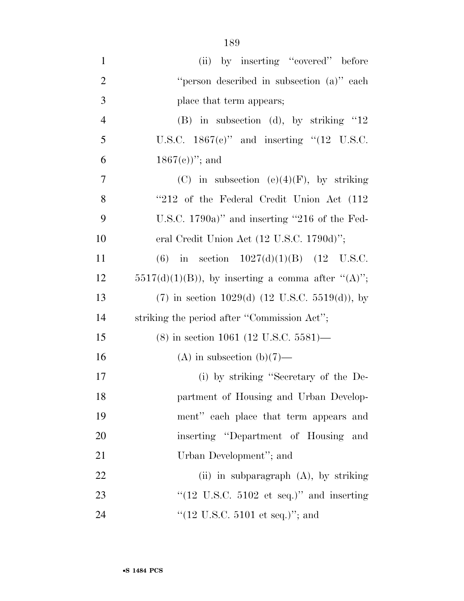| $\mathbf{1}$   | (ii) by inserting "covered" before                            |
|----------------|---------------------------------------------------------------|
| $\overline{2}$ | "person described in subsection (a)" each                     |
| 3              | place that term appears;                                      |
| $\overline{4}$ | $(B)$ in subsection (d), by striking "12                      |
| 5              | U.S.C. $1867(e)$ " and inserting "(12 U.S.C.                  |
| 6              | $1867(c)$ "; and                                              |
| 7              | (C) in subsection (e)(4)(F), by striking                      |
| 8              | "212 of the Federal Credit Union Act (112)                    |
| 9              | U.S.C. 1790a)" and inserting "216 of the Fed-                 |
| 10             | eral Credit Union Act (12 U.S.C. 1790d)";                     |
| 11             | (6) in section $1027(d)(1)(B)$ (12 U.S.C.                     |
| 12             | $5517(d)(1)(B)$ , by inserting a comma after " $(A)$ ";       |
| 13             | $(7)$ in section 1029(d) $(12 \text{ U.S.C. } 5519(d))$ , by  |
| 14             | striking the period after "Commission Act";                   |
| 15             | $(8)$ in section 1061 (12 U.S.C. 5581)—                       |
| 16             | (A) in subsection (b) $(7)$ —                                 |
| 17             | (i) by striking "Secretary of the De-                         |
| 18             | partment of Housing and Urban Develop-                        |
| 19             | ment" each place that term appears and                        |
| 20             | inserting "Department of Housing and                          |
| 21             | Urban Development"; and                                       |
| 22             | (ii) in subparagraph $(A)$ , by striking                      |
| 23             | " $(12 \text{ U.S.C. } 5102 \text{ et seq.})$ " and inserting |
| 24             | "(12 U.S.C. 5101 et seq.)"; and                               |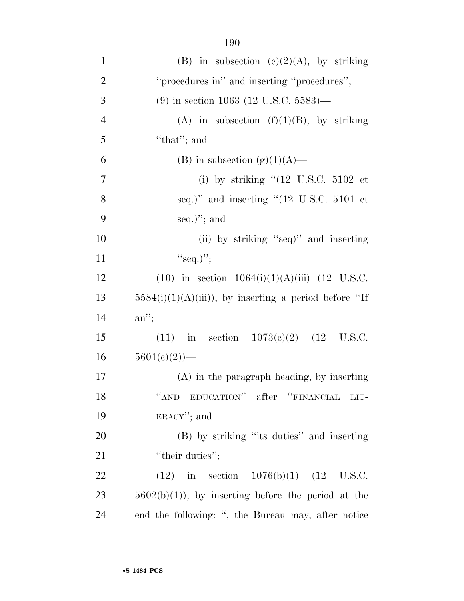| $\mathbf{1}$   | (B) in subsection (c)(2)(A), by striking                      |
|----------------|---------------------------------------------------------------|
| $\overline{2}$ | "procedures in" and inserting "procedures";                   |
| 3              | $(9)$ in section 1063 (12 U.S.C. 5583)—                       |
| $\overline{4}$ | (A) in subsection (f)(1)(B), by striking                      |
| 5              | "that"; and                                                   |
| 6              | (B) in subsection $(g)(1)(A)$ —                               |
| $\overline{7}$ | (i) by striking " $(12 \text{ U.S.C. } 5102 \text{ et }$      |
| 8              | seq.)" and inserting " $(12 \text{ U.S.C. } 5101 \text{ et }$ |
| 9              | $seq.$ "; and                                                 |
| 10             | (ii) by striking "seq)" and inserting                         |
| 11             | "seq.)";                                                      |
| 12             | $(10)$ in section $1064(i)(1)(A(iii))$ $(12 \text{ U.S.C.})$  |
| 13             | $5584(i)(1)(A(iii))$ , by inserting a period before "If       |
| 14             | $an$ ";                                                       |
| 15             | (11) in section $1073(e)(2)$ (12 U.S.C.                       |
| 16             | $5601(c)(2)$ —                                                |
| 17             | $(A)$ in the paragraph heading, by inserting                  |
| 18             | "AND EDUCATION" after "FINANCIAL LIT-                         |
| 19             | $ERACY''$ ; and                                               |
| 20             | (B) by striking "its duties" and inserting                    |
| 21             | "their duties";                                               |
| 22             | $(12)$ in section $1076(b)(1)$ $(12 \text{ U.S.C.})$          |
| 23             | $5602(b)(1)$ , by inserting before the period at the          |
| 24             | end the following: ", the Bureau may, after notice            |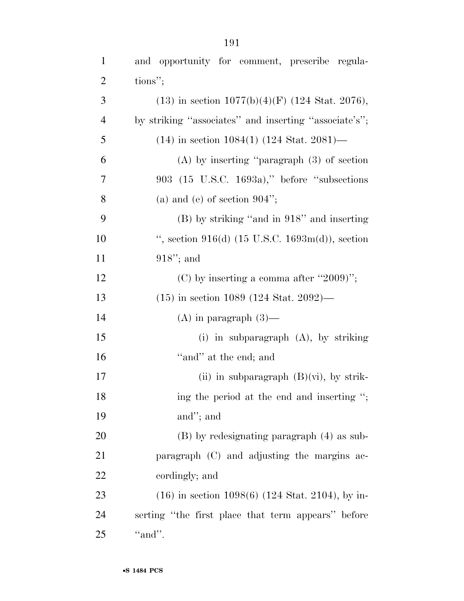| $\mathbf{1}$   | and opportunity for comment, prescribe regula-        |
|----------------|-------------------------------------------------------|
| $\overline{2}$ | tions";                                               |
| 3              | $(13)$ in section $1077(b)(4)(F)$ (124 Stat. 2076),   |
| $\overline{4}$ | by striking "associates" and inserting "associate's"; |
| 5              | $(14)$ in section 1084(1) (124 Stat. 2081)—           |
| 6              | $(A)$ by inserting "paragraph $(3)$ of section        |
| 7              | $903$ (15 U.S.C. 1693a)," before "subsections"        |
| 8              | (a) and (e) of section $904$ ";                       |
| 9              | $(B)$ by striking "and in 918" and inserting          |
| 10             | ", section $916(d)$ (15 U.S.C. 1693m(d)), section     |
| 11             | $918$ "; and                                          |
| 12             | (C) by inserting a comma after "2009)";               |
| 13             | $(15)$ in section 1089 (124 Stat. 2092)—              |
| 14             | $(A)$ in paragraph $(3)$ —                            |
| 15             | (i) in subparagraph $(A)$ , by striking               |
| 16             | "and" at the end; and                                 |
| 17             | (ii) in subparagraph $(B)(vi)$ , by strik-            |
| 18             | ing the period at the end and inserting ";            |
| 19             | and"; and                                             |
| 20             | $(B)$ by redesignating paragraph $(4)$ as sub-        |
| 21             | paragraph (C) and adjusting the margins ac-           |
| 22             | cordingly; and                                        |
| 23             | $(16)$ in section 1098(6) (124 Stat. 2104), by in-    |
| 24             | serting "the first place that term appears" before    |
| 25             | "and".                                                |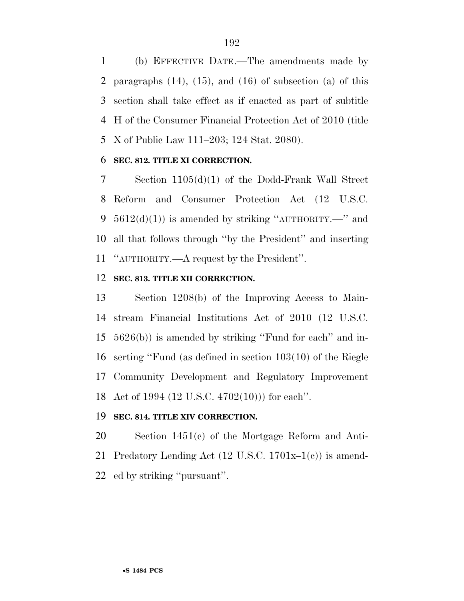(b) EFFECTIVE DATE.—The amendments made by paragraphs (14), (15), and (16) of subsection (a) of this section shall take effect as if enacted as part of subtitle H of the Consumer Financial Protection Act of 2010 (title X of Public Law 111–203; 124 Stat. 2080).

## **SEC. 812. TITLE XI CORRECTION.**

 Section 1105(d)(1) of the Dodd-Frank Wall Street Reform and Consumer Protection Act (12 U.S.C.  $5612(d)(1)$  is amended by striking "AUTHORITY.—" and all that follows through ''by the President'' and inserting ''AUTHORITY.—A request by the President''.

### **SEC. 813. TITLE XII CORRECTION.**

 Section 1208(b) of the Improving Access to Main- stream Financial Institutions Act of 2010 (12 U.S.C. 5626(b)) is amended by striking ''Fund for each'' and in- serting ''Fund (as defined in section 103(10) of the Riegle Community Development and Regulatory Improvement Act of 1994 (12 U.S.C. 4702(10))) for each''.

### **SEC. 814. TITLE XIV CORRECTION.**

 Section 1451(c) of the Mortgage Reform and Anti-21 Predatory Lending Act  $(12 \text{ U.S.C. } 1701\text{x}-1(e))$  is amend-ed by striking ''pursuant''.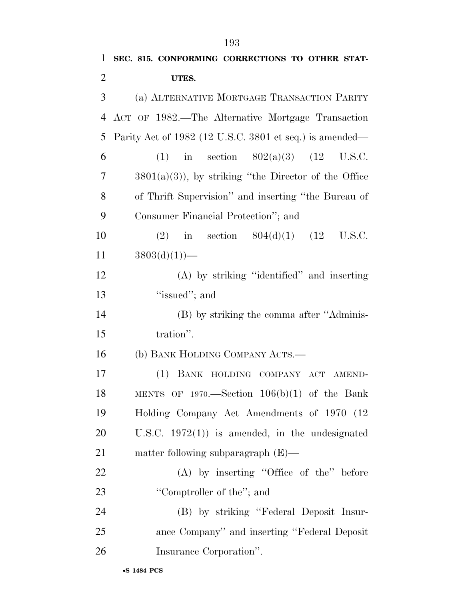| 1              | SEC. 815. CONFORMING CORRECTIONS TO OTHER STAT-         |
|----------------|---------------------------------------------------------|
| $\overline{2}$ | UTES.                                                   |
| 3              | (a) ALTERNATIVE MORTGAGE TRANSACTION PARITY             |
| 4              | ACT OF 1982.—The Alternative Mortgage Transaction       |
| 5              | Parity Act of 1982 (12 U.S.C. 3801 et seq.) is amended— |
| 6              | (1) in section $802(a)(3)$ (12 U.S.C.                   |
| 7              | $3801(a)(3)$ , by striking "the Director of the Office" |
| 8              | of Thrift Supervision" and inserting "the Bureau of     |
| 9              | Consumer Financial Protection"; and                     |
| 10             | (2) in section $804(d)(1)$ (12 U.S.C.                   |
| 11             | $3803(d)(1)$ —                                          |
| 12             | (A) by striking "identified" and inserting              |
| 13             | "issued"; and                                           |
| 14             | (B) by striking the comma after "Adminis-               |
| 15             | tration".                                               |
| 16             | (b) BANK HOLDING COMPANY ACTS.—                         |
| 17             | (1) BANK HOLDING COMPANY ACT AMEND-                     |
| 18             | MENTS OF $1970$ . Section $106(b)(1)$ of the Bank       |
| 19             | Holding Company Act Amendments of 1970 (12)             |
| 20             | U.S.C. $1972(1)$ is amended, in the undesignated        |
| 21             | matter following subparagraph (E)—                      |
| 22             | $(A)$ by inserting "Office of the" before               |
| 23             | "Comptroller of the"; and                               |
| 24             | (B) by striking "Federal Deposit Insur-                 |
| 25             | ance Company" and inserting "Federal Deposit            |
| 26             | Insurance Corporation".                                 |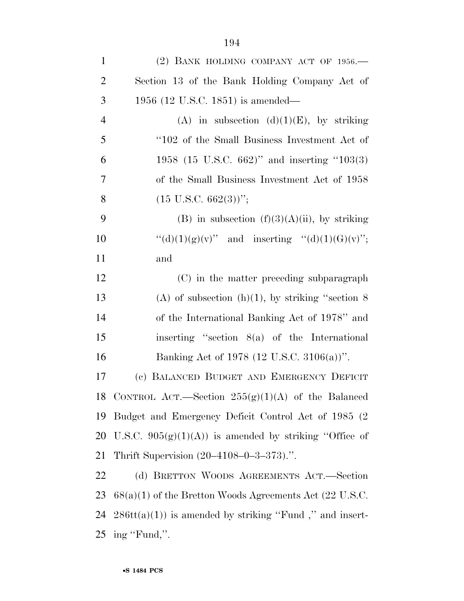| $\mathbf{1}$   | (2) BANK HOLDING COMPANY ACT OF $1956$ .                  |
|----------------|-----------------------------------------------------------|
| $\overline{2}$ | Section 13 of the Bank Holding Company Act of             |
| 3              | 1956 (12 U.S.C. 1851) is amended—                         |
| $\overline{4}$ | (A) in subsection $(d)(1)(E)$ , by striking               |
| 5              | "102 of the Small Business Investment Act of              |
| 6              | 1958 (15 U.S.C. 662)" and inserting "103(3)               |
| $\overline{7}$ | of the Small Business Investment Act of 1958              |
| 8              | $(15 \text{ U.S.C. } 662(3))$ ";                          |
| 9              | (B) in subsection $(f)(3)(A)(ii)$ , by striking           |
| 10             | "(d)(1)(g)(v)" and inserting "(d)(1)(G)(v)";              |
| 11             | and                                                       |
| 12             | (C) in the matter preceding subparagraph                  |
| 13             | (A) of subsection (h)(1), by striking "section $8$        |
| 14             | of the International Banking Act of 1978" and             |
| 15             | inserting "section $8(a)$ of the International            |
| 16             | Banking Act of 1978 (12 U.S.C. 3106(a))".                 |
| 17             | (c) BALANCED BUDGET AND EMERGENCY DEFICIT                 |
| 18             | CONTROL ACT.—Section $255(g)(1)(A)$ of the Balanced       |
| 19             | Budget and Emergency Deficit Control Act of 1985 (2)      |
| 20             | U.S.C. $905(g)(1)(A)$ is amended by striking "Office of   |
| 21             | Thrift Supervision (20–4108–0–3–373).".                   |
| 22             | (d) BRETTON WOODS AGREEMENTS ACT.—Section                 |
| 23             | $68(a)(1)$ of the Bretton Woods Agreements Act (22 U.S.C. |
| 24             | $286tt(a)(1)$ is amended by striking "Fund", and insert-  |
|                | 25 ing "Fund,".                                           |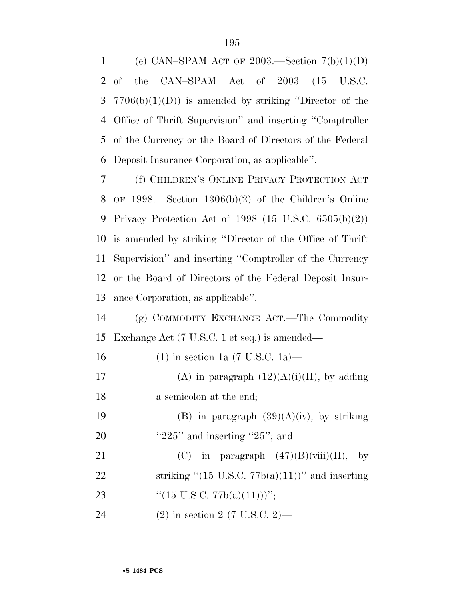1 (e) CAN–SPAM ACT OF 2003.—Section  $7(b)(1)(D)$  of the CAN–SPAM Act of 2003 (15 U.S.C. 3 7706(b)(1)(D)) is amended by striking "Director of the Office of Thrift Supervision'' and inserting ''Comptroller of the Currency or the Board of Directors of the Federal Deposit Insurance Corporation, as applicable''.

 (f) CHILDREN'S ONLINE PRIVACY PROTECTION ACT OF 1998.—Section 1306(b)(2) of the Children's Online Privacy Protection Act of 1998 (15 U.S.C. 6505(b)(2)) is amended by striking ''Director of the Office of Thrift Supervision'' and inserting ''Comptroller of the Currency or the Board of Directors of the Federal Deposit Insur-ance Corporation, as applicable''.

 (g) COMMODITY EXCHANGE ACT.—The Commodity Exchange Act (7 U.S.C. 1 et seq.) is amended—

| 16 | $(1)$ in section 1a $(7 \text{ U.S.C. 1a})$ —                |
|----|--------------------------------------------------------------|
| 17 | (A) in paragraph $(12)(A)(i)(II)$ , by adding                |
| 18 | a semicolon at the end;                                      |
| 19 | (B) in paragraph $(39)(A)(iv)$ , by striking                 |
| 20 | " $225$ " and inserting " $25$ "; and                        |
| 21 | (C) in paragraph $(47)(B)(viii)(II)$ , by                    |
| 22 | striking " $(15 \text{ U.S.C. } 77b(a)(11))$ " and inserting |
| 23 | " $(15 \text{ U.S.C. } 77b(a)(11)))$ ";                      |
| 24 | $(2)$ in section 2 (7 U.S.C. 2)—                             |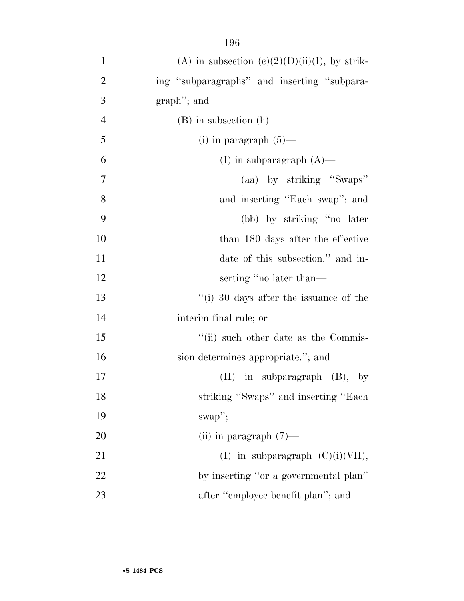| $\mathbf{1}$   | (A) in subsection (c)(2)(D)(ii)(I), by strik-   |
|----------------|-------------------------------------------------|
| $\overline{2}$ | ing "subparagraphs" and inserting "subpara-     |
| 3              | graph"; and                                     |
| $\overline{4}$ | $(B)$ in subsection $(h)$ —                     |
| 5              | (i) in paragraph $(5)$ —                        |
| 6              | (I) in subparagraph $(A)$ —                     |
| $\tau$         | (aa) by striking "Swaps"                        |
| 8              | and inserting "Each swap"; and                  |
| 9              | (bb) by striking "no later                      |
| 10             | than 180 days after the effective               |
| 11             | date of this subsection." and in-               |
| 12             | serting "no later than—                         |
| 13             | $\degree$ (i) 30 days after the issuance of the |
| 14             | interim final rule; or                          |
| 15             | "(ii) such other date as the Commis-            |
| 16             | sion determines appropriate."; and              |
| 17             | $(II)$ in subparagraph $(B)$ , by               |
| 18             | striking "Swaps" and inserting "Each            |
| 19             | $swap$ ";                                       |
| 20             | (ii) in paragraph $(7)$ —                       |
| 21             | (I) in subparagraph $(C)(i)(VII)$ ,             |
| 22             | by inserting "or a governmental plan"           |
| 23             | after "employee benefit plan"; and              |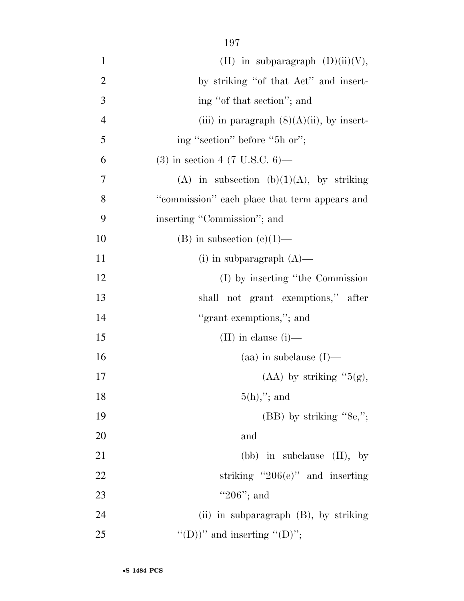| $\mathbf{1}$   | (II) in subparagraph $(D)(ii)(V)$ ,           |
|----------------|-----------------------------------------------|
| $\overline{2}$ | by striking "of that Act" and insert-         |
| 3              | ing "of that section"; and                    |
| $\overline{4}$ | (iii) in paragraph $(8)(A)(ii)$ , by insert-  |
| 5              | ing "section" before "5h or";                 |
| 6              | $(3)$ in section 4 (7 U.S.C. 6)—              |
| 7              | (A) in subsection (b)(1)(A), by striking      |
| 8              | "commission" each place that term appears and |
| 9              | inserting "Commission"; and                   |
| 10             | (B) in subsection $(e)(1)$ —                  |
| 11             | (i) in subparagraph $(A)$ —                   |
| 12             | (I) by inserting "the Commission"             |
| 13             | shall not grant exemptions," after            |
| 14             | "grant exemptions,"; and                      |
| 15             | (II) in clause $(i)$ —                        |
| 16             | $(aa)$ in subclause $(I)$ —                   |
| 17             | $(AA)$ by striking "5(g),                     |
| 18             | $5(h),$ "; and                                |
| 19             | $(BB)$ by striking "8e,";                     |
| 20             | and                                           |
| 21             | (bb) in subclause $(II)$ , by                 |
| 22             | striking "206 $(e)$ " and inserting           |
| 23             | " $206$ "; and                                |
| 24             | (ii) in subparagraph (B), by striking         |
| 25             | "(D)" and inserting "(D)";                    |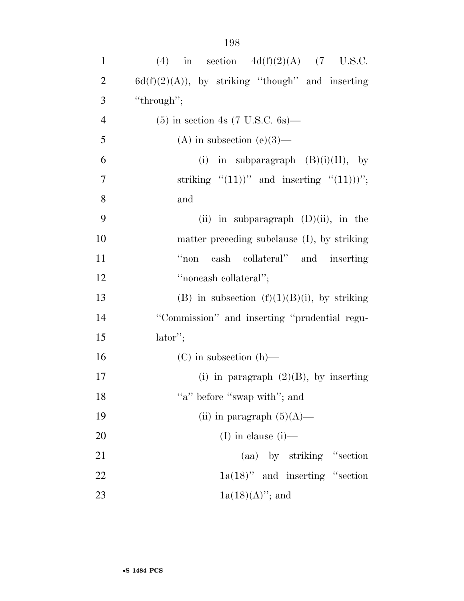| $\mathbf{1}$   | (4) in section $4d(f)(2)(A)$ (7 U.S.C.                  |
|----------------|---------------------------------------------------------|
| $\overline{2}$ | $6d(f)(2)(A)$ , by striking "though" and inserting      |
| 3              | "through";                                              |
| $\overline{4}$ | $(5)$ in section 4s $(7 \text{ U.S.C. } 6s)$ —          |
| 5              | (A) in subsection (e)(3)—                               |
| 6              | in subparagraph $(B)(i)(II)$ , by<br>(i)                |
| $\overline{7}$ | striking " $(11)$ " and inserting " $(11)$ ";           |
| 8              | and                                                     |
| 9              | (ii) in subparagraph $(D)(ii)$ , in the                 |
| 10             | matter preceding subclause (I), by striking             |
| 11             | cash collateral" and inserting<br>$\alpha_{\text{non}}$ |
| 12             | "noncash collateral";                                   |
| 13             | (B) in subsection $(f)(1)(B)(i)$ , by striking          |
| 14             | "Commission" and inserting "prudential regu-            |
| 15             | $lator$ ";                                              |
| 16             | $(C)$ in subsection $(h)$ —                             |
| 17             | (i) in paragraph $(2)(B)$ , by inserting                |
| 18             | "a" before "swap with"; and                             |

| -19 | (ii) in paragraph $(5)(A)$ —       |
|-----|------------------------------------|
| 20  | $(I)$ in clause $(i)$ —            |
| 21  | (aa) by striking "section"         |
| 22  | $1a(18)$ " and inserting "section" |
| 23  | $1a(18)(A)$ "; and                 |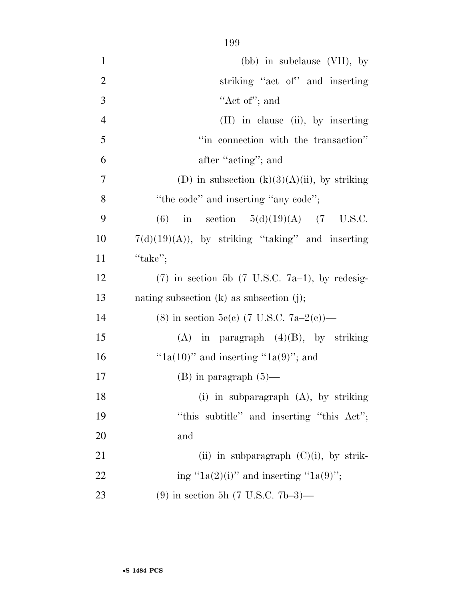| $\mathbf{1}$   | $(bb)$ in subclause $(VII)$ , by                             |
|----------------|--------------------------------------------------------------|
| $\mathbf{2}$   | striking "act of" and inserting                              |
| 3              | "Act of"; and                                                |
| $\overline{4}$ | (II) in clause (ii), by inserting                            |
| 5              | "in connection with the transaction"                         |
| 6              | after "acting"; and                                          |
| $\overline{7}$ | (D) in subsection $(k)(3)(A)(ii)$ , by striking              |
| 8              | "the code" and inserting "any code";                         |
| 9              | in section $5(d)(19)(A)$ (7 U.S.C.<br>(6)                    |
| 10             | $7(d)(19)(A)$ , by striking "taking" and inserting           |
| 11             | "take";                                                      |
| 12             | $(7)$ in section 5b $(7 \text{ U.S.C. } 7a-1)$ , by redesig- |
| 13             | nating subsection $(k)$ as subsection $(j)$ ;                |
| 14             | (8) in section 5c(c) (7 U.S.C. 7a-2(c))—                     |
| 15             | $(A)$ in paragraph $(4)(B)$ , by striking                    |
| 16             | " $1a(10)$ " and inserting " $1a(9)$ "; and                  |
| 17             | $(B)$ in paragraph $(5)$ —                                   |
| 18             | (i) in subparagraph $(A)$ , by striking                      |
| 19             | "this subtitle" and inserting "this Act";                    |
| 20             | and                                                          |
| 21             | (ii) in subparagraph $(C)(i)$ , by strik-                    |
| 22             | ing "1a(2)(i)" and inserting "1a(9)";                        |
| 23             | (9) in section 5h (7 U.S.C. 7b-3)—                           |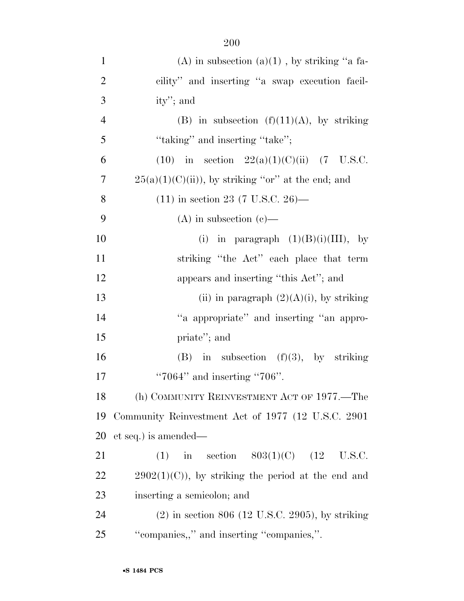| $\mathbf{1}$   | (A) in subsection $(a)(1)$ , by striking "a fa-      |
|----------------|------------------------------------------------------|
| $\overline{2}$ | cility" and inserting "a swap execution facil-       |
| 3              | ity'; and                                            |
| $\overline{4}$ | (B) in subsection $(f)(11)(A)$ , by striking         |
| 5              | "taking" and inserting "take";                       |
| 6              | (10) in section $22(a)(1)(C)(ii)$ (7 U.S.C.          |
| 7              | $25(a)(1)(C(ii))$ , by striking "or" at the end; and |
| 8              | $(11)$ in section 23 (7 U.S.C. 26)—                  |
| 9              | (A) in subsection (c)—                               |
| 10             | (i) in paragraph $(1)(B)(i)(III)$ , by               |
| 11             | striking "the Act" each place that term              |
| 12             | appears and inserting "this Act"; and                |
| 13             | (ii) in paragraph $(2)(A)(i)$ , by striking          |
| 14             | "a appropriate" and inserting "an appro-             |
| 15             | priate"; and                                         |
| 16             | $(B)$ in subsection $(f)(3)$ , by striking           |
| 17             | " $7064"$ and inserting " $706"$ .                   |
| 18             | (h) COMMUNITY REINVESTMENT ACT OF 1977.—The          |
| 19             | Community Reinvestment Act of 1977 (12 U.S.C. 2901)  |
| 20             | et seq.) is amended—                                 |
| 21             | (1) in section $803(1)(C)$ (12 U.S.C.                |
| 22             | $2902(1)(C)$ , by striking the period at the end and |
| 23             | inserting a semicolon; and                           |
| 24             | $(2)$ in section 806 (12 U.S.C. 2905), by striking   |
| 25             | "companies,," and inserting "companies,".            |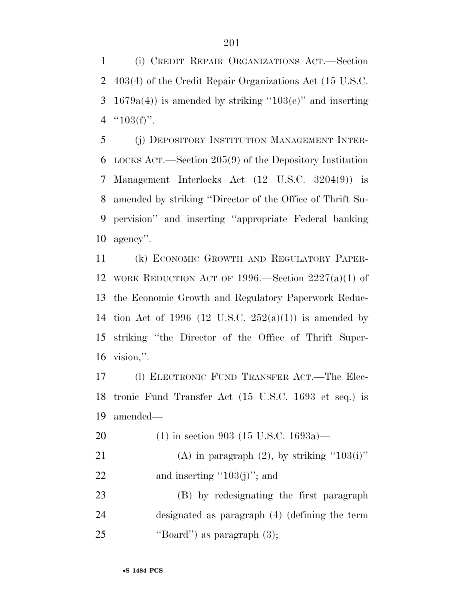(i) CREDIT REPAIR ORGANIZATIONS ACT.—Section 403(4) of the Credit Repair Organizations Act (15 U.S.C. 3 1679a(4)) is amended by striking "103(e)" and inserting  $"103(f)"$ .

 (j) DEPOSITORY INSTITUTION MANAGEMENT INTER- LOCKS ACT.—Section 205(9) of the Depository Institution Management Interlocks Act (12 U.S.C. 3204(9)) is amended by striking ''Director of the Office of Thrift Su- pervision'' and inserting ''appropriate Federal banking agency''.

 (k) ECONOMIC GROWTH AND REGULATORY PAPER- WORK REDUCTION ACT OF 1996.—Section 2227(a)(1) of the Economic Growth and Regulatory Paperwork Reduc-14 tion Act of 1996 (12 U.S.C.  $252(a)(1)$ ) is amended by striking ''the Director of the Office of Thrift Super-vision,''.

 (l) ELECTRONIC FUND TRANSFER ACT.—The Elec- tronic Fund Transfer Act (15 U.S.C. 1693 et seq.) is amended—

- (1) in section 903 (15 U.S.C. 1693a)—
- 21 (A) in paragraph  $(2)$ , by striking "103(i)" 22 and inserting  $\cdot$ 103(j)''; and

 (B) by redesignating the first paragraph designated as paragraph (4) (defining the term 25  $\text{``Board''}$  as paragraph  $(3)$ ;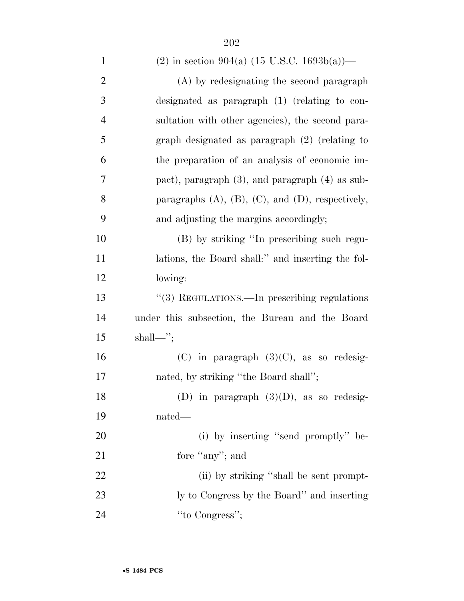| $\mathbf{1}$   | (2) in section 904(a) $(15 \text{ U.S.C. } 1693b(a))$ —      |
|----------------|--------------------------------------------------------------|
| $\overline{2}$ | (A) by redesignating the second paragraph                    |
| 3              | designated as paragraph $(1)$ (relating to con-              |
| $\overline{4}$ | sultation with other agencies), the second para-             |
| 5              | graph designated as paragraph $(2)$ (relating to             |
| 6              | the preparation of an analysis of economic im-               |
| 7              | pact), paragraph $(3)$ , and paragraph $(4)$ as sub-         |
| 8              | paragraphs $(A)$ , $(B)$ , $(C)$ , and $(D)$ , respectively, |
| 9              | and adjusting the margins accordingly;                       |
| 10             | (B) by striking "In prescribing such regu-                   |
| 11             | lations, the Board shall:" and inserting the fol-            |
| 12             | lowing:                                                      |
| 13             | "(3) REGULATIONS.—In prescribing regulations                 |
| 14             | under this subsection, the Bureau and the Board              |
| 15             | $shall$                                                      |
| 16             | $(C)$ in paragraph $(3)(C)$ , as so redesig-                 |
| 17             | nated, by striking "the Board shall";                        |
| 18             | (D) in paragraph $(3)(D)$ , as so redesig-                   |
| 19             | nated—                                                       |
| 20             | (i) by inserting "send promptly" be-                         |
| 21             | fore "any"; and                                              |
| 22             | (ii) by striking "shall be sent prompt-                      |
| 23             | ly to Congress by the Board" and inserting                   |
| 24             | "to Congress";                                               |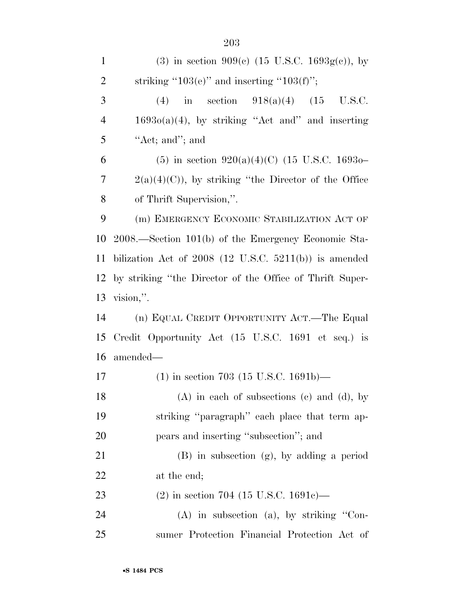| $\mathbf{1}$   | (3) in section 909(c) $(15 \text{ U.S.C. } 1693g(c))$ , by |
|----------------|------------------------------------------------------------|
| $\overline{2}$ | striking "103(e)" and inserting "103(f)";                  |
| 3              | (4) in section $918(a)(4)$ (15 U.S.C.                      |
| $\overline{4}$ | $1693o(a)(4)$ , by striking "Act and" and inserting        |
| 5              | "Act; and"; and                                            |
| 6              | (5) in section $920(a)(4)(C)$ (15 U.S.C. 16930–            |
| 7              | $2(a)(4)(C)$ , by striking "the Director of the Office"    |
| 8              | of Thrift Supervision,".                                   |
| 9              | (m) EMERGENCY ECONOMIC STABILIZATION ACT OF                |
| 10             | 2008.—Section 101(b) of the Emergency Economic Sta-        |
| 11             | bilization Act of $2008$ (12 U.S.C. 5211(b)) is amended    |
| 12             | by striking "the Director of the Office of Thrift Super-   |
| 13             | $vision,$ ".                                               |
| 14             | (n) EQUAL CREDIT OPPORTUNITY ACT.—The Equal                |
| 15             | Credit Opportunity Act (15 U.S.C. 1691 et seq.) is         |
| 16             | amended—                                                   |
| 17             | $(1)$ in section 703 (15 U.S.C. 1691b)—                    |
| 18             | $(A)$ in each of subsections (c) and (d), by               |
| 19             | striking "paragraph" each place that term ap-              |
| 20             | pears and inserting "subsection"; and                      |
| 21             | $(B)$ in subsection $(g)$ , by adding a period             |
| 22             | at the end;                                                |
| 23             | $(2)$ in section 704 (15 U.S.C. 1691c)—                    |
| 24             | $(A)$ in subsection $(a)$ , by striking "Con-              |
| 25             | sumer Protection Financial Protection Act of               |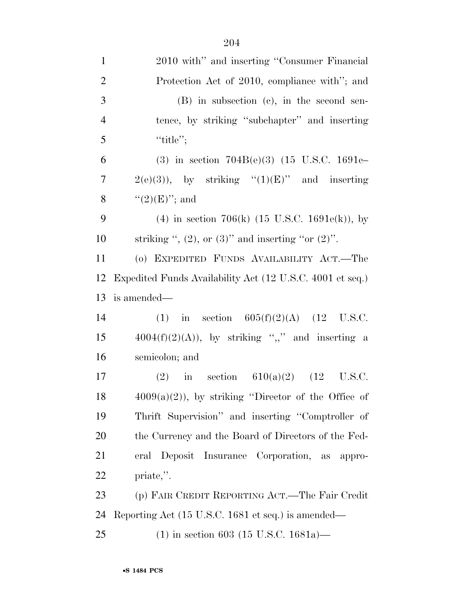| $\mathbf{1}$   | 2010 with" and inserting "Consumer Financial               |
|----------------|------------------------------------------------------------|
| $\overline{2}$ | Protection Act of 2010, compliance with"; and              |
| 3              | $(B)$ in subsection $(c)$ , in the second sen-             |
| $\overline{4}$ | tence, by striking "subchapter" and inserting              |
| 5              | "title";                                                   |
| 6              | (3) in section $704B(e)(3)$ (15 U.S.C. 1691c-              |
| $\tau$         | $2(e)(3)$ , by striking " $(1)(E)$ " and inserting         |
| 8              | $``(2)(E)''$ ; and                                         |
| 9              | (4) in section 706(k) $(15 \text{ U.S.C. } 1691e(k))$ , by |
| 10             | striking ", $(2)$ , or $(3)$ " and inserting "or $(2)$ ".  |
| 11             | (o) EXPEDITED FUNDS AVAILABILITY ACT.—The                  |
| 12             | Expedited Funds Availability Act (12 U.S.C. 4001 et seq.)  |
| 13             | is amended—                                                |
| 14             | (1) in section $605(f)(2)(A)$ (12 U.S.C.                   |
| 15             | $4004(f)(2)(A)$ , by striking ",," and inserting a         |
| 16             | semicolon; and                                             |
| 17             | (2) in section $610(a)(2)$ (12 U.S.C.                      |
| 18             | $4009(a)(2)$ , by striking "Director of the Office of      |
| 19             | Thrift Supervision" and inserting "Comptroller of          |
| 20             | the Currency and the Board of Directors of the Fed-        |
| 21             | eral Deposit Insurance Corporation, as appro-              |
| 22             | priate,".                                                  |
| 23             | (p) FAIR CREDIT REPORTING ACT.—The Fair Credit             |
| 24             | Reporting Act (15 U.S.C. 1681 et seq.) is amended—         |
| 25             | $(1)$ in section 603 (15 U.S.C. 1681a)—                    |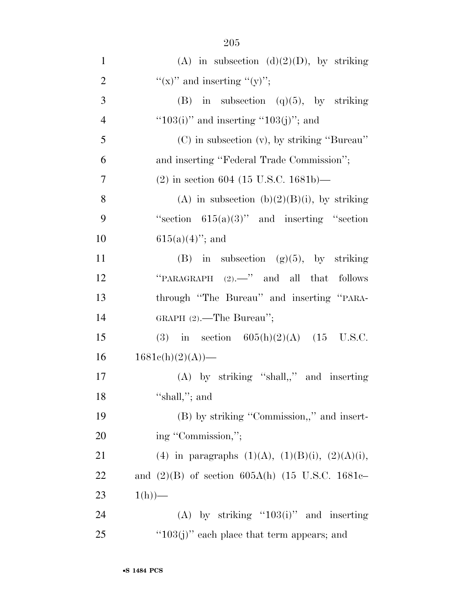| $\mathbf{1}$   | (A) in subsection (d)(2)(D), by striking                 |
|----------------|----------------------------------------------------------|
| $\overline{2}$ | "(x)" and inserting "(y)";                               |
| 3              | in subsection $(q)(5)$ , by striking<br>(B)              |
| $\overline{4}$ | " $103(i)$ " and inserting " $103(j)$ "; and             |
| 5              | (C) in subsection (v), by striking "Bureau"              |
| 6              | and inserting "Federal Trade Commission";                |
| 7              | $(2)$ in section 604 (15 U.S.C. 1681b)—                  |
| 8              | (A) in subsection (b) $(2)(B)(i)$ , by striking          |
| 9              | "section $615(a)(3)$ " and inserting "section"           |
| 10             | $615(a)(4)$ "; and                                       |
| 11             | (B) in subsection $(g)(5)$ , by striking                 |
| 12             | "PARAGRAPH $(2)$ ." and all that follows                 |
| 13             | through "The Bureau" and inserting "PARA-                |
| 14             | GRAPH $(2)$ .—The Bureau";                               |
| 15             | (3) in section $605(h)(2)(A)$ (15 U.S.C.                 |
| 16             | $1681c(h)(2)(A)$ —                                       |
| 17             | $(A)$ by striking "shall,," and inserting                |
| 18             | "shall,"; and                                            |
| 19             | (B) by striking "Commission,," and insert-               |
| 20             | ing "Commission,";                                       |
| 21             | (4) in paragraphs $(1)(A)$ , $(1)(B)(i)$ , $(2)(A)(i)$ , |
| 22             | and $(2)(B)$ of section 605A(h) (15 U.S.C. 1681c-        |
| 23             | $1(h)$ )—                                                |
| 24             | $(A)$ by striking "103(i)" and inserting                 |
| 25             | " $103(j)$ " each place that term appears; and           |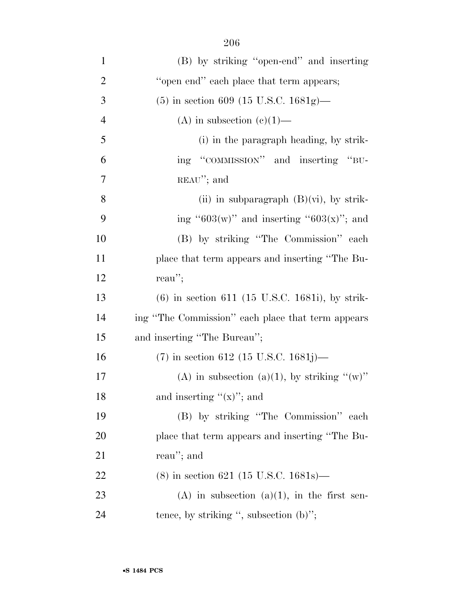| $\mathbf{1}$   | (B) by striking "open-end" and inserting          |
|----------------|---------------------------------------------------|
| $\overline{2}$ | "open end" each place that term appears;          |
| 3              | $(5)$ in section 609 (15 U.S.C. 1681g)—           |
| $\overline{4}$ | (A) in subsection $(e)(1)$ —                      |
| 5              | (i) in the paragraph heading, by strik-           |
| 6              | ing "COMMISSION" and inserting "BU-               |
| 7              | $REAU''$ ; and                                    |
| 8              | (ii) in subparagraph $(B)(vi)$ , by strik-        |
| 9              | ing "603(w)" and inserting "603(x)"; and          |
| 10             | (B) by striking "The Commission" each             |
| 11             | place that term appears and inserting "The Bu-    |
| 12             | reau";                                            |
| 13             | $(6)$ in section 611 (15 U.S.C. 1681i), by strik- |
| 14             | ing "The Commission" each place that term appears |
| 15             | and inserting "The Bureau";                       |
| 16             | $(7)$ in section 612 (15 U.S.C. 1681j)—           |
| 17             | (A) in subsection (a)(1), by striking " $(w)$ "   |
| 18             | and inserting " $(x)$ "; and                      |
| 19             | (B) by striking "The Commission" each             |
| 20             | place that term appears and inserting "The Bu-    |
| 21             | reau"; and                                        |
| 22             | $(8)$ in section 621 (15 U.S.C. 1681s)—           |
| 23             | $(A)$ in subsection $(a)(1)$ , in the first sen-  |
| 24             | tence, by striking ", subsection $(b)$ ";         |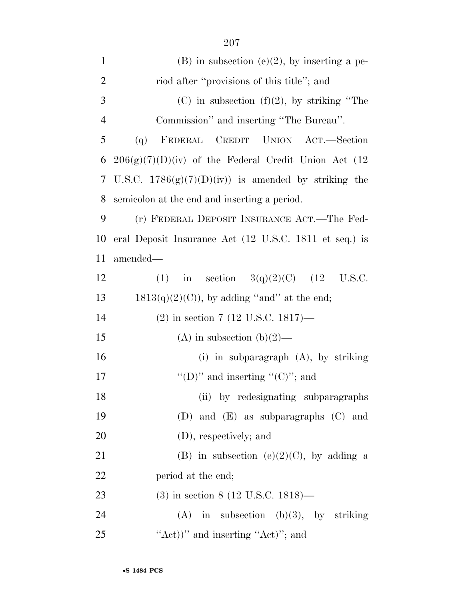| $\mathbf{1}$   | $(B)$ in subsection $(e)(2)$ , by inserting a pe-      |
|----------------|--------------------------------------------------------|
| $\overline{2}$ | riod after "provisions of this title"; and             |
| 3              | (C) in subsection (f)(2), by striking "The             |
| $\overline{4}$ | Commission" and inserting "The Bureau".                |
| 5              | FEDERAL CREDIT UNION ACT.—Section<br>(q)               |
| 6              | $206(g)(7)(D)(iv)$ of the Federal Credit Union Act (12 |
| 7              | U.S.C. $1786(g)(7)(D)(iv)$ is amended by striking the  |
| 8              | semicolon at the end and inserting a period.           |
| 9              | (r) FEDERAL DEPOSIT INSURANCE ACT.—The Fed-            |
| 10             | eral Deposit Insurance Act (12 U.S.C. 1811 et seq.) is |
| 11             | amended—                                               |
| 12             | in section $3(q)(2)(C)$ (12 U.S.C.<br>(1)              |
| 13             | $1813(q)(2)(C)$ , by adding "and" at the end;          |
| 14             | $(2)$ in section 7 (12 U.S.C. 1817)—                   |
| 15             | (A) in subsection (b)(2)—                              |
| 16             | (i) in subparagraph (A), by striking                   |
| 17             | "(D)" and inserting " $(C)$ "; and                     |
| 18             | (ii) by redesignating subparagraphs                    |
| 19             | (D) and $(E)$ as subparagraphs $(C)$ and               |
| 20             | (D), respectively; and                                 |
| 21             | (B) in subsection (e)(2)(C), by adding a               |
| 22             | period at the end;                                     |
| 23             | $(3)$ in section 8 (12 U.S.C. 1818)—                   |
| 24             | $(A)$ in subsection $(b)(3)$ , by striking             |
| 25             | "Act)" and inserting "Act)"; and                       |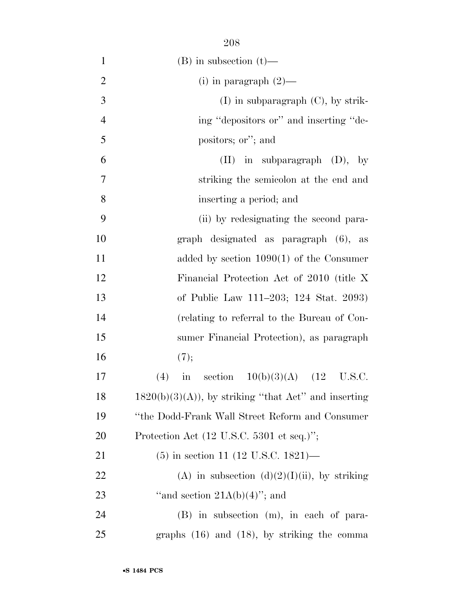| $\mathbf{1}$   | $(B)$ in subsection $(t)$ —                                   |
|----------------|---------------------------------------------------------------|
| $\overline{2}$ | (i) in paragraph $(2)$ —                                      |
| 3              | $(I)$ in subparagraph $(C)$ , by strik-                       |
| $\overline{4}$ | ing "depositors or" and inserting "de-                        |
| 5              | positors; or"; and                                            |
| 6              | $(II)$ in subparagraph $(D)$ , by                             |
| 7              | striking the semicolon at the end and                         |
| 8              | inserting a period; and                                       |
| 9              | (ii) by redesignating the second para-                        |
| 10             | graph designated as paragraph (6), as                         |
| 11             | added by section $1090(1)$ of the Consumer                    |
| 12             | Financial Protection Act of 2010 (title X                     |
| 13             | of Public Law 111–203; 124 Stat. 2093)                        |
| 14             | (relating to referral to the Bureau of Con-                   |
| 15             | sumer Financial Protection), as paragraph                     |
| 16             | (7);                                                          |
| 17             | in section $10(b)(3)(A)$ (12<br>U.S.C.<br>(4)                 |
| 18             | $1820(b)(3)(A)$ , by striking "that Act" and inserting        |
| 19             | "the Dodd-Frank Wall Street Reform and Consumer               |
| 20             | Protection Act $(12 \text{ U.S.C. } 5301 \text{ et seq.})$ "; |
| 21             | $(5)$ in section 11 (12 U.S.C. 1821)—                         |
| <u>22</u>      | (A) in subsection $(d)(2)(I)(ii)$ , by striking               |
| 23             | "and section $21A(b)(4)$ "; and                               |
| 24             | (B) in subsection (m), in each of para-                       |
| 25             | graphs $(16)$ and $(18)$ , by striking the comma              |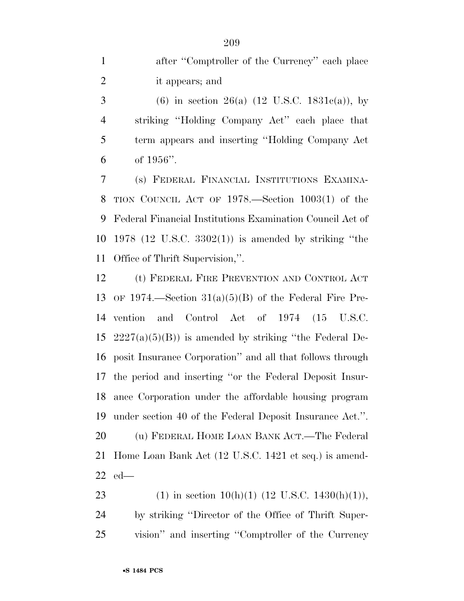after ''Comptroller of the Currency'' each place it appears; and

3 (6) in section 26(a)  $(12 \text{ U.S.C. } 1831c(a))$ , by striking ''Holding Company Act'' each place that term appears and inserting ''Holding Company Act of 1956''.

 (s) FEDERAL FINANCIAL INSTITUTIONS EXAMINA- TION COUNCIL ACT OF 1978.—Section 1003(1) of the Federal Financial Institutions Examination Council Act of 1978 (12 U.S.C. 3302(1)) is amended by striking ''the Office of Thrift Supervision,''.

 (t) FEDERAL FIRE PREVENTION AND CONTROL ACT OF 1974.—Section 31(a)(5)(B) of the Federal Fire Pre- vention and Control Act of 1974 (15 U.S.C.  $2227(a)(5)(B)$  is amended by striking "the Federal De- posit Insurance Corporation'' and all that follows through the period and inserting ''or the Federal Deposit Insur- ance Corporation under the affordable housing program under section 40 of the Federal Deposit Insurance Act.''. (u) FEDERAL HOME LOAN BANK ACT.—The Federal Home Loan Bank Act (12 U.S.C. 1421 et seq.) is amend-ed—

23 (1) in section 10(h)(1) (12 U.S.C. 1430(h)(1)), by striking ''Director of the Office of Thrift Super-vision'' and inserting ''Comptroller of the Currency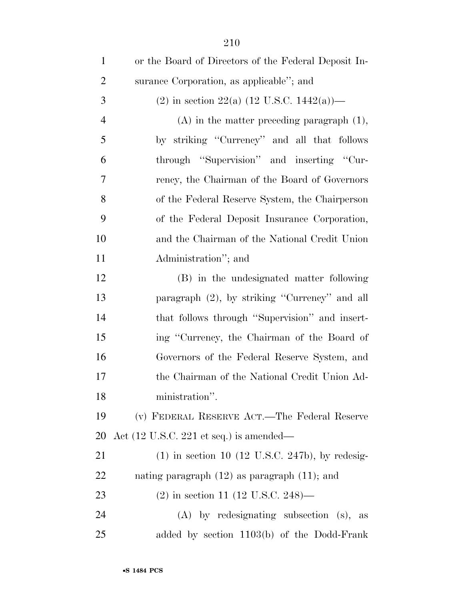| $\mathbf{1}$   | or the Board of Directors of the Federal Deposit In-       |
|----------------|------------------------------------------------------------|
| $\overline{2}$ | surance Corporation, as applicable"; and                   |
| 3              | (2) in section 22(a) (12 U.S.C. 1442(a))—                  |
| $\overline{4}$ | $(A)$ in the matter preceding paragraph $(1)$ ,            |
| 5              | by striking "Currency" and all that follows                |
| 6              | through "Supervision" and inserting "Cur-                  |
| 7              | rency, the Chairman of the Board of Governors              |
| 8              | of the Federal Reserve System, the Chairperson             |
| 9              | of the Federal Deposit Insurance Corporation,              |
| 10             | and the Chairman of the National Credit Union              |
| 11             | Administration"; and                                       |
| 12             | (B) in the undesignated matter following                   |
| 13             | paragraph (2), by striking "Currency" and all              |
| 14             | that follows through "Supervision" and insert-             |
| 15             | ing "Currency, the Chairman of the Board of                |
| 16             | Governors of the Federal Reserve System, and               |
| 17             | the Chairman of the National Credit Union Ad-              |
| 18             | ministration".                                             |
| 19             | (v) FEDERAL RESERVE ACT.—The Federal Reserve               |
| 20             | Act $(12 \text{ U.S.C. } 221 \text{ et seq.})$ is amended— |
| 21             | $(1)$ in section 10 (12 U.S.C. 247b), by redesig-          |
| <u>22</u>      | nating paragraph $(12)$ as paragraph $(11)$ ; and          |
| 23             | $(2)$ in section 11 (12 U.S.C. 248)—                       |
| 24             | $(A)$ by redesignating subsection $(s)$ ,<br>as            |
| 25             | added by section 1103(b) of the Dodd-Frank                 |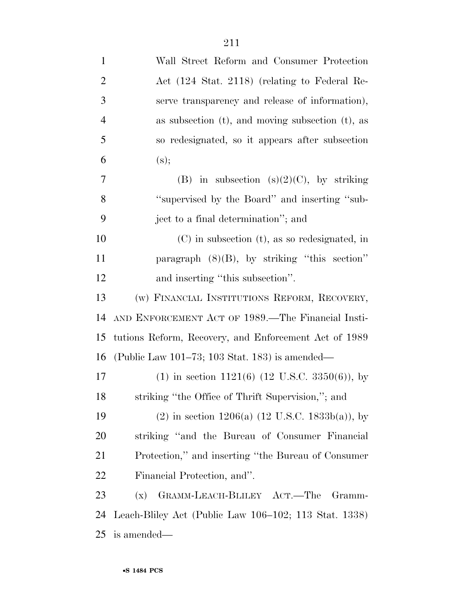| $\mathbf{1}$   | Wall Street Reform and Consumer Protection               |
|----------------|----------------------------------------------------------|
| $\overline{2}$ | Act (124 Stat. 2118) (relating to Federal Re-            |
| 3              | serve transparency and release of information),          |
| $\overline{4}$ | as subsection $(t)$ , and moving subsection $(t)$ , as   |
| 5              | so redesignated, so it appears after subsection          |
| 6              | (s);                                                     |
| $\overline{7}$ | (B) in subsection (s) $(2)(C)$ , by striking             |
| 8              | "supervised by the Board" and inserting "sub-            |
| 9              | ject to a final determination"; and                      |
| 10             | $(C)$ in subsection $(t)$ , as so redesignated, in       |
| 11             | paragraph $(8)(B)$ , by striking "this section"          |
| 12             | and inserting "this subsection".                         |
| 13             | (w) FINANCIAL INSTITUTIONS REFORM, RECOVERY,             |
| 14             | AND ENFORCEMENT ACT OF 1989.—The Financial Insti-        |
| 15             | tutions Reform, Recovery, and Enforcement Act of 1989    |
| 16             | (Public Law 101–73; 103 Stat. 183) is amended—           |
| 17             | $(1)$ in section 1121(6) (12 U.S.C. 3350(6)), by         |
| 18             | striking "the Office of Thrift Supervision,"; and        |
| 19             | $(2)$ in section 1206(a) (12 U.S.C. 1833b(a)), by        |
| 20             | striking "and the Bureau of Consumer Financial           |
| 21             | Protection," and inserting "the Bureau of Consumer"      |
| 22             | Financial Protection, and".                              |
| 23             | GRAMM-LEACH-BLILEY ACT.—The<br>(x)<br>Gramm-             |
| 24             | Leach-Bliley Act (Public Law $106-102$ ; 113 Stat. 1338) |
| 25             | is amended—                                              |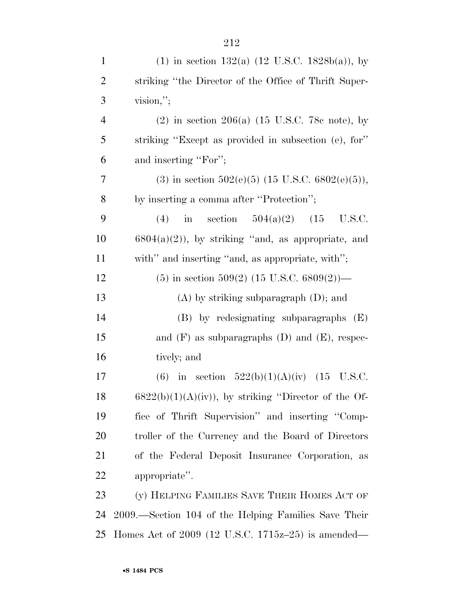| $\mathbf{1}$   | (1) in section 132(a) $(12 \text{ U.S.C. } 1828b(a))$ , by        |
|----------------|-------------------------------------------------------------------|
| $\overline{2}$ | striking "the Director of the Office of Thrift Super-             |
| 3              | vision,"                                                          |
| $\overline{4}$ | (2) in section 206(a) $(15 \text{ U.S.C. } 78c \text{ note}),$ by |
| 5              | striking "Except as provided in subsection (e), for"              |
| 6              | and inserting "For";                                              |
| 7              | (3) in section $502(e)(5)$ (15 U.S.C. $6802(e)(5)$ ),             |
| 8              | by inserting a comma after "Protection";                          |
| 9              | in section $504(a)(2)$ (15<br>(4)<br>U.S.C.                       |
| 10             | $6804(a)(2)$ , by striking "and, as appropriate, and              |
| 11             | with" and inserting "and, as appropriate, with";                  |
| 12             | $(5)$ in section 509(2) (15 U.S.C. 6809(2))—                      |
| 13             | $(A)$ by striking subparagraph $(D)$ ; and                        |
| 14             | $(B)$ by redesignating subparagraphs $(E)$                        |
| 15             | and $(F)$ as subparagraphs $(D)$ and $(E)$ , respec-              |
| 16             | tively; and                                                       |
| 17             | (6) in section $522(b)(1)(A)(iv)$ (15 U.S.C.                      |
| 18             | $6822(b)(1)(A)(iv)$ , by striking "Director of the Of-            |
| 19             | fice of Thrift Supervision" and inserting "Comp-                  |
| 20             | troller of the Currency and the Board of Directors                |
| 21             | of the Federal Deposit Insurance Corporation, as                  |
| 22             | appropriate".                                                     |
| 23             | (y) HELPING FAMILIES SAVE THEIR HOMES ACT OF                      |
| 24             | 2009.—Section 104 of the Helping Families Save Their              |
| 25             | Homes Act of $2009$ (12 U.S.C. 1715 $z$ -25) is amended—          |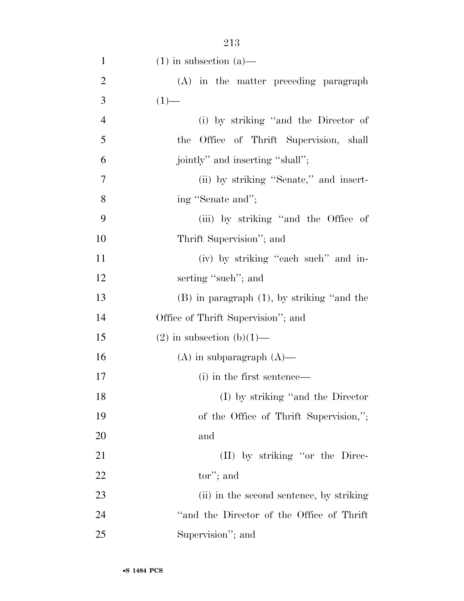| $\mathbf{1}$   | $(1)$ in subsection $(a)$ —                     |
|----------------|-------------------------------------------------|
| $\overline{2}$ | (A) in the matter preceding paragraph           |
| 3              | $(1)$ —                                         |
| $\overline{4}$ | (i) by striking "and the Director of            |
| 5              | Office of Thrift Supervision, shall<br>the      |
| 6              | jointly" and inserting "shall";                 |
| 7              | (ii) by striking "Senate," and insert-          |
| 8              | ing "Senate and";                               |
| 9              | (iii) by striking "and the Office of            |
| 10             | Thrift Supervision"; and                        |
| 11             | (iv) by striking "each such" and in-            |
| 12             | serting "such"; and                             |
| 13             | $(B)$ in paragraph $(1)$ , by striking "and the |
| 14             | Office of Thrift Supervision"; and              |
| 15             | $(2)$ in subsection $(b)(1)$ —                  |
| 16             | $(A)$ in subparagraph $(A)$ —                   |
| 17             | (i) in the first sentence—                      |
| 18             | (I) by striking "and the Director               |
| 19             | of the Office of Thrift Supervision,";          |
| 20             | and                                             |
| 21             | (II) by striking "or the Direc-                 |
| 22             | $tor$ "; and                                    |
| 23             | (ii) in the second sentence, by striking        |
| 24             | "and the Director of the Office of Thrift       |
| 25             | Supervision"; and                               |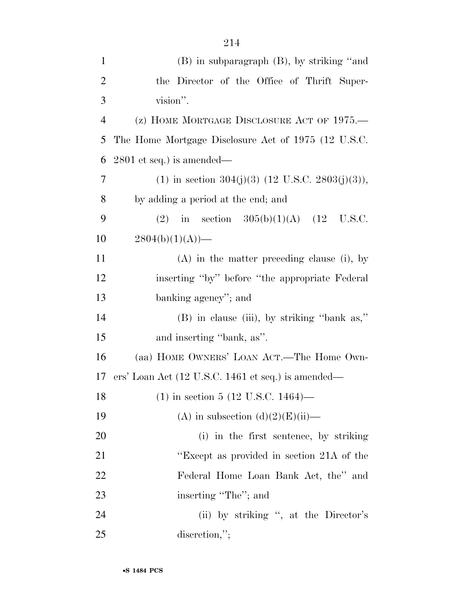| $\mathbf{1}$   | $(B)$ in subparagraph $(B)$ , by striking "and                        |
|----------------|-----------------------------------------------------------------------|
| $\overline{2}$ | the Director of the Office of Thrift Super-                           |
| 3              | vision".                                                              |
| $\overline{4}$ | (z) HOME MORTGAGE DISCLOSURE ACT OF 1975.                             |
| 5              | The Home Mortgage Disclosure Act of 1975 (12 U.S.C.                   |
| 6              | $2801$ et seq.) is amended—                                           |
| 7              | (1) in section 304(j)(3) (12 U.S.C. 2803(j)(3)),                      |
| 8              | by adding a period at the end; and                                    |
| 9              | (2) in section $305(b)(1)(A)$ (12 U.S.C.                              |
| 10             | $2804(b)(1)(A)$ —                                                     |
| 11             | $(A)$ in the matter preceding clause (i), by                          |
| 12             | inserting "by" before "the appropriate Federal"                       |
| 13             | banking agency"; and                                                  |
| 14             | (B) in clause (iii), by striking "bank as,"                           |
| 15             | and inserting "bank, as".                                             |
| 16             | (aa) HOME OWNERS' LOAN ACT.—The Home Own-                             |
| 17             | ers' Loan Act $(12 \text{ U.S.C. } 1461 \text{ et seq.})$ is amended— |
| 18             | $(1)$ in section 5 (12 U.S.C. 1464)—                                  |
| 19             | (A) in subsection $(d)(2)(E)(ii)$ —                                   |
| 20             | (i) in the first sentence, by striking                                |
| 21             | "Except as provided in section 21A of the                             |
| 22             | Federal Home Loan Bank Act, the" and                                  |
| 23             | inserting "The"; and                                                  |
| 24             | (ii) by striking ", at the Director's                                 |
| 25             | discretion,";                                                         |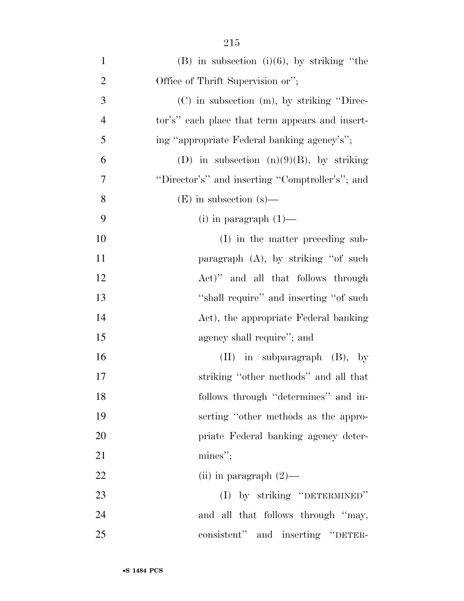| $\mathbf{1}$   | $(B)$ in subsection $(i)(6)$ , by striking "the |
|----------------|-------------------------------------------------|
| $\overline{2}$ | Office of Thrift Supervision or";               |
| 3              | $(C)$ in subsection $(m)$ , by striking "Direc- |
| $\overline{4}$ | tor's" each place that term appears and insert- |
| 5              | ing "appropriate Federal banking agency's";     |
| 6              | (D) in subsection $(n)(9)(B)$ , by striking     |
| $\overline{7}$ | "Director's" and inserting "Comptroller's"; and |
| 8              | $(E)$ in subsection $(s)$ —                     |
| 9              | $(i)$ in paragraph $(1)$ —                      |
| 10             | (I) in the matter preceding sub-                |
| 11             | paragraph (A), by striking "of such             |
| 12             | Act)" and all that follows through              |
| 13             | "shall require" and inserting "of such          |
| 14             | Act), the appropriate Federal banking           |
| 15             | agency shall require"; and                      |
| 16             | in subparagraph (B), by<br>$(\Pi)$              |
| 17             | striking "other methods" and all that           |
| 18             | follows through "determines" and in-            |
| 19             | serting "other methods as the appro-            |
| 20             | priate Federal banking agency deter-            |
| 21             | mines";                                         |
| 22             | (ii) in paragraph $(2)$ —                       |
| 23             | (I) by striking "DETERMINED"                    |
| 24             | and all that follows through "may,              |
| 25             | consistent" and inserting "DETER-               |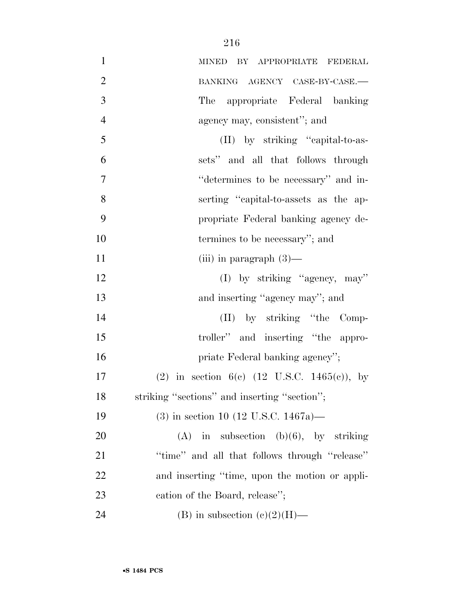| $\mathbf{1}$   | MINED BY APPROPRIATE FEDERAL                            |
|----------------|---------------------------------------------------------|
| $\overline{2}$ | BANKING AGENCY CASE-BY-CASE.-                           |
| 3              | appropriate Federal banking<br>The                      |
| $\overline{4}$ | agency may, consistent"; and                            |
| 5              | (II) by striking "capital-to-as-                        |
| 6              | sets" and all that follows through                      |
| $\overline{7}$ | "determines to be necessary" and in-                    |
| 8              | serting "capital-to-assets as the ap-                   |
| 9              | propriate Federal banking agency de-                    |
| 10             | termines to be necessary"; and                          |
| 11             | (iii) in paragraph $(3)$ —                              |
| 12             | (I) by striking "agency, may"                           |
| 13             | and inserting "agency may"; and                         |
| 14             | (II) by striking "the Comp-                             |
| 15             | troller" and inserting "the appro-                      |
| 16             | priate Federal banking agency";                         |
| 17             | (2) in section 6(c) $(12 \text{ U.S.C. } 1465(c))$ , by |
| 18             | striking "sections" and inserting "section";            |
| 19             | $(3)$ in section 10 (12 U.S.C. 1467a)—                  |
| 20             | $(A)$ in subsection $(b)(6)$ , by striking              |
| 21             | "time" and all that follows through "release"           |
| 22             | and inserting "time, upon the motion or appli-          |
| 23             | cation of the Board, release";                          |
| 24             | (B) in subsection $(e)(2)(H)$ —                         |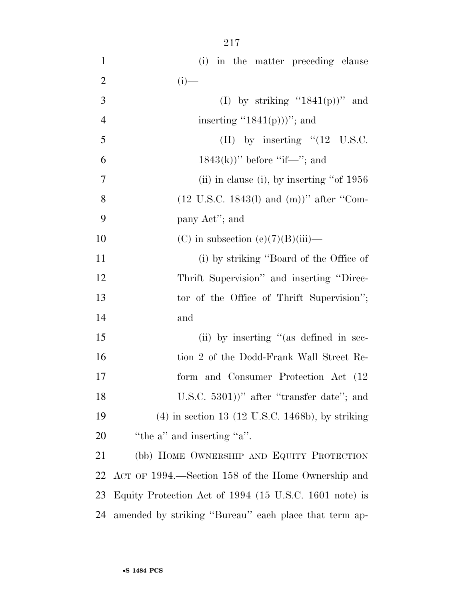| $\mathbf{1}$   | (i) in the matter preceding clause                            |
|----------------|---------------------------------------------------------------|
| $\overline{2}$ | $(i)$ —                                                       |
| 3              | (I) by striking " $1841(p)$ " and                             |
| $\overline{4}$ | inserting " $1841(p))$ "; and                                 |
| 5              | (II) by inserting $\cdot$ (12 U.S.C.                          |
| 6              | $1843(k)$ " before "if—"; and                                 |
| 7              | (ii) in clause (i), by inserting "of $1956$                   |
| 8              | $(12 \text{ U.S.C. } 1843(l) \text{ and } (m))$ " after "Com- |
| 9              | pany Act"; and                                                |
| 10             | (C) in subsection (e)(7)(B)(iii)—                             |
| 11             | (i) by striking "Board of the Office of                       |
| 12             | Thrift Supervision" and inserting "Direc-                     |
| 13             | tor of the Office of Thrift Supervision";                     |
| 14             | and                                                           |
| 15             | (ii) by inserting "(as defined in sec-                        |
| 16             | tion 2 of the Dodd-Frank Wall Street Re-                      |
| 17             | form and Consumer Protection Act (12)                         |
| 18             | U.S.C. $5301$ )" after "transfer date"; and                   |
| 19             | $(4)$ in section 13 (12 U.S.C. 1468b), by striking            |
| 20             | "the $a$ " and inserting " $a$ ".                             |
| 21             | (bb) HOME OWNERSHIP AND EQUITY PROTECTION                     |
| 22             | ACT OF 1994.—Section 158 of the Home Ownership and            |
| 23             | Equity Protection Act of 1994 (15 U.S.C. 1601 note) is        |
| 24             | amended by striking "Bureau" each place that term ap-         |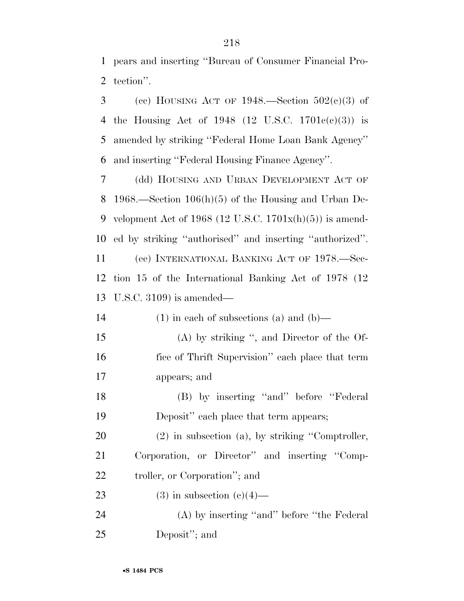pears and inserting ''Bureau of Consumer Financial Pro-tection''.

3 (cc) HOUSING ACT OF .—Section  $502(c)(3)$  of the Housing Act of 1948 (12 U.S.C. 1701c(c)(3)) is amended by striking ''Federal Home Loan Bank Agency'' and inserting ''Federal Housing Finance Agency''.

 (dd) HOUSING AND URBAN DEVELOPMENT ACT OF 1968.—Section 106(h)(5) of the Housing and Urban De-9 velopment Act of 1968 (12 U.S.C.  $1701x(h)(5)$ ) is amend- ed by striking ''authorised'' and inserting ''authorized''. (ee) INTERNATIONAL BANKING ACT OF 1978.—Sec- tion 15 of the International Banking Act of 1978 (12 U.S.C. 3109) is amended—

| 14 | $(1)$ in each of subsections (a) and (b)—        |
|----|--------------------------------------------------|
| 15 | $(A)$ by striking ", and Director of the Of-     |
| 16 | fice of Thrift Supervision" each place that term |
| 17 | appears; and                                     |
| 18 | (B) by inserting "and" before "Federal"          |

Deposit'' each place that term appears;

 (2) in subsection (a), by striking ''Comptroller, Corporation, or Director'' and inserting ''Comp-troller, or Corporation''; and

23 (3) in subsection  $(e)(4)$ —

 (A) by inserting ''and'' before ''the Federal Deposit''; and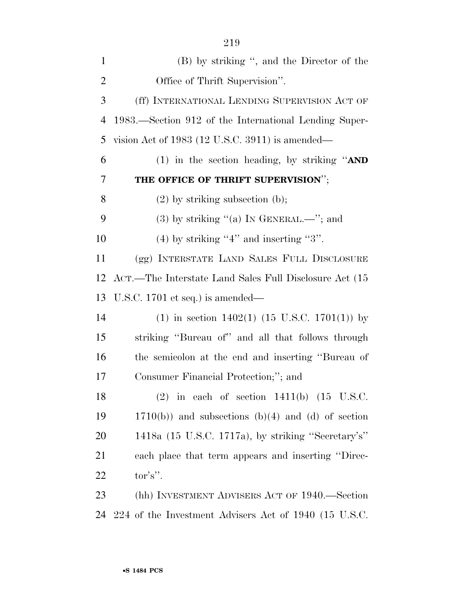| $\mathbf{1}$   | (B) by striking ", and the Director of the             |
|----------------|--------------------------------------------------------|
| $\overline{2}$ | Office of Thrift Supervision".                         |
| 3              | (ff) INTERNATIONAL LENDING SUPERVISION ACT OF          |
| 4              | 1983.—Section 912 of the International Lending Super-  |
| 5              | vision Act of 1983 (12 U.S.C. 3911) is amended—        |
| 6              | (1) in the section heading, by striking " $AND$        |
| 7              | THE OFFICE OF THRIFT SUPERVISION";                     |
| 8              | $(2)$ by striking subsection (b);                      |
| 9              | $(3)$ by striking "(a) In GENERAL.—"; and              |
| 10             | $(4)$ by striking "4" and inserting "3".               |
| 11             | (gg) INTERSTATE LAND SALES FULL DISCLOSURE             |
| 12             | ACT.—The Interstate Land Sales Full Disclosure Act (15 |
| 13             | U.S.C. $1701$ et seq.) is amended—                     |
| 14             | (1) in section $1402(1)$ (15 U.S.C. 1701(1)) by        |
| 15             | striking "Bureau of" and all that follows through      |
| 16             | the semicolon at the end and inserting "Bureau of      |
| 17             | Consumer Financial Protection;"; and                   |
| 18             | $(2)$ in each of section 1411(b) $(15 \text{ U.S.C.})$ |
| 19             | $1710(b)$ ) and subsections (b)(4) and (d) of section  |
| 20             | 1418a (15 U.S.C. 1717a), by striking "Secretary's"     |
| 21             | each place that term appears and inserting "Direc-     |
| 22             | $\mathrm{tor's}$ ".                                    |
| 23             | (hh) INVESTMENT ADVISERS ACT OF 1940.—Section          |
| 24             | 224 of the Investment Advisers Act of 1940 (15 U.S.C.  |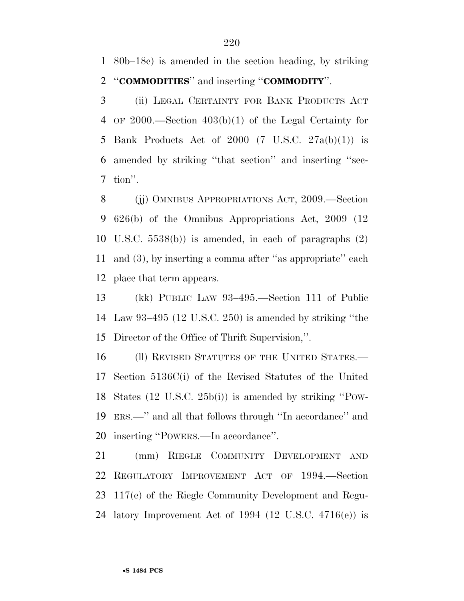80b–18c) is amended in the section heading, by striking ''**COMMODITIES**'' and inserting ''**COMMODITY**''.

 (ii) LEGAL CERTAINTY FOR BANK PRODUCTS ACT OF 2000.—Section 403(b)(1) of the Legal Certainty for 5 Bank Products Act of 2000  $(7 \text{ U.S.C. } 27a(b)(1))$  is amended by striking ''that section'' and inserting ''sec-tion''.

 (jj) OMNIBUS APPROPRIATIONS ACT, 2009.—Section 626(b) of the Omnibus Appropriations Act, 2009 (12 U.S.C. 5538(b)) is amended, in each of paragraphs (2) and (3), by inserting a comma after ''as appropriate'' each place that term appears.

 (kk) PUBLIC LAW 93–495.—Section 111 of Public Law 93–495 (12 U.S.C. 250) is amended by striking ''the Director of the Office of Thrift Supervision,''.

16 (II) REVISED STATUTES OF THE UNITED STATES.— Section 5136C(i) of the Revised Statutes of the United States (12 U.S.C. 25b(i)) is amended by striking ''POW- ERS.—'' and all that follows through ''In accordance'' and inserting ''POWERS.—In accordance''.

 (mm) RIEGLE COMMUNITY DEVELOPMENT AND REGULATORY IMPROVEMENT ACT OF 1994.—Section 117(e) of the Riegle Community Development and Regu-latory Improvement Act of 1994 (12 U.S.C. 4716(e)) is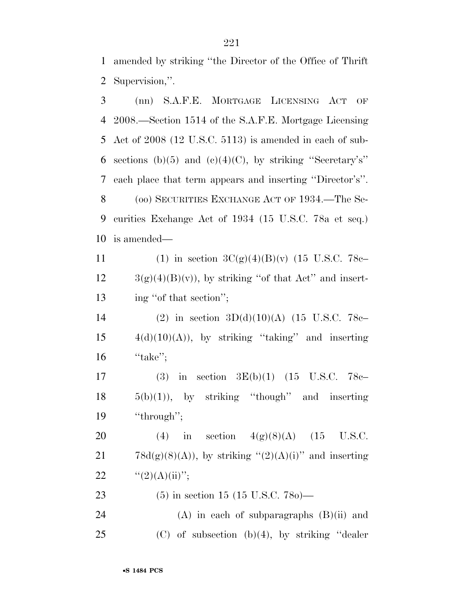1 amended by striking ''the Director of the Office of Thrift 2 Supervision,''.

 (nn) S.A.F.E. MORTGAGE LICENSING ACT OF 2008.—Section 1514 of the S.A.F.E. Mortgage Licensing Act of 2008 (12 U.S.C. 5113) is amended in each of sub-6 sections (b)(5) and (c)(4)(C), by striking "Secretary's" each place that term appears and inserting ''Director's''. (oo) SECURITIES EXCHANGE ACT OF 1934.—The Se- curities Exchange Act of 1934 (15 U.S.C. 78a et seq.) is amended— 11 (1) in section  $3C(g)(4)(B)(v)$  (15 U.S.C. 78c–  $12 \qquad \frac{3(g)(4)(B)(v)}{g}$ , by striking "of that Act" and insert-13 ing "of that section"; (2) in section 3D(d)(10)(A) (15 U.S.C. 78c–  $4(d)(10)(A)$ , by striking "taking" and inserting ''take''; (3) in section 3E(b)(1) (15 U.S.C. 78c–  $18 \t 5(b)(1)$ , by striking "though" and inserting 19 "through"; 20 (4) in section  $4(g)(8)(A)$  (15 U.S.C. 21 78d(g)(8)(A)), by striking " $(2)(A)(i)$ " and inserting  $\frac{((2)(A)(ii))}{(2)}$ ; (5) in section 15 (15 U.S.C. 78o)— (A) in each of subparagraphs (B)(ii) and 25 (C) of subsection  $(b)(4)$ , by striking "dealer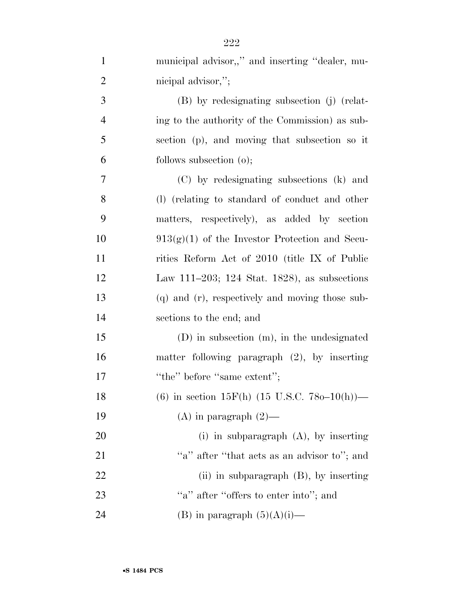| $\mathbf{1}$   | municipal advisor,," and inserting "dealer, mu-                 |
|----------------|-----------------------------------------------------------------|
| $\overline{2}$ | nicipal advisor,";                                              |
| $\mathfrak{Z}$ | (B) by redesignating subsection (j) (relat-                     |
| $\overline{4}$ | ing to the authority of the Commission) as sub-                 |
| $\mathfrak{S}$ | section (p), and moving that subsection so it                   |
| 6              | follows subsection $(o)$ ;                                      |
| 7              | (C) by redesignating subsections (k) and                        |
| 8              | (1) (relating to standard of conduct and other                  |
| 9              | matters, respectively), as added by section                     |
| 10             | $913(g)(1)$ of the Investor Protection and Secu-                |
| 11             | rities Reform Act of 2010 (title IX of Public                   |
| 12             | Law 111–203; 124 Stat. 1828), as subsections                    |
| 13             | (q) and (r), respectively and moving those sub-                 |
| 14             | sections to the end; and                                        |
| 15             | $(D)$ in subsection $(m)$ , in the undesignated                 |
| 16             | matter following paragraph $(2)$ , by inserting                 |
| 17             | "the" before "same extent";                                     |
| 18             | (6) in section 15F(h) $(15 \text{ U.S.C. } 780-10(\text{h}))$ – |
| 19             | $(A)$ in paragraph $(2)$ —                                      |
| 20             | (i) in subparagraph $(A)$ , by inserting                        |
| 21             | "a" after "that acts as an advisor to"; and                     |
| 22             | (ii) in subparagraph $(B)$ , by inserting                       |
| 23             | "a" after "offers to enter into"; and                           |
| 24             | (B) in paragraph $(5)(A)(i)$ —                                  |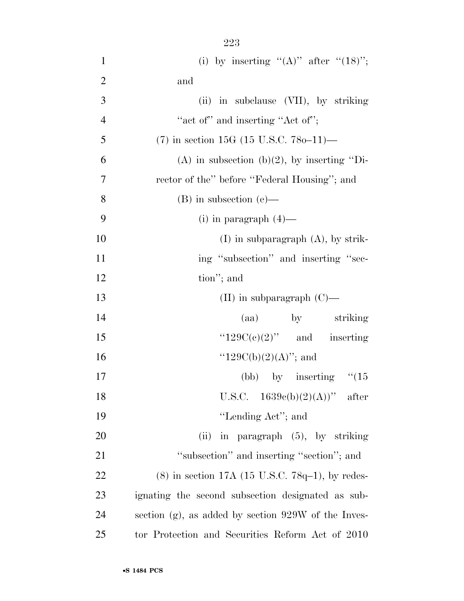1 (i) by inserting  $"({\rm A})"$  after  $"({\rm 18})"$ ; and (ii) in subclause (VII), by striking

| 4              | "act of" and inserting "Act of";                       |
|----------------|--------------------------------------------------------|
| 5              | $(7)$ in section 15G (15 U.S.C. 780–11)—               |
| 6              | (A) in subsection (b)(2), by inserting "Di-            |
| $\overline{7}$ | rector of the" before "Federal Housing"; and           |
| 8              | $(B)$ in subsection $(e)$ —                            |
| 9              | (i) in paragraph $(4)$ —                               |
| 10             | $(I)$ in subparagraph $(A)$ , by strik-                |
| 11             | ing "subsection" and inserting "sec-                   |
| 12             | tion"; and                                             |
| 13             | (II) in subparagraph $(C)$ —                           |
| 14             | (aa) by striking                                       |
| 15             | " $129C(e)(2)$ " and inserting                         |
| 16             | " $129C(b)(2)(A)$ "; and                               |
| 17             | (bb) by inserting $\degree$ (15)                       |
| 18             | U.S.C. $1639e(b)(2)(A))$ " after                       |
| 19             | "Lending Act"; and                                     |
| 20             | in paragraph $(5)$ , by striking<br>(ii)               |
| 21             | "subsection" and inserting "section"; and              |
| 22             | $(8)$ in section 17A (15 U.S.C. 78q-1), by redes-      |
| 23             | ignating the second subsection designated as sub-      |
| 24             | section $(g)$ , as added by section 929W of the Inves- |
|                |                                                        |

tor Protection and Securities Reform Act of 2010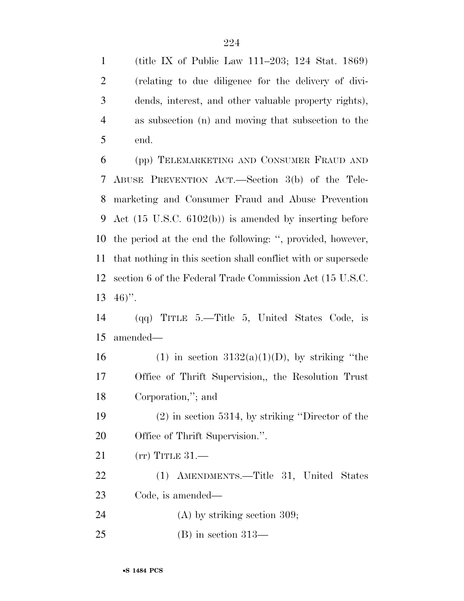(title IX of Public Law 111–203; 124 Stat. 1869) (relating to due diligence for the delivery of divi- dends, interest, and other valuable property rights), as subsection (n) and moving that subsection to the end.

 (pp) TELEMARKETING AND CONSUMER FRAUD AND ABUSE PREVENTION ACT.—Section 3(b) of the Tele- marketing and Consumer Fraud and Abuse Prevention Act (15 U.S.C. 6102(b)) is amended by inserting before the period at the end the following: '', provided, however, that nothing in this section shall conflict with or supersede section 6 of the Federal Trade Commission Act (15 U.S.C.  $13 \t46$ ".

 (qq) TITLE 5.—Title 5, United States Code, is amended—

16 (1) in section  $3132(a)(1)(D)$ , by striking "the Office of Thrift Supervision,, the Resolution Trust Corporation,''; and

 (2) in section 5314, by striking ''Director of the Office of Thrift Supervision.''.

(rr) TITLE 31.—

 (1) AMENDMENTS.—Title 31, United States Code, is amended—

24 (A) by striking section 309;

(B) in section 313—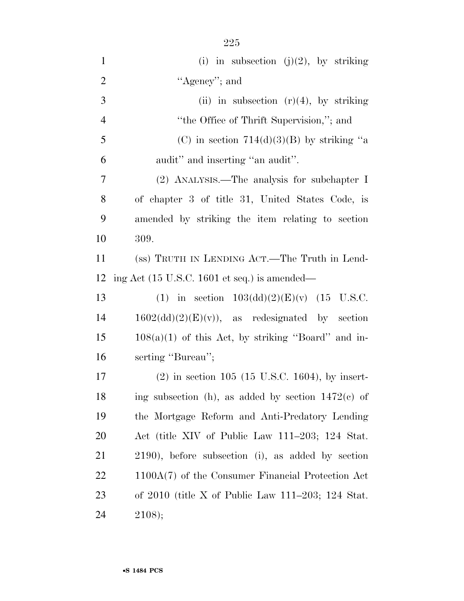| $\mathbf{1}$   | (i) in subsection (j)(2), by striking                           |
|----------------|-----------------------------------------------------------------|
| $\overline{2}$ | "Agency"; and                                                   |
| 3              | (ii) in subsection $(r)(4)$ , by striking                       |
| $\overline{4}$ | "the Office of Thrift Supervision,"; and                        |
| 5              | (C) in section $714(d)(3)(B)$ by striking "a                    |
| 6              | audit" and inserting "an audit".                                |
| 7              | (2) ANALYSIS.—The analysis for subchapter I                     |
| 8              | of chapter 3 of title 31, United States Code, is                |
| 9              | amended by striking the item relating to section                |
| 10             | 309.                                                            |
| 11             | (ss) TRUTH IN LENDING ACT.—The Truth in Lend-                   |
| 12             | ing Act $(15 \text{ U.S.C. } 1601 \text{ et seq.})$ is amended— |
| 13             | (1) in section $103(dd)(2)(E)(v)$ (15 U.S.C.                    |
| 14             | $1602(dd)(2)(E)(v)$ , as redesignated by section                |
| 15             | $108(a)(1)$ of this Act, by striking "Board" and in-            |
| 16             | serting "Bureau";                                               |
| 17             | $(2)$ in section 105 (15 U.S.C. 1604), by insert-               |
| 18             | ing subsection (h), as added by section $1472(c)$ of            |
| 19             | the Mortgage Reform and Anti-Predatory Lending                  |
| <b>20</b>      | Act (title XIV of Public Law 111–203; 124 Stat.                 |
| 21             | 2190), before subsection (i), as added by section               |
| 22             | $1100A(7)$ of the Consumer Financial Protection Act             |
| 23             | of $2010$ (title X of Public Law 111–203; 124 Stat.             |
|                |                                                                 |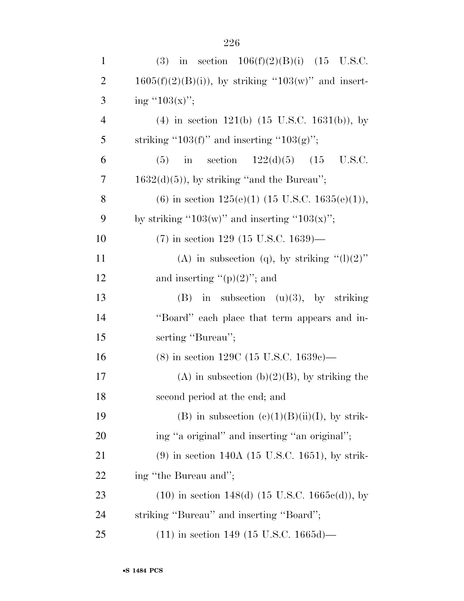| $\mathbf{1}$   | (3) in section $106(f)(2)(B)(i)$ (15 U.S.C.               |
|----------------|-----------------------------------------------------------|
| $\overline{2}$ | $1605(f)(2)(B(i))$ , by striking "103(w)" and insert-     |
| 3              | ing " $103(x)$ ";                                         |
| $\overline{4}$ | (4) in section 121(b) $(15 \text{ U.S.C. } 1631(b))$ , by |
| 5              | striking "103(f)" and inserting "103(g)";                 |
| 6              | in section $122(d)(5)$ $(15 \text{ U.S.C.})$<br>(5)       |
| 7              | $1632(d)(5)$ , by striking "and the Bureau";              |
| 8              | (6) in section $125(e)(1)$ (15 U.S.C. $1635(e)(1)$ ),     |
| 9              | by striking "103(w)" and inserting "103(x)";              |
| 10             | $(7)$ in section 129 (15 U.S.C. 1639)—                    |
| 11             | (A) in subsection (q), by striking " $(l)(2)$ "           |
| 12             | and inserting " $(p)(2)$ "; and                           |
| 13             | $(B)$ in subsection $(u)(3)$ , by striking                |
| 14             | "Board" each place that term appears and in-              |
| 15             | serting "Bureau";                                         |
| 16             | $(8)$ in section 129C (15 U.S.C. 1639c)—                  |
| 17             | (A) in subsection (b) $(2)(B)$ , by striking the          |
| 18             | second period at the end; and                             |
| 19             | (B) in subsection $(c)(1)(B)(ii)(I)$ , by strik-          |
| <b>20</b>      | ing "a original" and inserting "an original";             |
| 21             | $(9)$ in section 140A (15 U.S.C. 1651), by strik-         |
| 22             | ing "the Bureau and";                                     |
| 23             | $(10)$ in section 148(d) (15 U.S.C. 1665 $e$ (d)), by     |
| 24             | striking "Bureau" and inserting "Board";                  |
| 25             | $(11)$ in section 149 (15 U.S.C. 1665d)—                  |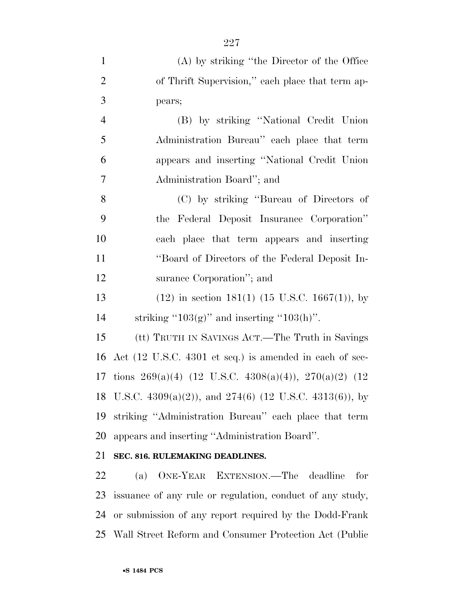| $\mathbf{1}$   | (A) by striking "the Director of the Office                    |
|----------------|----------------------------------------------------------------|
| $\overline{2}$ | of Thrift Supervision," each place that term ap-               |
| 3              | pears;                                                         |
| $\overline{4}$ | (B) by striking "National Credit Union                         |
| 5              | Administration Bureau" each place that term                    |
| 6              | appears and inserting "National Credit Union                   |
| $\overline{7}$ | Administration Board"; and                                     |
| 8              | (C) by striking "Bureau of Directors of                        |
| 9              | the Federal Deposit Insurance Corporation"                     |
| 10             | each place that term appears and inserting                     |
| 11             | "Board of Directors of the Federal Deposit In-                 |
| 12             | surance Corporation"; and                                      |
| 13             | $(12)$ in section 181(1) (15 U.S.C. 1667(1)), by               |
| 14             | striking " $103(g)$ " and inserting " $103(h)$ ".              |
| 15             | (tt) TRUTH IN SAVINGS ACT.—The Truth in Savings                |
| 16             | Act (12 U.S.C. 4301 et seq.) is amended in each of sec-        |
| 17             | tions 269(a)(4) (12 U.S.C. 4308(a)(4)), 270(a)(2) (12          |
| 18             | U.S.C. $4309(a)(2)$ ), and $274(6)$ (12 U.S.C. $4313(6)$ ), by |
| 19             | striking "Administration Bureau" each place that term          |
| 20             | appears and inserting "Administration Board".                  |
| 21             | SEC. 816. RULEMAKING DEADLINES.                                |

 (a) ONE-YEAR EXTENSION.—The deadline for issuance of any rule or regulation, conduct of any study, or submission of any report required by the Dodd-Frank Wall Street Reform and Consumer Protection Act (Public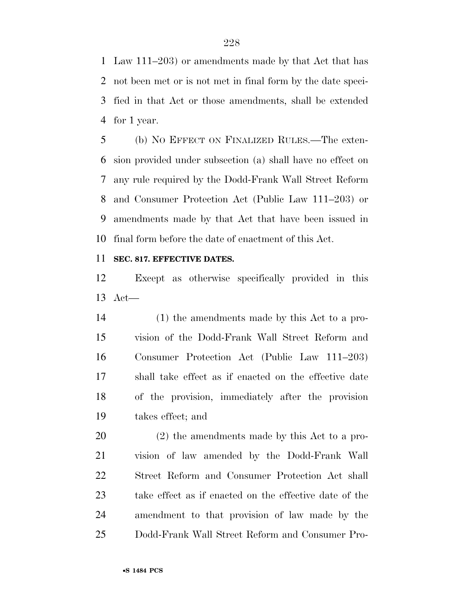Law 111–203) or amendments made by that Act that has not been met or is not met in final form by the date speci- fied in that Act or those amendments, shall be extended for 1 year.

 (b) NO EFFECT ON FINALIZED RULES.—The exten- sion provided under subsection (a) shall have no effect on any rule required by the Dodd-Frank Wall Street Reform and Consumer Protection Act (Public Law 111–203) or amendments made by that Act that have been issued in final form before the date of enactment of this Act.

## **SEC. 817. EFFECTIVE DATES.**

 Except as otherwise specifically provided in this Act—

 (1) the amendments made by this Act to a pro- vision of the Dodd-Frank Wall Street Reform and Consumer Protection Act (Public Law 111–203) shall take effect as if enacted on the effective date of the provision, immediately after the provision takes effect; and

 (2) the amendments made by this Act to a pro- vision of law amended by the Dodd-Frank Wall Street Reform and Consumer Protection Act shall take effect as if enacted on the effective date of the amendment to that provision of law made by the Dodd-Frank Wall Street Reform and Consumer Pro-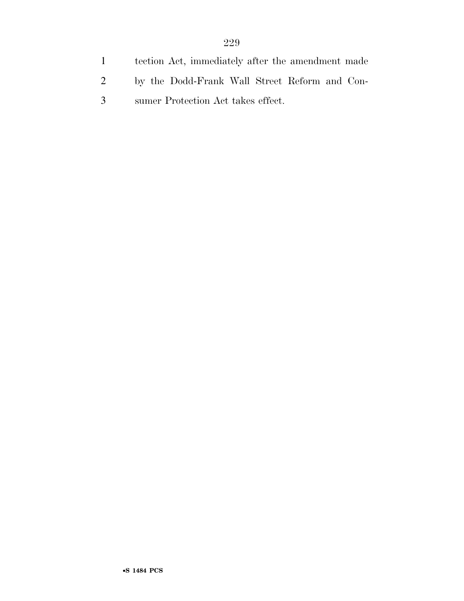- tection Act, immediately after the amendment made
- by the Dodd-Frank Wall Street Reform and Con-
- sumer Protection Act takes effect.